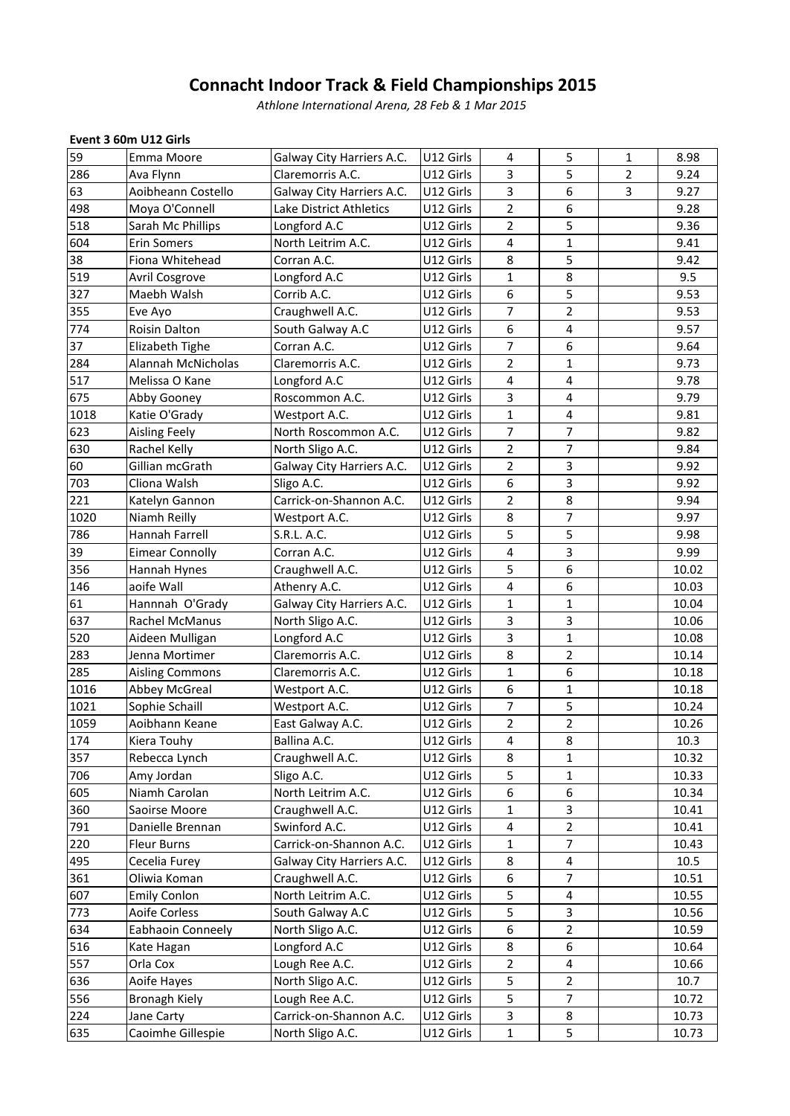# **Indoor Track & Field Championships <sup>2015</sup>** *International Arena, <sup>28</sup> Feb & <sup>1</sup> Mar <sup>2015</sup>*

# **<sup>3</sup> 60m U12 Girls** Event 3 60m U12 Girls

|      |                                     | <b>Connacht Indoor Track &amp; Field Championships 2015</b><br>Athlone International Arena, 28 Feb & 1 Mar 2015 |           |                |                |        |              |
|------|-------------------------------------|-----------------------------------------------------------------------------------------------------------------|-----------|----------------|----------------|--------|--------------|
|      |                                     |                                                                                                                 |           |                |                |        |              |
| 59   | Event 3 60m U12 Girls<br>Emma Moore |                                                                                                                 | U12 Girls |                |                |        |              |
| 286  | Ava Flynn                           | Galway City Harriers A.C.<br>Claremorris A.C.                                                                   | U12 Girls | 4<br>3         | 5<br>5         | 1<br>2 | 8.98<br>9.24 |
| 63   | Aoibheann Costello                  | Galway City Harriers A.C.                                                                                       | U12 Girls | 3              | 6              | 3      | 9.27         |
| 498  | Moya O'Connell                      | Lake District Athletics                                                                                         | U12 Girls | $\overline{2}$ | 6              |        | 9.28         |
| 518  | Sarah Mc Phillips                   | Longford A.C                                                                                                    | U12 Girls | 2              | 5              |        | 9.36         |
| 604  | <b>Erin Somers</b>                  | North Leitrim A.C.                                                                                              | U12 Girls | 4              | $\mathbf{1}$   |        | 9.41         |
| 38   | Fiona Whitehead                     | Corran A.C.                                                                                                     | U12 Girls | 8              | 5              |        | 9.42         |
| 519  | Avril Cosgrove                      | Longford A.C                                                                                                    | U12 Girls | 1              | 8              |        | 9.5          |
| 327  | Maebh Walsh                         | Corrib A.C.                                                                                                     | U12 Girls | 6              | 5              |        | 9.53         |
| 355  | Eve Ayo                             | Craughwell A.C.                                                                                                 | U12 Girls | 7              | $\overline{2}$ |        | 9.53         |
| 774  | <b>Roisin Dalton</b>                | South Galway A.C                                                                                                | U12 Girls | 6              | 4              |        | 9.57         |
| 37   | Elizabeth Tighe                     | Corran A.C.                                                                                                     | U12 Girls | 7              | 6              |        | 9.64         |
| 284  | Alannah McNicholas                  | Claremorris A.C.                                                                                                | U12 Girls | 2              | 1              |        | 9.73         |
| 517  | Melissa O Kane                      | Longford A.C                                                                                                    | U12 Girls | 4              | 4              |        | 9.78         |
| 675  | Abby Gooney                         | Roscommon A.C.                                                                                                  | U12 Girls | 3              | 4              |        | 9.79         |
| 1018 | Katie O'Grady                       | Westport A.C.                                                                                                   | U12 Girls | 1              | 4              |        | 9.81         |
| 623  | Aisling Feely                       | North Roscommon A.C.                                                                                            | U12 Girls | 7              | $\overline{7}$ |        | 9.82         |
| 630  | Rachel Kelly                        | North Sligo A.C.                                                                                                | U12 Girls | 2              | 7              |        | 9.84         |
| 60   | Gillian mcGrath                     | Galway City Harriers A.C.                                                                                       | U12 Girls | 2              | 3              |        | 9.92         |
| 703  | Cliona Walsh                        | Sligo A.C.                                                                                                      | U12 Girls | 6              | 3              |        | 9.92         |
| 221  | Katelyn Gannon                      | Carrick-on-Shannon A.C.                                                                                         | U12 Girls | 2              | 8              |        | 9.94         |
| 1020 | Niamh Reilly                        | Westport A.C.                                                                                                   | U12 Girls | 8              | 7              |        | 9.97         |
| 786  | Hannah Farrell                      | S.R.L. A.C.                                                                                                     | U12 Girls | 5              | 5              |        | 9.98         |
| 39   | <b>Eimear Connolly</b>              | Corran A.C.                                                                                                     | U12 Girls | 4              | 3              |        | 9.99         |
| 356  | Hannah Hynes                        | Craughwell A.C.                                                                                                 | U12 Girls | 5              | 6              |        | 10.02        |
| 146  | aoife Wall                          | Athenry A.C.                                                                                                    | U12 Girls | 4              | 6              |        | 10.03        |
| 61   | Hannnah O'Grady                     | Galway City Harriers A.C.                                                                                       | U12 Girls | 1              | 1              |        | 10.04        |
| 637  | Rachel McManus                      | North Sligo A.C.                                                                                                | U12 Girls | 3              | 3              |        | 10.06        |
| 520  | Aideen Mulligan                     | Longford A.C                                                                                                    | U12 Girls | 3              | $\mathbf{1}$   |        | 10.08        |
| 283  | Jenna Mortimer                      | Claremorris A.C.                                                                                                | U12 Girls | 8              | 2              |        | 10.14        |
| 285  | <b>Aisling Commons</b>              | Claremorris A.C.                                                                                                | U12 Girls | 1              | 6              |        | 10.18        |
| 1016 | <b>Abbey McGreal</b>                | Westport A.C.                                                                                                   | U12 Girls | 6              | 1              |        | 10.18        |
| 1021 | Sophie Schaill                      | Westport A.C.                                                                                                   | U12 Girls | 7              | 5              |        | 10.24        |
| 1059 | Aoibhann Keane                      | East Galway A.C.                                                                                                | U12 Girls | 2              | 2              |        | 10.26        |
| 174  | Kiera Touhy                         | Ballina A.C.                                                                                                    | U12 Girls | 4              | 8              |        | 10.3         |
| 357  | Rebecca Lynch                       | Craughwell A.C.                                                                                                 | U12 Girls | 8              | 1              |        | 10.32        |
| 706  | Amy Jordan                          | Sligo A.C.                                                                                                      | U12 Girls | 5              | $\mathbf{1}$   |        | 10.33        |
| 605  | Niamh Carolan                       | North Leitrim A.C.                                                                                              | U12 Girls | 6              | 6              |        | 10.34        |
| 360  | Saoirse Moore                       | Craughwell A.C.                                                                                                 | U12 Girls | 1              | 3              |        | 10.41        |
| 791  | Danielle Brennan                    | Swinford A.C.                                                                                                   | U12 Girls | 4              | $\overline{2}$ |        | 10.41        |
| 220  | <b>Fleur Burns</b>                  | Carrick-on-Shannon A.C.                                                                                         | U12 Girls | 1              | $\overline{7}$ |        | 10.43        |
| 495  | Cecelia Furey                       | Galway City Harriers A.C.                                                                                       | U12 Girls | 8              | 4              |        | 10.5         |
| 361  | Oliwia Koman                        | Craughwell A.C.                                                                                                 | U12 Girls | 6              | 7              |        | 10.51        |
| 607  | <b>Emily Conlon</b>                 | North Leitrim A.C.                                                                                              | U12 Girls | 5              | 4              |        | 10.55        |
| 773  | Aoife Corless                       | South Galway A.C                                                                                                | U12 Girls | 5              | 3              |        | 10.56        |
| 634  | Eabhaoin Conneely                   | North Sligo A.C.                                                                                                | U12 Girls | 6              | $\overline{2}$ |        | 10.59        |
| 516  | Kate Hagan                          | Longford A.C                                                                                                    | U12 Girls | 8              | 6              |        | 10.64        |
| 557  | Orla Cox                            | Lough Ree A.C.                                                                                                  | U12 Girls | 2              | 4              |        | 10.66        |
| 636  | Aoife Hayes                         | North Sligo A.C.                                                                                                | U12 Girls | 5              | $\overline{2}$ |        | 10.7         |
| 556  | <b>Bronagh Kiely</b>                | Lough Ree A.C.                                                                                                  | U12 Girls | 5              | $\overline{7}$ |        | 10.72        |
| 224  | Jane Carty                          | Carrick-on-Shannon A.C.                                                                                         | U12 Girls | 3              | 8              |        | 10.73        |
| 635  | Caoimhe Gillespie                   | North Sligo A.C.                                                                                                | U12 Girls | 1              | 5              |        | 10.73        |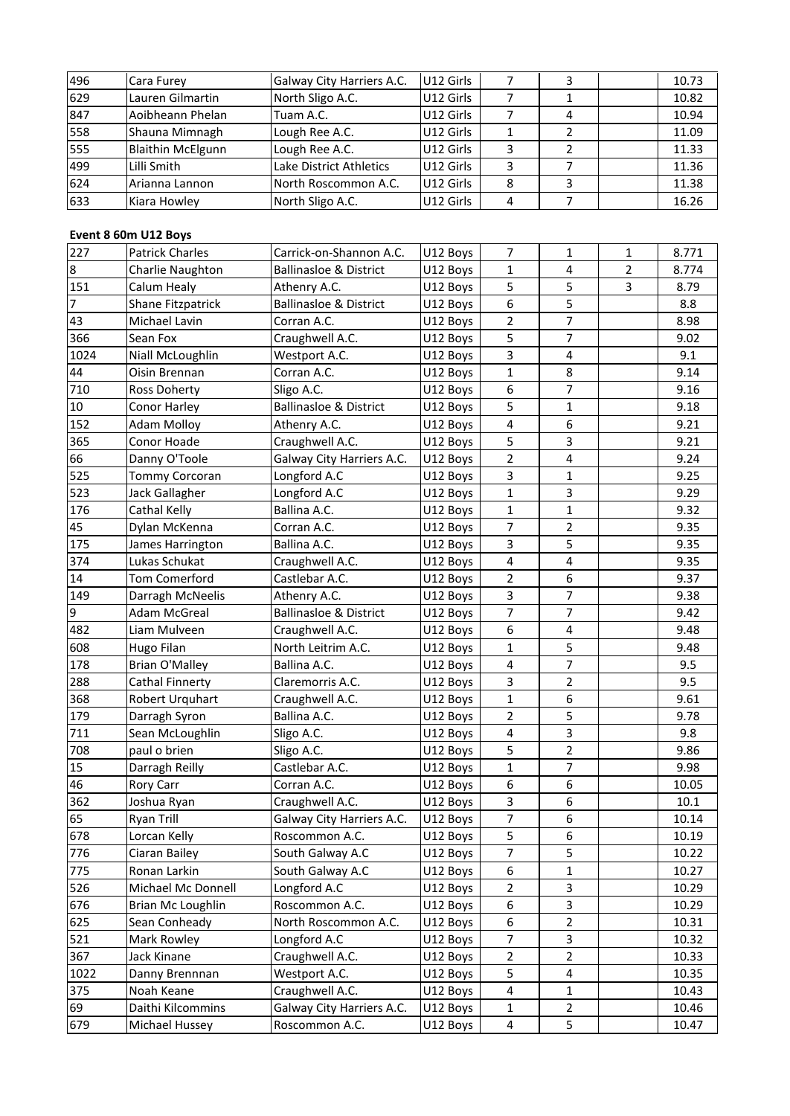| 496 | Cara Furey               | Galway City Harriers A.C.         | U12 Girls | 7 | 3              |   | 10.73 |
|-----|--------------------------|-----------------------------------|-----------|---|----------------|---|-------|
| 629 | Lauren Gilmartin         | North Sligo A.C.                  | U12 Girls | 7 | 1              |   | 10.82 |
| 847 | Aoibheann Phelan         | Tuam A.C.                         | U12 Girls | 7 | 4              |   | 10.94 |
| 558 | Shauna Mimnagh           | Lough Ree A.C.                    | U12 Girls | 1 | 2              |   | 11.09 |
| 555 | <b>Blaithin McElgunn</b> | Lough Ree A.C.                    | U12 Girls | 3 | $\overline{2}$ |   | 11.33 |
| 499 | Lilli Smith              | Lake District Athletics           | U12 Girls | 3 | 7              |   | 11.36 |
| 624 | Arianna Lannon           | North Roscommon A.C.              | U12 Girls | 8 | 3              |   | 11.38 |
| 633 | Kiara Howley             | North Sligo A.C.                  | U12 Girls | 4 | 7              |   | 16.26 |
|     |                          |                                   |           |   |                |   |       |
|     | Event 8 60m U12 Boys     |                                   |           |   |                |   |       |
| 227 | <b>Patrick Charles</b>   | Carrick-on-Shannon A.C.           | U12 Boys  | 7 |                | 1 | 8.771 |
| 8   | Charlie Naughton         | <b>Ballinasloe &amp; District</b> | U12 Boys  |   | 4              |   | 8.774 |

| 624     | Arianna Lannon         | North Roscommon A.C.              | U12 Girls | 8                       | 3                |                | 11.38 |
|---------|------------------------|-----------------------------------|-----------|-------------------------|------------------|----------------|-------|
| 633     | Kiara Howley           | North Sligo A.C.                  | U12 Girls | 4                       | $\overline{7}$   |                | 16.26 |
|         |                        |                                   |           |                         |                  |                |       |
|         | Event 8 60m U12 Boys   |                                   |           |                         |                  |                |       |
| 227     | <b>Patrick Charles</b> | Carrick-on-Shannon A.C.           | U12 Boys  | $\overline{7}$          | 1                | 1              | 8.771 |
| $\bf 8$ | Charlie Naughton       | <b>Ballinasloe &amp; District</b> | U12 Boys  | 1                       | 4                | $\overline{2}$ | 8.774 |
| 151     | Calum Healy            | Athenry A.C.                      | U12 Boys  | 5                       | 5                | 3              | 8.79  |
| 7       | Shane Fitzpatrick      | <b>Ballinasloe &amp; District</b> | U12 Boys  | 6                       | 5                |                | 8.8   |
| 43      | Michael Lavin          | Corran A.C.                       | U12 Boys  | $\overline{2}$          | $\overline{7}$   |                | 8.98  |
| 366     | Sean Fox               | Craughwell A.C.                   | U12 Boys  | 5                       | $\overline{7}$   |                | 9.02  |
| 1024    | Niall McLoughlin       | Westport A.C.                     | U12 Boys  | 3                       | 4                |                | 9.1   |
| 44      | Oisin Brennan          | Corran A.C.                       | U12 Boys  | 1                       | 8                |                | 9.14  |
| 710     | Ross Doherty           | Sligo A.C.                        | U12 Boys  | 6                       | 7                |                | 9.16  |
| $10\,$  | Conor Harley           | <b>Ballinasloe &amp; District</b> | U12 Boys  | 5                       | $\mathbf{1}$     |                | 9.18  |
| 152     | <b>Adam Molloy</b>     | Athenry A.C.                      | U12 Boys  | 4                       | 6                |                | 9.21  |
| 365     | Conor Hoade            | Craughwell A.C.                   | U12 Boys  | 5                       | 3                |                | 9.21  |
| 66      | Danny O'Toole          | Galway City Harriers A.C.         | U12 Boys  | $\overline{2}$          | 4                |                | 9.24  |
| 525     | Tommy Corcoran         | Longford A.C                      | U12 Boys  | 3                       | 1                |                | 9.25  |
| 523     | Jack Gallagher         | Longford A.C                      | U12 Boys  | 1                       | 3                |                | 9.29  |
| 176     | Cathal Kelly           | Ballina A.C.                      | U12 Boys  | 1                       | 1                |                | 9.32  |
| 45      | Dylan McKenna          | Corran A.C.                       | U12 Boys  | $\overline{7}$          | $\overline{2}$   |                | 9.35  |
| 175     | James Harrington       | Ballina A.C.                      | U12 Boys  | 3                       | 5                |                | 9.35  |
| 374     | Lukas Schukat          | Craughwell A.C.                   | U12 Boys  | 4                       | 4                |                | 9.35  |
| 14      | <b>Tom Comerford</b>   | Castlebar A.C.                    | U12 Boys  | 2                       | 6                |                | 9.37  |
| 149     | Darragh McNeelis       | Athenry A.C.                      | U12 Boys  | 3                       | 7                |                | 9.38  |
| 9       | <b>Adam McGreal</b>    | <b>Ballinasloe &amp; District</b> | U12 Boys  | $\overline{7}$          | 7                |                | 9.42  |
| 482     | Liam Mulveen           | Craughwell A.C.                   | U12 Boys  | 6                       | 4                |                | 9.48  |
| 608     | Hugo Filan             | North Leitrim A.C.                | U12 Boys  | 1                       | 5                |                | 9.48  |
| 178     | <b>Brian O'Malley</b>  | Ballina A.C.                      | U12 Boys  | 4                       | 7                |                | 9.5   |
| 288     | Cathal Finnerty        | Claremorris A.C.                  | U12 Boys  | 3                       | 2                |                | 9.5   |
| 368     | Robert Urquhart        | Craughwell A.C.                   | U12 Boys  | 1                       | 6                |                | 9.61  |
| 179     | Darragh Syron          | Ballina A.C.                      | U12 Boys  | 2                       | 5                |                | 9.78  |
| 711     | Sean McLoughlin        | Sligo A.C.                        | U12 Boys  | 4                       | 3                |                | 9.8   |
| 708     | paul o brien           | Sligo A.C.                        | U12 Boys  | 5                       | 2                |                | 9.86  |
| 15      | Darragh Reilly         | Castlebar A.C.                    | U12 Boys  | $\mathbf{1}$            | 7                |                | 9.98  |
| 46      | Rory Carr              | Corran A.C.                       | U12 Boys  | 6                       | $\boldsymbol{6}$ |                | 10.05 |
| 362     | Joshua Ryan            | Craughwell A.C.                   | U12 Boys  | 3                       | 6                |                | 10.1  |
| 65      | Ryan Trill             | Galway City Harriers A.C.         | U12 Boys  | $\overline{7}$          | 6                |                | 10.14 |
| 678     | Lorcan Kelly           | Roscommon A.C.                    | U12 Boys  | 5                       | 6                |                | 10.19 |
| 776     | Ciaran Bailey          | South Galway A.C                  | U12 Boys  | $\overline{7}$          | 5                |                | 10.22 |
| 775     | Ronan Larkin           | South Galway A.C                  | U12 Boys  | 6                       | $\mathbf{1}$     |                | 10.27 |
| 526     | Michael Mc Donnell     | Longford A.C                      | U12 Boys  | $\overline{2}$          | 3                |                | 10.29 |
| 676     | Brian Mc Loughlin      | Roscommon A.C.                    | U12 Boys  | 6                       | 3                |                | 10.29 |
| 625     | Sean Conheady          | North Roscommon A.C.              | U12 Boys  | 6                       | $\overline{2}$   |                | 10.31 |
| 521     | Mark Rowley            | Longford A.C                      | U12 Boys  | $\overline{7}$          | 3                |                | 10.32 |
| 367     | Jack Kinane            | Craughwell A.C.                   | U12 Boys  | 2                       | 2                |                | 10.33 |
| 1022    | Danny Brennnan         | Westport A.C.                     | U12 Boys  | 5                       | 4                |                | 10.35 |
| 375     | Noah Keane             | Craughwell A.C.                   | U12 Boys  | $\overline{\mathbf{4}}$ | $\mathbf{1}$     |                | 10.43 |
| 69      | Daithi Kilcommins      | Galway City Harriers A.C.         | U12 Boys  | $\mathbf{1}$            | $\overline{a}$   |                | 10.46 |
| 679     | Michael Hussey         | Roscommon A.C.                    | U12 Boys  | 4                       | 5                |                | 10.47 |
|         |                        |                                   |           |                         |                  |                |       |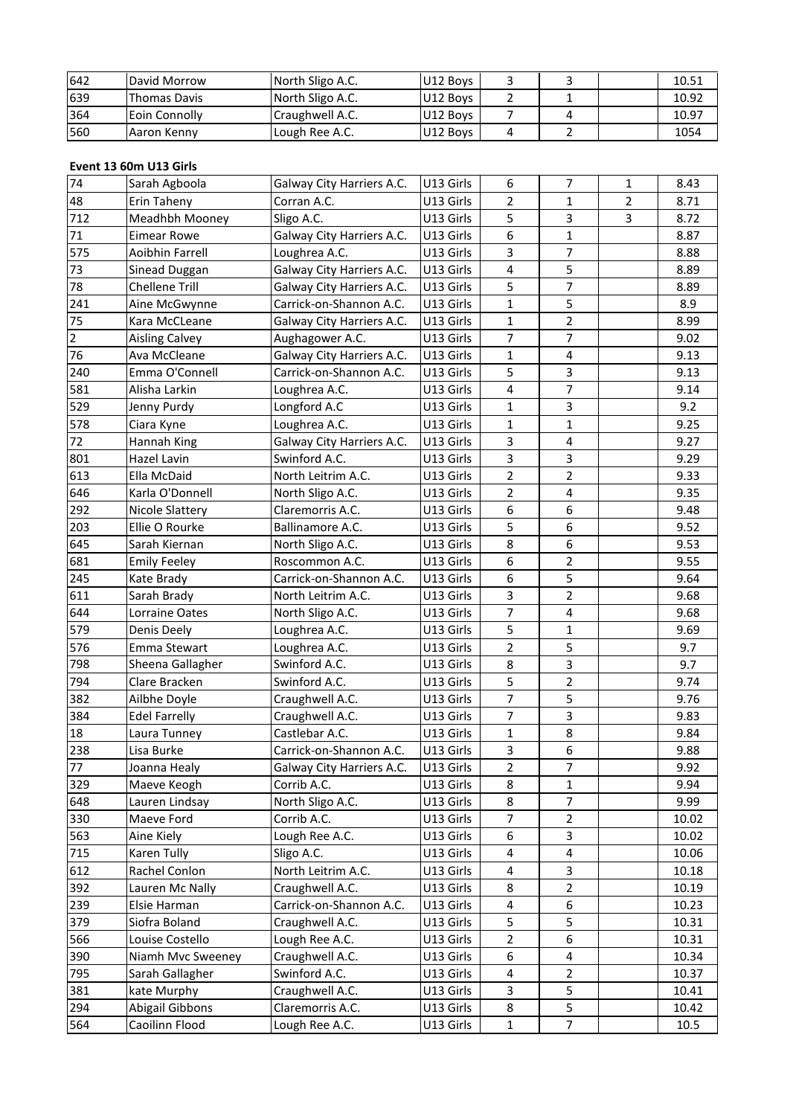| 642 | David Morrow           | North Sligo A.C.          | U12 Boys  | 3 | 3 |   | 10.51 |
|-----|------------------------|---------------------------|-----------|---|---|---|-------|
| 639 | <b>Thomas Davis</b>    | North Sligo A.C.          | U12 Boys  | 2 |   |   | 10.92 |
| 364 | Eoin Connolly          | Craughwell A.C.           | U12 Boys  | 7 | 4 |   | 10.97 |
| 560 | Aaron Kenny            | Lough Ree A.C.            | U12 Boys  | 4 | 2 |   | 1054  |
|     |                        |                           |           |   |   |   |       |
|     | Event 13 60m U13 Girls |                           |           |   |   |   |       |
| 74  | Sarah Agboola          | Galway City Harriers A.C. | U13 Girls | 6 | 7 | 1 | 8.43  |
| 48  | Erin Taheny            | Corran A.C.               | U13 Girls | 2 |   |   | 8.71  |

| 364            | Eoin Connolly                           | Craughwell A.C.           | U12 Boys  | 7              | 4                   |   | 10.97 |
|----------------|-----------------------------------------|---------------------------|-----------|----------------|---------------------|---|-------|
| 560            | Aaron Kenny                             | Lough Ree A.C.            | U12 Boys  | 4              | $\overline{2}$      |   | 1054  |
|                |                                         |                           |           |                |                     |   |       |
| 74             | Event 13 60m U13 Girls<br>Sarah Agboola | Galway City Harriers A.C. | U13 Girls | 6              | $\overline{7}$      | 1 | 8.43  |
| 48             | Erin Taheny                             | Corran A.C.               | U13 Girls | 2              | $\mathbf{1}$        | 2 | 8.71  |
| 712            | Meadhbh Mooney                          | Sligo A.C.                | U13 Girls | 5              | 3                   | 3 | 8.72  |
| $71\,$         | <b>Eimear Rowe</b>                      | Galway City Harriers A.C. | U13 Girls | 6              | 1                   |   | 8.87  |
| 575            | Aoibhin Farrell                         | Loughrea A.C.             | U13 Girls | 3              | $\overline{7}$      |   | 8.88  |
| 73             |                                         | Galway City Harriers A.C. | U13 Girls | 4              | 5                   |   | 8.89  |
| 78             | Sinead Duggan<br><b>Chellene Trill</b>  | Galway City Harriers A.C. | U13 Girls | 5              | 7                   |   | 8.89  |
| 241            | Aine McGwynne                           | Carrick-on-Shannon A.C.   | U13 Girls | 1              | 5                   |   | 8.9   |
| 75             | Kara McCLeane                           | Galway City Harriers A.C. | U13 Girls | 1              | $\overline{2}$      |   | 8.99  |
| $\overline{2}$ | <b>Aisling Calvey</b>                   | Aughagower A.C.           | U13 Girls | 7              | 7                   |   | 9.02  |
| 76             | Ava McCleane                            |                           | U13 Girls | $\mathbf{1}$   | 4                   |   | 9.13  |
|                |                                         | Galway City Harriers A.C. |           |                |                     |   |       |
| 240            | Emma O'Connell                          | Carrick-on-Shannon A.C.   | U13 Girls | 5              | 3<br>$\overline{7}$ |   | 9.13  |
| 581            | Alisha Larkin                           | Loughrea A.C.             | U13 Girls | 4              |                     |   | 9.14  |
| 529            | Jenny Purdy                             | Longford A.C              | U13 Girls | 1              | 3                   |   | 9.2   |
| 578            | Ciara Kyne                              | Loughrea A.C.             | U13 Girls | 1              | 1                   |   | 9.25  |
| 72             | Hannah King                             | Galway City Harriers A.C. | U13 Girls | 3              | 4                   |   | 9.27  |
| 801            | Hazel Lavin                             | Swinford A.C.             | U13 Girls | 3              | 3                   |   | 9.29  |
| 613            | Ella McDaid                             | North Leitrim A.C.        | U13 Girls | $\overline{2}$ | 2                   |   | 9.33  |
| 646            | Karla O'Donnell                         | North Sligo A.C.          | U13 Girls | 2              | 4                   |   | 9.35  |
| 292            | Nicole Slattery                         | Claremorris A.C.          | U13 Girls | 6              | 6                   |   | 9.48  |
| 203            | Ellie O Rourke                          | Ballinamore A.C.          | U13 Girls | 5              | 6                   |   | 9.52  |
| 645            | Sarah Kiernan                           | North Sligo A.C.          | U13 Girls | 8              | 6                   |   | 9.53  |
| 681            | <b>Emily Feeley</b>                     | Roscommon A.C.            | U13 Girls | 6              | 2                   |   | 9.55  |
| 245            | Kate Brady                              | Carrick-on-Shannon A.C.   | U13 Girls | 6              | 5                   |   | 9.64  |
| 611            | Sarah Brady                             | North Leitrim A.C.        | U13 Girls | 3              | $\overline{2}$      |   | 9.68  |
| 644            | Lorraine Oates                          | North Sligo A.C.          | U13 Girls | $\overline{7}$ | 4                   |   | 9.68  |
| 579            | Denis Deely                             | Loughrea A.C.             | U13 Girls | 5              | 1                   |   | 9.69  |
| 576            | Emma Stewart                            | Loughrea A.C.             | U13 Girls | 2              | 5                   |   | 9.7   |
| 798            | Sheena Gallagher                        | Swinford A.C.             | U13 Girls | 8              | 3                   |   | 9.7   |
| 794            | Clare Bracken                           | Swinford A.C.             | U13 Girls | 5              | 2                   |   | 9.74  |
| 382            | Ailbhe Doyle                            | Craughwell A.C.           | U13 Girls | $\overline{7}$ | 5                   |   | 9.76  |
| 384            | <b>Edel Farrelly</b>                    | Craughwell A.C.           | U13 Girls | $\overline{7}$ | 3                   |   | 9.83  |
| 18             | Laura Tunney                            | Castlebar A.C.            | U13 Girls | 1              | 8                   |   | 9.84  |
| 238            | Lisa Burke                              | Carrick-on-Shannon A.C.   | U13 Girls | 3              | 6                   |   | 9.88  |
| 77             | Joanna Healy                            | Galway City Harriers A.C. | U13 Girls | 2              | 7                   |   | 9.92  |
| 329            | Maeve Keogh                             | Corrib A.C.               | U13 Girls | 8              | $\mathbf{1}$        |   | 9.94  |
| 648            | Lauren Lindsay                          | North Sligo A.C.          | U13 Girls | 8              | $\overline{7}$      |   | 9.99  |
| 330            | Maeve Ford                              | Corrib A.C.               | U13 Girls | 7              | $\overline{2}$      |   | 10.02 |
| 563            | Aine Kiely                              | Lough Ree A.C.            | U13 Girls | 6              | 3                   |   | 10.02 |
| 715            | Karen Tully                             | Sligo A.C.                | U13 Girls | 4              | 4                   |   | 10.06 |
| 612            | Rachel Conlon                           | North Leitrim A.C.        | U13 Girls | 4              | 3                   |   | 10.18 |
| 392            | Lauren Mc Nally                         | Craughwell A.C.           | U13 Girls | 8              | $\overline{2}$      |   | 10.19 |
| 239            | Elsie Harman                            | Carrick-on-Shannon A.C.   | U13 Girls | 4              | 6                   |   | 10.23 |
| 379            | Siofra Boland                           | Craughwell A.C.           | U13 Girls | 5              | 5                   |   | 10.31 |
| 566            | Louise Costello                         | Lough Ree A.C.            | U13 Girls | $\overline{2}$ | 6                   |   | 10.31 |
| 390            | Niamh Mvc Sweeney                       | Craughwell A.C.           | U13 Girls | 6              | 4                   |   | 10.34 |
| 795            | Sarah Gallagher                         | Swinford A.C.             | U13 Girls | 4              | 2                   |   | 10.37 |
| 381            | kate Murphy                             | Craughwell A.C.           | U13 Girls | 3              | 5                   |   | 10.41 |
| 294            | Abigail Gibbons                         | Claremorris A.C.          | U13 Girls | 8              | 5                   |   | 10.42 |
| 564            | Caoilinn Flood                          | Lough Ree A.C.            | U13 Girls | 1              | $\overline{7}$      |   | 10.5  |
|                |                                         |                           |           |                |                     |   |       |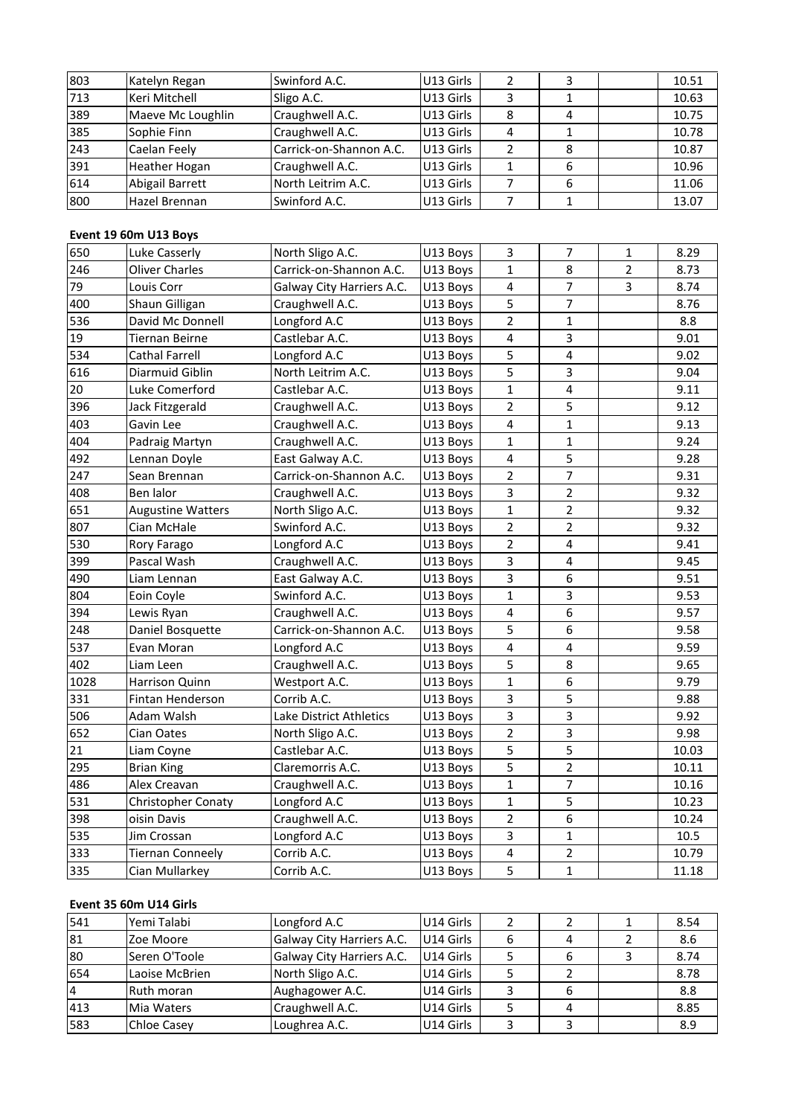| 803 | Katelyn Regan         | Swinford A.C.            | U13 Girls | 2 | 3            |   | 10.51 |  |
|-----|-----------------------|--------------------------|-----------|---|--------------|---|-------|--|
| 713 | Keri Mitchell         | Sligo A.C.               | U13 Girls | 3 | $\mathbf{1}$ |   | 10.63 |  |
| 389 | Maeve Mc Loughlin     | Craughwell A.C.          | U13 Girls | 8 | 4            |   | 10.75 |  |
| 385 | Sophie Finn           | Craughwell A.C.          | U13 Girls | 4 | 1            |   | 10.78 |  |
| 243 | Caelan Feely          | Carrick-on-Shannon A.C.  | U13 Girls | 2 | 8            |   | 10.87 |  |
| 391 | Heather Hogan         | Craughwell A.C.          | U13 Girls | 1 | 6            |   | 10.96 |  |
| 614 | Abigail Barrett       | North Leitrim A.C.       | U13 Girls | 7 | 6            |   | 11.06 |  |
| 800 | Hazel Brennan         | Swinford A.C.            | U13 Girls | 7 | $\mathbf{1}$ |   | 13.07 |  |
|     |                       |                          |           |   |              |   |       |  |
|     | Event 19 60m U13 Boys |                          |           |   |              |   |       |  |
| 650 | Luke Casserly         | North Sligo A.C.         | U13 Boys  | 3 |              | 1 | 8.29  |  |
| 246 | Oliver Charles        | lCarrick-on-Shannon A.C. | U13 Boys  |   | 8            | 2 | 8.73  |  |

| 614  | Abigail Barrett                                | North Leitrim A.C.             | U13 Girls | 7                             | 6                |                | 11.06 |
|------|------------------------------------------------|--------------------------------|-----------|-------------------------------|------------------|----------------|-------|
| 800  | Hazel Brennan                                  | Swinford A.C.                  | U13 Girls | $\overline{7}$                | $\mathbf{1}$     |                | 13.07 |
|      |                                                |                                |           |                               |                  |                |       |
| 650  | Event 19 60m U13 Boys<br>Luke Casserly         | North Sligo A.C.               | U13 Boys  | 3                             | $\overline{7}$   | 1              | 8.29  |
| 246  | <b>Oliver Charles</b>                          | Carrick-on-Shannon A.C.        | U13 Boys  |                               | 8                | $\overline{2}$ | 8.73  |
| 79   | Louis Corr                                     | Galway City Harriers A.C.      | U13 Boys  | 1                             | 7                | 3              | 8.74  |
| 400  | Shaun Gilligan                                 |                                |           | $\overline{\mathcal{A}}$<br>5 | $\overline{7}$   |                | 8.76  |
| 536  | David Mc Donnell                               | Craughwell A.C.                | U13 Boys  | $\overline{2}$                | $\mathbf{1}$     |                | 8.8   |
| 19   |                                                | Longford A.C<br>Castlebar A.C. | U13 Boys  |                               | 3                |                |       |
| 534  | <b>Tiernan Beirne</b><br><b>Cathal Farrell</b> |                                | U13 Boys  | 4                             |                  |                | 9.01  |
|      |                                                | Longford A.C                   | U13 Boys  | 5                             | 4                |                | 9.02  |
| 616  | Diarmuid Giblin                                | North Leitrim A.C.             | U13 Boys  | 5                             | 3                |                | 9.04  |
| 20   | Luke Comerford                                 | Castlebar A.C.                 | U13 Boys  | $\mathbf 1$                   | $\overline{4}$   |                | 9.11  |
| 396  | Jack Fitzgerald                                | Craughwell A.C.                | U13 Boys  | 2                             | 5                |                | 9.12  |
| 403  | Gavin Lee                                      | Craughwell A.C.                | U13 Boys  | $\overline{4}$                | $\mathbf{1}$     |                | 9.13  |
| 404  | Padraig Martyn                                 | Craughwell A.C.                | U13 Boys  | $\mathbf 1$                   | $\mathbf{1}$     |                | 9.24  |
| 492  | Lennan Doyle                                   | East Galway A.C.               | U13 Boys  | $\overline{\mathbf{4}}$       | 5                |                | 9.28  |
| 247  | Sean Brennan                                   | Carrick-on-Shannon A.C.        | U13 Boys  | 2                             | $\overline{7}$   |                | 9.31  |
| 408  | Ben lalor                                      | Craughwell A.C.                | U13 Boys  | 3                             | $\overline{2}$   |                | 9.32  |
| 651  | <b>Augustine Watters</b>                       | North Sligo A.C.               | U13 Boys  | 1                             | 2                |                | 9.32  |
| 807  | Cian McHale                                    | Swinford A.C.                  | U13 Boys  | 2                             | $\overline{2}$   |                | 9.32  |
| 530  | Rory Farago                                    | Longford A.C                   | U13 Boys  | 2                             | 4                |                | 9.41  |
| 399  | Pascal Wash                                    | Craughwell A.C.                | U13 Boys  | 3                             | $\overline{4}$   |                | 9.45  |
| 490  | Liam Lennan                                    | East Galway A.C.               | U13 Boys  | 3                             | 6                |                | 9.51  |
| 804  | Eoin Coyle                                     | Swinford A.C.                  | U13 Boys  | $\mathbf 1$                   | 3                |                | 9.53  |
| 394  | Lewis Ryan                                     | Craughwell A.C.                | U13 Boys  | $\pmb{4}$                     | $\boldsymbol{6}$ |                | 9.57  |
| 248  | Daniel Bosquette                               | Carrick-on-Shannon A.C.        | U13 Boys  | 5                             | 6                |                | 9.58  |
| 537  | Evan Moran                                     | Longford A.C                   | U13 Boys  | $\overline{\mathcal{L}}$      | 4                |                | 9.59  |
| 402  | Liam Leen                                      | Craughwell A.C.                | U13 Boys  | 5                             | 8                |                | 9.65  |
| 1028 | Harrison Quinn                                 | Westport A.C.                  | U13 Boys  | $\mathbf 1$                   | 6                |                | 9.79  |
| 331  | Fintan Henderson                               | Corrib A.C.                    | U13 Boys  | 3                             | 5                |                | 9.88  |
| 506  | Adam Walsh                                     | Lake District Athletics        | U13 Boys  | 3                             | 3                |                | 9.92  |
| 652  | Cian Oates                                     | North Sligo A.C.               | U13 Boys  | 2                             | 3                |                | 9.98  |
| 21   | Liam Coyne                                     | Castlebar A.C.                 | U13 Boys  | 5                             | 5                |                | 10.03 |
| 295  | <b>Brian King</b>                              | Claremorris A.C.               | U13 Boys  | 5                             | $\overline{2}$   |                | 10.11 |
| 486  | Alex Creavan                                   | Craughwell A.C.                | U13 Boys  | 1                             | 7                |                | 10.16 |
| 531  | Christopher Conaty                             | Longford A.C                   | U13 Boys  | 1                             | 5                |                | 10.23 |
| 398  | oisin Davis                                    | Craughwell A.C.                | U13 Boys  | 2                             | 6                |                | 10.24 |
| 535  | Jim Crossan                                    | Longford A.C                   | U13 Boys  | 3                             | 1                |                | 10.5  |
| 333  | <b>Tiernan Conneely</b>                        | Corrib A.C.                    | U13 Boys  | 4                             | $\overline{2}$   |                | 10.79 |
| 335  | Cian Mullarkey                                 | Corrib A.C.                    | U13 Boys  | 5                             | $\mathbf{1}$     |                | 11.18 |
|      |                                                |                                |           |                               |                  |                |       |
|      | Event 35 60m U14 Girls                         |                                |           |                               |                  |                |       |
| 541  | Yemi Talabi                                    | Longford A.C                   | U14 Girls | $\overline{2}$                | 2                | 1              | 8.54  |
| 81   | Zoe Moore                                      | Galway City Harriers A.C.      | U14 Girls | 6                             | $\overline{4}$   | $\overline{2}$ | 8.6   |

| 333            | Tiernan Conneely       | Corrib A.C.               | U13 Boys  | 4 |   |   | 10.79 |
|----------------|------------------------|---------------------------|-----------|---|---|---|-------|
| 335            | Cian Mullarkey         | Corrib A.C.               | U13 Boys  | 5 |   |   | 11.18 |
|                |                        |                           |           |   |   |   |       |
|                | Event 35 60m U14 Girls |                           |           |   |   |   |       |
| 541            | Yemi Talabi            | Longford A.C              | U14 Girls |   |   |   | 8.54  |
| 81             | Zoe Moore              | Galway City Harriers A.C. | U14 Girls | 6 | 4 |   | 8.6   |
| 80             | Seren O'Toole          | Galway City Harriers A.C. | U14 Girls | 5 | 6 | 3 | 8.74  |
| 654            | Laoise McBrien         | North Sligo A.C.          | U14 Girls | 5 |   |   | 8.78  |
| $\overline{4}$ | Ruth moran             | Aughagower A.C.           | U14 Girls | 3 | 6 |   | 8.8   |
| 413            | Mia Waters             | Craughwell A.C.           | U14 Girls | 5 | 4 |   | 8.85  |
| 583            | <b>Chloe Casey</b>     | Loughrea A.C.             | U14 Girls | 3 | 3 |   | 8.9   |
|                |                        |                           |           |   |   |   |       |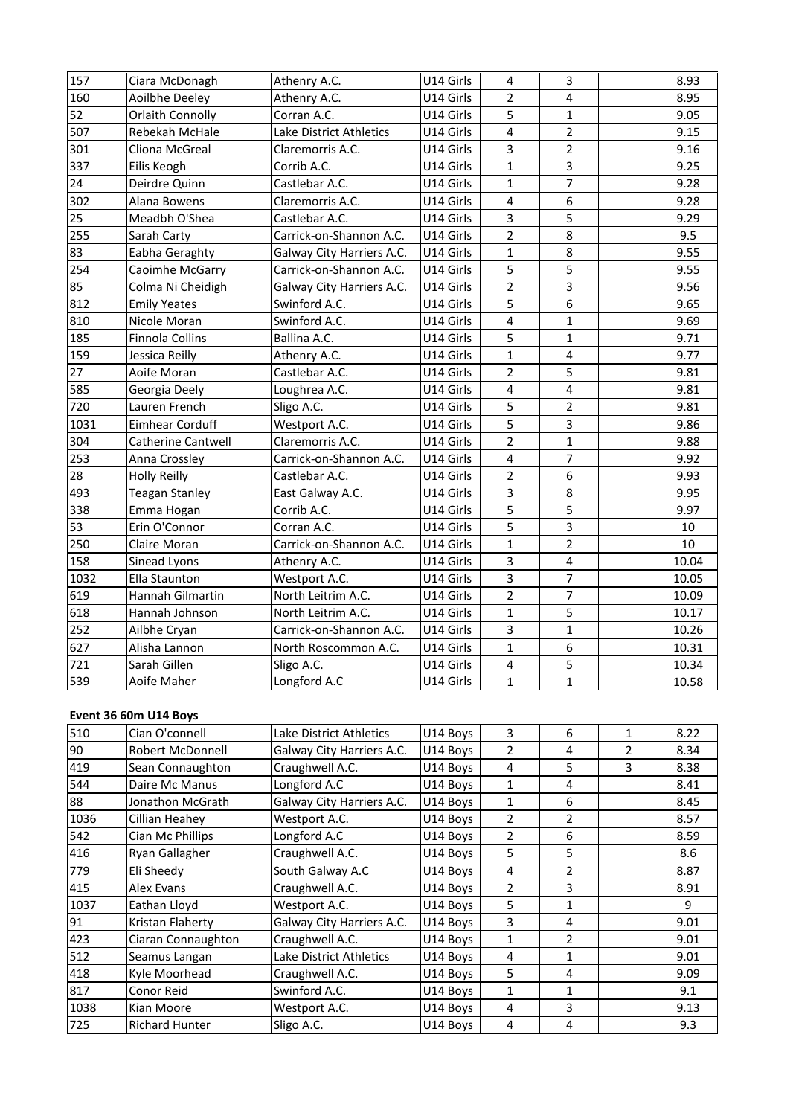| 157  | Ciara McDonagh                          | Athenry A.C.              | U14 Girls | 4              | 3              |                               | 8.93  |
|------|-----------------------------------------|---------------------------|-----------|----------------|----------------|-------------------------------|-------|
| 160  | Aoilbhe Deeley                          | Athenry A.C.              | U14 Girls | 2              | 4              |                               | 8.95  |
| 52   | <b>Orlaith Connolly</b>                 | Corran A.C.               | U14 Girls | 5              | $\mathbf 1$    |                               | 9.05  |
| 507  | Rebekah McHale                          | Lake District Athletics   | U14 Girls | 4              | $\overline{2}$ |                               | 9.15  |
| 301  | Cliona McGreal                          | Claremorris A.C.          | U14 Girls | 3              | 2              |                               | 9.16  |
| 337  | Eilis Keogh                             | Corrib A.C.               | U14 Girls | 1              | 3              |                               | 9.25  |
| 24   | Deirdre Quinn                           | Castlebar A.C.            | U14 Girls | 1              | 7              |                               | 9.28  |
| 302  | Alana Bowens                            | Claremorris A.C.          | U14 Girls | 4              | 6              |                               | 9.28  |
| 25   | Meadbh O'Shea                           | Castlebar A.C.            | U14 Girls | 3              | 5              |                               | 9.29  |
| 255  | Sarah Carty                             | Carrick-on-Shannon A.C.   | U14 Girls | 2              | 8              |                               | 9.5   |
| 83   | Eabha Geraghty                          | Galway City Harriers A.C. | U14 Girls | $\mathbf 1$    | 8              |                               | 9.55  |
| 254  | Caoimhe McGarry                         | Carrick-on-Shannon A.C.   | U14 Girls | 5              | 5              |                               | 9.55  |
| 85   | Colma Ni Cheidigh                       | Galway City Harriers A.C. | U14 Girls | $\overline{2}$ | 3              |                               | 9.56  |
| 812  | <b>Emily Yeates</b>                     | Swinford A.C.             | U14 Girls | 5              | 6              |                               | 9.65  |
| 810  | Nicole Moran                            | Swinford A.C.             | U14 Girls | 4              | $\mathbf{1}$   |                               | 9.69  |
| 185  | Finnola Collins                         | Ballina A.C.              | U14 Girls | 5              | 1              |                               | 9.71  |
| 159  | Jessica Reilly                          | Athenry A.C.              | U14 Girls | 1              | 4              |                               | 9.77  |
| 27   | Aoife Moran                             | Castlebar A.C.            | U14 Girls | 2              | 5              |                               | 9.81  |
| 585  | Georgia Deely                           | Loughrea A.C.             | U14 Girls | 4              | 4              |                               | 9.81  |
| 720  | Lauren French                           | Sligo A.C.                | U14 Girls | 5              | 2              |                               | 9.81  |
| 1031 | <b>Eimhear Corduff</b>                  | Westport A.C.             | U14 Girls | 5              | 3              |                               | 9.86  |
| 304  | <b>Catherine Cantwell</b>               | Claremorris A.C.          | U14 Girls | 2              | $\mathbf{1}$   |                               | 9.88  |
| 253  | Anna Crossley                           | Carrick-on-Shannon A.C.   | U14 Girls | 4              | $\overline{7}$ |                               | 9.92  |
| 28   | <b>Holly Reilly</b>                     | Castlebar A.C.            | U14 Girls | 2              | 6              |                               | 9.93  |
| 493  | <b>Teagan Stanley</b>                   | East Galway A.C.          | U14 Girls | 3              | 8              |                               | 9.95  |
| 338  | Emma Hogan                              | Corrib A.C.               | U14 Girls | 5              | 5              |                               | 9.97  |
| 53   | Erin O'Connor                           | Corran A.C.               | U14 Girls | 5              | 3              |                               | 10    |
| 250  | Claire Moran                            | Carrick-on-Shannon A.C.   | U14 Girls | 1              | 2              |                               | 10    |
| 158  | Sinead Lyons                            | Athenry A.C.              | U14 Girls | 3              | 4              |                               | 10.04 |
| 1032 | Ella Staunton                           | Westport A.C.             | U14 Girls | 3              | 7              |                               | 10.05 |
| 619  | Hannah Gilmartin                        | North Leitrim A.C.        | U14 Girls | 2              | $\overline{7}$ |                               | 10.09 |
| 618  | Hannah Johnson                          | North Leitrim A.C.        | U14 Girls | 1              | 5              |                               | 10.17 |
| 252  | Ailbhe Cryan                            | Carrick-on-Shannon A.C.   | U14 Girls | 3              | 1              |                               | 10.26 |
| 627  | Alisha Lannon                           | North Roscommon A.C.      | U14 Girls | 1              | 6              |                               | 10.31 |
| 721  | Sarah Gillen                            | Sligo A.C.                | U14 Girls | 4              | 5              |                               | 10.34 |
| 539  | Aoife Maher                             | Longford A.C              | U14 Girls | 1              | $\mathbf 1$    |                               | 10.58 |
|      |                                         |                           |           |                |                |                               |       |
| 510  | Event 36 60m U14 Boys<br>Cian O'connell | Lake District Athletics   | U14 Boys  | 3              | 6              |                               | 8.22  |
| 90   | Robert McDonnell                        | Galway City Harriers A.C. | U14 Boys  | $\overline{2}$ | 4              | 1<br>$\overline{\phantom{a}}$ | 8.34  |
|      |                                         |                           |           |                |                |                               |       |

| 721  | Sarah Gillen          | Sligo A.C.                | U14 Girls | 4              | 5            |   | 10.34 |
|------|-----------------------|---------------------------|-----------|----------------|--------------|---|-------|
| 539  | Aoife Maher           | Longford A.C              | U14 Girls | 1              | 1            |   | 10.58 |
|      |                       |                           |           |                |              |   |       |
|      | Event 36 60m U14 Boys |                           |           |                |              |   |       |
| 510  | Cian O'connell        | Lake District Athletics   | U14 Boys  | 3              | 6            | 1 | 8.22  |
| 90   | Robert McDonnell      | Galway City Harriers A.C. | U14 Boys  | 2              | 4            | 2 | 8.34  |
| 419  | Sean Connaughton      | Craughwell A.C.           | U14 Boys  | 4              | 5            | 3 | 8.38  |
| 544  | Daire Mc Manus        | Longford A.C              | U14 Boys  | $\mathbf{1}$   | 4            |   | 8.41  |
| 88   | Jonathon McGrath      | Galway City Harriers A.C. | U14 Boys  | 1              | 6            |   | 8.45  |
| 1036 | Cillian Heahey        | Westport A.C.             | U14 Boys  | 2              | 2            |   | 8.57  |
| 542  | Cian Mc Phillips      | Longford A.C              | U14 Boys  | $\overline{2}$ | 6            |   | 8.59  |
| 416  | Ryan Gallagher        | Craughwell A.C.           | U14 Boys  | 5              | 5            |   | 8.6   |
| 779  | Eli Sheedy            | South Galway A.C          | U14 Boys  | 4              | 2            |   | 8.87  |
| 415  | Alex Evans            | Craughwell A.C.           | U14 Boys  | 2              | 3            |   | 8.91  |
| 1037 | Eathan Lloyd          | Westport A.C.             | U14 Boys  | 5              | 1            |   | 9     |
| 91   | Kristan Flaherty      | Galway City Harriers A.C. | U14 Boys  | 3              | 4            |   | 9.01  |
| 423  | Ciaran Connaughton    | Craughwell A.C.           | U14 Boys  | 1              | 2            |   | 9.01  |
| 512  | Seamus Langan         | Lake District Athletics   | U14 Boys  | 4              | 1            |   | 9.01  |
| 418  | Kyle Moorhead         | Craughwell A.C.           | U14 Boys  | 5              | 4            |   | 9.09  |
| 817  | Conor Reid            | Swinford A.C.             | U14 Boys  | 1              | $\mathbf{1}$ |   | 9.1   |
| 1038 | Kian Moore            | Westport A.C.             | U14 Boys  | 4              | 3            |   | 9.13  |
| 725  | <b>Richard Hunter</b> | Sligo A.C.                | U14 Boys  | 4              | 4            |   | 9.3   |
|      |                       |                           |           |                |              |   |       |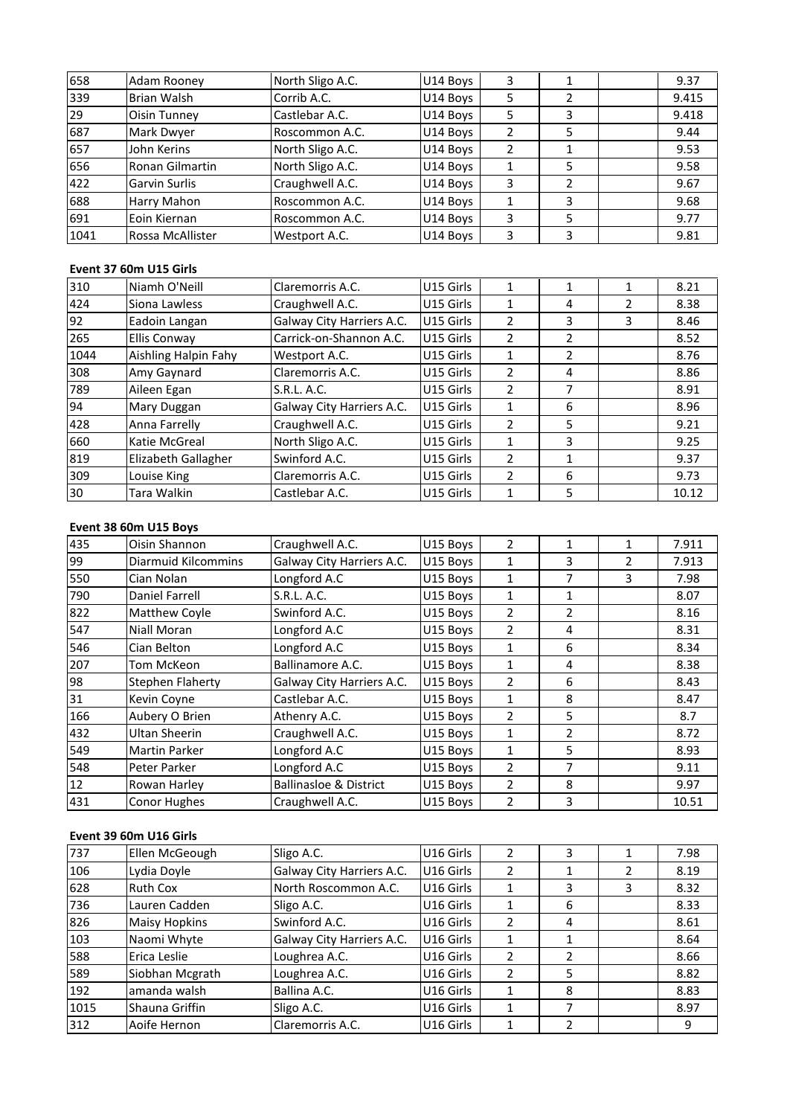| 658  | Adam Rooney            | North Sligo A.C. | U14 Boys  | 3              | 1 |                          | 9.37  |
|------|------------------------|------------------|-----------|----------------|---|--------------------------|-------|
| 339  | Brian Walsh            | Corrib A.C.      | U14 Boys  | 5              | 2 |                          | 9.415 |
| 29   | Oisin Tunney           | Castlebar A.C.   | U14 Boys  | 5              | 3 |                          | 9.418 |
| 687  | Mark Dwyer             | Roscommon A.C.   | U14 Boys  | $\overline{2}$ | 5 |                          | 9.44  |
| 657  | John Kerins            | North Sligo A.C. | U14 Boys  | 2              | 1 |                          | 9.53  |
| 656  | Ronan Gilmartin        | North Sligo A.C. | U14 Boys  | $\mathbf{1}$   | 5 |                          | 9.58  |
| 422  | Garvin Surlis          | Craughwell A.C.  | U14 Boys  | 3              | 2 |                          | 9.67  |
| 688  | Harry Mahon            | Roscommon A.C.   | U14 Boys  | 1              | 3 |                          | 9.68  |
| 691  | Eoin Kiernan           | Roscommon A.C.   | U14 Boys  | 3              | 5 |                          | 9.77  |
| 1041 | Rossa McAllister       | Westport A.C.    | U14 Boys  | 3              | 3 |                          | 9.81  |
|      |                        |                  |           |                |   |                          |       |
|      | Event 37 60m U15 Girls |                  |           |                |   |                          |       |
| 310  | Niamh O'Neill          | Claremorris A.C. | U15 Girls | 1              | 1 | 1                        | 8.21  |
| 424  | Siona Lawless          | lCraughwell A.C. | U15 Girls |                | 4 | $\overline{\phantom{a}}$ | 8.38  |

| 691  | Eoin Kiernan           | Roscommon A.C.            | U14 Boys             | 3              | 5            |   | 9.77  |
|------|------------------------|---------------------------|----------------------|----------------|--------------|---|-------|
| 1041 | Rossa McAllister       | Westport A.C.             | U14 Boys             | 3              | 3            |   | 9.81  |
|      |                        |                           |                      |                |              |   |       |
|      | Event 37 60m U15 Girls |                           |                      |                |              |   |       |
| 310  | Niamh O'Neill          | Claremorris A.C.          | U15 Girls            | 1              | 1            | 1 | 8.21  |
| 424  | Siona Lawless          | Craughwell A.C.           | U15 Girls            | 1              | 4            | 2 | 8.38  |
| 92   | Eadoin Langan          | Galway City Harriers A.C. | U15 Girls            | $\overline{2}$ | 3            | 3 | 8.46  |
| 265  | Ellis Conway           | Carrick-on-Shannon A.C.   | U15 Girls            | $\overline{2}$ | 2            |   | 8.52  |
| 1044 | Aishling Halpin Fahy   | Westport A.C.             | U15 Girls            | 1              | 2            |   | 8.76  |
| 308  | Amy Gaynard            | Claremorris A.C.          | U15 Girls            | $\overline{2}$ | 4            |   | 8.86  |
| 789  | Aileen Egan            | S.R.L. A.C.               | U15 Girls            | $\overline{2}$ | 7            |   | 8.91  |
| 94   | Mary Duggan            | Galway City Harriers A.C. | U15 Girls            | $\mathbf{1}$   | 6            |   | 8.96  |
| 428  | Anna Farrelly          | Craughwell A.C.           | U15 Girls            | $\overline{2}$ | 5            |   | 9.21  |
| 660  | Katie McGreal          | North Sligo A.C.          | U15 Girls            | 1              | 3            |   | 9.25  |
| 819  | Elizabeth Gallagher    | Swinford A.C.             | U15 Girls            | $\overline{2}$ | $\mathbf{1}$ |   | 9.37  |
| 309  | Louise King            | Claremorris A.C.          | U15 Girls            | 2              | 6            |   | 9.73  |
| 30   | Tara Walkin            | Castlebar A.C.            | U15 Girls            | 1              | 5            |   | 10.12 |
|      |                        |                           |                      |                |              |   |       |
|      | Event 38 60m U15 Boys  |                           |                      |                |              |   |       |
| 435  | Oisin Shannon          | Craughwell A.C.           | U15 Boys             | 2              | 1            | 1 | 7.911 |
| 99   | Diarmuid Kilcommins    | Galway City Harriers A.C. | U <sub>15</sub> Boys | 1              | 3            | 2 | 7.913 |

| 309 | Louise King                | Claremorris A.C.                  | U15 Girls | 2              | 6              |                | 9.73  |
|-----|----------------------------|-----------------------------------|-----------|----------------|----------------|----------------|-------|
| 30  | Tara Walkin                | Castlebar A.C.                    | U15 Girls | 1              | 5              |                | 10.12 |
|     |                            |                                   |           |                |                |                |       |
|     | Event 38 60m U15 Boys      |                                   |           |                |                |                |       |
| 435 | Oisin Shannon              | Craughwell A.C.                   | U15 Boys  | $\overline{2}$ | $\mathbf{1}$   | 1              | 7.911 |
| 99  | <b>Diarmuid Kilcommins</b> | Galway City Harriers A.C.         | U15 Boys  | $\mathbf{1}$   | 3              | $\overline{2}$ | 7.913 |
| 550 | Cian Nolan                 | Longford A.C                      | U15 Boys  | $\mathbf{1}$   | 7              | 3              | 7.98  |
| 790 | Daniel Farrell             | S.R.L. A.C.                       | U15 Boys  | 1              | 1              |                | 8.07  |
| 822 | Matthew Coyle              | Swinford A.C.                     | U15 Boys  | $\overline{2}$ | $\overline{2}$ |                | 8.16  |
| 547 | Niall Moran                | Longford A.C                      | U15 Boys  | $\overline{2}$ | 4              |                | 8.31  |
| 546 | Cian Belton                | Longford A.C                      | U15 Boys  | 1              | 6              |                | 8.34  |
| 207 | Tom McKeon                 | Ballinamore A.C.                  | U15 Boys  | 1              | 4              |                | 8.38  |
| 98  | <b>Stephen Flaherty</b>    | Galway City Harriers A.C.         | U15 Boys  | $\overline{2}$ | 6              |                | 8.43  |
| 31  | Kevin Coyne                | Castlebar A.C.                    | U15 Boys  | 1              | 8              |                | 8.47  |
| 166 | Aubery O Brien             | Athenry A.C.                      | U15 Boys  | 2              | 5              |                | 8.7   |
| 432 | <b>Ultan Sheerin</b>       | Craughwell A.C.                   | U15 Boys  | $\mathbf{1}$   | $\overline{2}$ |                | 8.72  |
| 549 | Martin Parker              | Longford A.C                      | U15 Boys  | 1              | 5              |                | 8.93  |
| 548 | Peter Parker               | Longford A.C                      | U15 Boys  | $\overline{2}$ | 7              |                | 9.11  |
| 12  | Rowan Harley               | <b>Ballinasloe &amp; District</b> | U15 Boys  | 2              | 8              |                | 9.97  |
| 431 | Conor Hughes               | Craughwell A.C.                   | U15 Boys  | $\overline{2}$ | 3              |                | 10.51 |
|     |                            |                                   |           |                |                |                |       |
|     | Event 39 60m U16 Girls     |                                   |           |                |                |                |       |
| 737 | Ellen McGeough             | Sligo A.C.                        | U16 Girls | 2              | 3              | 1              | 7.98  |
| 106 | Lydia Dovle                | Galway City Harriers A.C.         | U16 Girls | $\overline{2}$ |                | $\overline{2}$ | 8.19  |

| 12   | Rowan Harley           | <b>Ballinasloe &amp; District</b> | U15 Boys  |               | 8 |   | 9.97  |
|------|------------------------|-----------------------------------|-----------|---------------|---|---|-------|
| 431  | Conor Hughes           | Craughwell A.C.                   | U15 Boys  | 2             | 3 |   | 10.51 |
|      |                        |                                   |           |               |   |   |       |
|      | Event 39 60m U16 Girls |                                   |           |               |   |   |       |
| 737  | Ellen McGeough         | Sligo A.C.                        | U16 Girls | 2             | 3 | 1 | 7.98  |
| 106  | Lydia Doyle            | Galway City Harriers A.C.         | U16 Girls | 2             |   | 2 | 8.19  |
| 628  | <b>Ruth Cox</b>        | North Roscommon A.C.              | U16 Girls | 1             | 3 | 3 | 8.32  |
| 736  | Lauren Cadden          | Sligo A.C.                        | U16 Girls | 1             | 6 |   | 8.33  |
| 826  | <b>Maisy Hopkins</b>   | Swinford A.C.                     | U16 Girls | 2             | 4 |   | 8.61  |
| 103  | Naomi Whyte            | Galway City Harriers A.C.         | U16 Girls | $\mathbf{1}$  |   |   | 8.64  |
| 588  | Erica Leslie           | Loughrea A.C.                     | U16 Girls | $\mathcal{P}$ | 2 |   | 8.66  |
| 589  | Siobhan Mcgrath        | Loughrea A.C.                     | U16 Girls | $\mathcal{P}$ | 5 |   | 8.82  |
| 192  | amanda walsh           | Ballina A.C.                      | U16 Girls | 1             | 8 |   | 8.83  |
| 1015 | Shauna Griffin         | Sligo A.C.                        | U16 Girls | 1             | 7 |   | 8.97  |
| 312  | Aoife Hernon           | Claremorris A.C.                  | U16 Girls | 1             |   |   | 9     |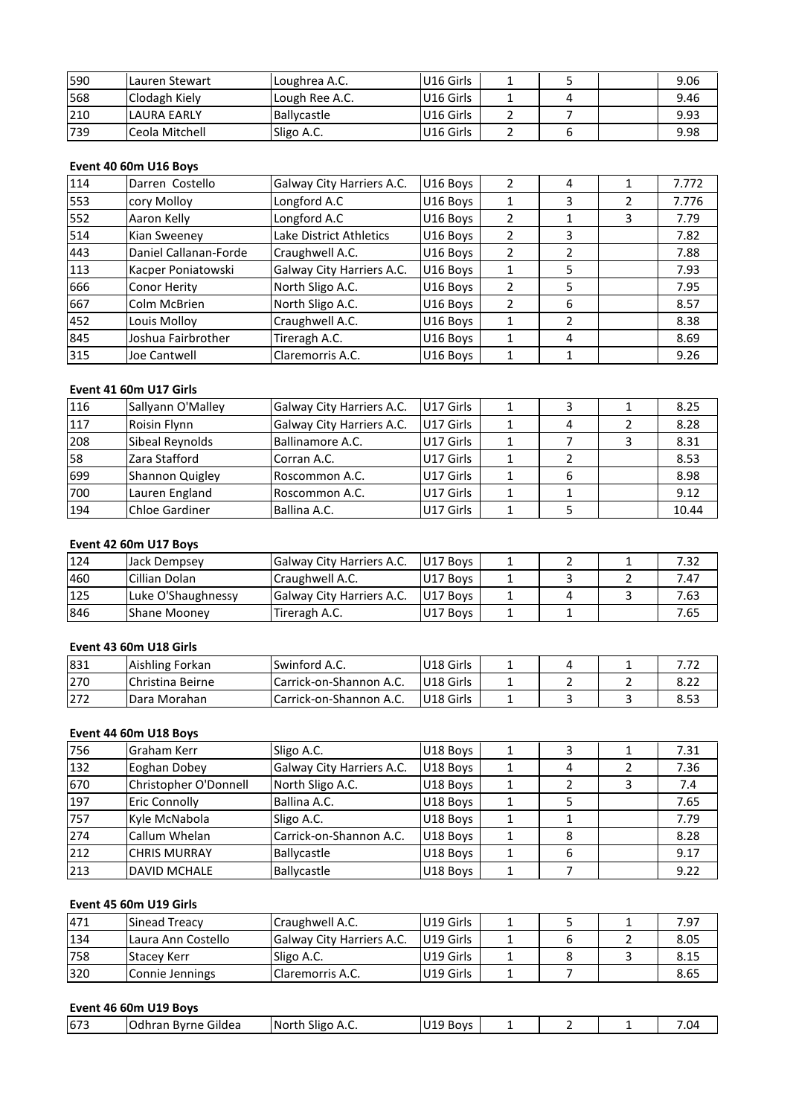| 590 | Lauren Stewart        | Loughrea A.C.             | U16 Girls | 1 | 5 |   | 9.06  |
|-----|-----------------------|---------------------------|-----------|---|---|---|-------|
| 568 | Clodagh Kiely         | Lough Ree A.C.            | U16 Girls | 1 | 4 |   | 9.46  |
| 210 | <b>LAURA EARLY</b>    | Ballycastle               | U16 Girls | 2 | 7 |   | 9.93  |
| 739 | Ceola Mitchell        | Sligo A.C.                | U16 Girls | 2 | 6 |   | 9.98  |
|     |                       |                           |           |   |   |   |       |
|     | Event 40 60m U16 Boys |                           |           |   |   |   |       |
| 114 | Darren Costello       | Galway City Harriers A.C. | U16 Boys  | 2 | 4 | 1 | 7.772 |
| 553 | cory Mollov           | Longford A.C              | U16 Boys  |   | 3 |   | 7.776 |

# Event 40 60m U16 Boys

| 210 | LAURA EARLY            | Ballycastle               | U16 Girls | 2              | 7 |   | 9.93  |
|-----|------------------------|---------------------------|-----------|----------------|---|---|-------|
| 739 | Ceola Mitchell         | Sligo A.C.                | U16 Girls | $\overline{2}$ | 6 |   | 9.98  |
|     |                        |                           |           |                |   |   |       |
|     | Event 40 60m U16 Boys  |                           |           |                |   |   |       |
| 114 | Darren Costello        | Galway City Harriers A.C. | U16 Boys  | $\overline{2}$ | 4 | 1 | 7.772 |
| 553 | cory Molloy            | Longford A.C              | U16 Boys  | 1              | 3 | 2 | 7.776 |
| 552 | Aaron Kelly            | Longford A.C              | U16 Boys  | 2              | 1 | 3 | 7.79  |
| 514 | Kian Sweeney           | Lake District Athletics   | U16 Boys  | 2              | 3 |   | 7.82  |
| 443 | Daniel Callanan-Forde  | Craughwell A.C.           | U16 Boys  | 2              | 2 |   | 7.88  |
| 113 | Kacper Poniatowski     | Galway City Harriers A.C. | U16 Boys  | 1              | 5 |   | 7.93  |
| 666 | Conor Herity           | North Sligo A.C.          | U16 Boys  | 2              | 5 |   | 7.95  |
| 667 | Colm McBrien           | North Sligo A.C.          | U16 Boys  | $\overline{2}$ | 6 |   | 8.57  |
| 452 | Louis Molloy           | Craughwell A.C.           | U16 Boys  | 1              | 2 |   | 8.38  |
| 845 | Joshua Fairbrother     | Tireragh A.C.             | U16 Boys  | 1              | 4 |   | 8.69  |
| 315 | Joe Cantwell           | Claremorris A.C.          | U16 Boys  | $\mathbf{1}$   | 1 |   | 9.26  |
|     |                        |                           |           |                |   |   |       |
|     | Event 41 60m U17 Girls |                           |           |                |   |   |       |
| 116 | Sallyann O'Malley      | Galway City Harriers A.C. | U17 Girls | 1              | 3 | 1 | 8.25  |
| 117 | Roisin Flynn           | Galway City Harriers A.C. | U17 Girls | 1              | 4 | 2 | 8.28  |

# Event 41 60m U17 Girls

| 845 | Joshua Fairbrother     | Tireragh A.C.             | U16 Boys  | 1 | 4 |   | 8.69  |
|-----|------------------------|---------------------------|-----------|---|---|---|-------|
| 315 | Joe Cantwell           | Claremorris A.C.          | U16 Boys  | 1 |   |   | 9.26  |
|     |                        |                           |           |   |   |   |       |
|     | Event 41 60m U17 Girls |                           |           |   |   |   |       |
| 116 | Sallyann O'Malley      | Galway City Harriers A.C. | U17 Girls |   | 3 | 1 | 8.25  |
| 117 | Roisin Flynn           | Galway City Harriers A.C. | U17 Girls | 1 | 4 |   | 8.28  |
| 208 | Sibeal Reynolds        | Ballinamore A.C.          | U17 Girls | 1 |   | 3 | 8.31  |
| 58  | Zara Stafford          | Corran A.C.               | U17 Girls | 1 | 2 |   | 8.53  |
| 699 | Shannon Quigley        | Roscommon A.C.            | U17 Girls | 1 | 6 |   | 8.98  |
| 700 | Lauren England         | Roscommon A.C.            | U17 Girls |   |   |   | 9.12  |
| 194 | <b>Chloe Gardiner</b>  | Ballina A.C.              | U17 Girls | 1 | 5 |   | 10.44 |
|     |                        |                           |           |   |   |   |       |
|     | Event 42 60m U17 Boys  |                           |           |   |   |   |       |
| 124 | Jack Dempsey           | Galway City Harriers A.C. | U17 Boys  |   |   |   | 7.32  |
| 460 | Cillian Dolan          | Craughwell A.C.           | U17 Boys  |   |   |   | 7.47  |

# Event 42 60m U17 Boys

| 700 | Lauren England         | Roscommon A.C.            | U17 Girls |   | 9.12  |
|-----|------------------------|---------------------------|-----------|---|-------|
| 194 | Chloe Gardiner         | Ballina A.C.              | U17 Girls |   | 10.44 |
|     |                        |                           |           |   |       |
|     | Event 42 60m U17 Boys  |                           |           |   |       |
| 124 | Jack Dempsey           | Galway City Harriers A.C. | U17 Boys  |   | 7.32  |
| 460 | Cillian Dolan          | Craughwell A.C.           | U17 Boys  | 3 | 7.47  |
| 125 | Luke O'Shaughnessy     | Galway City Harriers A.C. | U17 Boys  | 4 | 7.63  |
| 846 | Shane Mooney           | Tireragh A.C.             | U17 Boys  |   | 7.65  |
|     |                        |                           |           |   |       |
|     | Event 43 60m U18 Girls |                           |           |   |       |
| 831 | Aishling Forkan        | Swinford A.C.             | U18 Girls | 4 | 7.72  |
| 270 | Christina Beirne       | Carrick-on-Shannon A.C.   | U18 Girls |   | 8.22  |

# Event 43 60m U18 Girls

| 125 | Luke O'Shaughnessy     | Galway City Harriers A.C. | U17 Boys  | 4 | 3 | 7.63 |
|-----|------------------------|---------------------------|-----------|---|---|------|
| 846 | Shane Mooney           | Tireragh A.C.             | U17 Boys  |   |   | 7.65 |
|     |                        |                           |           |   |   |      |
|     | Event 43 60m U18 Girls |                           |           |   |   |      |
| 831 | Aishling Forkan        | Swinford A.C.             | U18 Girls |   |   | 7.72 |
| 270 | Christina Beirne       | Carrick-on-Shannon A.C.   | U18 Girls |   |   | 8.22 |
| 272 | Dara Morahan           | Carrick-on-Shannon A.C.   | U18 Girls |   | 3 | 8.53 |
|     |                        |                           |           |   |   |      |
|     | Event 44 60m U18 Boys  |                           |           |   |   |      |
| 756 | Graham Kerr            | Sligo A.C.                | U18 Boys  |   |   | 7.31 |
| 132 | Eoghan Dobey           | Galway City Harriers A.C. | U18 Boys  |   |   | 7.36 |

# Event 44 60m U18 Boys

| 270 | Christina Beirne       | Carrick-on-Shannon A.C.   | U18 Girls |              |               | 2              | 8.22 |
|-----|------------------------|---------------------------|-----------|--------------|---------------|----------------|------|
| 272 | Dara Morahan           | Carrick-on-Shannon A.C.   | U18 Girls | 1            | 3             | 3              | 8.53 |
|     | Event 44 60m U18 Boys  |                           |           |              |               |                |      |
| 756 | Graham Kerr            | Sligo A.C.                | U18 Boys  | $\mathbf{1}$ | 3             | 1              | 7.31 |
| 132 | Eoghan Dobey           | Galway City Harriers A.C. | U18 Boys  | $\mathbf{1}$ | 4             | 2              | 7.36 |
| 670 | Christopher O'Donnell  | North Sligo A.C.          | U18 Boys  | 1            | $\mathcal{L}$ | 3              | 7.4  |
| 197 | Eric Connolly          | Ballina A.C.              | U18 Boys  | 1            | 5             |                | 7.65 |
| 757 | Kyle McNabola          | Sligo A.C.                | U18 Boys  | 1            |               |                | 7.79 |
| 274 | Callum Whelan          | Carrick-on-Shannon A.C.   | U18 Boys  | 1            | 8             |                | 8.28 |
| 212 | <b>CHRIS MURRAY</b>    | Ballycastle               | U18 Boys  | $\mathbf{1}$ | 6             |                | 9.17 |
| 213 | <b>DAVID MCHALE</b>    | Ballycastle               | U18 Boys  | 1            | 7             |                | 9.22 |
|     | Event 45 60m U19 Girls |                           |           |              |               |                |      |
| 471 | Sinead Treacy          | Craughwell A.C.           | U19 Girls | 1            | 5             | 1              | 7.97 |
| 134 | Laura Ann Costello     | Galway City Harriers A.C. | U19 Girls |              | 6             | $\overline{2}$ | 8.05 |

# **Event 45 60m U19 Girls**

| 212 | <b>CHRIS MURRAY</b>    | Ballycastle               | U18 Boys  |   | 6 |   | 9.17 |
|-----|------------------------|---------------------------|-----------|---|---|---|------|
| 213 | <b>DAVID MCHALE</b>    | Ballycastle               | U18 Boys  |   |   |   | 9.22 |
|     |                        |                           |           |   |   |   |      |
|     | Event 45 60m U19 Girls |                           |           |   |   |   |      |
| 471 | Sinead Treacy          | Craughwell A.C.           | U19 Girls |   |   |   | 7.97 |
| 134 | Laura Ann Costello     | Galway City Harriers A.C. | U19 Girls |   | 6 |   | 8.05 |
| 758 | <b>Stacey Kerr</b>     | Sligo A.C.                | U19 Girls | 1 | 8 | 3 | 8.15 |
| 320 | Connie Jennings        | Claremorris A.C.          | U19 Girls |   |   |   | 8.65 |
|     |                        |                           |           |   |   |   |      |
|     | Event 46 60m U19 Boys  |                           |           |   |   |   |      |
| 673 | lOdhran Bvrne Gildea   | North Sligo A.C.          | U19 Boys  |   |   |   | 7.04 |

| 673<br>-<br>---<br>'North<br><b>Boys</b><br>Gildea<br>. Odhran '<br>Byrne<br>Sligo<br>. .<br>.U<br>¬.⊾.<br>ັບ⊥<br>__<br>__ |  |  |  |  |
|----------------------------------------------------------------------------------------------------------------------------|--|--|--|--|
|                                                                                                                            |  |  |  |  |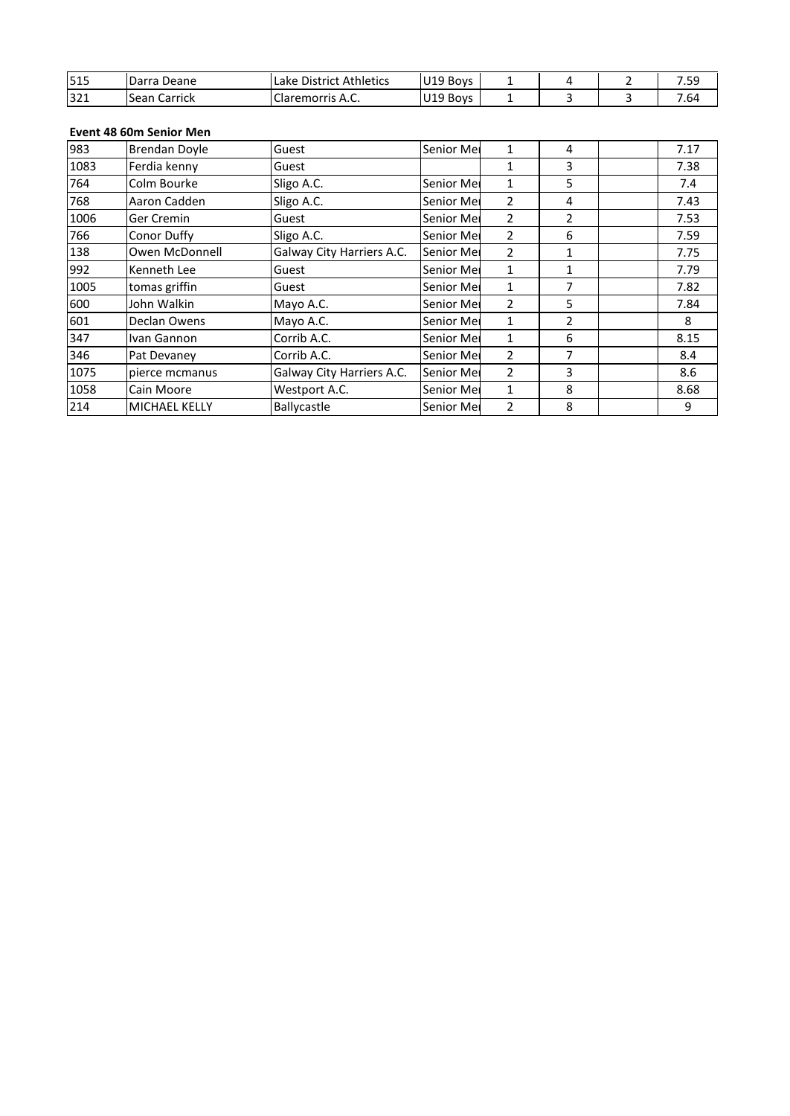| 515  | Darra Deane             | Lake District Athletics | U19 Boys   | 1 | 4 | $\mathcal{P}$ | 7.59 |
|------|-------------------------|-------------------------|------------|---|---|---------------|------|
| 321  | Sean Carrick            | Claremorris A.C.        | U19 Boys   | 1 | 3 | 3             | 7.64 |
|      |                         |                         |            |   |   |               |      |
|      | Event 48 60m Senior Men |                         |            |   |   |               |      |
| 983  | Brendan Doyle           | Guest                   | Senior Mer | 1 | 4 |               | 7.17 |
| 1083 | Ferdia kenny            | Guest                   |            |   | 3 |               | 7.38 |

| 515  | Darra Deane             | Lake District Athletics   | U19 Boys          | 1              | 4 | 2 | 7.59 |
|------|-------------------------|---------------------------|-------------------|----------------|---|---|------|
| 321  | Sean Carrick            | Claremorris A.C.          | U19 Boys          | $\mathbf{1}$   | 3 | 3 | 7.64 |
|      |                         |                           |                   |                |   |   |      |
|      | Event 48 60m Senior Men |                           |                   |                |   |   |      |
| 983  | Brendan Doyle           | Guest                     | Senior Mei        | 1              | 4 |   | 7.17 |
| 1083 | Ferdia kenny            | Guest                     |                   | $\mathbf{1}$   | 3 |   | 7.38 |
| 764  | Colm Bourke             | Sligo A.C.                | Senior Mei        | 1              | 5 |   | 7.4  |
| 768  | Aaron Cadden            | Sligo A.C.                | Senior Mei        | 2              | 4 |   | 7.43 |
| 1006 | Ger Cremin              | Guest                     | Senior Mei        | $\overline{2}$ | 2 |   | 7.53 |
| 766  | Conor Duffy             | Sligo A.C.                | Senior Mei        | $\overline{2}$ | 6 |   | 7.59 |
| 138  | Owen McDonnell          | Galway City Harriers A.C. | Senior Mei        | 2              | 1 |   | 7.75 |
| 992  | Kenneth Lee             | Guest                     | Senior Mei        | $\mathbf{1}$   | 1 |   | 7.79 |
| 1005 | tomas griffin           | Guest                     | Senior Mei        | $\mathbf{1}$   | 7 |   | 7.82 |
| 600  | John Walkin             | Mayo A.C.                 | Senior Mei        | 2              | 5 |   | 7.84 |
| 601  | Declan Owens            | Mayo A.C.                 | Senior Mei        | $\mathbf{1}$   | 2 |   | 8    |
| 347  | Ivan Gannon             | Corrib A.C.               | Senior Mei        | $\mathbf{1}$   | 6 |   | 8.15 |
| 346  | Pat Devaney             | Corrib A.C.               | Senior Mei        | 2              |   |   | 8.4  |
| 1075 | pierce mcmanus          | Galway City Harriers A.C. | <b>Senior Mel</b> | $\overline{2}$ | 3 |   | 8.6  |
| 1058 | Cain Moore              | Westport A.C.             | Senior Mei        | $\mathbf{1}$   | 8 |   | 8.68 |
| 214  | <b>MICHAEL KELLY</b>    | Ballycastle               | Senior Mei        | $\overline{2}$ | 8 |   | 9    |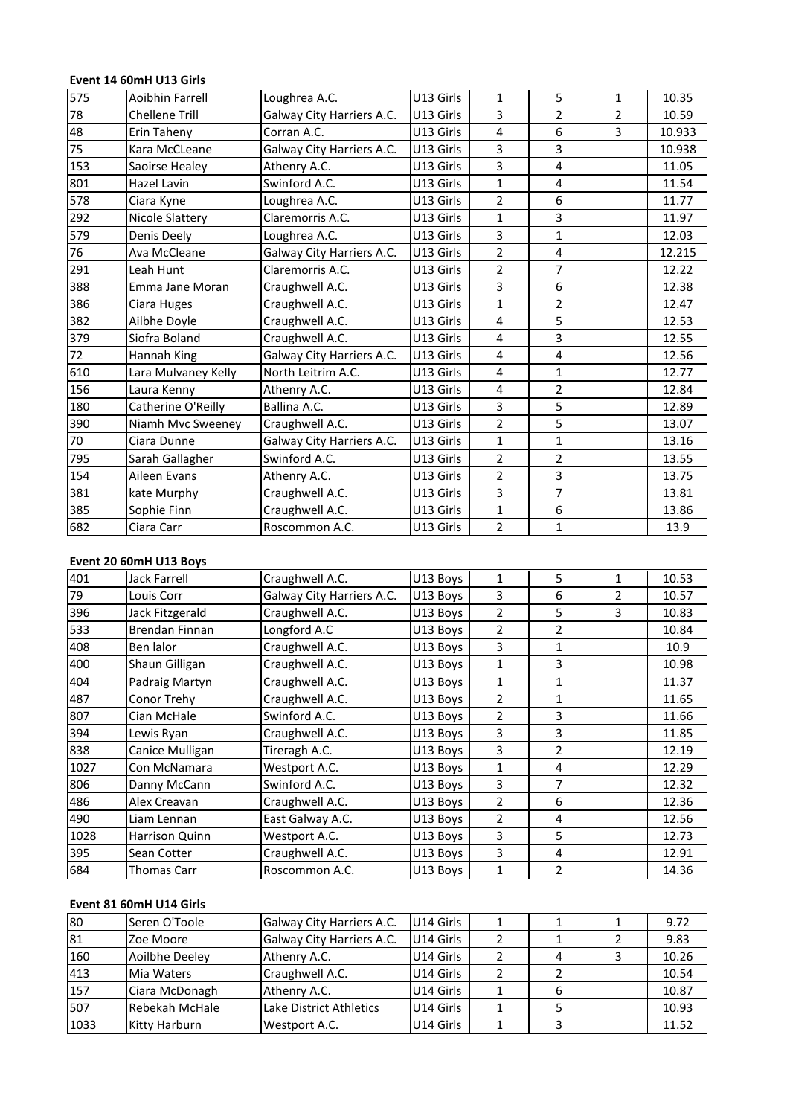# **14 60mH** U13 Girls<br>**14** SomH U13 Girls

|     | Event 14 60mH U13 Girls |                           |           |                         |                |                |        |
|-----|-------------------------|---------------------------|-----------|-------------------------|----------------|----------------|--------|
| 575 | Aoibhin Farrell         | Loughrea A.C.             | U13 Girls | $\mathbf{1}$            | $\mathsf S$    | $\mathbf{1}$   | 10.35  |
| 78  | <b>Chellene Trill</b>   | Galway City Harriers A.C. | U13 Girls | 3                       | $\overline{2}$ | $\overline{2}$ | 10.59  |
| 48  | Erin Taheny             | Corran A.C.               | U13 Girls | $\overline{4}$          | 6              | 3              | 10.933 |
| 75  | Kara McCLeane           | Galway City Harriers A.C. | U13 Girls | 3                       | 3              |                | 10.938 |
| 153 | Saoirse Healey          | Athenry A.C.              | U13 Girls | 3                       | $\overline{4}$ |                | 11.05  |
| 801 | Hazel Lavin             | Swinford A.C.             | U13 Girls | $\mathbf{1}$            | 4              |                | 11.54  |
| 578 | Ciara Kyne              | Loughrea A.C.             | U13 Girls | $\overline{2}$          | 6              |                | 11.77  |
| 292 | Nicole Slattery         | Claremorris A.C.          | U13 Girls | $\mathbf{1}$            | 3              |                | 11.97  |
| 579 | Denis Deely             | Loughrea A.C.             | U13 Girls | $\overline{3}$          | $\mathbf{1}$   |                | 12.03  |
| 76  | Ava McCleane            | Galway City Harriers A.C. | U13 Girls | $\overline{2}$          | $\overline{4}$ |                | 12.215 |
| 291 | Leah Hunt               | Claremorris A.C.          | U13 Girls | $\overline{2}$          | $\overline{7}$ |                | 12.22  |
| 388 | Emma Jane Moran         | Craughwell A.C.           | U13 Girls | 3                       | 6              |                | 12.38  |
| 386 | Ciara Huges             | Craughwell A.C.           | U13 Girls | $\mathbf{1}$            | $\overline{2}$ |                | 12.47  |
| 382 | Ailbhe Doyle            | Craughwell A.C.           | U13 Girls | 4                       | 5              |                | 12.53  |
| 379 | Siofra Boland           | Craughwell A.C.           | U13 Girls | 4                       | 3              |                | 12.55  |
| 72  | Hannah King             | Galway City Harriers A.C. | U13 Girls | $\overline{\mathbf{4}}$ | 4              |                | 12.56  |
| 610 | Lara Mulvaney Kelly     | North Leitrim A.C.        | U13 Girls | $\overline{\mathbf{4}}$ | $\mathbf{1}$   |                | 12.77  |
| 156 | Laura Kenny             | Athenry A.C.              | U13 Girls | $\overline{4}$          | $\overline{2}$ |                | 12.84  |
| 180 | Catherine O'Reilly      | Ballina A.C.              | U13 Girls | 3                       | 5              |                | 12.89  |
| 390 | Niamh Mvc Sweeney       | Craughwell A.C.           | U13 Girls | $\overline{2}$          | 5              |                | 13.07  |
| 70  | Ciara Dunne             | Galway City Harriers A.C. | U13 Girls | $\mathbf{1}$            | $\mathbf{1}$   |                | 13.16  |
| 795 | Sarah Gallagher         | Swinford A.C.             | U13 Girls | $\overline{2}$          | $\overline{2}$ |                | 13.55  |
| 154 | Aileen Evans            | Athenry A.C.              | U13 Girls | $\overline{2}$          | 3              |                | 13.75  |
| 381 | kate Murphy             | Craughwell A.C.           | U13 Girls | 3                       | $\overline{7}$ |                | 13.81  |
| 385 | Sophie Finn             | Craughwell A.C.           | U13 Girls | $\mathbf{1}$            | 6              |                | 13.86  |
| 682 | Ciara Carr              | Roscommon A.C.            | U13 Girls | $\overline{2}$          | $\mathbf{1}$   |                | 13.9   |
|     |                         |                           |           |                         |                |                |        |
|     | Event 20 60mH U13 Boys  |                           |           |                         |                |                |        |
| 401 | <b>Jack Farrell</b>     | Craughwell A.C.           | U13 Boys  | $\mathbf{1}$            | $\sqrt{5}$     | $\mathbf 1$    | 10.53  |
| 79  | Louis Corr              | Galway City Harriers A.C. | U13 Boys  | 3                       | 6              | $\overline{2}$ | 10.57  |

| 385  | Sophie Finn             | Craughwell A.C.           | U13 Girls | $\mathbf{1}$   | 6              |                | 13.86 |
|------|-------------------------|---------------------------|-----------|----------------|----------------|----------------|-------|
| 682  | Ciara Carr              | Roscommon A.C.            | U13 Girls | $\overline{2}$ | 1              |                | 13.9  |
|      | Event 20 60mH U13 Boys  |                           |           |                |                |                |       |
| 401  | <b>Jack Farrell</b>     | Craughwell A.C.           | U13 Boys  | $\mathbf{1}$   | 5              | 1              | 10.53 |
| 79   | Louis Corr              | Galway City Harriers A.C. | U13 Boys  | 3              | 6              | $\overline{2}$ | 10.57 |
| 396  | Jack Fitzgerald         | Craughwell A.C.           | U13 Boys  | $\overline{2}$ | 5              | 3              | 10.83 |
| 533  | Brendan Finnan          | Longford A.C              | U13 Boys  | $\overline{2}$ | $\overline{2}$ |                | 10.84 |
| 408  | Ben lalor               | Craughwell A.C.           | U13 Boys  | 3              | $\mathbf{1}$   |                | 10.9  |
| 400  | Shaun Gilligan          | Craughwell A.C.           | U13 Boys  | $\mathbf{1}$   | 3              |                | 10.98 |
| 404  | Padraig Martyn          | Craughwell A.C.           | U13 Boys  | $\mathbf{1}$   | $\mathbf{1}$   |                | 11.37 |
| 487  | Conor Trehy             | Craughwell A.C.           | U13 Boys  | $\overline{2}$ | $\mathbf{1}$   |                | 11.65 |
| 807  | Cian McHale             | Swinford A.C.             | U13 Boys  | $\overline{2}$ | 3              |                | 11.66 |
| 394  | Lewis Ryan              | Craughwell A.C.           | U13 Boys  | 3              | 3              |                | 11.85 |
| 838  | Canice Mulligan         | Tireragh A.C.             | U13 Boys  | 3              | $\overline{2}$ |                | 12.19 |
| 1027 | Con McNamara            | Westport A.C.             | U13 Boys  | $\mathbf{1}$   | 4              |                | 12.29 |
| 806  | Danny McCann            | Swinford A.C.             | U13 Boys  | 3              | $\overline{7}$ |                | 12.32 |
| 486  | Alex Creavan            | Craughwell A.C.           | U13 Boys  | $\overline{2}$ | 6              |                | 12.36 |
| 490  | Liam Lennan             | East Galway A.C.          | U13 Boys  | $\overline{2}$ | 4              |                | 12.56 |
| 1028 | Harrison Quinn          | Westport A.C.             | U13 Boys  | 3              | 5              |                | 12.73 |
| 395  | Sean Cotter             | Craughwell A.C.           | U13 Boys  | 3              | 4              |                | 12.91 |
| 684  | <b>Thomas Carr</b>      | Roscommon A.C.            | U13 Boys  | $\mathbf{1}$   | $\overline{2}$ |                | 14.36 |
|      | Event 81 60mH U14 Girls |                           |           |                |                |                |       |
| 80   | Seren O'Toole           | Galway City Harriers A.C. | U14 Girls | $\mathbf{1}$   | $\mathbf{1}$   | $\mathbf 1$    | 9.72  |
| 81   | Zoe Moore               | Galway City Harriers A.C. | U14 Girls | $\overline{2}$ | 1              | $\overline{2}$ | 9.83  |

| 395  | Sean Cotter             | Craughwell A.C.           | U13 Boys  | 3 | 4 |   | 12.91 |
|------|-------------------------|---------------------------|-----------|---|---|---|-------|
| 684  | Thomas Carr             | Roscommon A.C.            | U13 Boys  |   |   |   | 14.36 |
|      |                         |                           |           |   |   |   |       |
|      | Event 81 60mH U14 Girls |                           |           |   |   |   |       |
| 80   | Seren O'Toole           | Galway City Harriers A.C. | U14 Girls |   |   |   | 9.72  |
| 81   | Zoe Moore               | Galway City Harriers A.C. | U14 Girls | 2 |   |   | 9.83  |
| 160  | Aoilbhe Deeley          | Athenry A.C.              | U14 Girls | 2 | 4 | 3 | 10.26 |
| 413  | Mia Waters              | Craughwell A.C.           | U14 Girls | 2 |   |   | 10.54 |
| 157  | Ciara McDonagh          | Athenry A.C.              | U14 Girls | 1 | 6 |   | 10.87 |
| 507  | Rebekah McHale          | Lake District Athletics   | U14 Girls |   | 5 |   | 10.93 |
| 1033 | <b>Kitty Harburn</b>    | Westport A.C.             | U14 Girls |   | 3 |   | 11.52 |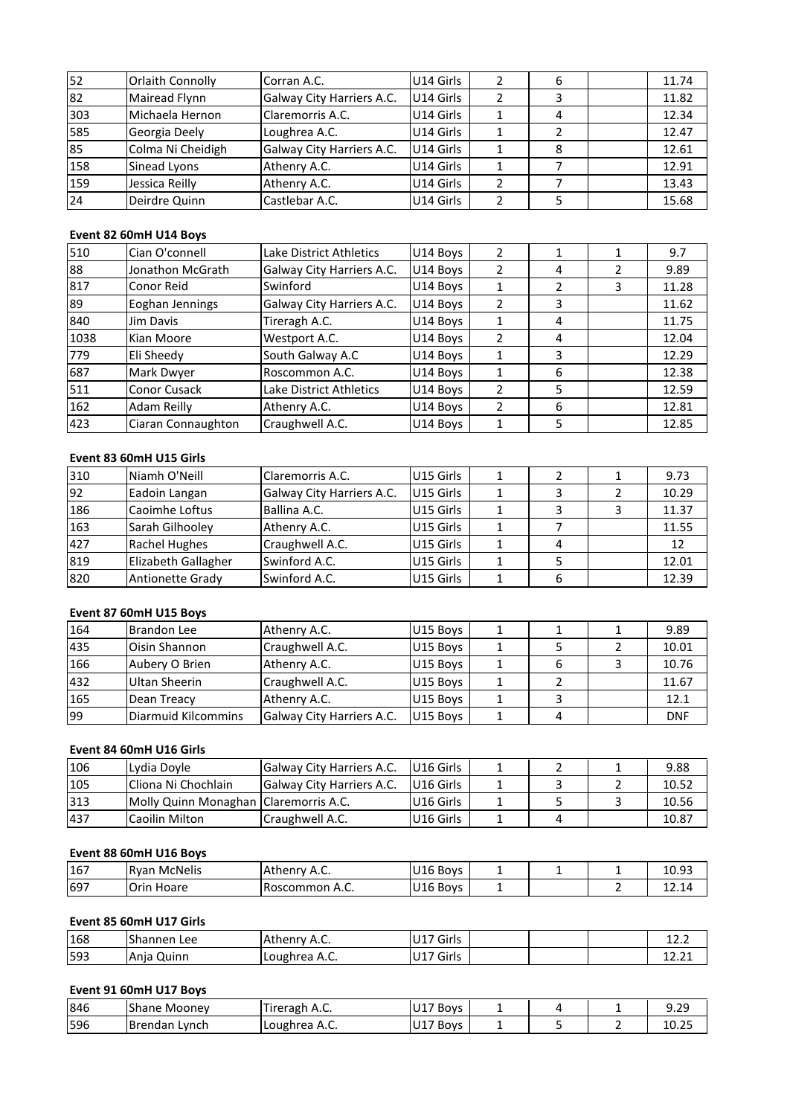| 52  | Orlaith Connolly       | Corran A.C.               | U14 Girls | $\overline{2}$ | 6 |   | 11.74 |
|-----|------------------------|---------------------------|-----------|----------------|---|---|-------|
| 82  | Mairead Flynn          | Galway City Harriers A.C. | U14 Girls | $\overline{2}$ | 3 |   | 11.82 |
| 303 | Michaela Hernon        | Claremorris A.C.          | U14 Girls | 1              | 4 |   | 12.34 |
| 585 | Georgia Deely          | Loughrea A.C.             | U14 Girls | 1              | 2 |   | 12.47 |
| 85  | Colma Ni Cheidigh      | Galway City Harriers A.C. | U14 Girls | 1              | 8 |   | 12.61 |
| 158 | Sinead Lyons           | Athenry A.C.              | U14 Girls | $\mathbf{1}$   | 7 |   | 12.91 |
| 159 | Jessica Reilly         | Athenry A.C.              | U14 Girls | 2              | 7 |   | 13.43 |
| 24  | Deirdre Quinn          | Castlebar A.C.            | U14 Girls | 2              | 5 |   | 15.68 |
|     |                        |                           |           |                |   |   |       |
|     | Event 82 60mH U14 Boys |                           |           |                |   |   |       |
| 510 | Cian O'connell         | Lake District Athletics   | U14 Boys  | $\overline{2}$ | 1 | 1 | 9.7   |
| 88  | Jonathon McGrath       | Galway City Harriers A.C. | U14 Boys  | 2              | 4 | 2 | 9.89  |

# Event 82 60mH U14 Boys

| 159  | Jessica Reilly          | Athenry A.C.              | U14 Girls | $\overline{2}$ | 7              |                | 13.43 |
|------|-------------------------|---------------------------|-----------|----------------|----------------|----------------|-------|
| 24   | Deirdre Quinn           | Castlebar A.C.            | U14 Girls | $\overline{2}$ | 5              |                | 15.68 |
|      |                         |                           |           |                |                |                |       |
|      | Event 82 60mH U14 Boys  |                           |           |                |                |                |       |
| 510  | Cian O'connell          | Lake District Athletics   | U14 Boys  | $\overline{2}$ | 1              | 1              | 9.7   |
| 88   | Jonathon McGrath        | Galway City Harriers A.C. | U14 Boys  | $\overline{2}$ | 4              | 2              | 9.89  |
| 817  | Conor Reid              | Swinford                  | U14 Boys  | $\mathbf{1}$   | $\mathcal{P}$  | 3              | 11.28 |
| 89   | Eoghan Jennings         | Galway City Harriers A.C. | U14 Boys  | $\overline{2}$ | 3              |                | 11.62 |
| 840  | Jim Davis               | Tireragh A.C.             | U14 Boys  | 1              | 4              |                | 11.75 |
| 1038 | Kian Moore              | Westport A.C.             | U14 Boys  | 2              | 4              |                | 12.04 |
| 779  | Eli Sheedy              | South Galway A.C          | U14 Boys  | 1              | 3              |                | 12.29 |
| 687  | Mark Dwyer              | Roscommon A.C.            | U14 Boys  | 1              | 6              |                | 12.38 |
| 511  | <b>Conor Cusack</b>     | Lake District Athletics   | U14 Boys  | 2              | 5              |                | 12.59 |
| 162  | Adam Reilly             | Athenry A.C.              | U14 Boys  | 2              | 6              |                | 12.81 |
| 423  | Ciaran Connaughton      | Craughwell A.C.           | U14 Boys  | 1              | 5              |                | 12.85 |
|      |                         |                           |           |                |                |                |       |
|      | Event 83 60mH U15 Girls |                           |           |                |                |                |       |
| 310  | Niamh O'Neill           | Claremorris A.C.          | U15 Girls | $\mathbf{1}$   | $\overline{2}$ | 1              | 9.73  |
| 92   | Eadoin Langan           | Galway City Harriers A.C. | U15 Girls |                | 3              | $\mathfrak{p}$ | 10.29 |

# Event 83 60mH U15 Girls

| 162 | Adam Reilly             | Athenry A.C.              | U14 Boys             | 2 | 6             |   | 12.81 |
|-----|-------------------------|---------------------------|----------------------|---|---------------|---|-------|
| 423 | Ciaran Connaughton      | Craughwell A.C.           | U14 Boys             | 1 | 5             |   | 12.85 |
|     |                         |                           |                      |   |               |   |       |
|     | Event 83 60mH U15 Girls |                           |                      |   |               |   |       |
| 310 | Niamh O'Neill           | Claremorris A.C.          | U15 Girls            | 1 | $\mathfrak z$ |   | 9.73  |
| 92  | Eadoin Langan           | Galway City Harriers A.C. | U15 Girls            | 1 | 3             | 2 | 10.29 |
| 186 | Caoimhe Loftus          | Ballina A.C.              | U15 Girls            | 1 | 3             | 3 | 11.37 |
| 163 | Sarah Gilhooley         | Athenry A.C.              | U15 Girls            | 1 | 7             |   | 11.55 |
| 427 | Rachel Hughes           | Craughwell A.C.           | U15 Girls            |   | 4             |   | 12    |
| 819 | Elizabeth Gallagher     | Swinford A.C.             | U15 Girls            |   | 5             |   | 12.01 |
| 820 | <b>Antionette Grady</b> | Swinford A.C.             | U15 Girls            | 1 | 6             |   | 12.39 |
|     |                         |                           |                      |   |               |   |       |
|     | Event 87 60mH U15 Boys  |                           |                      |   |               |   |       |
| 164 | <b>Brandon Lee</b>      | Athenry A.C.              | U15 Boys             |   |               |   | 9.89  |
| 435 | Oisin Shannon           | Craughwell A.C.           | U <sub>15</sub> Boys |   | 5             |   | 10.01 |

# Event 87 60mH U15 Boys

| 819 | Elizabeth Gallagher     | Swinford A.C.             | U <sub>15</sub> Girls |   | 5 |   | 12.01      |
|-----|-------------------------|---------------------------|-----------------------|---|---|---|------------|
| 820 | <b>Antionette Grady</b> | Swinford A.C.             | U15 Girls             |   | 6 |   | 12.39      |
|     | Event 87 60mH U15 Boys  |                           |                       |   |   |   |            |
| 164 | <b>Brandon Lee</b>      | Athenry A.C.              | U15 Boys              |   |   |   | 9.89       |
| 435 | Oisin Shannon           | Craughwell A.C.           | U15 Boys              |   | 5 |   | 10.01      |
| 166 | Aubery O Brien          | Athenry A.C.              | U15 Boys              |   | 6 | 3 | 10.76      |
| 432 | Ultan Sheerin           | Craughwell A.C.           | U15 Boys              |   | 2 |   | 11.67      |
| 165 | Dean Treacy             | Athenry A.C.              | U15 Boys              |   | 3 |   | 12.1       |
| 99  | Diarmuid Kilcommins     | Galway City Harriers A.C. | U15 Boys              | 1 | 4 |   | <b>DNF</b> |
|     | Event 84 60mH U16 Girls |                           |                       |   |   |   |            |
| 106 | Lydia Doyle             | Galway City Harriers A.C. | U <sub>16</sub> Girls | 1 | 2 |   | 9.88       |
| 105 | Cliona Ni Chochlain     | Galway City Harriers A.C. | U16 Girls             |   | 3 |   | 10.52      |

# Event 84 60mH U16 Girls

| 165 | Dean Treacy                             | Athenry A.C.              | U15 Boys              |   | 3 | 12.1       |
|-----|-----------------------------------------|---------------------------|-----------------------|---|---|------------|
| 99  | Diarmuid Kilcommins                     | Galway City Harriers A.C. | U15 Boys              |   | 4 | <b>DNF</b> |
|     |                                         |                           |                       |   |   |            |
|     | Event 84 60mH U16 Girls                 |                           |                       |   |   |            |
| 106 | Lydia Doyle                             | Galway City Harriers A.C. | U <sub>16</sub> Girls |   |   | 9.88       |
| 105 | Cliona Ni Chochlain                     | Galway City Harriers A.C. | U <sub>16</sub> Girls |   | 3 | 10.52      |
| 313 | Molly Quinn Monaghan   Claremorris A.C. |                           | U16 Girls             |   | 5 | 10.56      |
| 437 | Caoilin Milton                          | Craughwell A.C.           | U <sub>16</sub> Girls |   | 4 | 10.87      |
|     |                                         |                           |                       |   |   |            |
|     | Event 88 60mH U16 Boys                  |                           |                       |   |   |            |
| 167 | <b>Ryan McNelis</b>                     | Athenry A.C.              | U16 Boys              | 1 |   | 10.93      |
| 697 | Orin Hoare                              | Roscommon A.C.            | U <sub>16</sub> Boys  |   |   | 12.14      |

# Event 88 60mH U16 Boys

| 437 | Caoilin Milton          | Craughwell A.C. | U <sub>16</sub> Girls | 4 | 10.87 |
|-----|-------------------------|-----------------|-----------------------|---|-------|
|     | Event 88 60mH U16 Boys  |                 |                       |   |       |
| 167 | <b>Ryan McNelis</b>     | Athenry A.C.    | U <sub>16</sub> Boys  |   | 10.93 |
| 697 | <b>Orin Hoare</b>       | Roscommon A.C.  | U <sub>16</sub> Boys  |   | 12.14 |
|     | Event 85 60mH U17 Girls |                 |                       |   |       |
| 168 | Shannen Lee             | Athenry A.C.    | U17 Girls             |   | 12.2  |
| 593 | lAnia Ouinn             | Loughrea A.C.   | U17 Girls             |   | 12.21 |

# Event 85 60mH U17 Girls

| 697 | lOrin Hoare             | Roscommon A.C. | U16 Boys  |   | 2 | 12.14 |
|-----|-------------------------|----------------|-----------|---|---|-------|
|     | Event 85 60mH U17 Girls |                |           |   |   |       |
| 168 | lShannen Lee            | Athenry A.C.   | U17 Girls |   |   | 12.2  |
| 593 | Anja Quinn              | Loughrea A.C.  | U17 Girls |   |   | 12.21 |
|     | Event 91 60mH U17 Boys  |                |           |   |   |       |
| 846 | Shane Mooney            | Tireragh A.C.  | U17 Boys  | 4 |   | 9.29  |
| 596 | lBrendan Lvnch          | Loughrea A.C.  | U17 Bovs  |   |   | 10.25 |

| 846 | .<br>hane<br>. Moonev<br>эна | <i>i</i> ireragh<br>11 A.U. | $\overline{\phantom{a}}$<br><b>Boys</b> |   |  | $\sim$<br><u></u>      |
|-----|------------------------------|-----------------------------|-----------------------------------------|---|--|------------------------|
| 596 | Lynch<br><b>Brendan</b>      | Loughrea<br>. n.v.          | Boys                                    | - |  | $\sim$ $\sim$<br>10.25 |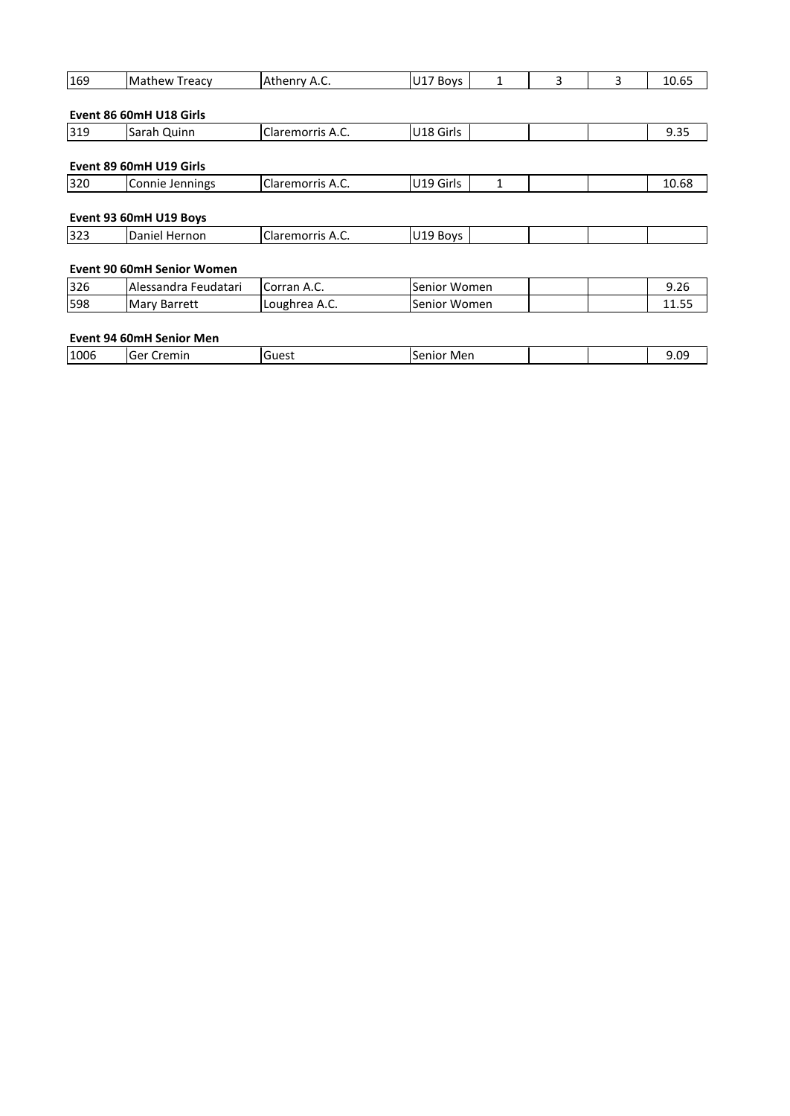| 169  | <b>Mathew Treacy</b>                       | Athenry A.C.     | U17 Boys     | 1            | 3 | 3 | 10.65 |  |
|------|--------------------------------------------|------------------|--------------|--------------|---|---|-------|--|
|      |                                            |                  |              |              |   |   |       |  |
|      | Event 86 60mH U18 Girls                    |                  |              |              |   |   |       |  |
| 319  | Sarah Quinn                                | Claremorris A.C. | U18 Girls    |              |   |   | 9.35  |  |
| 320  | Event 89 60mH U19 Girls<br>Connie Jennings | Claremorris A.C. | U19 Girls    | $\mathbf{1}$ |   |   | 10.68 |  |
|      | Event 93 60mH U19 Boys                     |                  |              |              |   |   |       |  |
| 323  | Daniel Hernon                              | Claremorris A.C. | U19 Boys     |              |   |   |       |  |
|      | <b>Event 90 60mH Senior Women</b>          |                  |              |              |   |   |       |  |
| 326  | Alessandra Feudatari                       | Corran A.C.      | Senior Women |              |   |   | 9.26  |  |
| 598  | Mary Barrett                               | Loughrea A.C.    | Senior Women |              |   |   | 11.55 |  |
|      | <b>Event 94 60mH Senior Men</b>            |                  |              |              |   |   |       |  |
| 1006 | Ger Cremin                                 | Guest            | Senior Men   |              |   |   | 9.09  |  |
|      |                                            |                  |              |              |   |   |       |  |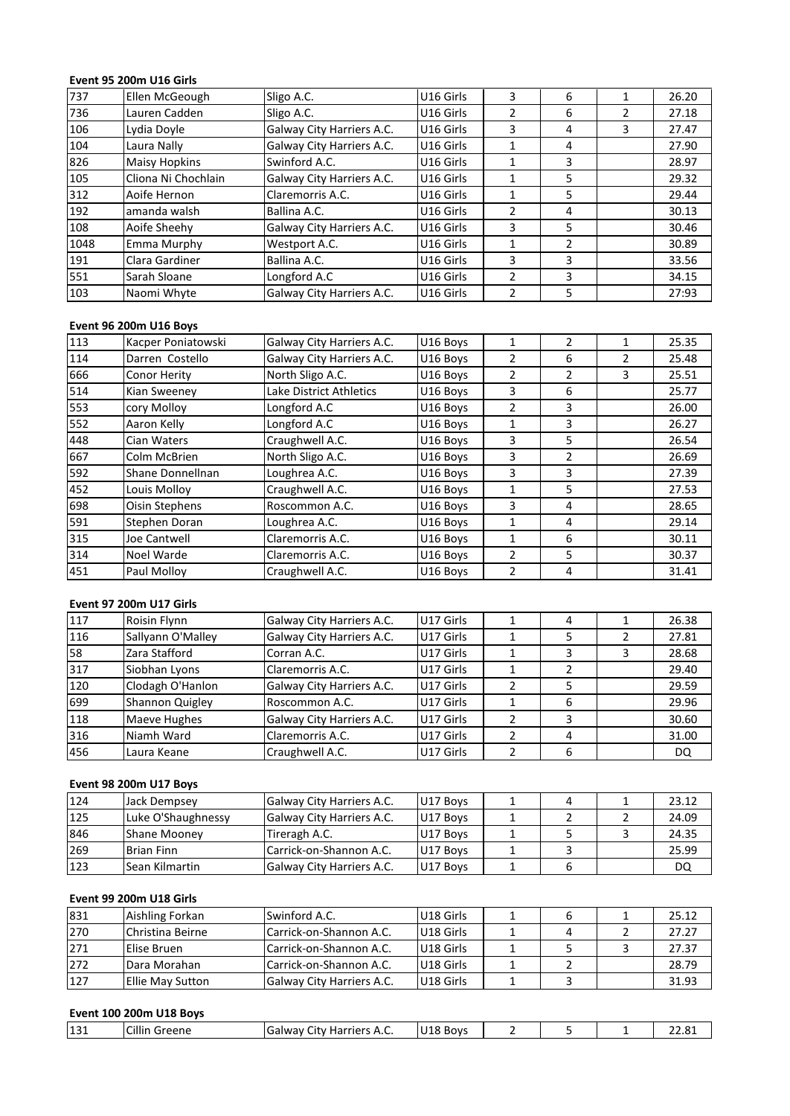# **Event 95 200m U16 Girls**

|      | Event 95 200m U16 Girls |                           |           |                |                |                |       |
|------|-------------------------|---------------------------|-----------|----------------|----------------|----------------|-------|
| 737  | Ellen McGeough          | Sligo A.C.                | U16 Girls | 3              | 6              | $\mathbf{1}$   | 26.20 |
| 736  | Lauren Cadden           | Sligo A.C.                | U16 Girls | $\overline{2}$ | 6              | $\overline{2}$ | 27.18 |
| 106  | Lydia Doyle             | Galway City Harriers A.C. | U16 Girls | 3              | 4              | 3              | 27.47 |
| 104  | Laura Nally             | Galway City Harriers A.C. | U16 Girls | $\mathbf{1}$   | 4              |                | 27.90 |
| 826  | <b>Maisy Hopkins</b>    | Swinford A.C.             | U16 Girls | 1              | 3              |                | 28.97 |
| 105  | Cliona Ni Chochlain     | Galway City Harriers A.C. | U16 Girls |                | 5              |                | 29.32 |
| 312  | Aoife Hernon            | Claremorris A.C.          | U16 Girls | 1              | 5              |                | 29.44 |
| 192  | amanda walsh            | Ballina A.C.              | U16 Girls | $\overline{2}$ | 4              |                | 30.13 |
| 108  | Aoife Sheehy            | Galway City Harriers A.C. | U16 Girls | 3              | 5              |                | 30.46 |
| 1048 | Emma Murphy             | Westport A.C.             | U16 Girls | 1              | $\overline{2}$ |                | 30.89 |
| 191  | Clara Gardiner          | Ballina A.C.              | U16 Girls | 3              | 3              |                | 33.56 |
| 551  | Sarah Sloane            | Longford A.C              | U16 Girls | $\overline{2}$ | 3              |                | 34.15 |
| 103  | Naomi Whyte             | Galway City Harriers A.C. | U16 Girls | $\overline{2}$ | 5              |                | 27:93 |
|      |                         |                           |           |                |                |                |       |
|      | Event 96 200m U16 Boys  |                           |           |                |                |                |       |
| 113  | Kacper Poniatowski      | Galway City Harriers A.C. | U16 Boys  | 1              | $\overline{2}$ | 1              | 25.35 |
| 114  | Darren Costello         | Galway City Harriers A.C. | U16 Boys  | $\overline{2}$ | 6              | $\overline{2}$ | 25.48 |

| 551 | Sarah Sloane                   | Longford A.C              | U16 Girls | 2              | 3              |                | 34.15 |
|-----|--------------------------------|---------------------------|-----------|----------------|----------------|----------------|-------|
| 103 | Naomi Whyte                    | Galway City Harriers A.C. | U16 Girls | $\overline{2}$ | 5              |                | 27:93 |
|     | Event 96 200m U16 Boys         |                           |           |                |                |                |       |
| 113 | Kacper Poniatowski             | Galway City Harriers A.C. | U16 Boys  | 1              | $\overline{2}$ | $\mathbf{1}$   | 25.35 |
| 114 | Darren Costello                | Galway City Harriers A.C. | U16 Boys  | $\overline{2}$ | 6              | $\overline{2}$ | 25.48 |
| 666 | <b>Conor Herity</b>            | North Sligo A.C.          | U16 Boys  | $\overline{2}$ | $\overline{2}$ | 3              | 25.51 |
| 514 | Kian Sweeney                   | Lake District Athletics   | U16 Boys  | 3              | 6              |                | 25.77 |
| 553 | cory Molloy                    | Longford A.C              | U16 Boys  | 2              | 3              |                | 26.00 |
| 552 | Aaron Kelly                    | Longford A.C              | U16 Boys  | $\mathbf{1}$   | 3              |                | 26.27 |
| 448 | Cian Waters                    | Craughwell A.C.           | U16 Boys  | 3              | 5              |                | 26.54 |
| 667 | Colm McBrien                   | North Sligo A.C.          | U16 Boys  | 3              | $\overline{2}$ |                | 26.69 |
| 592 | Shane Donnellnan               | Loughrea A.C.             | U16 Boys  | 3              | 3              |                | 27.39 |
| 452 | Louis Molloy                   | Craughwell A.C.           | U16 Boys  | $\mathbf{1}$   | 5              |                | 27.53 |
| 698 | Oisin Stephens                 | Roscommon A.C.            | U16 Boys  | 3              | 4              |                | 28.65 |
| 591 | Stephen Doran                  | Loughrea A.C.             | U16 Boys  | $\mathbf{1}$   | 4              |                | 29.14 |
| 315 | Joe Cantwell                   | Claremorris A.C.          | U16 Boys  | $\mathbf{1}$   | 6              |                | 30.11 |
| 314 | Noel Warde                     | Claremorris A.C.          | U16 Boys  | $\overline{2}$ | 5              |                | 30.37 |
| 451 | Paul Molloy                    | Craughwell A.C.           | U16 Boys  | $\overline{2}$ | 4              |                | 31.41 |
|     |                                |                           |           |                |                |                |       |
|     | <b>Event 97 200m U17 Girls</b> |                           |           |                |                |                |       |
| 117 | Roisin Flynn                   | Galway City Harriers A.C. | U17 Girls | $\mathbf{1}$   | 4              | $\mathbf{1}$   | 26.38 |
| 116 | Sallvann O'Mallev              | Galway City Harriers A.C. | U17 Girls |                | 5              | $\overline{2}$ | 27.81 |

| 314 | Noel Warde                     | Claremorris A.C.          | U16 Boys  | 2              | 5             |   | 30.37 |
|-----|--------------------------------|---------------------------|-----------|----------------|---------------|---|-------|
| 451 | Paul Molloy                    | Craughwell A.C.           | U16 Boys  | 2              | 4             |   | 31.41 |
|     | <b>Event 97 200m U17 Girls</b> |                           |           |                |               |   |       |
| 117 | Roisin Flynn                   | Galway City Harriers A.C. | U17 Girls | 1              | 4             |   | 26.38 |
| 116 | Sallyann O'Malley              | Galway City Harriers A.C. | U17 Girls | 1              | 5.            | 2 | 27.81 |
| 58  | Zara Stafford                  | Corran A.C.               | U17 Girls | 1              | 3             | 3 | 28.68 |
| 317 | Siobhan Lyons                  | Claremorris A.C.          | U17 Girls | 1              | $\mathcal{P}$ |   | 29.40 |
| 120 | Clodagh O'Hanlon               | Galway City Harriers A.C. | U17 Girls | 2              | 5             |   | 29.59 |
| 699 | Shannon Quigley                | Roscommon A.C.            | U17 Girls | 1              | 6             |   | 29.96 |
| 118 | Maeve Hughes                   | Galway City Harriers A.C. | U17 Girls | 2              | 3             |   | 30.60 |
| 316 | Niamh Ward                     | Claremorris A.C.          | U17 Girls | $\mathcal{P}$  | 4             |   | 31.00 |
| 456 | Laura Keane                    | Craughwell A.C.           | U17 Girls | $\overline{2}$ | 6             |   | DQ.   |
|     | Event 98 200m U17 Boys         |                           |           |                |               |   |       |
| 124 | Jack Dempsey                   | Galway City Harriers A.C. | U17 Boys  | 1              | 4             |   | 23.12 |
| 125 | Luke O'Shaughnessy             | Galway City Harriers A.C. | U17 Boys  |                |               |   | 24.09 |

| 316 | Niamh Ward              | <b>Claremorris A.C.</b>   | U17 Girls | 4  |   | 31.00 |
|-----|-------------------------|---------------------------|-----------|----|---|-------|
| 456 | Laura Keane             | Craughwell A.C.           | U17 Girls | 6  |   | DQ    |
|     |                         |                           |           |    |   |       |
|     | Event 98 200m U17 Boys  |                           |           |    |   |       |
| 124 | Jack Dempsey            | Galway City Harriers A.C. | U17 Boys  | 4  |   | 23.12 |
| 125 | Luke O'Shaughnessy      | Galway City Harriers A.C. | U17 Boys  |    |   | 24.09 |
| 846 | <b>Shane Mooney</b>     | Tireragh A.C.             | U17 Boys  | 5. | 3 | 24.35 |
| 269 | Brian Finn              | lCarrick-on-Shannon A.C.  | U17 Boys  | 3  |   | 25.99 |
| 123 | Sean Kilmartin          | Galway City Harriers A.C. | U17 Boys  | 6  |   | DQ    |
|     |                         |                           |           |    |   |       |
|     | Event 99 200m U18 Girls |                           |           |    |   |       |
| 831 | Aishling Forkan         | Swinford A.C.             | U18 Girls | 6  |   | 25.12 |
| 270 | Christina Beirne        | lCarrick-on-Shannon A.C.  | U18 Girls | 4  |   | 27.27 |

# **Event 99 200m U18 Girls**

| 123<br>Sean Kilmartin<br>Event 99 200m U18 Girls<br>831<br>Aishling Forkan<br>270<br>Christina Beirne<br>271<br>Elise Bruen | 6 |               | DQ    |
|-----------------------------------------------------------------------------------------------------------------------------|---|---------------|-------|
|                                                                                                                             |   |               |       |
|                                                                                                                             |   |               |       |
|                                                                                                                             | 6 |               | 25.12 |
|                                                                                                                             | 4 | $\mathcal{P}$ | 27.27 |
|                                                                                                                             | 5 | 3             | 27.37 |
| 272<br>Dara Morahan                                                                                                         | 2 |               | 28.79 |
| 127<br><b>Ellie May Sutton</b>                                                                                              | 3 |               | 31.93 |
|                                                                                                                             |   |               |       |
|                                                                                                                             |   |               |       |

| 12'<br>ᅶᇰᅶ | Cillin<br>Greene | ╭<br><b>Harriers</b><br>lGalway<br>∴itv ∶<br><sup>∼с</sup> A.L. | 1140<br>Bovs<br>U Lõ |  | $\sim$ $\sim$<br>n, |
|------------|------------------|-----------------------------------------------------------------|----------------------|--|---------------------|
|            |                  |                                                                 |                      |  |                     |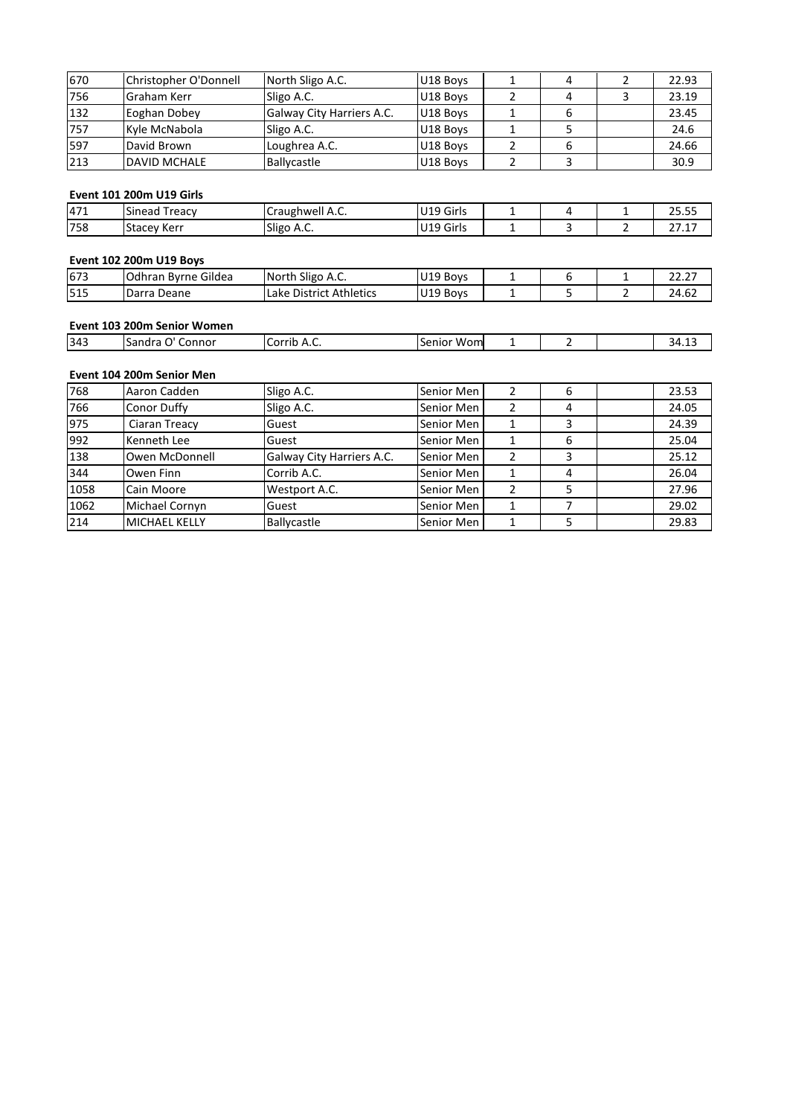| 670 | Christopher O'Donnell           | North Sligo A.C.          | U18 Boys  | 1 | 4 | $\overline{2}$ | 22.93 |
|-----|---------------------------------|---------------------------|-----------|---|---|----------------|-------|
| 756 | Graham Kerr                     | Sligo A.C.                | U18 Boys  | 2 | 4 | 3              | 23.19 |
| 132 | Eoghan Dobey                    | Galway City Harriers A.C. | U18 Boys  |   | 6 |                | 23.45 |
| 757 | Kyle McNabola                   | Sligo A.C.                | U18 Boys  | 1 | 5 |                | 24.6  |
| 597 | David Brown                     | Loughrea A.C.             | U18 Boys  | 2 | 6 |                | 24.66 |
| 213 | <b>DAVID MCHALE</b>             | Ballycastle               | U18 Boys  | 2 | 3 |                | 30.9  |
|     |                                 |                           |           |   |   |                |       |
|     | <b>Event 101 200m U19 Girls</b> |                           |           |   |   |                |       |
| 471 | Sinead Treacy                   | Craughwell A.C.           | U19 Girls | 1 | 4 | 1              | 25.55 |
| 758 | Stacey Kerr                     | Sligo A.C.                | U19 Girls |   | 3 | 2              | 27.17 |

# Eve

| 213 | <b>DAVID MCHALE</b>             | Ballycastle             | U18 Boys             | 3 | 30.9  |
|-----|---------------------------------|-------------------------|----------------------|---|-------|
|     | <b>Event 101 200m U19 Girls</b> |                         |                      |   |       |
| 471 | <b>Sinead Treacy</b>            | Craughwell A.C.         | U19 Girls            | 4 | 25.55 |
| 758 | <b>Stacey Kerr</b>              | Sligo A.C.              | U19 Girls            |   | 27.17 |
|     | <b>Event 102 200m U19 Boys</b>  |                         |                      |   |       |
| 673 | Odhran Byrne Gildea             | North Sligo A.C.        | U19 Boys             | 6 | 22.27 |
| 515 | Darra Deane                     | Lake District Athletics | U <sub>19</sub> Boys |   | 24.62 |

| 758 | <b>Stacey Kerr</b>             | Sligo A.C.              | U19 Girls         | 3 | 27.17 |
|-----|--------------------------------|-------------------------|-------------------|---|-------|
|     |                                |                         |                   |   |       |
|     | <b>Event 102 200m U19 Boys</b> |                         |                   |   |       |
| 673 | Odhran Byrne Gildea            | North Sligo A.C.        | U19 Boys          | b | 22.27 |
| 515 | Darra Deane                    | Lake District Athletics | U19 Boys          |   | 24.62 |
|     |                                |                         |                   |   |       |
|     | Event 103 200m Senior Women    |                         |                   |   |       |
| 343 | Sandra O' Connor               | Corrib A.C.             | <b>Senior Wom</b> |   | 34.13 |

## Eve

| 515 | Darra Deane                 | Lake District Athletics | U19 Boys      |  | 24.62 |
|-----|-----------------------------|-------------------------|---------------|--|-------|
|     | Event 103 200m Senior Women |                         |               |  |       |
| 343 | ISandra O' Connor           | Corrib A.C.             | Senior Wom    |  | 34.13 |
|     | Event 104 200m Senior Men   |                         |               |  |       |
| 768 | IAaron Cadden               | Sligo A.C.              | lSenior Men l |  | 23.53 |

# Event 104 200m Senior Men

| 343  | Sandra O' Connor          | Corrib A.C.               | Senior Wom |                | 2 | 34.13 |
|------|---------------------------|---------------------------|------------|----------------|---|-------|
|      |                           |                           |            |                |   |       |
|      | Event 104 200m Senior Men |                           |            |                |   |       |
| 768  | Aaron Cadden              | Sligo A.C.                | Senior Men | 2              | 6 | 23.53 |
| 766  | Conor Duffy               | Sligo A.C.                | Senior Men | $\mathcal{P}$  | 4 | 24.05 |
| 975  | Ciaran Treacy             | Guest                     | Senior Men |                | 3 | 24.39 |
| 992  | Kenneth Lee               | Guest                     | Senior Men | 1              | 6 | 25.04 |
| 138  | Owen McDonnell            | Galway City Harriers A.C. | Senior Men | $\mathfrak{p}$ | 3 | 25.12 |
| 344  | Owen Finn                 | Corrib A.C.               | Senior Men |                | 4 | 26.04 |
| 1058 | Cain Moore                | Westport A.C.             | Senior Men | $\overline{2}$ | 5 | 27.96 |
| 1062 | Michael Cornyn            | Guest                     | Senior Men |                | 7 | 29.02 |
| 214  | <b>MICHAEL KELLY</b>      | <b>Ballycastle</b>        | Senior Men |                | 5 | 29.83 |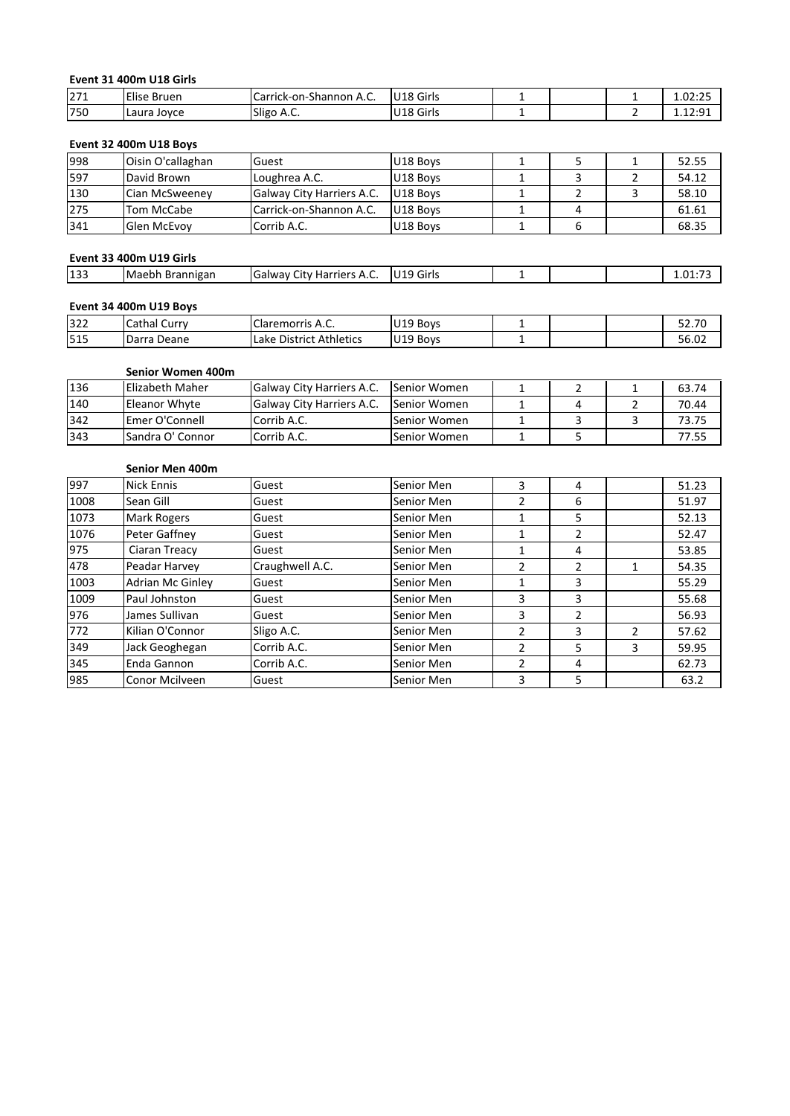# **<sup>31</sup> 400m U18 Girls** Eve

|     | Event 31 400m U18 Girls       |                         |           |   |         |
|-----|-------------------------------|-------------------------|-----------|---|---------|
| 271 | Elise Bruen                   | Carrick-on-Shannon A.C. | U18 Girls |   | 1.02:25 |
| 750 | Laura Joyce                   | Sligo A.C.              | U18 Girls |   | 1.12:91 |
|     |                               |                         |           |   |         |
|     | <b>Event 32 400m U18 Boys</b> |                         |           |   |         |
| 998 | Oisin O'callaghan             | Guest                   | U18 Boys  | 5 | 52.55   |
| 597 | David Brown                   | Loughrea A.C.           | U18 Boys  | 3 | 54.12   |

| 271 | Elise Bruen                   | Carrick-on-Shannon A.C.    | IU18 Girls |   | 1.02:25 |
|-----|-------------------------------|----------------------------|------------|---|---------|
| 750 | Laura Joyce                   | Sligo A.C.                 | U18 Girls  |   | 1.12:91 |
|     |                               |                            |            |   |         |
|     | <b>Event 32 400m U18 Boys</b> |                            |            |   |         |
| 998 | Oisin O'callaghan             | Guest                      | U18 Boys   |   | 52.55   |
| 597 | David Brown                   | Loughrea A.C.              | U18 Boys   | 3 | 54.12   |
| 130 | Cian McSweeney                | Galway City Harriers A.C.  | U18 Boys   |   | 58.10   |
| 275 | Tom McCabe                    | Carrick-on-Shannon A.C.    | U18 Boys   | 4 | 61.61   |
| 341 | Glen McEvoy                   | Corrib A.C.                | U18 Boys   | 6 | 68.35   |
|     |                               |                            |            |   |         |
|     | Event 33 400m U19 Girls       |                            |            |   |         |
| 133 | Maebh Brannigan               | lGalway City Harriers A.C. | U19 Girls  |   | 1.01:73 |

# **Event 33 400m U19 Girls**

| 341 | Glen McEvov             | Corrib A.C.               | U18 Boys  |  | 68.35   |
|-----|-------------------------|---------------------------|-----------|--|---------|
|     | Event 33 400m U19 Girls |                           |           |  |         |
| 133 | Maebh Brannigan         | Galway City Harriers A.C. | U19 Girls |  | 1.01:73 |
|     |                         |                           |           |  |         |
|     | Event 34 400m U19 Boys  |                           |           |  |         |
| 322 | Cathal Curry            | Claremorris A.C.          | U19 Boys  |  | 52.70   |

# Event 34 400m U19 Boys

|     | Event 33 400m U19 Girls |                            |               |   |         |
|-----|-------------------------|----------------------------|---------------|---|---------|
| 133 | Maebh Brannigan         | Galway City Harriers A.C.  | U19 Girls     |   | 1.01:73 |
|     | Event 34 400m U19 Boys  |                            |               |   |         |
| 322 | Cathal Curry            | Claremorris A.C.           | U19 Boys      |   | 52.70   |
| 515 | Darra Deane             | Lake District Athletics    | U19 Boys      |   | 56.02   |
|     | Senior Women 400m       |                            |               |   |         |
| 136 | Elizabeth Maher         | Galway City Harriers A.C.  | lSenior Women |   | 63.74   |
| 140 | Eleanor Whyte           | lGalway City Harriers A.C. | Senior Women  | 4 | 70.44   |

# **Senior Women 400m**

| 322  | Cathal Curry      | lClaremorris A.C.         | U19 Boys      |   |   | 52.70 |
|------|-------------------|---------------------------|---------------|---|---|-------|
| 515  | Darra Deane       | Lake District Athletics   | U19 Boys      |   |   | 56.02 |
|      |                   |                           |               |   |   |       |
|      | Senior Women 400m |                           |               |   |   |       |
| 136  | Elizabeth Maher   | Galway City Harriers A.C. | lSenior Women |   |   | 63.74 |
| 140  | Eleanor Whyte     | Galway City Harriers A.C. | lSenior Women | 4 |   | 70.44 |
| 342  | Emer O'Connell    | Corrib A.C.               | Senior Women  |   | 3 | 73.75 |
| 343  | Sandra O' Connor  | Corrib A.C.               | Senior Women  |   |   | 77.55 |
|      |                   |                           |               |   |   |       |
|      | Senior Men 400m   |                           |               |   |   |       |
| 997  | Nick Ennis        | Guest                     | Senior Men    | 4 |   | 51.23 |
| 1008 | Sean Gill         | Guest                     | Senior Men    | 6 |   | 51.97 |

| 342  | Emer O'Connell          | Corrib A.C.     | Senior Women |               | 3              | 3              | 73.75 |
|------|-------------------------|-----------------|--------------|---------------|----------------|----------------|-------|
| 343  | Sandra O' Connor        | Corrib A.C.     | Senior Women | 1             | 5              |                | 77.55 |
|      | Senior Men 400m         |                 |              |               |                |                |       |
| 997  | Nick Ennis              | Guest           | Senior Men   | 3             | 4              |                | 51.23 |
| 1008 | Sean Gill               | Guest           | Senior Men   | 2             | 6              |                | 51.97 |
| 1073 | <b>Mark Rogers</b>      | Guest           | Senior Men   | 1             | 5.             |                | 52.13 |
| 1076 | Peter Gaffney           | Guest           | Senior Men   | 1             | $\overline{2}$ |                | 52.47 |
| 975  | Ciaran Treacy           | Guest           | Senior Men   | 1             | 4              |                | 53.85 |
| 478  | Peadar Harvey           | Craughwell A.C. | Senior Men   | $\mathcal{P}$ | $\overline{2}$ | $\mathbf{1}$   | 54.35 |
| 1003 | <b>Adrian Mc Ginley</b> | Guest           | Senior Men   | 1             | 3              |                | 55.29 |
| 1009 | Paul Johnston           | Guest           | Senior Men   | 3             | 3              |                | 55.68 |
| 976  | James Sullivan          | Guest           | Senior Men   | 3             | $\overline{2}$ |                | 56.93 |
| 772  | Kilian O'Connor         | Sligo A.C.      | Senior Men   | $\mathcal{P}$ | 3              | $\overline{2}$ | 57.62 |
| 349  | Jack Geoghegan          | Corrib A.C.     | Senior Men   | 2             | 5              | 3              | 59.95 |
| 345  | Enda Gannon             | Corrib A.C.     | Senior Men   | $\mathcal{P}$ | 4              |                | 62.73 |
| 985  | Conor Mcilveen          | Guest           | Senior Men   | 3             | 5              |                | 63.2  |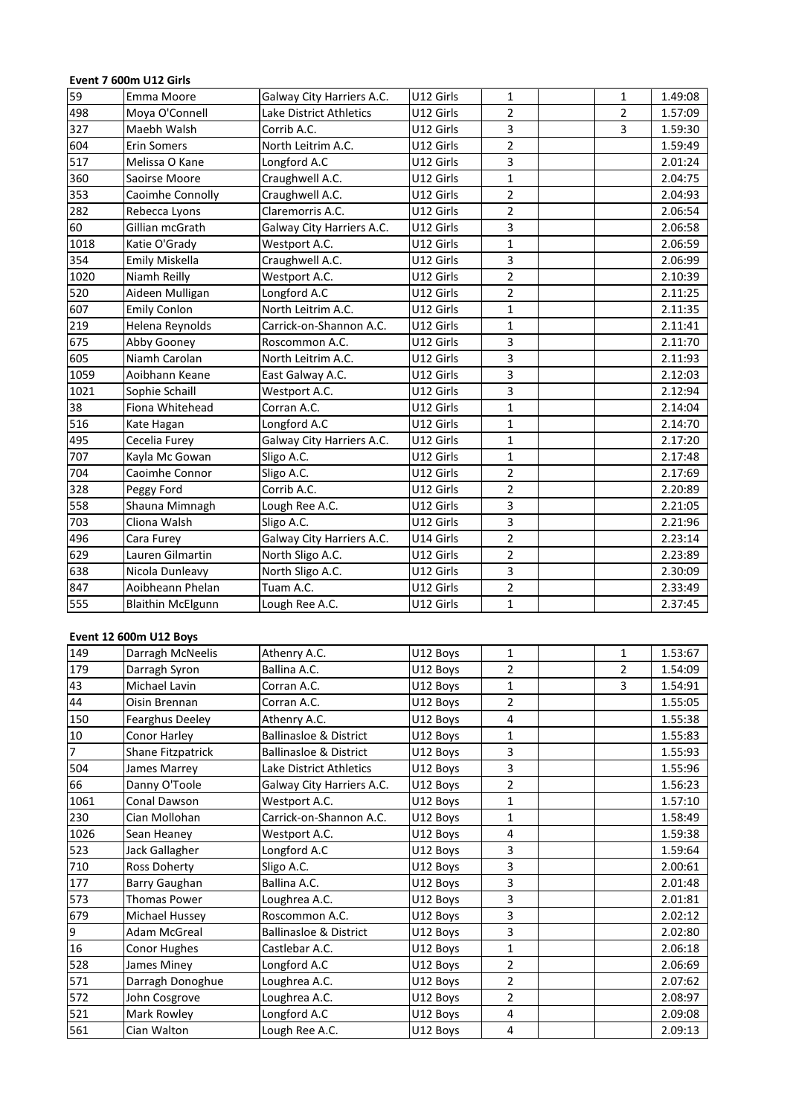# Ferraries 1000 MB<br>Ferraries 1000 MB<br>Transaction U12 Girls

|      | Event 7 600m U12 Girls   |                           |           |                |                          |         |
|------|--------------------------|---------------------------|-----------|----------------|--------------------------|---------|
| 59   | Emma Moore               | Galway City Harriers A.C. | U12 Girls | $\mathbf{1}$   | $\mathbf{1}$             | 1.49:08 |
| 498  | Moya O'Connell           | Lake District Athletics   | U12 Girls | $\overline{2}$ | $\overline{2}$           | 1.57:09 |
| 327  | Maebh Walsh              | Corrib A.C.               | U12 Girls | 3              | 3                        | 1.59:30 |
| 604  | <b>Erin Somers</b>       | North Leitrim A.C.        | U12 Girls | $\overline{2}$ |                          | 1.59:49 |
| 517  | Melissa O Kane           | Longford A.C              | U12 Girls | 3              |                          | 2.01:24 |
| 360  | Saoirse Moore            | Craughwell A.C.           | U12 Girls | $\mathbf{1}$   |                          | 2.04:75 |
| 353  | Caoimhe Connolly         | Craughwell A.C.           | U12 Girls | $\overline{2}$ |                          | 2.04:93 |
| 282  | Rebecca Lyons            | Claremorris A.C.          | U12 Girls | $\overline{2}$ |                          | 2.06:54 |
| 60   | Gillian mcGrath          | Galway City Harriers A.C. | U12 Girls | 3              |                          | 2.06:58 |
| 1018 | Katie O'Grady            | Westport A.C.             | U12 Girls | $\mathbf{1}$   |                          | 2.06:59 |
| 354  | Emily Miskella           | Craughwell A.C.           | U12 Girls | 3              |                          | 2.06:99 |
| 1020 | Niamh Reilly             | Westport A.C.             | U12 Girls | $\overline{2}$ |                          | 2.10:39 |
| 520  | Aideen Mulligan          | Longford A.C              | U12 Girls | $\overline{2}$ |                          | 2.11:25 |
| 607  | <b>Emily Conlon</b>      | North Leitrim A.C.        | U12 Girls | $\mathbf{1}$   |                          | 2.11:35 |
| 219  | Helena Reynolds          | Carrick-on-Shannon A.C.   | U12 Girls | $\mathbf{1}$   |                          | 2.11:41 |
| 675  | Abby Gooney              | Roscommon A.C.            | U12 Girls | 3              |                          | 2.11:70 |
| 605  | Niamh Carolan            | North Leitrim A.C.        | U12 Girls | 3              |                          | 2.11:93 |
| 1059 | Aoibhann Keane           | East Galway A.C.          | U12 Girls | 3              |                          | 2.12:03 |
| 1021 | Sophie Schaill           | Westport A.C.             | U12 Girls | 3              |                          | 2.12:94 |
| 38   | Fiona Whitehead          | Corran A.C.               | U12 Girls | $\mathbf{1}$   |                          | 2.14:04 |
| 516  | Kate Hagan               | Longford A.C              | U12 Girls | $\mathbf{1}$   |                          | 2.14:70 |
| 495  | Cecelia Furey            | Galway City Harriers A.C. | U12 Girls | $\mathbf{1}$   |                          | 2.17:20 |
| 707  | Kayla Mc Gowan           | Sligo A.C.                | U12 Girls | $\mathbf{1}$   |                          | 2.17:48 |
| 704  | Caoimhe Connor           | Sligo A.C.                | U12 Girls | $\overline{2}$ |                          | 2.17:69 |
| 328  | Peggy Ford               | Corrib A.C.               | U12 Girls | $\overline{2}$ |                          | 2.20:89 |
| 558  | Shauna Mimnagh           | Lough Ree A.C.            | U12 Girls | 3              |                          | 2.21:05 |
| 703  | Cliona Walsh             | Sligo A.C.                | U12 Girls | 3              |                          | 2.21:96 |
| 496  | Cara Furey               | Galway City Harriers A.C. | U14 Girls | $\overline{2}$ |                          | 2.23:14 |
| 629  | Lauren Gilmartin         | North Sligo A.C.          | U12 Girls | $\overline{2}$ |                          | 2.23:89 |
| 638  | Nicola Dunleavy          | North Sligo A.C.          | U12 Girls | 3              |                          | 2.30:09 |
| 847  | Aoibheann Phelan         | Tuam A.C.                 | U12 Girls | $\overline{2}$ |                          | 2.33:49 |
| 555  | <b>Blaithin McElgunn</b> | Lough Ree A.C.            | U12 Girls | $\mathbf{1}$   |                          | 2.37:45 |
|      |                          |                           |           |                |                          |         |
|      | Event 12 600m U12 Boys   |                           |           |                |                          |         |
| 149  | Darragh McNeelis         | Athenry A.C.              | U12 Boys  | $\mathbf{1}$   | $\mathbf{1}$             | 1.53:67 |
| 179  | Darragh Syron.           | Ballina A.C.              | U12 Boys  | $\mathfrak{p}$ | $\overline{\phantom{a}}$ | 1.54:09 |

| 847            | Aoibheann Phelan         | Tuam A.C.                         | U12 Girls | 2              |                | 2.33:49 |
|----------------|--------------------------|-----------------------------------|-----------|----------------|----------------|---------|
| 555            | <b>Blaithin McElgunn</b> | Lough Ree A.C.                    | U12 Girls | 1              |                | 2.37:45 |
|                | Event 12 600m U12 Boys   |                                   |           |                |                |         |
| 149            | Darragh McNeelis         | Athenry A.C.                      | U12 Boys  | $\mathbf{1}$   | $\mathbf{1}$   | 1.53:67 |
| 179            | Darragh Syron            | Ballina A.C.                      | U12 Boys  | 2              | $\overline{2}$ | 1.54:09 |
| 43             | Michael Lavin            | Corran A.C.                       | U12 Boys  | 1              | 3              | 1.54:91 |
| 44             | Oisin Brennan            | Corran A.C.                       | U12 Boys  | $\overline{2}$ |                | 1.55:05 |
| 150            | Fearghus Deeley          | Athenry A.C.                      | U12 Boys  | $\overline{4}$ |                | 1.55:38 |
| $10\,$         | <b>Conor Harley</b>      | <b>Ballinasloe &amp; District</b> | U12 Boys  | 1              |                | 1.55:83 |
| $\overline{7}$ | Shane Fitzpatrick        | <b>Ballinasloe &amp; District</b> | U12 Boys  | 3              |                | 1.55:93 |
| 504            | James Marrey             | Lake District Athletics           | U12 Boys  | 3              |                | 1.55:96 |
| 66             | Danny O'Toole            | Galway City Harriers A.C.         | U12 Boys  | 2              |                | 1.56:23 |
| 1061           | Conal Dawson             | Westport A.C.                     | U12 Boys  | 1              |                | 1.57:10 |
| 230            | Cian Mollohan            | Carrick-on-Shannon A.C.           | U12 Boys  | 1              |                | 1.58:49 |
| 1026           | Sean Heaney              | Westport A.C.                     | U12 Boys  | 4              |                | 1.59:38 |
| 523            | Jack Gallagher           | Longford A.C                      | U12 Boys  | 3              |                | 1.59:64 |
| 710            | Ross Doherty             | Sligo A.C.                        | U12 Boys  | 3              |                | 2.00:61 |
| 177            | Barry Gaughan            | Ballina A.C.                      | U12 Boys  | 3              |                | 2.01:48 |
| 573            | <b>Thomas Power</b>      | Loughrea A.C.                     | U12 Boys  | 3              |                | 2.01:81 |
| 679            | Michael Hussey           | Roscommon A.C.                    | U12 Boys  | 3              |                | 2.02:12 |
| 9              | Adam McGreal             | <b>Ballinasloe &amp; District</b> | U12 Boys  | 3              |                | 2.02:80 |
| 16             | <b>Conor Hughes</b>      | Castlebar A.C.                    | U12 Boys  | 1              |                | 2.06:18 |
| 528            | James Miney              | Longford A.C                      | U12 Boys  | $\overline{2}$ |                | 2.06:69 |
| 571            | Darragh Donoghue         | Loughrea A.C.                     | U12 Boys  | 2              |                | 2.07:62 |
| 572            | John Cosgrove            | Loughrea A.C.                     | U12 Boys  | 2              |                | 2.08:97 |
| 521            | Mark Rowley              | Longford A.C                      | U12 Boys  | $\overline{4}$ |                | 2.09:08 |
| 561            | Cian Walton              | Lough Ree A.C.                    | U12 Boys  | 4              |                | 2.09:13 |
|                |                          |                                   |           |                |                |         |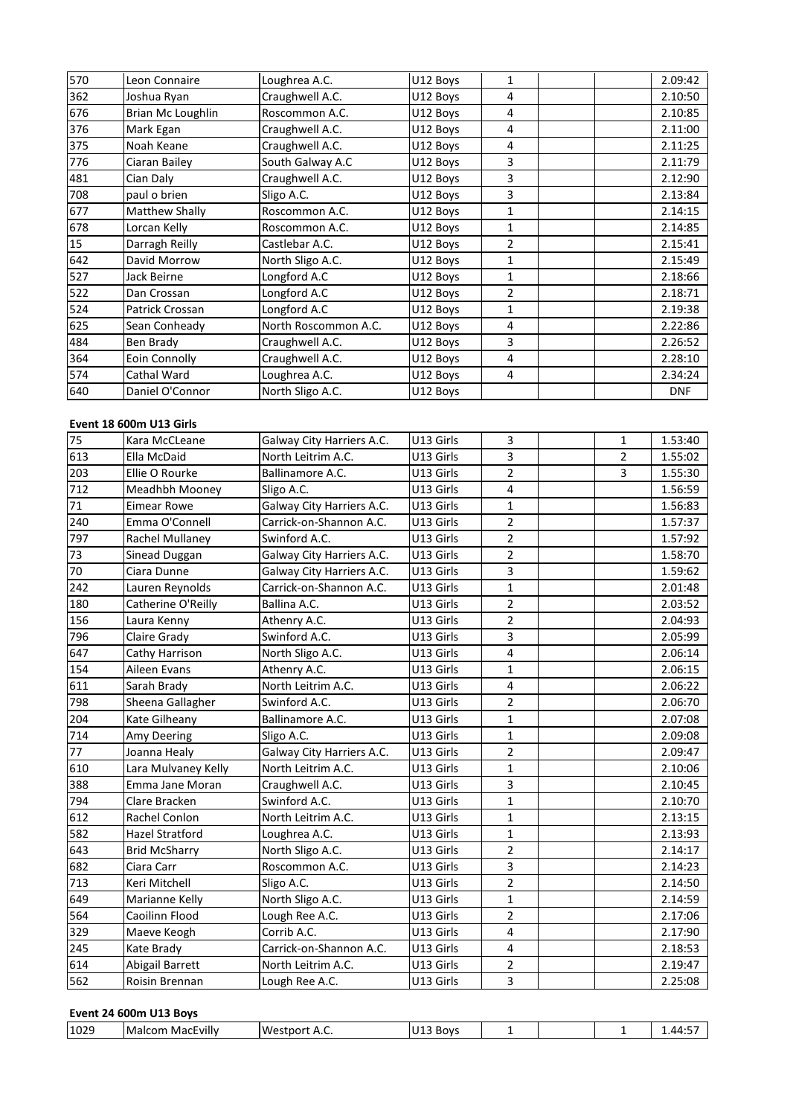| 570 | Leon Connaire           | Loughrea A.C.             | U12 Boys  | $\mathbf{1}$   |                | 2.09:42    |
|-----|-------------------------|---------------------------|-----------|----------------|----------------|------------|
| 362 | Joshua Ryan             | Craughwell A.C.           | U12 Boys  | 4              |                | 2.10:50    |
| 676 | Brian Mc Loughlin       | Roscommon A.C.            | U12 Boys  | 4              |                | 2.10:85    |
| 376 | Mark Egan               | Craughwell A.C.           | U12 Boys  | 4              |                | 2.11:00    |
| 375 | Noah Keane              | Craughwell A.C.           | U12 Boys  | 4              |                | 2.11:25    |
| 776 | Ciaran Bailey           | South Galway A.C          | U12 Boys  | 3              |                | 2.11:79    |
| 481 | Cian Daly               | Craughwell A.C.           | U12 Boys  | 3              |                | 2.12:90    |
| 708 | paul o brien            | Sligo A.C.                | U12 Boys  | 3              |                | 2.13:84    |
| 677 | Matthew Shally          | Roscommon A.C.            | U12 Boys  | $\mathbf{1}$   |                | 2.14:15    |
| 678 | Lorcan Kelly            | Roscommon A.C.            | U12 Boys  | $\mathbf{1}$   |                | 2.14:85    |
| 15  | Darragh Reilly          | Castlebar A.C.            | U12 Boys  | $\overline{2}$ |                | 2.15:41    |
| 642 | David Morrow            | North Sligo A.C.          | U12 Boys  | $\mathbf{1}$   |                | 2.15:49    |
| 527 | Jack Beirne             | Longford A.C              | U12 Boys  | $\mathbf{1}$   |                | 2.18:66    |
| 522 | Dan Crossan             | Longford A.C              | U12 Boys  | $\overline{2}$ |                | 2.18:71    |
| 524 | Patrick Crossan         | Longford A.C              | U12 Boys  | 1              |                | 2.19:38    |
| 625 | Sean Conheady           | North Roscommon A.C.      | U12 Boys  | 4              |                | 2.22:86    |
| 484 | Ben Brady               | Craughwell A.C.           | U12 Boys  | 3              |                | 2.26:52    |
| 364 | Eoin Connolly           | Craughwell A.C.           | U12 Boys  | 4              |                | 2.28:10    |
| 574 | Cathal Ward             | Loughrea A.C.             | U12 Boys  | 4              |                | 2.34:24    |
| 640 | Daniel O'Connor         | North Sligo A.C.          | U12 Boys  |                |                | <b>DNF</b> |
|     |                         |                           |           |                |                |            |
|     | Event 18 600m U13 Girls |                           |           |                |                |            |
| 75  | Kara McCLeane           | Galway City Harriers A.C. | U13 Girls | 3              | 1              | 1.53:40    |
| 613 | Ella McDaid             | North Leitrim A.C.        | U13 Girls | 3              | $\mathfrak{p}$ | 1.55:02    |

| 574 | Cathal Ward             | Loughrea A.C.             | U12 Boys  | 4              |                | 2.34:24    |
|-----|-------------------------|---------------------------|-----------|----------------|----------------|------------|
| 640 | Daniel O'Connor         | North Sligo A.C.          | U12 Boys  |                |                | <b>DNF</b> |
|     |                         |                           |           |                |                |            |
|     | Event 18 600m U13 Girls |                           |           |                |                |            |
| 75  | Kara McCLeane           | Galway City Harriers A.C. | U13 Girls | 3              | $\mathbf{1}$   | 1.53:40    |
| 613 | Ella McDaid             | North Leitrim A.C.        | U13 Girls | 3              | $\overline{2}$ | 1.55:02    |
| 203 | Ellie O Rourke          | Ballinamore A.C.          | U13 Girls | $\overline{2}$ | 3              | 1.55:30    |
| 712 | Meadhbh Mooney          | Sligo A.C.                | U13 Girls | 4              |                | 1.56:59    |
| 71  | <b>Eimear Rowe</b>      | Galway City Harriers A.C. | U13 Girls | $\mathbf{1}$   |                | 1.56:83    |
| 240 | Emma O'Connell          | Carrick-on-Shannon A.C.   | U13 Girls | $\overline{2}$ |                | 1.57:37    |
| 797 | Rachel Mullaney         | Swinford A.C.             | U13 Girls | $\overline{2}$ |                | 1.57:92    |
| 73  | Sinead Duggan           | Galway City Harriers A.C. | U13 Girls | $\overline{2}$ |                | 1.58:70    |
| 70  | Ciara Dunne             | Galway City Harriers A.C. | U13 Girls | 3              |                | 1.59:62    |
| 242 | Lauren Reynolds         | Carrick-on-Shannon A.C.   | U13 Girls | $\mathbf{1}$   |                | 2.01:48    |
| 180 | Catherine O'Reilly      | Ballina A.C.              | U13 Girls | $\overline{2}$ |                | 2.03:52    |
| 156 | Laura Kenny             | Athenry A.C.              | U13 Girls | $\overline{2}$ |                | 2.04:93    |
| 796 | Claire Grady            | Swinford A.C.             | U13 Girls | 3              |                | 2.05:99    |
| 647 | Cathy Harrison          | North Sligo A.C.          | U13 Girls | 4              |                | 2.06:14    |
| 154 | Aileen Evans            | Athenry A.C.              | U13 Girls | $\mathbf{1}$   |                | 2.06:15    |
| 611 | Sarah Brady             | North Leitrim A.C.        | U13 Girls | $\sqrt{4}$     |                | 2.06:22    |
| 798 | Sheena Gallagher        | Swinford A.C.             | U13 Girls | $\overline{2}$ |                | 2.06:70    |
| 204 | Kate Gilheany           | Ballinamore A.C.          | U13 Girls | $\mathbf{1}$   |                | 2.07:08    |
| 714 | Amy Deering             | Sligo A.C.                | U13 Girls | $\mathbf{1}$   |                | 2.09:08    |
| 77  | Joanna Healy            | Galway City Harriers A.C. | U13 Girls | $\overline{2}$ |                | 2.09:47    |
| 610 | Lara Mulvaney Kelly     | North Leitrim A.C.        | U13 Girls | $\mathbf{1}$   |                | 2.10:06    |
| 388 | Emma Jane Moran         | Craughwell A.C.           | U13 Girls | 3              |                | 2.10:45    |
| 794 | Clare Bracken           | Swinford A.C.             | U13 Girls | $\mathbf{1}$   |                | 2.10:70    |
| 612 | Rachel Conlon           | North Leitrim A.C.        | U13 Girls | $\mathbf{1}$   |                | 2.13:15    |
| 582 | Hazel Stratford         | Loughrea A.C.             | U13 Girls | $\mathbf{1}$   |                | 2.13:93    |
| 643 | <b>Brid McSharry</b>    | North Sligo A.C.          | U13 Girls | $\overline{2}$ |                | 2.14:17    |
| 682 | Ciara Carr              | Roscommon A.C.            | U13 Girls | 3              |                | 2.14:23    |
| 713 | Keri Mitchell           | Sligo A.C.                | U13 Girls | $\overline{2}$ |                | 2.14:50    |
| 649 | Marianne Kelly          | North Sligo A.C.          | U13 Girls | $\mathbf{1}$   |                | 2.14:59    |
| 564 | Caoilinn Flood          | Lough Ree A.C.            | U13 Girls | $\overline{2}$ |                | 2.17:06    |
| 329 | Maeve Keogh             | Corrib A.C.               | U13 Girls | 4              |                | 2.17:90    |
| 245 | Kate Brady              | Carrick-on-Shannon A.C.   | U13 Girls | $\overline{4}$ |                | 2.18:53    |
| 614 | Abigail Barrett         | North Leitrim A.C.        | U13 Girls | $\overline{2}$ |                | 2.19:47    |
| 562 | Roisin Brennan          | Lough Ree A.C.            | U13 Girls | 3              |                | 2.25:08    |

| 1029 | $\cdot$<br>Malcom<br>MacEvilly | Westport<br>. הי | U13 Boys |  | .<br>1.44:5 |
|------|--------------------------------|------------------|----------|--|-------------|
|      |                                |                  |          |  |             |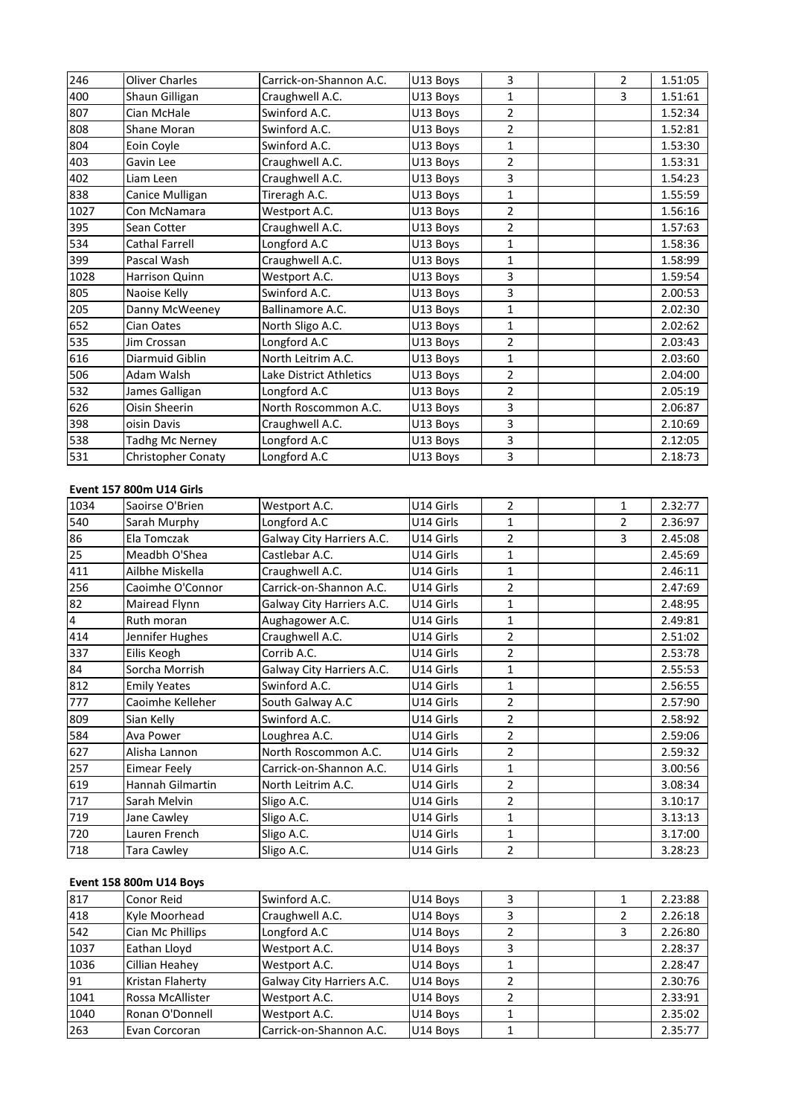| 246  | <b>Oliver Charles</b>    | Carrick-on-Shannon A.C. | U13 Boys  | 3              | $\overline{2}$ | 1.51:05 |
|------|--------------------------|-------------------------|-----------|----------------|----------------|---------|
| 400  | Shaun Gilligan           | Craughwell A.C.         | U13 Boys  | $\mathbf{1}$   | 3              | 1.51:61 |
| 807  | Cian McHale              | Swinford A.C.           | U13 Boys  | $\overline{2}$ |                | 1.52:34 |
| 808  | Shane Moran              | Swinford A.C.           | U13 Boys  | $\overline{2}$ |                | 1.52:81 |
| 804  | Eoin Coyle               | Swinford A.C.           | U13 Boys  | $\mathbf{1}$   |                | 1.53:30 |
| 403  | Gavin Lee                | Craughwell A.C.         | U13 Boys  | 2              |                | 1.53:31 |
| 402  | Liam Leen                | Craughwell A.C.         | U13 Boys  | 3              |                | 1.54:23 |
| 838  | Canice Mulligan          | Tireragh A.C.           | U13 Boys  | $\mathbf{1}$   |                | 1.55:59 |
| 1027 | Con McNamara             | Westport A.C.           | U13 Boys  | $\overline{2}$ |                | 1.56:16 |
| 395  | Sean Cotter              | Craughwell A.C.         | U13 Boys  | $\overline{2}$ |                | 1.57:63 |
| 534  | Cathal Farrell           | Longford A.C            | U13 Boys  | $\mathbf{1}$   |                | 1.58:36 |
| 399  | Pascal Wash              | Craughwell A.C.         | U13 Boys  | $\mathbf 1$    |                | 1.58:99 |
| 1028 | <b>Harrison Quinn</b>    | Westport A.C.           | U13 Boys  | 3              |                | 1.59:54 |
| 805  | Naoise Kelly             | Swinford A.C.           | U13 Boys  | 3              |                | 2.00:53 |
| 205  | Danny McWeeney           | Ballinamore A.C.        | U13 Boys  | 1              |                | 2.02:30 |
| 652  | Cian Oates               | North Sligo A.C.        | U13 Boys  | $\mathbf{1}$   |                | 2.02:62 |
| 535  | Jim Crossan              | Longford A.C            | U13 Boys  | $\overline{2}$ |                | 2.03:43 |
| 616  | Diarmuid Giblin          | North Leitrim A.C.      | U13 Boys  | $\mathbf{1}$   |                | 2.03:60 |
| 506  | Adam Walsh               | Lake District Athletics | U13 Boys  | 2              |                | 2.04:00 |
| 532  | James Galligan           | Longford A.C            | U13 Boys  | $\overline{2}$ |                | 2.05:19 |
| 626  | Oisin Sheerin            | North Roscommon A.C.    | U13 Boys  | 3              |                | 2.06:87 |
| 398  | oisin Davis              | Craughwell A.C.         | U13 Boys  | 3              |                | 2.10:69 |
| 538  | <b>Tadhg Mc Nerney</b>   | Longford A.C            | U13 Boys  | 3              |                | 2.12:05 |
| 531  | Christopher Conaty       | Longford A.C            | U13 Boys  | 3              |                | 2.18:73 |
|      |                          |                         |           |                |                |         |
|      | Event 157 800m U14 Girls |                         |           |                |                |         |
| 1034 | Saoirse O'Brien          | Westport A.C.           | U14 Girls | 2              | $\mathbf{1}$   | 2.32:77 |
| 540  | Sarah Murphy             | Longford A.C            | U14 Girls | $\mathbf{1}$   | $\overline{2}$ | 2.36:97 |

| 538                     | <b>Tadhg Mc Nerney</b>          | Longford A.C              | U13 Boys  | 3              |                | 2.12:05 |
|-------------------------|---------------------------------|---------------------------|-----------|----------------|----------------|---------|
| 531                     | Christopher Conaty              | Longford A.C              | U13 Boys  | 3              |                | 2.18:73 |
|                         |                                 |                           |           |                |                |         |
|                         | <b>Event 157 800m U14 Girls</b> |                           |           |                |                |         |
| 1034                    | Saoirse O'Brien                 | Westport A.C.             | U14 Girls | $\overline{2}$ | $\mathbf{1}$   | 2.32:77 |
| 540                     | Sarah Murphy                    | Longford A.C              | U14 Girls | $\mathbf{1}$   | $\overline{c}$ | 2.36:97 |
| 86                      | Ela Tomczak                     | Galway City Harriers A.C. | U14 Girls | $\overline{2}$ | 3              | 2.45:08 |
| 25                      | Meadbh O'Shea                   | Castlebar A.C.            | U14 Girls | $\mathbf{1}$   |                | 2.45:69 |
| 411                     | Ailbhe Miskella                 | Craughwell A.C.           | U14 Girls | $\mathbf{1}$   |                | 2.46:11 |
| 256                     | Caoimhe O'Connor                | Carrick-on-Shannon A.C.   | U14 Girls | $\overline{2}$ |                | 2.47:69 |
| 82                      | Mairead Flynn                   | Galway City Harriers A.C. | U14 Girls | $\mathbf{1}$   |                | 2.48:95 |
| $\overline{\mathbf{4}}$ | Ruth moran                      | Aughagower A.C.           | U14 Girls | 1              |                | 2.49:81 |
| 414                     | Jennifer Hughes                 | Craughwell A.C.           | U14 Girls | 2              |                | 2.51:02 |
| 337                     | Eilis Keogh                     | Corrib A.C.               | U14 Girls | $\overline{2}$ |                | 2.53:78 |
| 84                      | Sorcha Morrish                  | Galway City Harriers A.C. | U14 Girls | 1              |                | 2.55:53 |
| 812                     | <b>Emily Yeates</b>             | Swinford A.C.             | U14 Girls | $\mathbf{1}$   |                | 2.56:55 |
| 777                     | Caoimhe Kelleher                | South Galway A.C          | U14 Girls | $\overline{2}$ |                | 2.57:90 |
| 809                     | Sian Kelly                      | Swinford A.C.             | U14 Girls | $\overline{2}$ |                | 2.58:92 |
| 584                     | Ava Power                       | Loughrea A.C.             | U14 Girls | $\overline{2}$ |                | 2.59:06 |
| 627                     | Alisha Lannon                   | North Roscommon A.C.      | U14 Girls | $\overline{2}$ |                | 2.59:32 |
| 257                     | Eimear Feely                    | Carrick-on-Shannon A.C.   | U14 Girls | 1              |                | 3.00:56 |
| 619                     | <b>Hannah Gilmartin</b>         | North Leitrim A.C.        | U14 Girls | $\overline{2}$ |                | 3.08:34 |
| 717                     | Sarah Melvin                    | Sligo A.C.                | U14 Girls | $\overline{2}$ |                | 3.10:17 |
| 719                     | Jane Cawley                     | Sligo A.C.                | U14 Girls | 1              |                | 3.13:13 |
| 720                     | Lauren French                   | Sligo A.C.                | U14 Girls | 1              |                | 3.17:00 |
| 718                     | <b>Tara Cawley</b>              | Sligo A.C.                | U14 Girls | $\overline{2}$ |                | 3.28:23 |
|                         |                                 |                           |           |                |                |         |
|                         | Event 158 800m U14 Boys         |                           |           |                |                |         |
| 817                     | Conor Reid                      | Swinford A.C.             | U14 Boys  | 3              | 1              | 2.23:88 |
| 418                     | Kyle Moorhead                   | Craughwell A.C.           | U14 Boys  | 3              | $\overline{2}$ | 2.26:18 |

| 720  | Lauren French                  | Sligo A.C.                | U14 Girls |   |   | 3.17:00 |
|------|--------------------------------|---------------------------|-----------|---|---|---------|
| 718  | Tara Cawley                    | Sligo A.C.                | U14 Girls |   |   | 3.28:23 |
|      |                                |                           |           |   |   |         |
|      | <b>Event 158 800m U14 Boys</b> |                           |           |   |   |         |
| 817  | Conor Reid                     | Swinford A.C.             | U14 Boys  | 3 |   | 2.23:88 |
| 418  | Kyle Moorhead                  | Craughwell A.C.           | U14 Boys  | 3 |   | 2.26:18 |
| 542  | Cian Mc Phillips               | Longford A.C              | U14 Boys  |   | 3 | 2.26:80 |
| 1037 | Eathan Lloyd                   | Westport A.C.             | U14 Boys  | 3 |   | 2.28:37 |
| 1036 | Cillian Heahey                 | Westport A.C.             | U14 Boys  |   |   | 2.28:47 |
| 91   | Kristan Flaherty               | Galway City Harriers A.C. | U14 Boys  |   |   | 2.30:76 |
| 1041 | Rossa McAllister               | Westport A.C.             | U14 Boys  |   |   | 2.33:91 |
| 1040 | Ronan O'Donnell                | Westport A.C.             | U14 Boys  |   |   | 2.35:02 |
| 263  | Evan Corcoran                  | Carrick-on-Shannon A.C.   | U14 Boys  |   |   | 2.35:77 |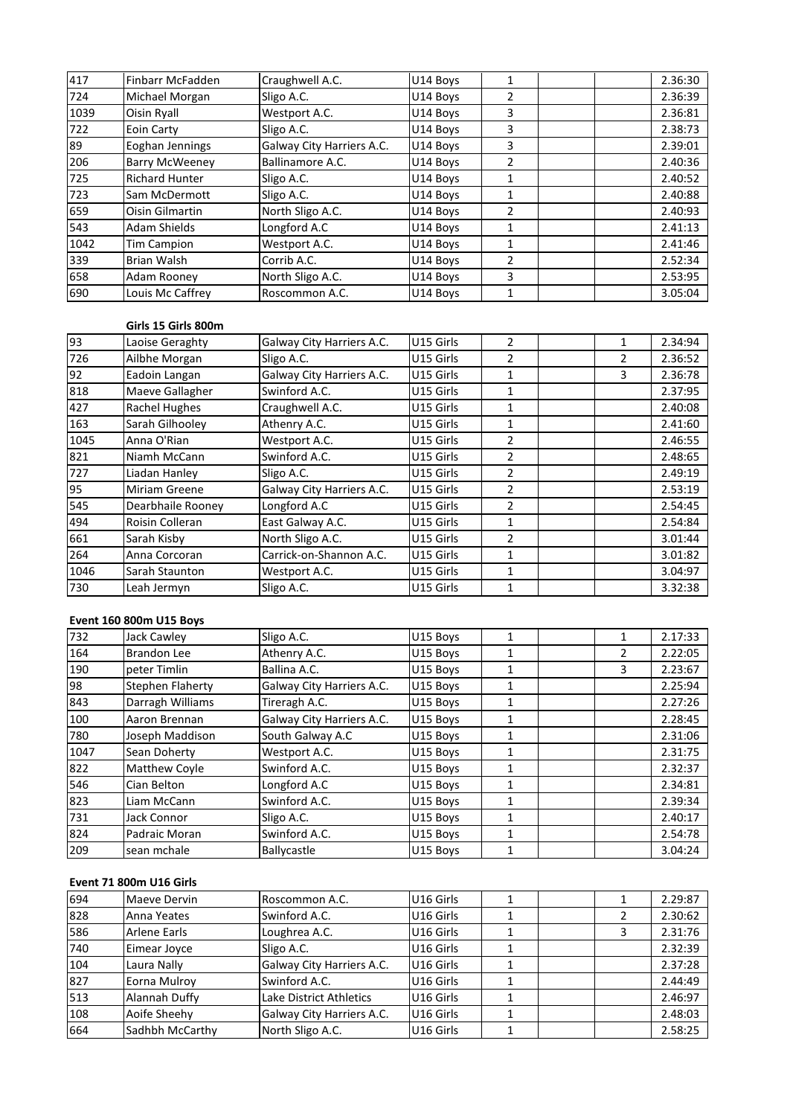| 417  | Finbarr McFadden      | Craughwell A.C.           | U14 Boys  | $\mathbf{1}$   |                | 2.36:30 |
|------|-----------------------|---------------------------|-----------|----------------|----------------|---------|
| 724  | Michael Morgan        | Sligo A.C.                | U14 Boys  | $\overline{2}$ |                | 2.36:39 |
| 1039 | Oisin Ryall           | Westport A.C.             | U14 Boys  | 3              |                | 2.36:81 |
| 722  | Eoin Carty            | Sligo A.C.                | U14 Boys  | 3              |                | 2.38:73 |
| 89   | Eoghan Jennings       | Galway City Harriers A.C. | U14 Boys  | 3              |                | 2.39:01 |
| 206  | <b>Barry McWeeney</b> | Ballinamore A.C.          | U14 Boys  | $\overline{2}$ |                | 2.40:36 |
| 725  | <b>Richard Hunter</b> | Sligo A.C.                | U14 Boys  | $\mathbf{1}$   |                | 2.40:52 |
| 723  | Sam McDermott         | Sligo A.C.                | U14 Boys  | $\mathbf{1}$   |                | 2.40:88 |
| 659  | Oisin Gilmartin       | North Sligo A.C.          | U14 Boys  | $\overline{2}$ |                | 2.40:93 |
| 543  | Adam Shields          | Longford A.C              | U14 Boys  | $\mathbf{1}$   |                | 2.41:13 |
| 1042 | <b>Tim Campion</b>    | Westport A.C.             | U14 Boys  | $\mathbf{1}$   |                | 2.41:46 |
| 339  | <b>Brian Walsh</b>    | Corrib A.C.               | U14 Boys  | $\overline{2}$ |                | 2.52:34 |
| 658  | Adam Rooney           | North Sligo A.C.          | U14 Boys  | 3              |                | 2.53:95 |
| 690  | Louis Mc Caffrey      | Roscommon A.C.            | U14 Boys  | 1              |                | 3.05:04 |
|      |                       |                           |           |                |                |         |
|      | Girls 15 Girls 800m   |                           |           |                |                |         |
| 93   | Laoise Geraghty       | Galway City Harriers A.C. | U15 Girls | $\overline{2}$ | $\mathbf{1}$   | 2.34:94 |
| 726  | Ailbhe Morgan         | Sligo A.C.                | U15 Girls | $\overline{2}$ | $\mathfrak{p}$ | 2.36:52 |

| 658  | Adam Rooney             | North Sligo A.C.          | U14 Boys  | 3              |                | 2.53:95 |
|------|-------------------------|---------------------------|-----------|----------------|----------------|---------|
| 690  | Louis Mc Caffrey        | Roscommon A.C.            | U14 Boys  | 1              |                | 3.05:04 |
|      |                         |                           |           |                |                |         |
|      | Girls 15 Girls 800m     |                           |           |                |                |         |
| 93   | Laoise Geraghty         | Galway City Harriers A.C. | U15 Girls | $\overline{2}$ | $\mathbf{1}$   | 2.34:94 |
| 726  | Ailbhe Morgan           | Sligo A.C.                | U15 Girls | 2              | 2              | 2.36:52 |
| 92   | Eadoin Langan           | Galway City Harriers A.C. | U15 Girls | $\mathbf{1}$   | 3              | 2.36:78 |
| 818  | Maeve Gallagher         | Swinford A.C.             | U15 Girls | $\mathbf{1}$   |                | 2.37:95 |
| 427  | Rachel Hughes           | Craughwell A.C.           | U15 Girls | 1              |                | 2.40:08 |
| 163  | Sarah Gilhooley         | Athenry A.C.              | U15 Girls | 1              |                | 2.41:60 |
| 1045 | Anna O'Rian             | Westport A.C.             | U15 Girls | 2              |                | 2.46:55 |
| 821  | Niamh McCann            | Swinford A.C.             | U15 Girls | 2              |                | 2.48:65 |
| 727  | Liadan Hanley           | Sligo A.C.                | U15 Girls | $\overline{2}$ |                | 2.49:19 |
| 95   | Miriam Greene           | Galway City Harriers A.C. | U15 Girls | $\overline{2}$ |                | 2.53:19 |
| 545  | Dearbhaile Rooney       | Longford A.C              | U15 Girls | 2              |                | 2.54:45 |
| 494  | Roisin Colleran         | East Galway A.C.          | U15 Girls | 1              |                | 2.54:84 |
| 661  | Sarah Kisby             | North Sligo A.C.          | U15 Girls | 2              |                | 3.01:44 |
| 264  | Anna Corcoran           | Carrick-on-Shannon A.C.   | U15 Girls | 1              |                | 3.01:82 |
| 1046 | Sarah Staunton          | Westport A.C.             | U15 Girls | 1              |                | 3.04:97 |
| 730  | Leah Jermyn             | Sligo A.C.                | U15 Girls | 1              |                | 3.32:38 |
|      |                         |                           |           |                |                |         |
|      | Event 160 800m U15 Boys |                           |           |                |                |         |
| 732  | Jack Cawley             | Sligo A.C.                | U15 Boys  | $\mathbf{1}$   | 1              | 2.17:33 |
| 164  | Brandon Lee             | Athenry A.C.              | U15 Boys  |                | $\mathfrak{p}$ | 2.22:05 |

| 1046 | Sarah Staunton          | Westport A.C.             | U15 Girls | $\mathbf{1}$ |               | 3.04:97 |
|------|-------------------------|---------------------------|-----------|--------------|---------------|---------|
| 730  | Leah Jermyn             | Sligo A.C.                | U15 Girls | 1            |               | 3.32:38 |
|      |                         |                           |           |              |               |         |
|      | Event 160 800m U15 Boys |                           |           |              |               |         |
| 732  | Jack Cawley             | Sligo A.C.                | U15 Boys  | 1            | 1             | 2.17:33 |
| 164  | <b>Brandon Lee</b>      | Athenry A.C.              | U15 Boys  | 1            | 2             | 2.22:05 |
| 190  | peter Timlin            | Ballina A.C.              | U15 Boys  | 1            | 3             | 2.23:67 |
| 98   | Stephen Flaherty        | Galway City Harriers A.C. | U15 Boys  | 1            |               | 2.25:94 |
| 843  | Darragh Williams        | Tireragh A.C.             | U15 Boys  | $\mathbf{1}$ |               | 2.27:26 |
| 100  | Aaron Brennan           | Galway City Harriers A.C. | U15 Boys  | $\mathbf{1}$ |               | 2.28:45 |
| 780  | Joseph Maddison         | South Galway A.C          | U15 Boys  | 1            |               | 2.31:06 |
| 1047 | Sean Doherty            | Westport A.C.             | U15 Boys  | 1            |               | 2.31:75 |
| 822  | Matthew Coyle           | Swinford A.C.             | U15 Boys  | $\mathbf{1}$ |               | 2.32:37 |
| 546  | Cian Belton             | Longford A.C              | U15 Boys  | 1            |               | 2.34:81 |
| 823  | Liam McCann             | Swinford A.C.             | U15 Boys  | 1            |               | 2.39:34 |
| 731  | Jack Connor             | Sligo A.C.                | U15 Boys  | 1            |               | 2.40:17 |
| 824  | Padraic Moran           | Swinford A.C.             | U15 Boys  | $\mathbf{1}$ |               | 2.54:78 |
| 209  | sean mchale             | Ballycastle               | U15 Boys  | $\mathbf{1}$ |               | 3.04:24 |
|      |                         |                           |           |              |               |         |
|      | Event 71 800m U16 Girls |                           |           |              |               |         |
| 694  | Maeve Dervin            | Roscommon A.C.            | U16 Girls | $\mathbf{1}$ | $\mathbf{1}$  | 2.29:87 |
| 828  | Anna Yeates             | Swinford A.C.             | U16 Girls |              | $\mathcal{P}$ | 2.30:62 |

| 824 | Padraic Moran           | Swinford A.C.             | U15 Boys              |   | 2.54:78 |
|-----|-------------------------|---------------------------|-----------------------|---|---------|
| 209 | sean mchale             | Ballycastle               | U15 Boys              |   | 3.04:24 |
|     |                         |                           |                       |   |         |
|     | Event 71 800m U16 Girls |                           |                       |   |         |
| 694 | Maeve Dervin            | Roscommon A.C.            | U16 Girls             |   | 2.29:87 |
| 828 | Anna Yeates             | Swinford A.C.             | U16 Girls             |   | 2.30:62 |
| 586 | Arlene Earls            | Loughrea A.C.             | U16 Girls             | 3 | 2.31:76 |
| 740 | Eimear Joyce            | Sligo A.C.                | U16 Girls             |   | 2.32:39 |
| 104 | Laura Nally             | Galway City Harriers A.C. | U16 Girls             |   | 2.37:28 |
| 827 | Eorna Mulroy            | Swinford A.C.             | U16 Girls             |   | 2.44:49 |
| 513 | Alannah Duffy           | Lake District Athletics   | U <sub>16</sub> Girls |   | 2.46:97 |
| 108 | Aoife Sheehy            | Galway City Harriers A.C. | U16 Girls             |   | 2.48:03 |
| 664 | Sadhbh McCarthy         | North Sligo A.C.          | U16 Girls             |   | 2.58:25 |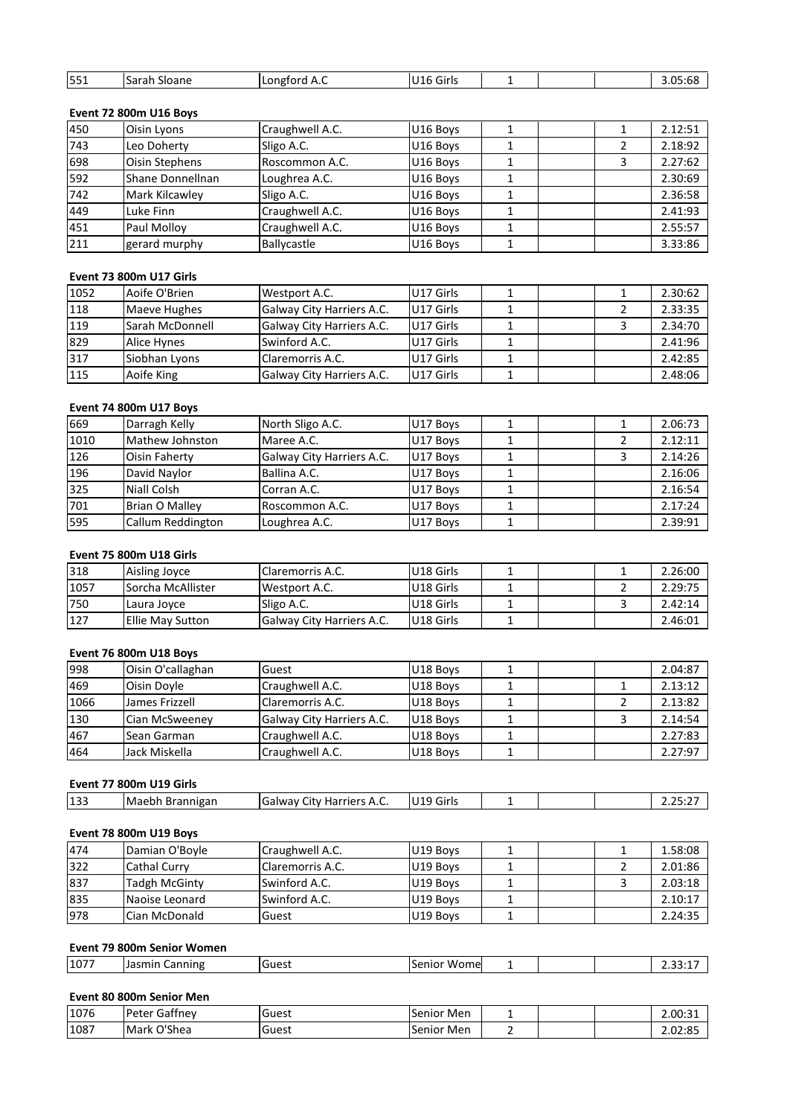| 551 | Sarah Sloane | Longford A.C | U16 Girls |  | 3.05:68 |
|-----|--------------|--------------|-----------|--|---------|

# Event 72 800m U16 Boys

| 551  | Sarah Sloane                  | Longford A.C              | U16 Girls | $\mathbf{1}$ |   | 3.05:68 |
|------|-------------------------------|---------------------------|-----------|--------------|---|---------|
|      |                               |                           |           |              |   |         |
|      | <b>Event 72 800m U16 Boys</b> |                           |           |              |   |         |
| 450  | Oisin Lyons                   | Craughwell A.C.           | U16 Boys  | 1            | 1 | 2.12:51 |
| 743  | Leo Doherty                   | Sligo A.C.                | U16 Boys  | 1            | 2 | 2.18:92 |
| 698  | Oisin Stephens                | Roscommon A.C.            | U16 Boys  | 1            | 3 | 2.27:62 |
| 592  | Shane Donnellnan              | Loughrea A.C.             | U16 Boys  | 1            |   | 2.30:69 |
| 742  | Mark Kilcawley                | Sligo A.C.                | U16 Boys  | 1            |   | 2.36:58 |
| 449  | Luke Finn                     | Craughwell A.C.           | U16 Boys  | 1            |   | 2.41:93 |
| 451  | Paul Molloy                   | Craughwell A.C.           | U16 Boys  | 1            |   | 2.55:57 |
| 211  | gerard murphy                 | Ballycastle               | U16 Boys  | 1            |   | 3.33:86 |
|      |                               |                           |           |              |   |         |
|      | Event 73 800m U17 Girls       |                           |           |              |   |         |
| 1052 | Aoife O'Brien                 | Westport A.C.             | U17 Girls | $\mathbf{1}$ | 1 | 2.30:62 |
| 118  | Maeve Hughes                  | Galway City Harriers A.C. | U17 Girls |              |   | 2.33:35 |

# Event 73 800m U17 Girls

| 451  | Paul Molloy             | Craughwell A.C.           | U16 Boys  |   |   | 2.55:57 |
|------|-------------------------|---------------------------|-----------|---|---|---------|
| 211  | gerard murphy           | Ballycastle               | U16 Boys  |   |   | 3.33:86 |
|      |                         |                           |           |   |   |         |
|      | Event 73 800m U17 Girls |                           |           |   |   |         |
| 1052 | Aoife O'Brien           | Westport A.C.             | U17 Girls |   |   | 2.30:62 |
| 118  | Maeve Hughes            | Galway City Harriers A.C. | U17 Girls |   |   | 2.33:35 |
| 119  | Sarah McDonnell         | Galway City Harriers A.C. | U17 Girls |   | 3 | 2.34:70 |
| 829  | <b>Alice Hynes</b>      | Swinford A.C.             | U17 Girls |   |   | 2.41:96 |
| 317  | Siobhan Lyons           | Claremorris A.C.          | U17 Girls |   |   | 2.42:85 |
| 115  | Aoife King              | Galway City Harriers A.C. | U17 Girls |   |   | 2.48:06 |
|      |                         |                           |           |   |   |         |
|      | Event 74 800m U17 Boys  |                           |           |   |   |         |
| 669  | Darragh Kelly           | North Sligo A.C.          | U17 Boys  | 1 | 1 | 2.06:73 |
| 1010 | Mathew Johnston         | Maree A.C.                | U17 Boys  |   |   | 2.12:11 |

# Event 74 800m U17 Boys

| 317  | Siobhan Lyons           | Claremorris A.C.          | U17 Girls |   |   | 2.42:85 |
|------|-------------------------|---------------------------|-----------|---|---|---------|
| 115  | Aoife King              | Galway City Harriers A.C. | U17 Girls |   |   | 2.48:06 |
|      |                         |                           |           |   |   |         |
|      | Event 74 800m U17 Boys  |                           |           |   |   |         |
| 669  | Darragh Kelly           | North Sligo A.C.          | U17 Boys  |   | 1 | 2.06:73 |
| 1010 | Mathew Johnston         | Maree A.C.                | U17 Boys  |   | 2 | 2.12:11 |
| 126  | Oisin Faherty           | Galway City Harriers A.C. | U17 Boys  |   | 3 | 2.14:26 |
| 196  | David Naylor            | Ballina A.C.              | U17 Boys  | 1 |   | 2.16:06 |
| 325  | Niall Colsh             | Corran A.C.               | U17 Boys  |   |   | 2.16:54 |
| 701  | <b>Brian O Malley</b>   | Roscommon A.C.            | U17 Boys  |   |   | 2.17:24 |
| 595  | Callum Reddington       | Loughrea A.C.             | U17 Boys  |   |   | 2.39:91 |
|      |                         |                           |           |   |   |         |
|      | Event 75 800m U18 Girls |                           |           |   |   |         |
| 318  | Aisling Joyce           | Claremorris A.C.          | U18 Girls |   |   | 2.26:00 |
| 1057 | Sorcha McAllister       | Westport A.C.             | U18 Girls |   |   | 2.29:75 |

# **Event 75 800m U18 Girls**

| 701  | Brian O Malley          | Roscommon A.C.            | U17 Boys             |  | 2.17:24 |
|------|-------------------------|---------------------------|----------------------|--|---------|
| 595  | Callum Reddington       | Loughrea A.C.             | U17 Boys             |  | 2.39:91 |
|      |                         |                           |                      |  |         |
|      | Event 75 800m U18 Girls |                           |                      |  |         |
| 318  | Aisling Joyce           | Claremorris A.C.          | U18 Girls            |  | 2.26:00 |
| 1057 | Sorcha McAllister       | Westport A.C.             | U18 Girls            |  | 2.29:75 |
| 750  | Laura Joyce             | Sligo A.C.                | U18 Girls            |  | 2.42:14 |
| 127  | <b>Ellie May Sutton</b> | Galway City Harriers A.C. | U18 Girls            |  | 2.46:01 |
|      |                         |                           |                      |  |         |
|      | Event 76 800m U18 Boys  |                           |                      |  |         |
| 998  | Oisin O'callaghan       | Guest                     | U18 Boys             |  | 2.04:87 |
| 469  | Oisin Dovle             | Craughwell A.C.           | U <sub>18</sub> Boys |  | 2.13:12 |

# Event 76 800m U18 Boys

| 750  | Laura Joyce             | Sligo A.C.                | U18 Girls | 3 | 2.42:14 |
|------|-------------------------|---------------------------|-----------|---|---------|
| 127  | <b>Ellie May Sutton</b> | Galway City Harriers A.C. | U18 Girls |   | 2.46:01 |
|      |                         |                           |           |   |         |
|      | Event 76 800m U18 Boys  |                           |           |   |         |
| 998  | Oisin O'callaghan       | Guest                     | U18 Boys  |   | 2.04:87 |
| 469  | Oisin Doyle             | Craughwell A.C.           | U18 Boys  |   | 2.13:12 |
| 1066 | James Frizzell          | Claremorris A.C.          | U18 Boys  |   | 2.13:82 |
| 130  | Cian McSweeney          | Galway City Harriers A.C. | U18 Boys  | 3 | 2.14:54 |
| 467  | Sean Garman             | Craughwell A.C.           | U18 Boys  |   | 2.27:83 |
| 464  | Jack Miskella           | Craughwell A.C.           | U18 Boys  |   | 2.27:97 |
|      |                         |                           |           |   |         |
|      | Event 77 800m U19 Girls |                           |           |   |         |
| 133  | Maebh Brannigan         | Galway City Harriers A.C. | U19 Girls |   | 2.25:27 |

# Event 77 800m U19 Girls

| <b>U15</b><br>TMaebh<br>Brannigan<br><b>Harriers</b><br><br>sialway '<br>Girls<br>$\mathbf{v}$<br>.11V<br>Brar<br>→ н.ч.<br>----- | 133 |  | - | $\overline{\phantom{0}}$<br>۱۵ |  |  |  |  |
|-----------------------------------------------------------------------------------------------------------------------------------|-----|--|---|--------------------------------|--|--|--|--|
|-----------------------------------------------------------------------------------------------------------------------------------|-----|--|---|--------------------------------|--|--|--|--|

# Jack Miskella Craughwell A.C. | U18 Boys 1 1 | 2.27:97<br> **00m U19 Girls**<br>
Maebh Brannigan Galway City Harriers A.C. | U19 Girls 1 | 2.25:27<br> **00m U19 Boys**<br>
Damian O'Boyle Craughwell A.C. | U19 Boys 1 | 1 | 1.58:08 Cathal Curry Claremorris A.C. U19 Boys <sup>1</sup> <sup>2</sup> 2.01:86 Tadgh McGinty Swinford A.C. U19 Boys <sup>1</sup> <sup>3</sup> 2.03:18 Maebh Brannigan Galway City Harriers A.C. U19 Girls 1 2.25:27<br>
1 2.25:27<br>
Damian O'Boyle Craughwell A.C. U19 Boys 1 1 1.58:08<br>
Cathal Curry Claremorris A.C. U19 Boys 1 2 2.01:86<br>
Tadgh McGinty Swinford A.C. U19 Boys 1 3 2. 00m U19 Boys<br>
Damian O'Boyle Craughwell A.C. U19 Boys 1<br>
Cathal Curry Claremorris A.C. U19 Boys 1 2 2.01:86<br>
Tadgh McGinty Swinford A.C. U19 Boys 1 3 2.03:18<br>
Naoise Leonard Swinford A.C. U19 Boys 1 2.10:17<br>
Cian McDonald **Event1999 Community Community Community Community Community Community Community Community Community Community Community Community Community Community Community Community Community Community Community Community Community Commun** 322 Cathal Curry Claremorris A.C. U19 Boys 1<br>
Tadgh McGinty Swinford A.C. U19 Boys 1<br>
Naoise Leonard Swinford A.C. U19 Boys 1<br>
Cian McDonald Guest U19 Boys 1<br> **DOm Senior Women**<br>
Jasmin Canning Guest Senior Wome 1  $\begin{array}{|c|c|} \hline 2&2.01:86 \ \hline 3&2.03:18 \ \hline 2.10:17 \ \hline 2.24:35 \ \hline \end{array}$ 837 **835** 978

| 835  | Naoise Leonard             | Swinford A.C. | U19 Boys    | 2.10:17 |
|------|----------------------------|---------------|-------------|---------|
| 978  | lCian McDonald             | Guest         | U19 Boys    | 2.24:35 |
|      |                            |               |             |         |
|      | Event 79 800m Senior Women |               |             |         |
| 1077 | Jasmin Canning             | Guest         | Senior Wome | 2.33:17 |
|      |                            |               |             |         |
|      | Event 80 800m Senior Men   |               |             |         |
| 1076 | Peter Gaffnev              | Guest         | Senior Men  | 2.00:31 |

|      | Event 79 800m Senior Women |       |                   |  |  |  |         |  |  |  |
|------|----------------------------|-------|-------------------|--|--|--|---------|--|--|--|
| 1077 | Jasmin Canning             | Guest | Senior Wome       |  |  |  | 2.33:17 |  |  |  |
|      |                            |       |                   |  |  |  |         |  |  |  |
|      | Event 80 800m Senior Men   |       |                   |  |  |  |         |  |  |  |
| 1076 | <b>Peter Gaffney</b>       | Guest | <b>Senior Men</b> |  |  |  | 2.00:31 |  |  |  |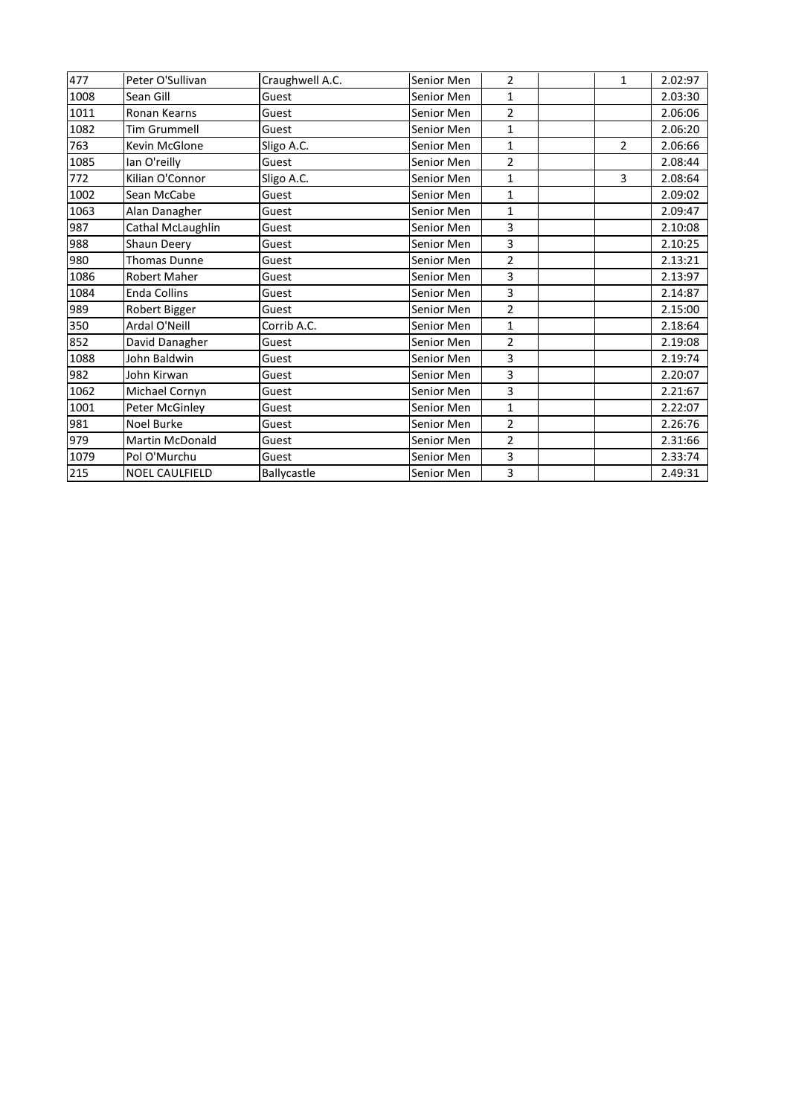| 477  | Peter O'Sullivan      | Craughwell A.C. | Senior Men | $\overline{2}$ | $\mathbf{1}$   | 2.02:97 |
|------|-----------------------|-----------------|------------|----------------|----------------|---------|
| 1008 | Sean Gill             | Guest           | Senior Men | $\mathbf{1}$   |                | 2.03:30 |
| 1011 | Ronan Kearns          | Guest           | Senior Men | $\overline{2}$ |                | 2.06:06 |
| 1082 | <b>Tim Grummell</b>   | Guest           | Senior Men | $\mathbf{1}$   |                | 2.06:20 |
| 763  | Kevin McGlone         | Sligo A.C.      | Senior Men | $\mathbf{1}$   | $\overline{2}$ | 2.06:66 |
| 1085 | lan O'reilly          | Guest           | Senior Men | $\overline{2}$ |                | 2.08:44 |
| 772  | Kilian O'Connor       | Sligo A.C.      | Senior Men | $\mathbf{1}$   | 3              | 2.08:64 |
| 1002 | Sean McCabe           | Guest           | Senior Men | $\mathbf{1}$   |                | 2.09:02 |
| 1063 | Alan Danagher         | Guest           | Senior Men | $\mathbf{1}$   |                | 2.09:47 |
| 987  | Cathal McLaughlin     | Guest           | Senior Men | 3              |                | 2.10:08 |
| 988  | Shaun Deery           | Guest           | Senior Men | 3              |                | 2.10:25 |
| 980  | <b>Thomas Dunne</b>   | Guest           | Senior Men | $\overline{2}$ |                | 2.13:21 |
| 1086 | <b>Robert Maher</b>   | Guest           | Senior Men | 3              |                | 2.13:97 |
| 1084 | <b>Enda Collins</b>   | Guest           | Senior Men | 3              |                | 2.14:87 |
| 989  | Robert Bigger         | Guest           | Senior Men | $\overline{2}$ |                | 2.15:00 |
| 350  | Ardal O'Neill         | Corrib A.C.     | Senior Men | $\mathbf{1}$   |                | 2.18:64 |
| 852  | David Danagher        | Guest           | Senior Men | $\overline{2}$ |                | 2.19:08 |
| 1088 | John Baldwin          | Guest           | Senior Men | 3              |                | 2.19:74 |
| 982  | John Kirwan           | Guest           | Senior Men | 3              |                | 2.20:07 |
| 1062 | Michael Cornyn        | Guest           | Senior Men | 3              |                | 2.21:67 |
| 1001 | Peter McGinley        | Guest           | Senior Men | $\mathbf{1}$   |                | 2.22:07 |
| 981  | Noel Burke            | Guest           | Senior Men | $\overline{2}$ |                | 2.26:76 |
| 979  | Martin McDonald       | Guest           | Senior Men | $\overline{2}$ |                | 2.31:66 |
| 1079 | Pol O'Murchu          | Guest           | Senior Men | 3              |                | 2.33:74 |
| 215  | <b>NOEL CAULFIELD</b> | Ballycastle     | Senior Men | 3              |                | 2.49:31 |
|      |                       |                 |            |                |                |         |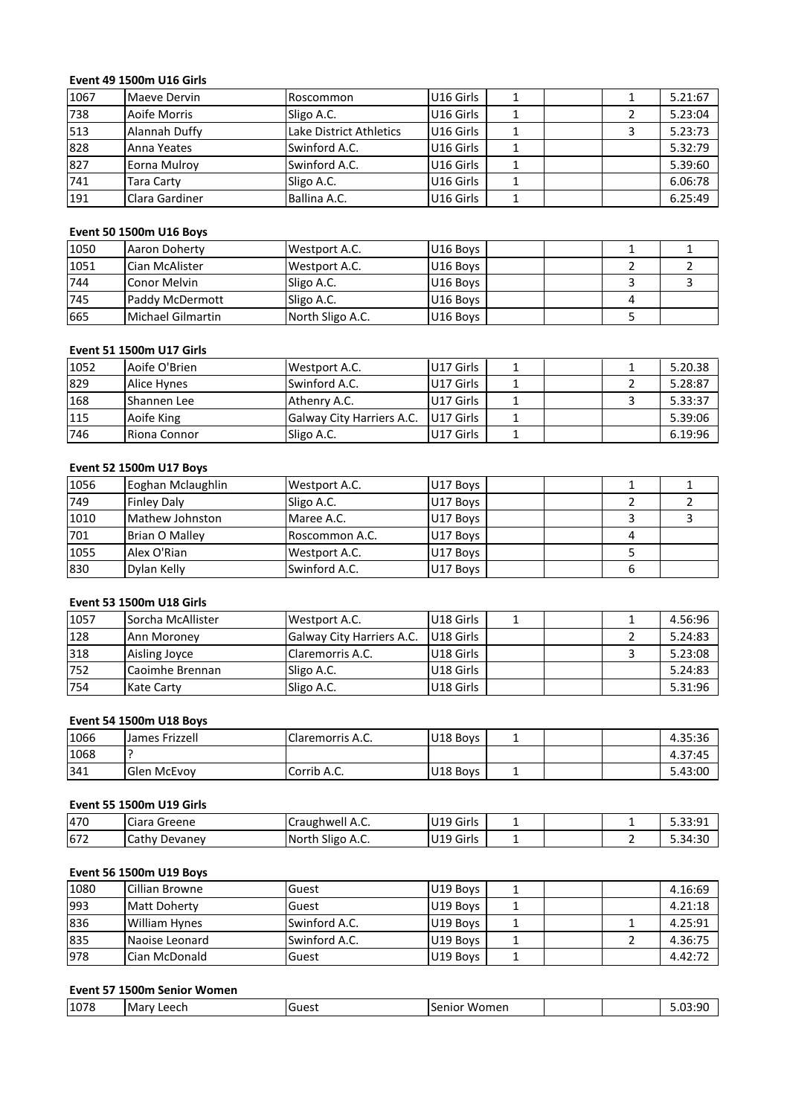# **<sup>49</sup> 1500m U16 Girls** Eve

|      | <b>Event 49 1500m U16 Girls</b> |                         |           |              |   |               |
|------|---------------------------------|-------------------------|-----------|--------------|---|---------------|
| 1067 | Maeve Dervin                    | Roscommon               | U16 Girls | $\mathbf{1}$ | 1 | 5.21:67       |
| 738  | Aoife Morris                    | Sligo A.C.              | U16 Girls | $\mathbf{1}$ | 2 | 5.23:04       |
| 513  | Alannah Duffy                   | Lake District Athletics | U16 Girls | 1            | 3 | 5.23:73       |
| 828  | Anna Yeates                     | Swinford A.C.           | U16 Girls | 1            |   | 5.32:79       |
| 827  | Eorna Mulroy                    | Swinford A.C.           | U16 Girls | 1            |   | 5.39:60       |
| 741  | Tara Carty                      | Sligo A.C.              | U16 Girls | $\mathbf{1}$ |   | 6.06:78       |
| 191  | Clara Gardiner                  | Ballina A.C.            | U16 Girls | 1            |   | 6.25:49       |
|      |                                 |                         |           |              |   |               |
|      | <b>Event 50 1500m U16 Boys</b>  |                         |           |              |   |               |
| 1050 | Aaron Doherty                   | Westport A.C.           | U16 Boys  |              |   | 1             |
| 1051 | Cian McAlister                  | Westport A.C.           | U16 Boys  |              | 2 | $\mathcal{P}$ |

| 741  | Tara Carty                      | Sligo A.C.       | U16 Girls |               | 6.06:78 |
|------|---------------------------------|------------------|-----------|---------------|---------|
| 191  | Clara Gardiner                  | Ballina A.C.     | U16 Girls |               | 6.25:49 |
|      |                                 |                  |           |               |         |
|      | <b>Event 50 1500m U16 Boys</b>  |                  |           |               |         |
| 1050 | Aaron Doherty                   | Westport A.C.    | U16 Boys  |               |         |
| 1051 | Cian McAlister                  | Westport A.C.    | U16 Boys  | $\mathcal{P}$ | 2       |
| 744  | Conor Melvin                    | Sligo A.C.       | U16 Boys  | 3             | 3       |
| 745  | Paddy McDermott                 | Sligo A.C.       | U16 Boys  | 4             |         |
| 665  | <b>Michael Gilmartin</b>        | North Sligo A.C. | U16 Boys  | 5             |         |
|      |                                 |                  |           |               |         |
|      | <b>Event 51 1500m U17 Girls</b> |                  |           |               |         |
| 1052 | Aoife O'Brien                   | Westport A.C.    | U17 Girls |               | 5.20.38 |
| 829  | Alice Hynes                     | Swinford A.C.    | U17 Girls |               | 5.28:87 |

| 745  | Paddy McDermott                 | Sligo A.C.                | U16 Boys  |   | 4 |         |
|------|---------------------------------|---------------------------|-----------|---|---|---------|
| 665  | Michael Gilmartin               | North Sligo A.C.          | U16 Boys  |   | 5 |         |
|      |                                 |                           |           |   |   |         |
|      | <b>Event 51 1500m U17 Girls</b> |                           |           |   |   |         |
| 1052 | Aoife O'Brien                   | Westport A.C.             | U17 Girls |   |   | 5.20.38 |
| 829  | <b>Alice Hynes</b>              | Swinford A.C.             | U17 Girls |   | 2 | 5.28:87 |
| 168  | Shannen Lee                     | Athenry A.C.              | U17 Girls |   | 3 | 5.33:37 |
| 115  | Aoife King                      | Galway City Harriers A.C. | U17 Girls | 1 |   | 5.39:06 |
| 746  | Riona Connor                    | Sligo A.C.                | U17 Girls | 1 |   | 6.19:96 |
|      |                                 |                           |           |   |   |         |
|      | <b>Event 52 1500m U17 Boys</b>  |                           |           |   |   |         |
| 1056 | Eoghan Mclaughlin               | Westport A.C.             | U17 Boys  |   |   |         |
| 749  | <b>Finley Daly</b>              | Sligo A.C.                | U17 Boys  |   |   |         |

# Event 52 1500m U17 Boys

| 115  | Aoife King                      | <b>Galway City Harriers A.C.</b> | U17 Girls |   |   | 5.39:06 |
|------|---------------------------------|----------------------------------|-----------|---|---|---------|
| 746  | Riona Connor                    | Sligo A.C.                       | U17 Girls | 1 |   | 6.19:96 |
|      |                                 |                                  |           |   |   |         |
|      | <b>Event 52 1500m U17 Boys</b>  |                                  |           |   |   |         |
| 1056 | Eoghan Mclaughlin               | Westport A.C.                    | U17 Boys  |   |   |         |
| 749  | <b>Finley Daly</b>              | Sligo A.C.                       | U17 Boys  |   | 2 | 2       |
| 1010 | Mathew Johnston                 | Maree A.C.                       | U17 Boys  |   | 3 | 3       |
| 701  | <b>Brian O Malley</b>           | Roscommon A.C.                   | U17 Boys  |   | 4 |         |
| 1055 | Alex O'Rian                     | Westport A.C.                    | U17 Boys  |   | 5 |         |
| 830  | Dylan Kelly                     | Swinford A.C.                    | U17 Boys  |   | 6 |         |
|      |                                 |                                  |           |   |   |         |
|      | <b>Event 53 1500m U18 Girls</b> |                                  |           |   |   |         |
| 1057 | Sorcha McAllister               | Westport A.C.                    | U18 Girls | 1 |   | 4.56:96 |
| 128  | Ann Moroney                     | Galway City Harriers A.C.        | U18 Girls |   |   | 5.24:83 |

| 1055 | Alex O'Rian                     | Westport A.C.             | U17 Boys  | 5 |         |
|------|---------------------------------|---------------------------|-----------|---|---------|
| 830  | Dylan Kelly                     | Swinford A.C.             | U17 Boys  | 6 |         |
|      |                                 |                           |           |   |         |
|      | <b>Event 53 1500m U18 Girls</b> |                           |           |   |         |
| 1057 | Sorcha McAllister               | Westport A.C.             | U18 Girls |   | 4.56:96 |
| 128  | Ann Moroney                     | Galway City Harriers A.C. | U18 Girls | 2 | 5.24:83 |
| 318  | Aisling Joyce                   | Claremorris A.C.          | U18 Girls | 3 | 5.23:08 |
| 752  | Caoimhe Brennan                 | Sligo A.C.                | U18 Girls |   | 5.24:83 |
| 754  | Kate Carty                      | Sligo A.C.                | U18 Girls |   | 5.31:96 |
|      |                                 |                           |           |   |         |
|      | <b>Event 54 1500m U18 Boys</b>  |                           |           |   |         |
| 1066 | James Frizzell                  | Claremorris A.C.          | U18 Boys  |   | 4.35:36 |
| 1068 |                                 |                           |           |   | 4.37:45 |

## Event 54 1500m U18 Boys

| 1752 | Caoimhe Brennan                 | Sligo A.C.       | U18 Girls |  | 5.24:83 |
|------|---------------------------------|------------------|-----------|--|---------|
| 754  | Kate Carty                      | Sligo A.C.       | U18 Girls |  | 5.31:96 |
|      |                                 |                  |           |  |         |
|      | <b>Event 54 1500m U18 Boys</b>  |                  |           |  |         |
| 1066 | James Frizzell                  | Claremorris A.C. | U18 Boys  |  | 4.35:36 |
| 1068 |                                 |                  |           |  | 4.37:45 |
| 341  | Glen McEvoy                     | Corrib A.C.      | U18 Boys  |  | 5.43:00 |
|      |                                 |                  |           |  |         |
|      | <b>Event 55 1500m U19 Girls</b> |                  |           |  |         |
| 470  | Ciara Greene                    | Craughwell A.C.  | U19 Girls |  | 5.33:91 |
| 672  | Cathy Devaney                   | North Sligo A.C. | U19 Girls |  | 5.34:30 |

# <u>Eve</u>

| 341  | Glen McEvoy                     | lCorrib A.C.     | U18 Boys  |  | 5.43:00 |
|------|---------------------------------|------------------|-----------|--|---------|
|      | <b>Event 55 1500m U19 Girls</b> |                  |           |  |         |
| 470  | Ciara Greene                    | Craughwell A.C.  | U19 Girls |  | 5.33:91 |
| 672  | Cathy Devaney                   | North Sligo A.C. | U19 Girls |  | 5.34:30 |
|      | <b>Event 56 1500m U19 Boys</b>  |                  |           |  |         |
| 1080 | Cillian Browne                  | Guest            | U19 Boys  |  | 4.16:69 |
| 993  | <b>Matt Doherty</b>             | Guest            | U19 Boys  |  | 4.21:18 |

| 470  | Ciara Greene                   | Craughwell A.C.  | IU19 Girls   |   | 5.33:91 |
|------|--------------------------------|------------------|--------------|---|---------|
| 672  | Cathy Devaney                  | North Sligo A.C. | U19 Girls    |   | 5.34:30 |
|      |                                |                  |              |   |         |
|      | <b>Event 56 1500m U19 Boys</b> |                  |              |   |         |
| 1080 | Cillian Browne                 | Guest            | U19 Boys     |   | 4.16:69 |
| 993  | Matt Doherty                   | Guest            | U19 Boys     |   | 4.21:18 |
| 836  | <b>William Hynes</b>           | Swinford A.C.    | U19 Boys     |   | 4.25:91 |
| 835  | Naoise Leonard                 | Swinford A.C.    | U19 Boys     | 2 | 4.36:75 |
| 978  | Cian McDonald                  | Guest            | U19 Boys     |   | 4.42:72 |
|      |                                |                  |              |   |         |
|      | Event 57 1500m Senior Women    |                  |              |   |         |
| 1078 | Mary Leech                     | Guest            | Senior Women |   | 5.03:90 |

|  | 1078 | l Marv<br>, pprr<br>- 661 | uest<br>. . | /omen<br>w.<br>aior<br>Sе |  |  | ٬۰۸٬<br>$\sim$<br>. |
|--|------|---------------------------|-------------|---------------------------|--|--|---------------------|
|--|------|---------------------------|-------------|---------------------------|--|--|---------------------|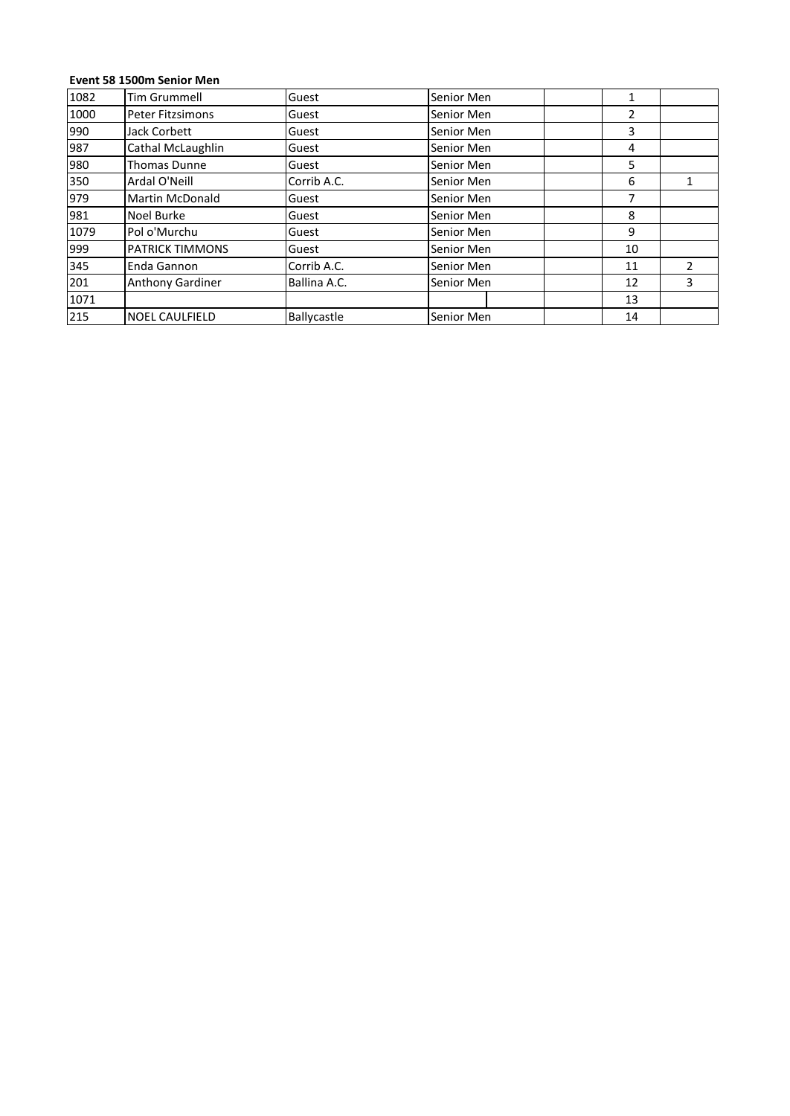# **<sup>58</sup> 1500m Senior Men**

|      | Event 58 1500m Senior Men |              |            |                |                |
|------|---------------------------|--------------|------------|----------------|----------------|
| 1082 | <b>Tim Grummell</b>       | Guest        | Senior Men | $\mathbf{1}$   |                |
| 1000 | Peter Fitzsimons          | Guest        | Senior Men | $\overline{2}$ |                |
| 990  | Jack Corbett              | Guest        | Senior Men | 3              |                |
| 987  | Cathal McLaughlin         | Guest        | Senior Men | 4              |                |
| 980  | <b>Thomas Dunne</b>       | Guest        | Senior Men | 5              |                |
| 350  | Ardal O'Neill             | Corrib A.C.  | Senior Men | 6              | 1              |
| 979  | <b>Martin McDonald</b>    | Guest        | Senior Men | 7              |                |
| 981  | Noel Burke                | Guest        | Senior Men | 8              |                |
| 1079 | Pol o'Murchu              | Guest        | Senior Men | 9              |                |
| 999  | <b>PATRICK TIMMONS</b>    | Guest        | Senior Men | 10             |                |
| 345  | Enda Gannon               | Corrib A.C.  | Senior Men | 11             | $\overline{2}$ |
| 201  | Anthony Gardiner          | Ballina A.C. | Senior Men | 12             | 3              |
| 1071 |                           |              |            | 13             |                |
| 215  | NOEL CAULFIELD            | Ballycastle  | Senior Men | 14             |                |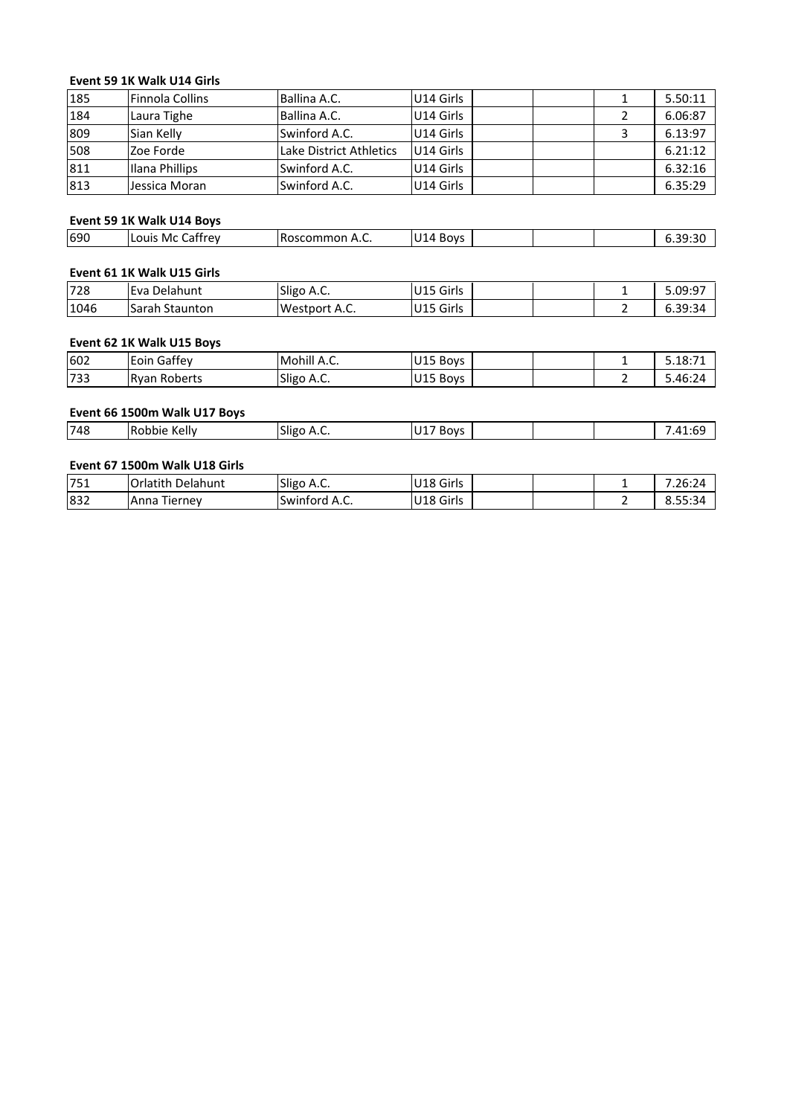# **<sup>59</sup> 1K Walk U14 Girls** Event 59 1K Walk U14 Girls

|     | Event 59 1K Walk U14 Girls |                         |           |   |         |
|-----|----------------------------|-------------------------|-----------|---|---------|
| 185 | <b>Finnola Collins</b>     | Ballina A.C.            | U14 Girls | 1 | 5.50:11 |
| 184 | Laura Tighe                | Ballina A.C.            | U14 Girls | 2 | 6.06:87 |
| 809 | Sian Kelly                 | Swinford A.C.           | U14 Girls | 3 | 6.13:97 |
| 508 | Zoe Forde                  | Lake District Athletics | U14 Girls |   | 6.21:12 |
| 811 | Ilana Phillips             | Swinford A.C.           | U14 Girls |   | 6.32:16 |
| 813 | Jessica Moran              | Swinford A.C.           | U14 Girls |   | 6.35:29 |
|     |                            |                         |           |   |         |
|     | Event 59 1K Walk U14 Boys  |                         |           |   |         |
| 690 | Louis Mc Caffrey           | Roscommon A.C.          | U14 Boys  |   | 6.39:30 |

# **6216 16 Walk** U14 Boys

| 1813 | IJessica Moran             | <b>Swinford A.C.</b> | IU14 Girls |  | 6.35:29 |
|------|----------------------------|----------------------|------------|--|---------|
|      | Event 59 1K Walk U14 Boys  |                      |            |  |         |
| 690  | Louis Mc Caffrey           | Roscommon A.C.       | U14 Boys   |  | 6.39:30 |
|      |                            |                      |            |  |         |
|      | Event 61 1K Walk U15 Girls |                      |            |  |         |
| 728  | l Eva Delahunt             | ISligo A.C.          | IU15 Girls |  | 5.09:97 |

# Event 61 1K Walk U15 Girls

|      | Event 59 1K Walk U14 Boys  |                |           |         |
|------|----------------------------|----------------|-----------|---------|
| 690  | Louis Mc Caffrey           | Roscommon A.C. | U14 Boys  | 6.39:30 |
|      | Event 61 1K Walk U15 Girls |                |           |         |
| 728  | Eva Delahunt               | Sligo A.C.     | U15 Girls | 5.09:97 |
| 1046 | Sarah Staunton             | Westport A.C.  | U15 Girls | 6.39:34 |
|      | Event 62 1K Walk U15 Boys  |                |           |         |
| 602  | Eoin Gaffey                | Mohill A.C.    | U15 Boys  | 5.18:71 |
| 733  | <b>Ryan Roberts</b>        | Sligo A.C.     | U15 Boys  | 5.46:24 |

| 1046 | lSarah Staunton              | Westport A.C. | IU15 Girls | ำ | 6.39:34 |
|------|------------------------------|---------------|------------|---|---------|
|      | Event 62 1K Walk U15 Boys    |               |            |   |         |
| 602  | Eoin Gaffey                  | Mohill A.C.   | U15 Boys   |   | 5.18:71 |
| 733  | <b>Ryan Roberts</b>          | Sligo A.C.    | U15 Boys   |   | 5.46:24 |
|      |                              |               |            |   |         |
|      | Event 66 1500m Walk U17 Boys |               |            |   |         |

| Event 66 1500m Walk U17 Boys |            |          |  |         |
|------------------------------|------------|----------|--|---------|
| Robbie Kelly                 | Sligo A.C. | U17 Boys |  | 7.41:69 |
|                              |            |          |  |         |

|     | Event 66 1500m Walk U17 Boys  |               |           |  |         |
|-----|-------------------------------|---------------|-----------|--|---------|
| 748 | Robbie Kelly                  | Sligo A.C.    | U17 Boys  |  | 7.41:69 |
|     | Event 67 1500m Walk U18 Girls |               |           |  |         |
| 751 | lOrlatith Delahunt            | Sligo A.C.    | U18 Girls |  | 7.26:24 |
| 832 | Anna Tierney                  | Swinford A.C. | U18 Girls |  | 8.55:34 |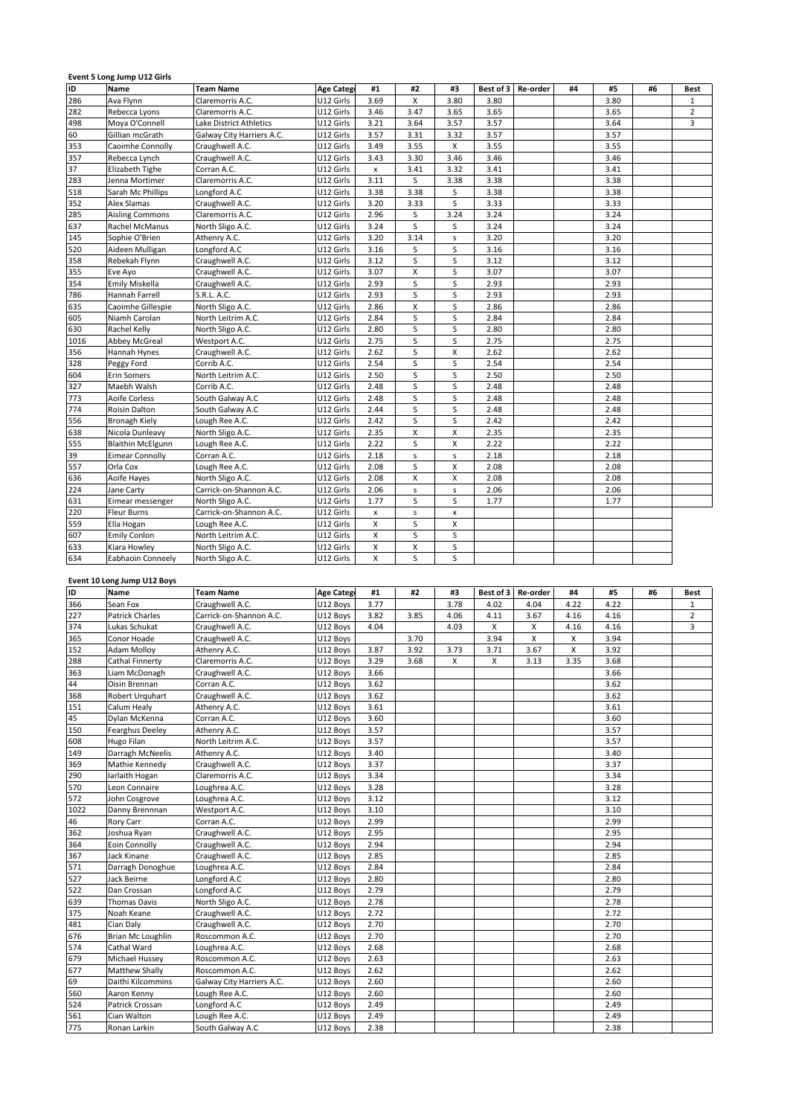| ID   |                          |                           |                  |      |              |         |           |          |    |      |    |                |
|------|--------------------------|---------------------------|------------------|------|--------------|---------|-----------|----------|----|------|----|----------------|
|      | Name                     | Team Name                 | <b>Age Categ</b> | #1   | #2           | #3      | Best of 3 | Re-order | #4 | #5   | #6 | <b>Best</b>    |
| 286  | Ava Flynn                | Claremorris A.C.          | U12 Girls        | 3.69 | X            | 3.80    | 3.80      |          |    | 3.80 |    | $\mathbf{1}$   |
| 282  | Rebecca Lyons            | Claremorris A.C.          | U12 Girls        | 3.46 | 3.47         | 3.65    | 3.65      |          |    | 3.65 |    | $\overline{2}$ |
| 498  | Moya O'Connell           | Lake District Athletics   | U12 Girls        | 3.21 | 3.64         | 3.57    | 3.57      |          |    | 3.64 |    | $\overline{3}$ |
| 60   | Gillian mcGrath          | Galway City Harriers A.C. | U12 Girls        | 3.57 | 3.31         | 3.32    | 3.57      |          |    | 3.57 |    |                |
| 353  | Caoimhe Connolly         | Craughwell A.C.           | U12 Girls        | 3.49 | 3.55         | X       | 3.55      |          |    | 3.55 |    |                |
| 357  | Rebecca Lynch            | Craughwell A.C.           | U12 Girls        | 3.43 | 3.30         | 3.46    | 3.46      |          |    | 3.46 |    |                |
| 37   | Elizabeth Tighe          | Corran A.C.               | U12 Girls        | x    | 3.41         | 3.32    | 3.41      |          |    | 3.41 |    |                |
| 283  | Jenna Mortimer           | Claremorris A.C.          | U12 Girls        | 3.11 | S            | 3.38    | 3.38      |          |    | 3.38 |    |                |
| 518  | Sarah Mc Phillips        | Longford A.C              | U12 Girls        | 3.38 | 3.38         | S       | 3.38      |          |    | 3.38 |    |                |
| 352  | Alex Slamas              | Craughwell A.C.           | U12 Girls        | 3.20 | 3.33         | S       | 3.33      |          |    | 3.33 |    |                |
| 285  | <b>Aisling Commons</b>   | Claremorris A.C.          | U12 Girls        | 2.96 | S            | 3.24    | 3.24      |          |    | 3.24 |    |                |
| 637  | Rachel McManus           | North Sligo A.C.          | U12 Girls        | 3.24 | S            | S       | 3.24      |          |    | 3.24 |    |                |
| 145  | Sophie O'Brien           | Athenry A.C.              | U12 Girls        | 3.20 | 3.14         | s       | 3.20      |          |    | 3.20 |    |                |
| 520  | Aideen Mulligan          | Longford A.C              | U12 Girls        | 3.16 | S            | S       | 3.16      |          |    | 3.16 |    |                |
| 358  | Rebekah Flynn            | Craughwell A.C.           | U12 Girls        | 3.12 | S            | S       | 3.12      |          |    | 3.12 |    |                |
| 355  | Eve Ayo                  | Craughwell A.C.           | U12 Girls        | 3.07 | X            | $\sf S$ | 3.07      |          |    | 3.07 |    |                |
| 354  | Emily Miskella           | Craughwell A.C.           | U12 Girls        | 2.93 | S            | S       | 2.93      |          |    | 2.93 |    |                |
| 786  | Hannah Farrell           | S.R.L. A.C.               | U12 Girls        | 2.93 | S            | S       | 2.93      |          |    | 2.93 |    |                |
| 635  | Caoimhe Gillespie        | North Sligo A.C.          | U12 Girls        | 2.86 | X            | S       | 2.86      |          |    | 2.86 |    |                |
| 605  | Niamh Carolan            | North Leitrim A.C.        | U12 Girls        | 2.84 | S            | S       | 2.84      |          |    | 2.84 |    |                |
| 630  | Rachel Kelly             | North Sligo A.C.          | U12 Girls        | 2.80 | S            | S       | 2.80      |          |    | 2.80 |    |                |
| 1016 | Abbey McGreal            | Westport A.C.             | U12 Girls        | 2.75 | S            | S       | 2.75      |          |    | 2.75 |    |                |
| 356  | Hannah Hynes             | Craughwell A.C.           | U12 Girls        | 2.62 | S            | X       | 2.62      |          |    | 2.62 |    |                |
| 328  | Peggy Ford               | Corrib A.C.               | U12 Girls        | 2.54 | S            | S       | 2.54      |          |    | 2.54 |    |                |
| 604  | <b>Erin Somers</b>       | North Leitrim A.C.        | U12 Girls        | 2.50 | S            | S       | 2.50      |          |    | 2.50 |    |                |
| 327  | Maebh Walsh              | Corrib A.C.               | U12 Girls        | 2.48 | S            | S       | 2.48      |          |    | 2.48 |    |                |
| 773  | Aoife Corless            | South Galway A.C          | U12 Girls        | 2.48 | S            | S       | 2.48      |          |    | 2.48 |    |                |
| 774  | Roisin Dalton            | South Galway A.C          | U12 Girls        | 2.44 | S            | S       | 2.48      |          |    | 2.48 |    |                |
| 556  | <b>Bronagh Kiely</b>     | Lough Ree A.C.            | U12 Girls        | 2.42 | S            | S       | 2.42      |          |    | 2.42 |    |                |
| 638  | Nicola Dunleavy          | North Sligo A.C.          | U12 Girls        | 2.35 | $\mathsf{x}$ | X       | 2.35      |          |    | 2.35 |    |                |
| 555  | <b>Blaithin McElgunn</b> | Lough Ree A.C.            | U12 Girls        | 2.22 | S            | x       | 2.22      |          |    | 2.22 |    |                |
| 39   | <b>Eimear Connolly</b>   | Corran A.C.               | U12 Girls        | 2.18 | $\sf s$      | $\sf S$ | 2.18      |          |    | 2.18 |    |                |
| 557  | Orla Cox                 | Lough Ree A.C.            | U12 Girls        | 2.08 | S            | Χ       | 2.08      |          |    | 2.08 |    |                |
| 636  | Aoife Hayes              | North Sligo A.C.          | U12 Girls        | 2.08 | X            | X       | 2.08      |          |    | 2.08 |    |                |
| 224  | Jane Carty               | Carrick-on-Shannon A.C.   | U12 Girls        | 2.06 | $\sf s$      | $\sf S$ | 2.06      |          |    | 2.06 |    |                |
| 631  | Eimear messenger         | North Sligo A.C.          | U12 Girls        | 1.77 | S            | S       | 1.77      |          |    | 1.77 |    |                |
| 220  | <b>Fleur Burns</b>       | Carrick-on-Shannon A.C.   | U12 Girls        | x    | s            | x       |           |          |    |      |    |                |
| 559  | Ella Hogan               | Lough Ree A.C.            | U12 Girls        | X    | S            | X       |           |          |    |      |    |                |
| 607  | <b>Emily Conlon</b>      | North Leitrim A.C.        | U12 Girls        | x    | S            | S       |           |          |    |      |    |                |
| 633  | Kiara Howley             | North Sligo A.C.          | U12 Girls        | Χ    | X            | S       |           |          |    |      |    |                |
| 634  | Eabhaoin Conneely        | North Sligo A.C.          | U12 Girls        | X    | S            | S       |           |          |    |      |    |                |

# Long Jump U12 Boys

|      |                             | North Sligo A.C.          | U12 Girls         | x    | x    | s    |           |          |      |      |    |                |
|------|-----------------------------|---------------------------|-------------------|------|------|------|-----------|----------|------|------|----|----------------|
| 634  | Eabhaoin Conneely           | North Sligo A.C.          | U12 Girls         | X    | S    | S    |           |          |      |      |    |                |
|      | Event 10 Long Jump U12 Boys |                           |                   |      |      |      |           |          |      |      |    |                |
| e    | <b>Name</b>                 | <b>Team Name</b>          | <b>Age Catego</b> | #1   | #2   | #3   | Best of 3 | Re-order | #4   | #5   | #6 | <b>Best</b>    |
| 366  | Sean Fox                    | Craughwell A.C.           | U12 Boys          | 3.77 |      | 3.78 | 4.02      | 4.04     | 4.22 | 4.22 |    | $\mathbf{1}$   |
| 227  | <b>Patrick Charles</b>      | Carrick-on-Shannon A.C.   | U12 Boys          | 3.82 | 3.85 | 4.06 | 4.11      | 3.67     | 4.16 | 4.16 |    | $\overline{2}$ |
| 374  | Lukas Schukat               | Craughwell A.C.           | U12 Boys          | 4.04 |      | 4.03 | X         | X        | 4.16 | 4.16 |    | $\overline{3}$ |
| 365  | Conor Hoade                 | Craughwell A.C.           | U12 Boys          |      | 3.70 |      | 3.94      | X        | X    | 3.94 |    |                |
| 152  | <b>Adam Molloy</b>          | Athenry A.C.              | U12 Boys          | 3.87 | 3.92 | 3.73 | 3.71      | 3.67     | X    | 3.92 |    |                |
| 288  | Cathal Finnerty             | Claremorris A.C.          | U12 Boys          | 3.29 | 3.68 | X    | X         | 3.13     | 3.35 | 3.68 |    |                |
| 363  | Liam McDonagh               | Craughwell A.C.           | U12 Boys          | 3.66 |      |      |           |          |      | 3.66 |    |                |
| 44   | Oisin Brennan               | Corran A.C.               | U12 Boys          | 3.62 |      |      |           |          |      | 3.62 |    |                |
| 368  | Robert Urguhart             | Craughwell A.C.           | U12 Boys          | 3.62 |      |      |           |          |      | 3.62 |    |                |
| 151  | Calum Healy                 | Athenry A.C.              | U12 Boys          | 3.61 |      |      |           |          |      | 3.61 |    |                |
| 45   | Dylan McKenna               | Corran A.C.               | U12 Boys          | 3.60 |      |      |           |          |      | 3.60 |    |                |
| 150  | <b>Fearghus Deeley</b>      | Athenry A.C.              | U12 Boys          | 3.57 |      |      |           |          |      | 3.57 |    |                |
| 608  | Hugo Filan                  | North Leitrim A.C.        | U12 Boys          | 3.57 |      |      |           |          |      | 3.57 |    |                |
| 149  | Darragh McNeelis            | Athenry A.C.              | U12 Boys          | 3.40 |      |      |           |          |      | 3.40 |    |                |
| 369  | Mathie Kennedy              | Craughwell A.C.           | U12 Boys          | 3.37 |      |      |           |          |      | 3.37 |    |                |
| 290  | larlaith Hogan              | Claremorris A.C.          | U12 Boys          | 3.34 |      |      |           |          |      | 3.34 |    |                |
| 570  | Leon Connaire               | Loughrea A.C.             | U12 Boys          | 3.28 |      |      |           |          |      | 3.28 |    |                |
| 572  | John Cosgrove               | Loughrea A.C.             | U12 Boys          | 3.12 |      |      |           |          |      | 3.12 |    |                |
| 1022 | Danny Brennnan              | Westport A.C.             | U12 Boys          | 3.10 |      |      |           |          |      | 3.10 |    |                |
| 46   | Rory Carr                   | Corran A.C.               | U12 Boys          | 2.99 |      |      |           |          |      | 2.99 |    |                |
| 362  | Joshua Ryan                 | Craughwell A.C.           | U12 Boys          | 2.95 |      |      |           |          |      | 2.95 |    |                |
| 364  | Eoin Connolly               | Craughwell A.C.           | U12 Boys          | 2.94 |      |      |           |          |      | 2.94 |    |                |
| 367  | Jack Kinane                 | Craughwell A.C.           | U12 Boys          | 2.85 |      |      |           |          |      | 2.85 |    |                |
| 571  | Darragh Donoghue            | Loughrea A.C.             | U12 Boys          | 2.84 |      |      |           |          |      | 2.84 |    |                |
| 527  | Jack Beirne                 | Longford A.C              | U12 Boys          | 2.80 |      |      |           |          |      | 2.80 |    |                |
| 522  | Dan Crossan                 | Longford A.C              | U12 Boys          | 2.79 |      |      |           |          |      | 2.79 |    |                |
| 639  | <b>Thomas Davis</b>         | North Sligo A.C.          | U12 Boys          | 2.78 |      |      |           |          |      | 2.78 |    |                |
| 375  | Noah Keane                  | Craughwell A.C.           | U12 Boys          | 2.72 |      |      |           |          |      | 2.72 |    |                |
| 481  | Cian Daly                   | Craughwell A.C.           | U12 Boys          | 2.70 |      |      |           |          |      | 2.70 |    |                |
| 676  | Brian Mc Loughlin           | Roscommon A.C.            | U12 Boys          | 2.70 |      |      |           |          |      | 2.70 |    |                |
| 574  | Cathal Ward                 | Loughrea A.C.             | U12 Boys          | 2.68 |      |      |           |          |      | 2.68 |    |                |
| 679  | Michael Hussey              | Roscommon A.C.            | U12 Boys          | 2.63 |      |      |           |          |      | 2.63 |    |                |
| 677  | Matthew Shally              | Roscommon A.C.            | U12 Boys          | 2.62 |      |      |           |          |      | 2.62 |    |                |
| 69   | Daithi Kilcommins           | Galway City Harriers A.C. | U12 Boys          | 2.60 |      |      |           |          |      | 2.60 |    |                |
| 560  | Aaron Kenny                 | Lough Ree A.C.            | U12 Boys          | 2.60 |      |      |           |          |      | 2.60 |    |                |
| 524  | Patrick Crossan             | Longford A.C              | U12 Boys          | 2.49 |      |      |           |          |      | 2.49 |    |                |
| 561  | Cian Walton                 | Lough Ree A.C.            | U12 Boys          | 2.49 |      |      |           |          |      | 2.49 |    |                |
| 775  | Ronan Larkin                | South Galway A.C          | U12 Boys          | 2.38 |      |      |           |          |      | 2.38 |    |                |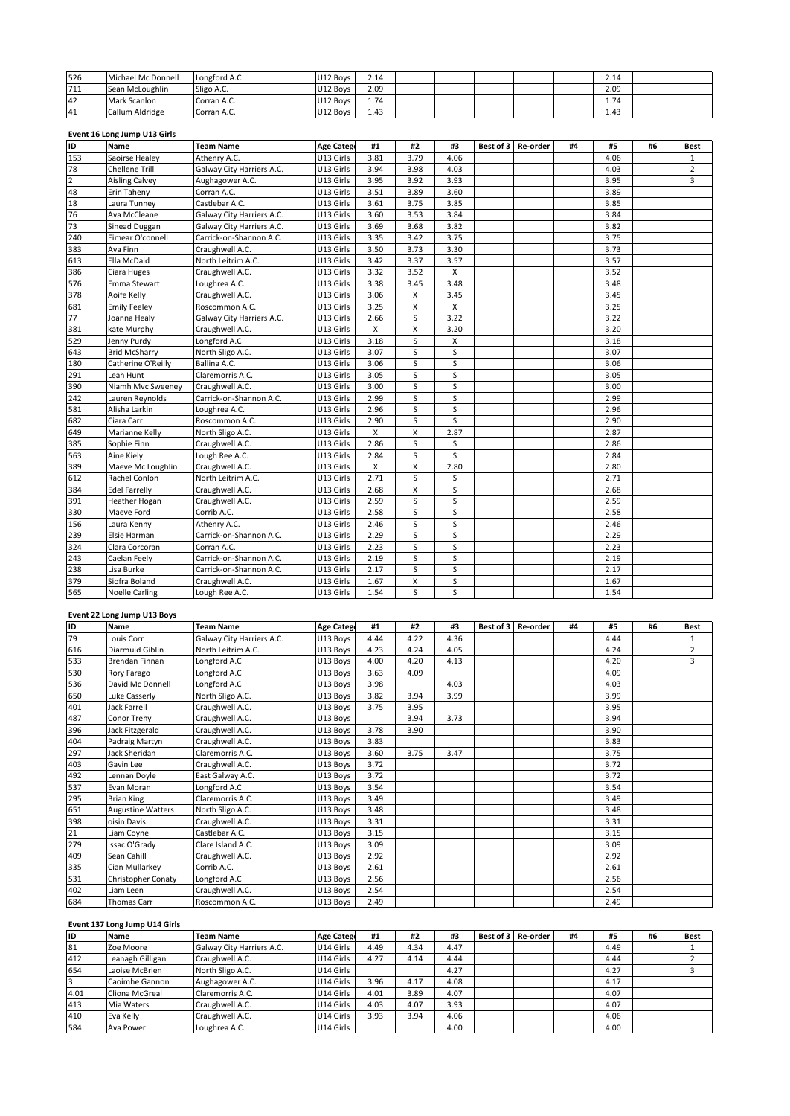| 526 | Michael Mc Donnell           | Longford A.C     | U12 Boys          | 2.14 |      |      |           |          |    | 2.14 |    |             |
|-----|------------------------------|------------------|-------------------|------|------|------|-----------|----------|----|------|----|-------------|
| 711 | Sean McLoughlin              | Sligo A.C.       | U12 Boys          | 2.09 |      |      |           |          |    | 2.09 |    |             |
| 42  | Mark Scanlon                 | Corran A.C.      | U12 Boys          | 1.74 |      |      |           |          |    | 1.74 |    |             |
| 41  | Callum Aldridge              | Corran A.C.      | U12 Boys          | 1.43 |      |      |           |          |    | 1.43 |    |             |
|     |                              |                  |                   |      |      |      |           |          |    |      |    |             |
|     | Event 16 Long Jump U13 Girls |                  |                   |      |      |      |           |          |    |      |    |             |
| ID  | <b>Name</b>                  | <b>Team Name</b> | <b>Age Catego</b> | #1   | #2   | #3   | Best of 3 | Re-order | #4 | #5   | #6 | <b>Best</b> |
| 153 | Saoirse Healey               | Athenry A.C.     | U13 Girls         | 3.81 | 3.79 | 4.06 |           |          |    | 4.06 |    |             |

# Long Jump U13 Girls

| 42                   | Mark Scanlon                 | Corran A.C.               | U12 Boys          | 1.74 |              |                         |           |          |    | 1.74 |    |                |
|----------------------|------------------------------|---------------------------|-------------------|------|--------------|-------------------------|-----------|----------|----|------|----|----------------|
| 41                   | Callum Aldridge              | Corran A.C.               | U12 Boys          | 1.43 |              |                         |           |          |    | 1.43 |    |                |
|                      |                              |                           |                   |      |              |                         |           |          |    |      |    |                |
| ID<br><b>Name</b>    | Event 16 Long Jump U13 Girls | <b>Team Name</b>          | <b>Age Categ</b>  | #1   | #2           | #3                      | Best of 3 | Re-order | #4 | #5   | #6 | <b>Best</b>    |
| 153                  | Saoirse Healey               | Athenry A.C.              | U13 Girls         | 3.81 | 3.79         | 4.06                    |           |          |    | 4.06 |    | 1              |
| 78                   | <b>Chellene Trill</b>        | Galway City Harriers A.C. | U13 Girls         | 3.94 | 3.98         | 4.03                    |           |          |    | 4.03 |    | $\overline{2}$ |
|                      | <b>Aisling Calvey</b>        | Aughagower A.C.           | U13 Girls         | 3.95 | 3.92         | 3.93                    |           |          |    | 3.95 |    | 3              |
| $\overline{2}$<br>48 | Erin Taheny                  | Corran A.C.               | U13 Girls         | 3.51 | 3.89         | 3.60                    |           |          |    | 3.89 |    |                |
| 18                   | Laura Tunney                 | Castlebar A.C.            | U13 Girls         | 3.61 | 3.75         | 3.85                    |           |          |    | 3.85 |    |                |
| 76                   | Ava McCleane                 | Galway City Harriers A.C. | U13 Girls         | 3.60 | 3.53         | 3.84                    |           |          |    | 3.84 |    |                |
| 73                   | Sinead Duggan                | Galway City Harriers A.C. | U13 Girls         | 3.69 | 3.68         | 3.82                    |           |          |    | 3.82 |    |                |
| 240                  | Eimear O'connell             | Carrick-on-Shannon A.C.   | U13 Girls         | 3.35 | 3.42         | 3.75                    |           |          |    | 3.75 |    |                |
| 383                  | Ava Finn                     | Craughwell A.C.           | U13 Girls         | 3.50 | 3.73         | 3.30                    |           |          |    | 3.73 |    |                |
| 613                  | Ella McDaid                  | North Leitrim A.C.        | U13 Girls         | 3.42 | 3.37         | 3.57                    |           |          |    | 3.57 |    |                |
| 386                  | Ciara Huges                  | Craughwell A.C.           | U13 Girls         | 3.32 | 3.52         | X                       |           |          |    | 3.52 |    |                |
| 576                  | Emma Stewart                 | Loughrea A.C.             | U13 Girls         | 3.38 | 3.45         | 3.48                    |           |          |    | 3.48 |    |                |
| 378                  | Aoife Kelly                  | Craughwell A.C.           | U13 Girls         | 3.06 | X            | 3.45                    |           |          |    | 3.45 |    |                |
| 681                  | <b>Emily Feeley</b>          | Roscommon A.C.            | U13 Girls         | 3.25 | X            | X                       |           |          |    | 3.25 |    |                |
| 77                   | Joanna Healy                 | Galway City Harriers A.C. | U13 Girls         | 2.66 | S            | 3.22                    |           |          |    | 3.22 |    |                |
| 381                  | kate Murphy                  | Craughwell A.C.           | U13 Girls         | X    | X            | 3.20                    |           |          |    | 3.20 |    |                |
| 529                  | Jenny Purdy                  | Longford A.C              | U13 Girls         | 3.18 | S            | X                       |           |          |    | 3.18 |    |                |
| 643                  | <b>Brid McSharry</b>         | North Sligo A.C.          | U13 Girls         | 3.07 | S            | S                       |           |          |    | 3.07 |    |                |
| 180                  | Catherine O'Reilly           | Ballina A.C.              | U13 Girls         | 3.06 | S            | S                       |           |          |    | 3.06 |    |                |
| 291                  | Leah Hunt                    | Claremorris A.C.          | U13 Girls         | 3.05 | S            | S                       |           |          |    | 3.05 |    |                |
| 390                  | Niamh Mvc Sweeney            | Craughwell A.C.           | U13 Girls         | 3.00 | S            | S                       |           |          |    | 3.00 |    |                |
| 242                  | Lauren Reynolds              | Carrick-on-Shannon A.C.   | U13 Girls         | 2.99 | S            | S                       |           |          |    | 2.99 |    |                |
| 581                  | Alisha Larkin                | Loughrea A.C.             | U13 Girls         | 2.96 | S            | S                       |           |          |    | 2.96 |    |                |
| 682                  | Ciara Carr                   | Roscommon A.C.            | U13 Girls         | 2.90 | S            | S                       |           |          |    | 2.90 |    |                |
| 649                  | Marianne Kelly               | North Sligo A.C.          | U13 Girls         | X    | $\mathsf{x}$ | 2.87                    |           |          |    | 2.87 |    |                |
| 385                  | Sophie Finn                  | Craughwell A.C.           | U13 Girls         | 2.86 | S            | S                       |           |          |    | 2.86 |    |                |
| 563                  | Aine Kiely                   | Lough Ree A.C.            | U13 Girls         | 2.84 | S            | S                       |           |          |    | 2.84 |    |                |
| 389                  | Maeve Mc Loughlin            | Craughwell A.C.           | U13 Girls         | X    | X            | 2.80                    |           |          |    | 2.80 |    |                |
| 612                  | Rachel Conlon                | North Leitrim A.C.        | U13 Girls         | 2.71 | S            | S                       |           |          |    | 2.71 |    |                |
| 384                  | <b>Edel Farrelly</b>         | Craughwell A.C.           | U13 Girls         | 2.68 | X            | S                       |           |          |    | 2.68 |    |                |
| 391                  | <b>Heather Hogan</b>         | Craughwell A.C.           | U13 Girls         | 2.59 | S            | S                       |           |          |    | 2.59 |    |                |
| 330                  | Maeve Ford                   | Corrib A.C.               | U13 Girls         | 2.58 | S            | S                       |           |          |    | 2.58 |    |                |
| 156                  | Laura Kenny                  | Athenry A.C.              | U13 Girls         | 2.46 | S            | $\overline{\mathsf{s}}$ |           |          |    | 2.46 |    |                |
| 239                  | Elsie Harman                 | Carrick-on-Shannon A.C.   | U13 Girls         | 2.29 | S            | S                       |           |          |    | 2.29 |    |                |
| 324                  | Clara Corcoran               | Corran A.C.               | U13 Girls         | 2.23 | S            | S                       |           |          |    | 2.23 |    |                |
| 243                  | Caelan Feely                 | Carrick-on-Shannon A.C.   | U13 Girls         | 2.19 | S            | S                       |           |          |    | 2.19 |    |                |
| 238                  | Lisa Burke                   | Carrick-on-Shannon A.C.   | U13 Girls         | 2.17 | S            | S                       |           |          |    | 2.17 |    |                |
| 379                  | Siofra Boland                | Craughwell A.C.           | U13 Girls         | 1.67 | X            | S                       |           |          |    | 1.67 |    |                |
| 565                  | <b>Noelle Carling</b>        | Lough Ree A.C.            | U13 Girls         | 1.54 | S            | S                       |           |          |    | 1.54 |    |                |
|                      | Event 22 Long Jump U13 Boys  |                           |                   |      |              |                         |           |          |    |      |    |                |
| ID<br>Name           |                              | <b>Team Name</b>          | <b>Age Catego</b> | #1   | #2           | #3                      | Best of 3 | Re-order | #4 | #5   | #6 | Best           |
| 79                   | Louis Corr                   | Galway City Harriers A.C. | U13 Boys          | 4.44 | 4.22         | 4.36                    |           |          |    | 4.44 |    | $\mathbf{1}$   |

# Long Jump U13 Boys

| 565       | <b>Noelle Carling</b>               | Lough Ree A.C.            | U13 Girls         | 1.54 | S    | S.   |           |          |    | 1.54 |    |                |
|-----------|-------------------------------------|---------------------------|-------------------|------|------|------|-----------|----------|----|------|----|----------------|
|           |                                     |                           |                   |      |      |      |           |          |    |      |    |                |
| <b>ID</b> | Event 22 Long Jump U13 Boys<br>Name | <b>Team Name</b>          | <b>Age Catego</b> | #1   | #2   | #3   | Best of 3 | Re-order | #4 | #5   | #6 | <b>Best</b>    |
| 79        | Louis Corr                          | Galway City Harriers A.C. | U13 Boys          | 4.44 | 4.22 | 4.36 |           |          |    | 4.44 |    | $\mathbf{1}$   |
| 616       | Diarmuid Giblin                     | North Leitrim A.C.        | U13 Boys          | 4.23 | 4.24 | 4.05 |           |          |    | 4.24 |    | $\overline{2}$ |
| 533       | <b>Brendan Finnan</b>               | Longford A.C              | U13 Boys          | 4.00 | 4.20 | 4.13 |           |          |    | 4.20 |    | 3              |
| 530       | Rory Farago                         | Longford A.C              | U13 Boys          | 3.63 | 4.09 |      |           |          |    | 4.09 |    |                |
| 536       | David Mc Donnell                    | Longford A.C              | U13 Boys          | 3.98 |      | 4.03 |           |          |    | 4.03 |    |                |
| 650       | Luke Casserly                       | North Sligo A.C.          | U13 Boys          | 3.82 | 3.94 | 3.99 |           |          |    | 3.99 |    |                |
| 401       | <b>Jack Farrell</b>                 | Craughwell A.C.           | U13 Boys          | 3.75 | 3.95 |      |           |          |    | 3.95 |    |                |
| 487       | Conor Trehy                         | Craughwell A.C.           | U13 Boys          |      | 3.94 | 3.73 |           |          |    | 3.94 |    |                |
| 396       | Jack Fitzgerald                     | Craughwell A.C.           | U13 Boys          | 3.78 | 3.90 |      |           |          |    | 3.90 |    |                |
| 404       | Padraig Martyn                      | Craughwell A.C.           | U13 Boys          | 3.83 |      |      |           |          |    | 3.83 |    |                |
| 297       | Jack Sheridan                       | Claremorris A.C.          | U13 Boys          | 3.60 | 3.75 | 3.47 |           |          |    | 3.75 |    |                |
| 403       | Gavin Lee                           | Craughwell A.C.           | U13 Boys          | 3.72 |      |      |           |          |    | 3.72 |    |                |
| 492       | Lennan Doyle                        | East Galway A.C.          | U13 Boys          | 3.72 |      |      |           |          |    | 3.72 |    |                |
| 537       | Evan Moran                          | Longford A.C              | U13 Boys          | 3.54 |      |      |           |          |    | 3.54 |    |                |
| 295       | <b>Brian King</b>                   | Claremorris A.C.          | U13 Boys          | 3.49 |      |      |           |          |    | 3.49 |    |                |
| 651       | <b>Augustine Watters</b>            | North Sligo A.C.          | U13 Boys          | 3.48 |      |      |           |          |    | 3.48 |    |                |
| 398       | oisin Davis                         | Craughwell A.C.           | U13 Boys          | 3.31 |      |      |           |          |    | 3.31 |    |                |
| 21        | Liam Coyne                          | Castlebar A.C.            | U13 Boys          | 3.15 |      |      |           |          |    | 3.15 |    |                |
| 279       | <b>Issac O'Grady</b>                | Clare Island A.C.         | U13 Boys          | 3.09 |      |      |           |          |    | 3.09 |    |                |
| 409       | Sean Cahill                         | Craughwell A.C.           | U13 Boys          | 2.92 |      |      |           |          |    | 2.92 |    |                |
| 335       | Cian Mullarkey                      | Corrib A.C.               | U13 Boys          | 2.61 |      |      |           |          |    | 2.61 |    |                |
| 531       | Christopher Conaty                  | Longford A.C              | U13 Boys          | 2.56 |      |      |           |          |    | 2.56 |    |                |
| 402       | Liam Leen                           | Craughwell A.C.           | U13 Boys          | 2.54 |      |      |           |          |    | 2.54 |    |                |
| 684       | Thomas Carr                         | Roscommon A.C.            | U13 Boys          | 2.49 |      |      |           |          |    | 2.49 |    |                |
|           |                                     |                           |                   |      |      |      |           |          |    |      |    |                |
|           | Event 137 Long Jump U14 Girls       |                           |                   |      |      |      |           |          |    |      |    |                |
| <b>ID</b> | Name                                | <b>Team Name</b>          | <b>Age Catego</b> | #1   | #2   | #3   | Best of 3 | Re-order | #4 | #5   | #6 | Best           |
| 81        | Zoe Moore                           | Galway City Harriers A.C. | U14 Girls         | 4.49 | 4.34 | 4.47 |           |          |    | 4.49 |    | 1              |

# Long Jump U14 Girls

| 402  | Liam Leen                             | Craughwell A.C.           | U13 Boys          | 2.54 |      |      |                      |    | 2.54 |    |             |
|------|---------------------------------------|---------------------------|-------------------|------|------|------|----------------------|----|------|----|-------------|
| 684  | Thomas Carr                           | Roscommon A.C.            | U13 Boys          | 2.49 |      |      |                      |    | 2.49 |    |             |
|      |                                       |                           |                   |      |      |      |                      |    |      |    |             |
| ID   | Event 137 Long Jump U14 Girls<br>Name | <b>Team Name</b>          | <b>Age Catego</b> | #1   | #2   | #3   | Best of 3   Re-order | #4 | #5   | #6 | <b>Best</b> |
| 81   | Zoe Moore                             | Galway City Harriers A.C. | U14 Girls         | 4.49 | 4.34 | 4.47 |                      |    | 4.49 |    |             |
| 412  | Leanagh Gilligan                      | Craughwell A.C.           | U14 Girls         | 4.27 | 4.14 | 4.44 |                      |    | 4.44 |    |             |
| 654  | Laoise McBrien                        | North Sligo A.C.          | U14 Girls         |      |      | 4.27 |                      |    | 4.27 |    |             |
|      | Caoimhe Gannon                        | Aughagower A.C.           | U14 Girls         | 3.96 | 4.17 | 4.08 |                      |    | 4.17 |    |             |
| 4.01 | Cliona McGreal                        | Claremorris A.C.          | U14 Girls         | 4.01 | 3.89 | 4.07 |                      |    | 4.07 |    |             |
| 413  | Mia Waters                            | Craughwell A.C.           | U14 Girls         | 4.03 | 4.07 | 3.93 |                      |    | 4.07 |    |             |
| 410  | Eva Kelly                             | Craughwell A.C.           | U14 Girls         | 3.93 | 3.94 | 4.06 |                      |    | 4.06 |    |             |
| 584  | Ava Power                             | Loughrea A.C.             | U14 Girls         |      |      | 4.00 |                      |    | 4.00 |    |             |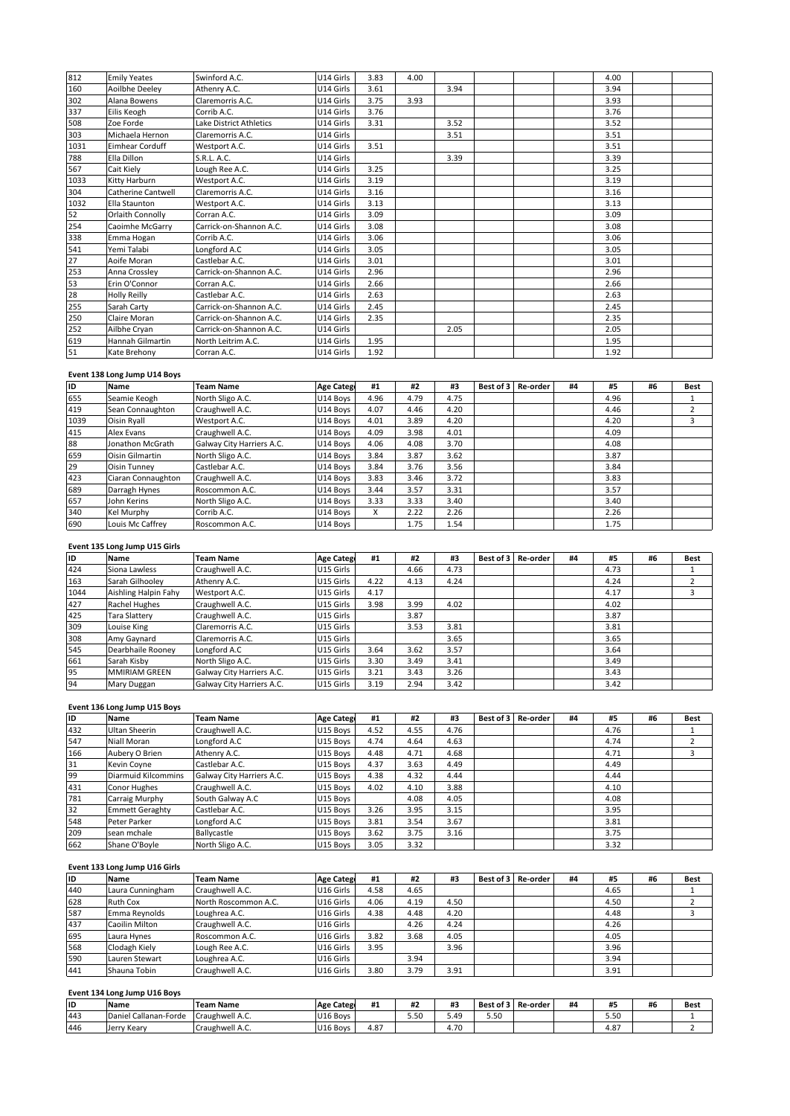| 655             | Seamie Keogh                 | North Sligo A.C.        | U14 Boys          | 4.96 | 4.79 | 4.75 |           |          |    | 4.96 |    | 1           |
|-----------------|------------------------------|-------------------------|-------------------|------|------|------|-----------|----------|----|------|----|-------------|
| ID              | <b>Name</b>                  | <b>Team Name</b>        | <b>Age Catego</b> | #1   | #2   | #3   | Best of 3 | Re-order | #4 | #5   | #6 | <b>Best</b> |
|                 | Event 138 Long Jump U14 Boys |                         |                   |      |      |      |           |          |    |      |    |             |
| 51              | Kate Brehony                 | Corran A.C.             | U14 Girls         | 1.92 |      |      |           |          |    | 1.92 |    |             |
| 619             | Hannah Gilmartin             | North Leitrim A.C.      | U14 Girls         | 1.95 |      |      |           |          |    | 1.95 |    |             |
| 252             | Ailbhe Cryan                 | Carrick-on-Shannon A.C. | U14 Girls         |      |      | 2.05 |           |          |    | 2.05 |    |             |
| 250             | Claire Moran                 | Carrick-on-Shannon A.C. | U14 Girls         | 2.35 |      |      |           |          |    | 2.35 |    |             |
| 255             | Sarah Carty                  | Carrick-on-Shannon A.C. | U14 Girls         | 2.45 |      |      |           |          |    | 2.45 |    |             |
| 28              | <b>Holly Reilly</b>          | Castlebar A.C.          | U14 Girls         | 2.63 |      |      |           |          |    | 2.63 |    |             |
| 53              | Erin O'Connor                | Corran A.C.             | U14 Girls         | 2.66 |      |      |           |          |    | 2.66 |    |             |
| 253             | Anna Crossley                | Carrick-on-Shannon A.C. | U14 Girls         | 2.96 |      |      |           |          |    | 2.96 |    |             |
| $\overline{27}$ | Aoife Moran                  | Castlebar A.C.          | U14 Girls         | 3.01 |      |      |           |          |    | 3.01 |    |             |
| 541             | Yemi Talabi                  | Longford A.C            | U14 Girls         | 3.05 |      |      |           |          |    | 3.05 |    |             |
| 338             | Emma Hogan                   | Corrib A.C.             | U14 Girls         | 3.06 |      |      |           |          |    | 3.06 |    |             |
| 254             | Caoimhe McGarry              | Carrick-on-Shannon A.C. | U14 Girls         | 3.08 |      |      |           |          |    | 3.08 |    |             |
| 52              | <b>Orlaith Connolly</b>      | Corran A.C.             | U14 Girls         | 3.09 |      |      |           |          |    | 3.09 |    |             |
| 1032            | <b>Ella Staunton</b>         | Westport A.C.           | U14 Girls         | 3.13 |      |      |           |          |    | 3.13 |    |             |
| 304             | Catherine Cantwell           | Claremorris A.C.        | U14 Girls         | 3.16 |      |      |           |          |    | 3.16 |    |             |
| 1033            | Kitty Harburn                | Westport A.C.           | U14 Girls         | 3.19 |      |      |           |          |    | 3.19 |    |             |
| 567             | Cait Kiely                   | Lough Ree A.C.          | U14 Girls         | 3.25 |      |      |           |          |    | 3.25 |    |             |
| 788             | Ella Dillon                  | S.R.L. A.C.             | U14 Girls         |      |      | 3.39 |           |          |    | 3.39 |    |             |
| 1031            | <b>Eimhear Corduff</b>       | Westport A.C.           | U14 Girls         | 3.51 |      |      |           |          |    | 3.51 |    |             |
| 303             | Michaela Hernon              | Claremorris A.C.        | U14 Girls         |      |      | 3.51 |           |          |    | 3.51 |    |             |
| 508             | Zoe Forde                    | Lake District Athletics | U14 Girls         | 3.31 |      | 3.52 |           |          |    | 3.52 |    |             |
| 337             | Eilis Keogh                  | Corrib A.C.             | U14 Girls         | 3.76 |      |      |           |          |    | 3.76 |    |             |
| 302             | Alana Bowens                 | Claremorris A.C.        | U14 Girls         | 3.75 | 3.93 |      |           |          |    | 3.93 |    |             |
| 160             | <b>Aoilbhe Deeley</b>        | Athenry A.C.            | U14 Girls         | 3.61 |      | 3.94 |           |          |    | 3.94 |    |             |
| 812             | <b>Emily Yeates</b>          | Swinford A.C.           | U14 Girls         | 3.83 | 4.00 |      |           |          |    | 4.00 |    |             |

### Ev

| 619  | Hannah Gilmartin              | North Leitrim A.C.        | U14 Girls         | 1.95 |      |      |           |                 |    | 1.95 |    |                |
|------|-------------------------------|---------------------------|-------------------|------|------|------|-----------|-----------------|----|------|----|----------------|
| 51   | Kate Brehony                  | Corran A.C.               | U14 Girls         | 1.92 |      |      |           |                 |    | 1.92 |    |                |
|      | Event 138 Long Jump U14 Boys  |                           |                   |      |      |      |           |                 |    |      |    |                |
| ID   | Name                          | <b>Team Name</b>          | <b>Age Catego</b> | #1   | #2   | #3   | Best of 3 | Re-order        | #4 | #5   | #6 | Best           |
| 655  | Seamie Keogh                  | North Sligo A.C.          | U14 Boys          | 4.96 | 4.79 | 4.75 |           |                 |    | 4.96 |    |                |
| 419  | Sean Connaughton              | Craughwell A.C.           | U14 Boys          | 4.07 | 4.46 | 4.20 |           |                 |    | 4.46 |    | $\overline{2}$ |
| 1039 | Oisin Ryall                   | Westport A.C.             | U14 Boys          | 4.01 | 3.89 | 4.20 |           |                 |    | 4.20 |    | 3              |
| 415  | Alex Evans                    | Craughwell A.C.           | U14 Boys          | 4.09 | 3.98 | 4.01 |           |                 |    | 4.09 |    |                |
| 88   | Jonathon McGrath              | Galway City Harriers A.C. | U14 Boys          | 4.06 | 4.08 | 3.70 |           |                 |    | 4.08 |    |                |
| 659  | Oisin Gilmartin               | North Sligo A.C.          | U14 Boys          | 3.84 | 3.87 | 3.62 |           |                 |    | 3.87 |    |                |
| 29   | <b>Oisin Tunney</b>           | Castlebar A.C.            | U14 Boys          | 3.84 | 3.76 | 3.56 |           |                 |    | 3.84 |    |                |
| 423  | Ciaran Connaughton            | Craughwell A.C.           | U14 Boys          | 3.83 | 3.46 | 3.72 |           |                 |    | 3.83 |    |                |
| 689  | Darragh Hynes                 | Roscommon A.C.            | U14 Boys          | 3.44 | 3.57 | 3.31 |           |                 |    | 3.57 |    |                |
| 657  | John Kerins                   | North Sligo A.C.          | U14 Boys          | 3.33 | 3.33 | 3.40 |           |                 |    | 3.40 |    |                |
| 340  | Kel Murphy                    | Corrib A.C.               | U14 Boys          | x    | 2.22 | 2.26 |           |                 |    | 2.26 |    |                |
| 690  | Louis Mc Caffrey              | Roscommon A.C.            | U14 Boys          |      | 1.75 | 1.54 |           |                 |    | 1.75 |    |                |
|      |                               |                           |                   |      |      |      |           |                 |    |      |    |                |
|      | Event 135 Long Jump U15 Girls |                           |                   |      |      |      |           |                 |    |      |    |                |
| ID   | Name                          | Team Name                 | <b>Age Catego</b> | #1   | #2   | #3   | Best of 3 | <b>Re-order</b> | #4 | #5   | #6 | Best           |
| 424  | Siona Lawless                 | Craughwell A.C.           | U15 Girls         |      | 4.66 | 4.73 |           |                 |    | 4.73 |    |                |

### Eve

| 340  | Kel Murphy                    | Corrib A.C.               | U14 Boys             | x    | 2.22 | 2.26 |           |          |    | 2.26 |    |                |
|------|-------------------------------|---------------------------|----------------------|------|------|------|-----------|----------|----|------|----|----------------|
| 690  | Louis Mc Caffrey              | Roscommon A.C.            | U14 Boys             |      | 1.75 | 1.54 |           |          |    | 1.75 |    |                |
|      | Event 135 Long Jump U15 Girls |                           |                      |      |      |      |           |          |    |      |    |                |
| ID   | <b>Name</b>                   | <b>Team Name</b>          | <b>Age Catego</b>    | #1   | #2   | #3   | Best of 3 | Re-order | #4 | #5   | #6 | <b>Best</b>    |
| 424  | Siona Lawless                 | Craughwell A.C.           | U15 Girls            |      | 4.66 | 4.73 |           |          |    | 4.73 |    |                |
| 163  | Sarah Gilhooley               | Athenry A.C.              | U15 Girls            | 4.22 | 4.13 | 4.24 |           |          |    | 4.24 |    | $\overline{2}$ |
| 1044 | Aishling Halpin Fahy          | Westport A.C.             | U15 Girls            | 4.17 |      |      |           |          |    | 4.17 |    | 3              |
| 427  | Rachel Hughes                 | Craughwell A.C.           | U15 Girls            | 3.98 | 3.99 | 4.02 |           |          |    | 4.02 |    |                |
| 425  | Tara Slattery                 | Craughwell A.C.           | U15 Girls            |      | 3.87 |      |           |          |    | 3.87 |    |                |
| 309  | Louise King                   | Claremorris A.C.          | U15 Girls            |      | 3.53 | 3.81 |           |          |    | 3.81 |    |                |
| 308  | Amy Gaynard                   | Claremorris A.C.          | U15 Girls            |      |      | 3.65 |           |          |    | 3.65 |    |                |
| 545  | Dearbhaile Rooney             | Longford A.C              | U15 Girls            | 3.64 | 3.62 | 3.57 |           |          |    | 3.64 |    |                |
| 661  | Sarah Kisby                   | North Sligo A.C.          | U15 Girls            | 3.30 | 3.49 | 3.41 |           |          |    | 3.49 |    |                |
| 95   | <b>MMIRIAM GREEN</b>          | Galway City Harriers A.C. | U15 Girls            | 3.21 | 3.43 | 3.26 |           |          |    | 3.43 |    |                |
| 94   | Mary Duggan                   | Galway City Harriers A.C. | U15 Girls            | 3.19 | 2.94 | 3.42 |           |          |    | 3.42 |    |                |
|      |                               |                           |                      |      |      |      |           |          |    |      |    |                |
|      | Event 136 Long Jump U15 Boys  |                           |                      |      |      |      |           |          |    |      |    |                |
| ID   | <b>Name</b>                   | <b>Team Name</b>          | <b>Age Catego</b>    | #1   | #2   | #3   | Best of 3 | Re-order | #4 | #5   | #6 | <b>Best</b>    |
| 432  | Ultan Sheerin                 | Craughwell A.C.           | U <sub>15</sub> Boys | 4.52 | 4.55 | 4.76 |           |          |    | 4.76 |    |                |

### Ev

| 95  | <b>MMIRIAM GREEN</b>          | Galway City Harriers A.C. | U15 Girls         | 3.21 | 3.43 | 3.26 |           |          |    | 3.43 |    |                |
|-----|-------------------------------|---------------------------|-------------------|------|------|------|-----------|----------|----|------|----|----------------|
| 94  | Mary Duggan                   | Galway City Harriers A.C. | U15 Girls         | 3.19 | 2.94 | 3.42 |           |          |    | 3.42 |    |                |
|     |                               |                           |                   |      |      |      |           |          |    |      |    |                |
|     | Event 136 Long Jump U15 Boys  |                           |                   |      |      |      |           |          |    |      |    |                |
| ID  | Name                          | <b>Team Name</b>          | <b>Age Catego</b> | #1   | #2   | #3   | Best of 3 | Re-order | #4 | #5   | #6 | <b>Best</b>    |
| 432 | <b>Ultan Sheerin</b>          | Craughwell A.C.           | U15 Boys          | 4.52 | 4.55 | 4.76 |           |          |    | 4.76 |    |                |
| 547 | Niall Moran                   | Longford A.C              | U15 Boys          | 4.74 | 4.64 | 4.63 |           |          |    | 4.74 |    | $\overline{2}$ |
| 166 | Aubery O Brien                | Athenry A.C.              | U15 Boys          | 4.48 | 4.71 | 4.68 |           |          |    | 4.71 |    | 3              |
| 31  | Kevin Coyne                   | Castlebar A.C.            | U15 Boys          | 4.37 | 3.63 | 4.49 |           |          |    | 4.49 |    |                |
| 99  | <b>Diarmuid Kilcommins</b>    | Galway City Harriers A.C. | U15 Boys          | 4.38 | 4.32 | 4.44 |           |          |    | 4.44 |    |                |
| 431 | Conor Hughes                  | Craughwell A.C.           | U15 Boys          | 4.02 | 4.10 | 3.88 |           |          |    | 4.10 |    |                |
| 781 | Carraig Murphy                | South Galway A.C          | U15 Boys          |      | 4.08 | 4.05 |           |          |    | 4.08 |    |                |
| 32  | <b>Emmett Geraghty</b>        | Castlebar A.C.            | U15 Boys          | 3.26 | 3.95 | 3.15 |           |          |    | 3.95 |    |                |
| 548 | Peter Parker                  | Longford A.C              | U15 Boys          | 3.81 | 3.54 | 3.67 |           |          |    | 3.81 |    |                |
| 209 | sean mchale                   | Ballycastle               | U15 Boys          | 3.62 | 3.75 | 3.16 |           |          |    | 3.75 |    |                |
| 662 | Shane O'Boyle                 | North Sligo A.C.          | U15 Boys          | 3.05 | 3.32 |      |           |          |    | 3.32 |    |                |
|     |                               |                           |                   |      |      |      |           |          |    |      |    |                |
|     | Event 133 Long Jump U16 Girls |                           |                   |      |      |      |           |          |    |      |    |                |
| lıd | Name                          | <b>Team Name</b>          | Age Catego        | #1   | #2   | #3   | Best of 3 | Re-order | #4 | #5   | #6 | <b>Best</b>    |
| 440 | Laura Cunningham              | Craughwell A.C.           | U16 Girls         | 4.58 | 4.65 |      |           |          |    | 4.65 |    |                |

### Eve

| 209 | sean mchale                   | Ballycastle          | U15 Boys             | 3.62 | 3.75 | 3.16 |           |                 |    | 3.75 |    |             |
|-----|-------------------------------|----------------------|----------------------|------|------|------|-----------|-----------------|----|------|----|-------------|
| 662 | Shane O'Boyle                 | North Sligo A.C.     | U15 Boys             | 3.05 | 3.32 |      |           |                 |    | 3.32 |    |             |
|     | Event 133 Long Jump U16 Girls |                      |                      |      |      |      |           |                 |    |      |    |             |
| ID  | Name                          | <b>Team Name</b>     | <b>Age Catego</b>    | #1   | #2   | #3   | Best of 3 | Re-order        | #4 | #5   | #6 | <b>Best</b> |
| 440 | Laura Cunningham              | Craughwell A.C.      | U16 Girls            | 4.58 | 4.65 |      |           |                 |    | 4.65 |    |             |
| 628 | <b>Ruth Cox</b>               | North Roscommon A.C. | U16 Girls            | 4.06 | 4.19 | 4.50 |           |                 |    | 4.50 |    |             |
| 587 | Emma Reynolds                 | Loughrea A.C.        | U16 Girls            | 4.38 | 4.48 | 4.20 |           |                 |    | 4.48 |    | 3           |
| 437 | Caoilin Milton                | Craughwell A.C.      | U16 Girls            |      | 4.26 | 4.24 |           |                 |    | 4.26 |    |             |
| 695 | Laura Hynes                   | Roscommon A.C.       | U16 Girls            | 3.82 | 3.68 | 4.05 |           |                 |    | 4.05 |    |             |
| 568 | Clodagh Kiely                 | Lough Ree A.C.       | U16 Girls            | 3.95 |      | 3.96 |           |                 |    | 3.96 |    |             |
| 590 | Lauren Stewart                | Loughrea A.C.        | U16 Girls            |      | 3.94 |      |           |                 |    | 3.94 |    |             |
| 441 | Shauna Tobin                  | Craughwell A.C.      | U16 Girls            | 3.80 | 3.79 | 3.91 |           |                 |    | 3.91 |    |             |
|     |                               |                      |                      |      |      |      |           |                 |    |      |    |             |
|     | Event 134 Long Jump U16 Boys  |                      |                      |      |      |      |           |                 |    |      |    |             |
| ID  | Name                          | <b>Team Name</b>     | <b>Age Catego</b>    | #1   | #2   | #3   | Best of 3 | <b>Re-order</b> | #4 | #5   | #6 | <b>Best</b> |
| 443 | Daniel Callanan-Forde         | Craughwell A.C.      | U <sub>16</sub> Boys |      | 5.50 | 5.49 | 5.50      |                 |    | 5.50 |    |             |

### **<sup>134</sup> Long Jump U16 Boys**

| 443 | Daniel Callanan-Forde        | Craughwell A.C.  | U16 Boys          |      | 5.50 | 5.49 | 5.50 |                    |    | 5.50 |    |             |
|-----|------------------------------|------------------|-------------------|------|------|------|------|--------------------|----|------|----|-------------|
|     |                              |                  |                   |      |      |      |      |                    |    |      |    |             |
| ID  | <b>Name</b>                  | <b>Team Name</b> | <b>Age Catego</b> | #1   | #2   | #3   |      | Best of 3 Re-order | #4 | #5   | #6 | <b>Best</b> |
|     | Event 134 Long Jump U16 Boys |                  |                   |      |      |      |      |                    |    |      |    |             |
|     |                              |                  |                   |      |      |      |      |                    |    |      |    |             |
| 441 | Shauna Tobin                 | Craughwell A.C.  | U16 Girls         | 3.80 | 3.79 | 3.91 |      |                    |    | 3.91 |    |             |
|     | Lauren Stewart               | Loughrea A.C.    | U16 Girls         |      | 3.94 |      |      |                    |    | 3.94 |    |             |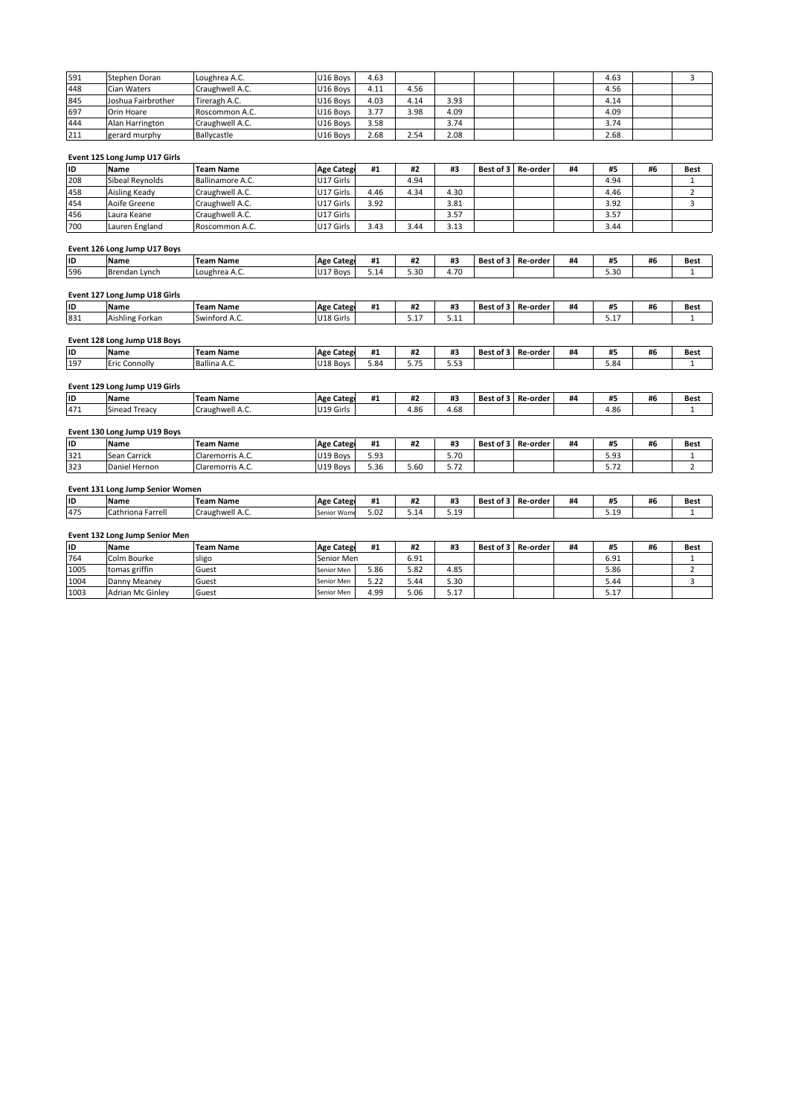| <b>ID</b> |                               |                  |                   |      |      |      |           |          |    |      |    |      |
|-----------|-------------------------------|------------------|-------------------|------|------|------|-----------|----------|----|------|----|------|
|           | <b>Name</b>                   | <b>Team Name</b> | <b>Age Catego</b> | #1   | #2   | #3   | Best of 3 | Re-order | #4 | #5   | #6 | Best |
|           | Event 125 Long Jump U17 Girls |                  |                   |      |      |      |           |          |    |      |    |      |
| 211       | gerard murphy                 | Ballycastle      | U16 Boys          | 2.68 | 2.54 | 2.08 |           |          |    | 2.68 |    |      |
| 444       | Alan Harrington               | Craughwell A.C.  | U16 Boys          | 3.58 |      | 3.74 |           |          |    | 3.74 |    |      |
| 697       | Orin Hoare                    | Roscommon A.C.   | U16 Boys          | 3.77 | 3.98 | 4.09 |           |          |    | 4.09 |    |      |
| 845       | Joshua Fairbrother            | Tireragh A.C.    | U16 Boys          | 4.03 | 4.14 | 3.93 |           |          |    | 4.14 |    |      |
| 448       | Cian Waters                   | Craughwell A.C.  | U16 Boys          | 4.11 | 4.56 |      |           |          |    | 4.56 |    |      |
| 591       | Stephen Doran                 | Loughrea A.C.    | U16 Boys          | 4.63 |      |      |           |          |    | 4.63 |    | 3    |

### <u>Eve</u>

| 444       | Alan Harrington                  | Craughwell A.C.  | U16 Boys          | 3.58 |      | 3.74 |           |          |    | 3.74 |    |                |
|-----------|----------------------------------|------------------|-------------------|------|------|------|-----------|----------|----|------|----|----------------|
| 211       | gerard murphy                    | Ballycastle      | U16 Boys          | 2.68 | 2.54 | 2.08 |           |          |    | 2.68 |    |                |
|           | Event 125 Long Jump U17 Girls    |                  |                   |      |      |      |           |          |    |      |    |                |
| ID        | Name                             | <b>Team Name</b> | <b>Age Catego</b> | #1   | #2   | #3   | Best of 3 | Re-order | #4 | #5   | #6 | Best           |
| 208       | Sibeal Reynolds                  | Ballinamore A.C. | U17 Girls         |      | 4.94 |      |           |          |    | 4.94 |    | $\mathbf{1}$   |
| 458       | Aisling Keady                    | Craughwell A.C.  | U17 Girls         | 4.46 | 4.34 | 4.30 |           |          |    | 4.46 |    | $\overline{2}$ |
| 454       | Aoife Greene                     | Craughwell A.C.  | U17 Girls         | 3.92 |      | 3.81 |           |          |    | 3.92 |    | 3              |
| 456       | Laura Keane                      | Craughwell A.C.  | U17 Girls         |      |      | 3.57 |           |          |    | 3.57 |    |                |
| 700       | Lauren England                   | Roscommon A.C.   | U17 Girls         | 3.43 | 3.44 | 3.13 |           |          |    | 3.44 |    |                |
|           | Event 126 Long Jump U17 Boys     |                  |                   |      |      |      |           |          |    |      |    |                |
| ID        | <b>Name</b>                      | <b>Team Name</b> | <b>Age Catego</b> | #1   | #2   | #3   | Best of 3 | Re-order | #4 | #5   | #6 | <b>Best</b>    |
| 596       | Brendan Lynch                    | Loughrea A.C.    | U17 Boys          | 5.14 | 5.30 | 4.70 |           |          |    | 5.30 |    | $\mathbf{1}$   |
|           | Event 127 Long Jump U18 Girls    |                  |                   |      |      |      |           |          |    |      |    |                |
| ID        | Name                             | <b>Team Name</b> | <b>Age Catego</b> | #1   | #2   | #3   | Best of 3 | Re-order | #4 | #5   | #6 | Best           |
| 831       | Aishling Forkan                  | Swinford A.C.    | U18 Girls         |      | 5.17 | 5.11 |           |          |    | 5.17 |    | $\mathbf{1}$   |
|           | Event 128 Long Jump U18 Boys     |                  |                   |      |      |      |           |          |    |      |    |                |
| ID        | Name                             | <b>Team Name</b> | <b>Age Catego</b> | #1   | #2   | #3   | Best of 3 | Re-order | #4 | #5   | #6 | <b>Best</b>    |
| 197       | <b>Eric Connolly</b>             | Ballina A.C.     | U18 Boys          | 5.84 | 5.75 | 5.53 |           |          |    | 5.84 |    | $\mathbf{1}$   |
|           | Event 129 Long Jump U19 Girls    |                  |                   |      |      |      |           |          |    |      |    |                |
| ID        | <b>Name</b>                      | <b>Team Name</b> | <b>Age Catego</b> | #1   | #2   | #3   | Best of 3 | Re-order | #4 | #5   | #6 | <b>Best</b>    |
| 471       | Sinead Treacy                    | Craughwell A.C.  | U19 Girls         |      | 4.86 | 4.68 |           |          |    | 4.86 |    | $\mathbf{1}$   |
|           | Event 130 Long Jump U19 Boys     |                  |                   |      |      |      |           |          |    |      |    |                |
| <b>ID</b> | Name                             | <b>Team Name</b> | <b>Age Catego</b> | #1   | #2   | #3   | Best of 3 | Re-order | #4 | #5   | #6 | Best           |
| 321       | Sean Carrick                     | Claremorris A.C. | U19 Boys          | 5.93 |      | 5.70 |           |          |    | 5.93 |    | $\mathbf{1}$   |
| 323       | Daniel Hernon                    | Claremorris A.C. | U19 Boys          | 5.36 | 5.60 | 5.72 |           |          |    | 5.72 |    | $\overline{2}$ |
|           | Event 131 Long Jump Senior Women |                  |                   |      |      |      |           |          |    |      |    |                |
| ID        | Name                             | <b>Team Name</b> | <b>Age Catego</b> | #1   | #2   | #3   | Best of 3 | Re-order | #4 | #5   | #6 | Best           |
| 475       | Cathriona Farrell                | Craughwell A.C.  | Senior Wom        | 5.02 | 5.14 | 5.19 |           |          |    | 5.19 |    | $\mathbf{1}$   |
|           | Event 132 Long Jump Senior Men   |                  |                   |      |      |      |           |          |    |      |    |                |
| <b>ID</b> | Name                             | <b>Team Name</b> | <b>Age Catego</b> | #1   | #2   | #3   | Best of 3 | Re-order | #4 | #5   | #6 | <b>Best</b>    |
| 764       | Colm Bourke                      | sligo            | Senior Men        |      | 6.91 |      |           |          |    | 6.91 |    | $\mathbf{1}$   |
| 1005      | tomas griffin                    | Guest            | Senior Men        | 5.86 | 5.82 | 4.85 |           |          |    | 5.86 |    | $\overline{2}$ |
|           |                                  |                  |                   |      |      |      |           |          |    |      |    | 3              |
| 1004      | Danny Meaney                     | Guest            | Senior Men        | 5.22 | 5.44 | 5.30 |           |          |    | 5.44 |    |                |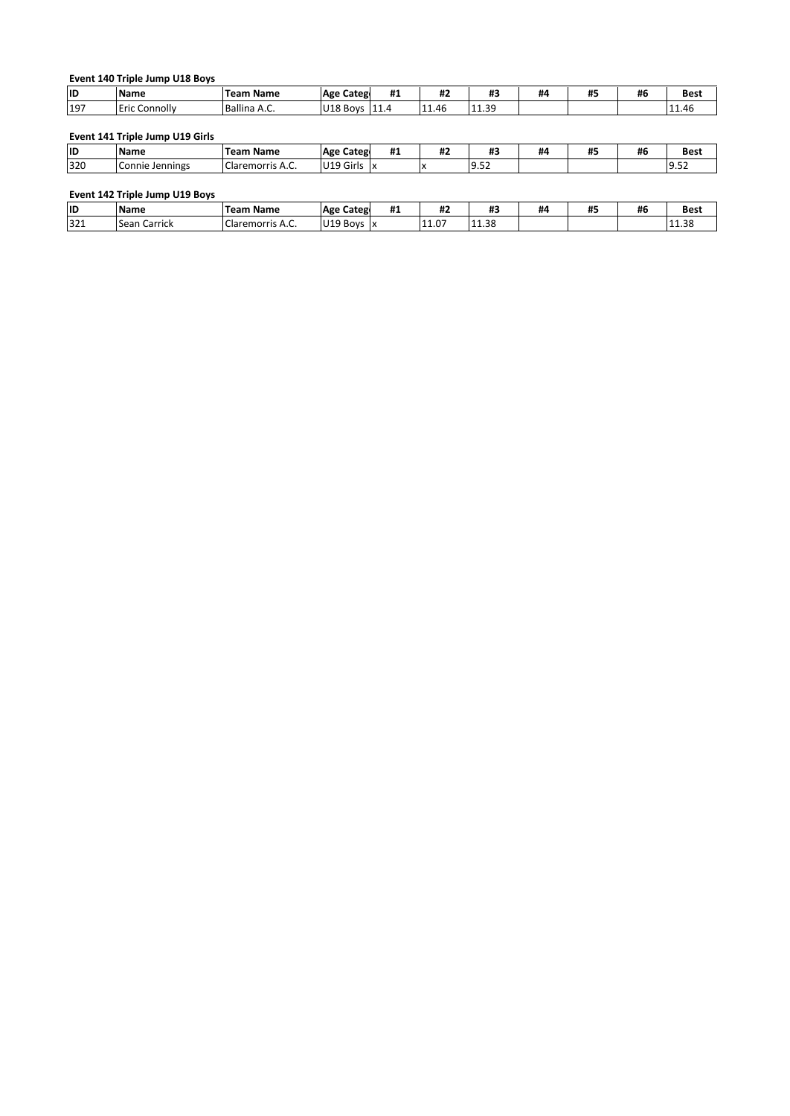|           | Event 140 Triple Jump U18 Boys |                  |                   |    |    |    |    |    |    |      |
|-----------|--------------------------------|------------------|-------------------|----|----|----|----|----|----|------|
| <b>ID</b> | Name                           | <b>Team Name</b> | <b>Age Catego</b> | #1 | #2 | #3 | #4 | #5 | #6 | Best |

|  |  |  | Event 141 Triple Jump U19 Girls |  |  |  |  |
|--|--|--|---------------------------------|--|--|--|--|
|--|--|--|---------------------------------|--|--|--|--|

|           | Event 140 Triple Jump U18 Boys  |                  |                           |    |       |       |    |    |    |             |
|-----------|---------------------------------|------------------|---------------------------|----|-------|-------|----|----|----|-------------|
| ID        | <b>Name</b>                     | <b>Team Name</b> | <b>Age Catego</b>         | #1 | #2    | #3    | #4 | #5 | #6 | <b>Best</b> |
| 197       | Eric Connolly                   | Ballina A.C.     | U18 Boys 11.4             |    | 11.46 | 11.39 |    |    |    | 11.46       |
|           | Event 141 Triple Jump U19 Girls |                  |                           |    |       |       |    |    |    |             |
| ID        | <b>Name</b>                     | <b>Team Name</b> | <b>Age Catego</b>         | #1 | #2    | #3    | #4 | #5 | #6 | <b>Best</b> |
| 320       | Connie Jennings                 | Claremorris A.C. | U <sub>19</sub> Girls   x |    |       | 9.52  |    |    |    | 9.52        |
|           | Event 142 Triple Jump U19 Boys  |                  |                           |    |       |       |    |    |    |             |
| <b>ID</b> | <b>Name</b>                     | <b>Team Name</b> | <b>Age Catego</b>         | #1 | #2    | #3    | #4 | #5 | #6 | <b>Best</b> |
| 321       | Sean Carrick                    | Claremorris A.C. | $U19$ Boys $x$            |    | 11.07 | 11.38 |    |    |    | 11.38       |

| ID  | <b>Name</b>            | <b>Name</b><br>Team               | Categ<br><b>Age</b> | <br><b>TT</b> + | ,,,<br>11 L | $\cdots$<br>π.,   | ĦΔ | <br>Ħ. | #6 | Best                          |
|-----|------------------------|-----------------------------------|---------------------|-----------------|-------------|-------------------|----|--------|----|-------------------------------|
| 321 | <b>Sean</b><br>Carrick | $\sim$<br>้าremorris A.C.<br>Ciar | $119$ Boys A        |                 | .11.07      | $\Omega$<br>11.38 |    |        |    | ີດ<br>$\blacksquare$<br>11.30 |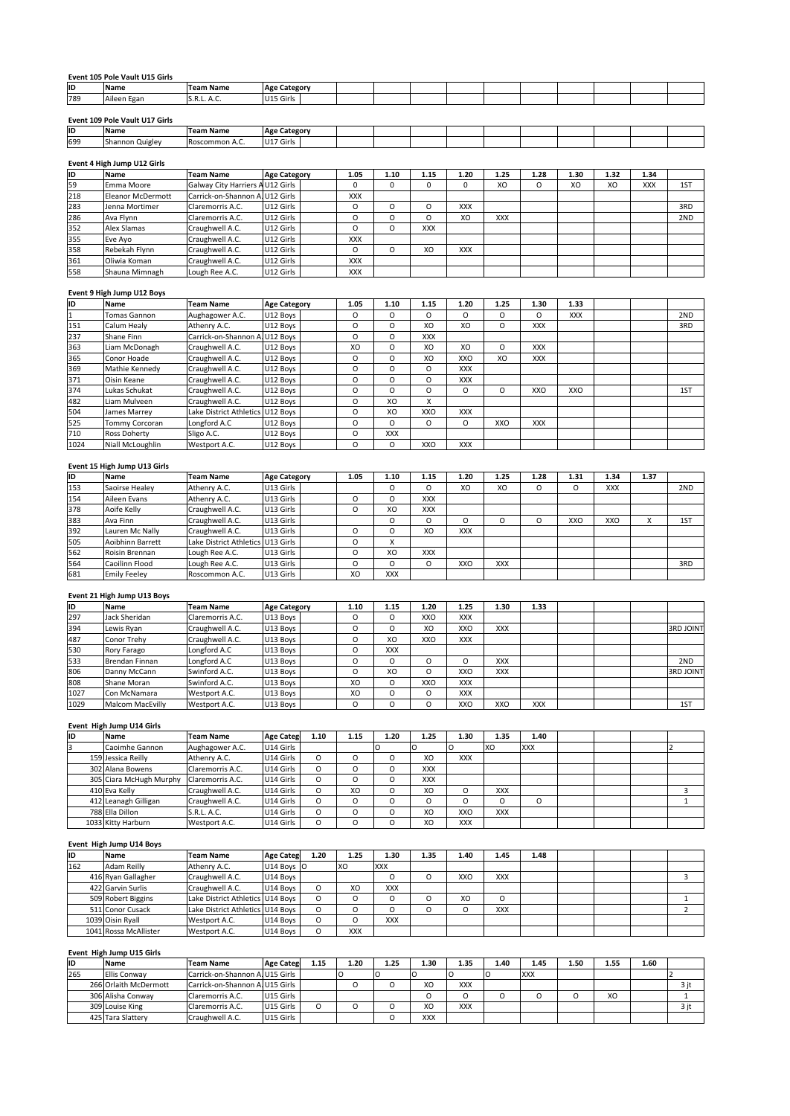| Event 105 Pole Vault U15 Girls |  |
|--------------------------------|--|

|     | Event 105 Pole Vault U15 Girls |                  |                     |  |  |  |  |  |
|-----|--------------------------------|------------------|---------------------|--|--|--|--|--|
| ID  | <b>Name</b>                    | <b>Team Name</b> | <b>Age Category</b> |  |  |  |  |  |
| 789 | Aileen Egan                    | S.R.L. A.C.      | U15 Girls           |  |  |  |  |  |
|     |                                |                  |                     |  |  |  |  |  |
|     | Event 109 Pole Vault U17 Girls |                  |                     |  |  |  |  |  |
| ID  | <b>Name</b>                    | <b>Team Name</b> | <b>Age Category</b> |  |  |  |  |  |
| 699 | Shannon Quigley                | Roscommon A.C.   | U17 Girls           |  |  |  |  |  |

| 789 | Aileen Egan                    | S.R.L. A.C.                     | U15 Girls           |      |      |      |      |      |      |      |      |            |     |
|-----|--------------------------------|---------------------------------|---------------------|------|------|------|------|------|------|------|------|------------|-----|
|     |                                |                                 |                     |      |      |      |      |      |      |      |      |            |     |
|     | Event 109 Pole Vault U17 Girls |                                 |                     |      |      |      |      |      |      |      |      |            |     |
| lıD | <b>Name</b>                    | <b>Team Name</b>                | <b>Age Category</b> |      |      |      |      |      |      |      |      |            |     |
| 699 | Shannon Quigley                | Roscommon A.C.                  | U17 Girls           |      |      |      |      |      |      |      |      |            |     |
|     |                                |                                 |                     |      |      |      |      |      |      |      |      |            |     |
|     | Event 4 High Jump U12 Girls    |                                 |                     |      |      |      |      |      |      |      |      |            |     |
| lıD | Name                           | <b>Team Name</b>                | <b>Age Category</b> | 1.05 | 1.10 | 1.15 | 1.20 | 1.25 | 1.28 | 1.30 | 1.32 | 1.34       |     |
| 59  | Emma Moore                     | Galway City Harriers AU12 Girls |                     |      |      |      |      | XO   | ⌒    | XO   | XO   | <b>XXX</b> | 1ST |

| ID  | Name                        | Team Name                        | <b>Age Category</b> |            |          |            |            |            |          |            |      |            |     |
|-----|-----------------------------|----------------------------------|---------------------|------------|----------|------------|------------|------------|----------|------------|------|------------|-----|
| 699 | Shannon Quigley             | Roscommon A.C.                   | U17 Girls           |            |          |            |            |            |          |            |      |            |     |
|     |                             |                                  |                     |            |          |            |            |            |          |            |      |            |     |
|     | Event 4 High Jump U12 Girls |                                  |                     |            |          |            |            |            |          |            |      |            |     |
| İID | Name                        | <b>Team Name</b>                 | <b>Age Category</b> | 1.05       | 1.10     | 1.15       | 1.20       | 1.25       | 1.28     | 1.30       | 1.32 | 1.34       |     |
| 59  | Emma Moore                  | Galway City Harriers A U12 Girls |                     | 0          | $\Omega$ | 0          | 0          | XO         | O        | XO         | XO   | <b>XXX</b> | 1ST |
| 218 | <b>Eleanor McDermott</b>    | Carrick-on-Shannon A. U12 Girls  |                     | <b>XXX</b> |          |            |            |            |          |            |      |            |     |
| 283 | Jenna Mortimer              | Claremorris A.C.                 | U12 Girls           | O          | $\Omega$ | $\Omega$   | <b>XXX</b> |            |          |            |      |            | 3RD |
| 286 | Ava Flynn                   | Claremorris A.C.                 | U12 Girls           | $\circ$    | $\Omega$ | $\Omega$   | XO         | <b>XXX</b> |          |            |      |            | 2ND |
| 352 | Alex Slamas                 | Craughwell A.C.                  | U12 Girls           | $\circ$    | $\circ$  | <b>XXX</b> |            |            |          |            |      |            |     |
| 355 | Eve Ayo                     | Craughwell A.C.                  | U12 Girls           | <b>XXX</b> |          |            |            |            |          |            |      |            |     |
| 358 | Rebekah Flynn               | Craughwell A.C.                  | U12 Girls           | O          | $\Omega$ | XO         | <b>XXX</b> |            |          |            |      |            |     |
| 361 | Oliwia Koman                | Craughwell A.C.                  | U12 Girls           | <b>XXX</b> |          |            |            |            |          |            |      |            |     |
| 558 | Shauna Mimnagh              | Lough Ree A.C.                   | U12 Girls           | <b>XXX</b> |          |            |            |            |          |            |      |            |     |
|     |                             |                                  |                     |            |          |            |            |            |          |            |      |            |     |
|     | Event 9 High Jump U12 Boys  |                                  |                     |            |          |            |            |            |          |            |      |            |     |
| İID | Name                        | Team Name                        | <b>Age Category</b> | 1.05       | 1.10     | 1.15       | 1.20       | 1.25       | 1.30     | 1.33       |      |            |     |
|     | <b>Tomas Gannon</b>         | Aughagower A.C.                  | U12 Boys            | $\Omega$   | O        | $\Omega$   | O          | O          | $\Omega$ | <b>XXX</b> |      |            | 2ND |

### Eve

| 361  | lOliwia Koman                | Craughwell A.C.                  | U12 Girls           | <b>XXX</b> |            |            |            |          |            |            |            |      |     |
|------|------------------------------|----------------------------------|---------------------|------------|------------|------------|------------|----------|------------|------------|------------|------|-----|
| 558  | Shauna Mimnagh               | Lough Ree A.C.                   | U12 Girls           | <b>XXX</b> |            |            |            |          |            |            |            |      |     |
|      | Event 9 High Jump U12 Boys   |                                  |                     |            |            |            |            |          |            |            |            |      |     |
| İID  | Name                         | Team Name                        | <b>Age Category</b> | 1.05       | 1.10       | 1.15       | 1.20       | 1.25     | 1.30       | 1.33       |            |      |     |
| 1    | Tomas Gannon                 | Aughagower A.C.                  | U12 Boys            | $\circ$    | $\Omega$   | $\Omega$   | O          | $\Omega$ | $\Omega$   | <b>XXX</b> |            |      | 2ND |
| 151  | Calum Healy                  | Athenry A.C.                     | U12 Boys            | $\circ$    | O          | XO         | XO         | O        | <b>XXX</b> |            |            |      | 3RD |
| 237  | Shane Finn                   | Carrick-on-Shannon A. U12 Boys   |                     | $\circ$    | O          | <b>XXX</b> |            |          |            |            |            |      |     |
| 363  | Liam McDonagh                | Craughwell A.C.                  | U12 Boys            | XO         | $\circ$    | XO         | XO         | O        | <b>XXX</b> |            |            |      |     |
| 365  | Conor Hoade                  | Craughwell A.C.                  | U12 Boys            | $\circ$    | O          | XO         | XXO        | XO       | <b>XXX</b> |            |            |      |     |
| 369  | Mathie Kennedy               | Craughwell A.C.                  | U12 Boys            | $\circ$    | O          | $\Omega$   | <b>XXX</b> |          |            |            |            |      |     |
| 371  | Oisin Keane                  | Craughwell A.C.                  | U12 Boys            | $\circ$    | O          | $\Omega$   | <b>XXX</b> |          |            |            |            |      |     |
| 374  | Lukas Schukat                | Craughwell A.C.                  | U12 Boys            | $\circ$    | $\Omega$   | $\circ$    | 0          | O        | XXO        | XXO        |            |      | 1ST |
| 482  | Liam Mulveen                 | Craughwell A.C.                  | U12 Boys            | $\circ$    | XO         | X          |            |          |            |            |            |      |     |
| 504  | James Marrey                 | Lake District Athletics U12 Boys |                     | $\circ$    | XO         | XXO        | <b>XXX</b> |          |            |            |            |      |     |
| 525  | Tommy Corcoran               | Longford A.C                     | U12 Boys            | $\circ$    | O          | $\Omega$   | O          | XXO      | <b>XXX</b> |            |            |      |     |
| 710  | Ross Doherty                 | Sligo A.C.                       | U12 Boys            | $\circ$    | <b>XXX</b> |            |            |          |            |            |            |      |     |
| 1024 | Niall McLoughlin             | Westport A.C.                    | U12 Boys            | $\circ$    | $\circ$    | XXO        | <b>XXX</b> |          |            |            |            |      |     |
|      |                              |                                  |                     |            |            |            |            |          |            |            |            |      |     |
|      | Event 15 High Jump U13 Girls |                                  |                     |            |            |            |            |          |            |            |            |      |     |
| İID  | Name                         | Team Name                        | <b>Age Category</b> | 1.05       | 1.10       | 1.15       | 1.20       | 1.25     | 1.28       | 1.31       | 1.34       | 1.37 |     |
| 153  | Saoirse Healev               | Athenry A.C.                     | U13 Girls           |            | $\Omega$   | $\Omega$   | XO         | XO       | $\Omega$   | $\Omega$   | <b>XXX</b> |      | 2ND |

| 710  | <b>Ross Doherty</b>          | Sligo A.C.                        | U12 Boys            | 0        | <b>XXX</b> |            |            |            |          |      |            |      |     |
|------|------------------------------|-----------------------------------|---------------------|----------|------------|------------|------------|------------|----------|------|------------|------|-----|
| 1024 | Niall McLoughlin             | Westport A.C.                     | U12 Boys            | O        | O          | XXO        | <b>XXX</b> |            |          |      |            |      |     |
|      |                              |                                   |                     |          |            |            |            |            |          |      |            |      |     |
|      | Event 15 High Jump U13 Girls |                                   |                     |          |            |            |            |            |          |      |            |      |     |
| İID  | Name                         | <b>Team Name</b>                  | <b>Age Category</b> | 1.05     | 1.10       | 1.15       | 1.20       | 1.25       | 1.28     | 1.31 | 1.34       | 1.37 |     |
| 153  | Saoirse Healev               | Athenry A.C.                      | U13 Girls           |          | $\circ$    | $\Omega$   | XO         | XO         | $\Omega$ | O    | <b>XXX</b> |      | 2ND |
| 154  | Aileen Evans                 | Athenry A.C.                      | U13 Girls           | $\circ$  | O          | <b>XXX</b> |            |            |          |      |            |      |     |
| 378  | Aoife Kelly                  | Craughwell A.C.                   | U13 Girls           | 0        | XO         | <b>XXX</b> |            |            |          |      |            |      |     |
| 383  | Ava Finn                     | Craughwell A.C.                   | U13 Girls           |          | O          | $\circ$    | O          | O          | $\circ$  | XXO  | XXO        | X    | 1ST |
| 392  | Lauren Mc Nally              | Craughwell A.C.                   | U13 Girls           | $\circ$  | $\circ$    | XO         | <b>XXX</b> |            |          |      |            |      |     |
| 505  | Aoibhinn Barrett             | Lake District Athletics U13 Girls |                     | O        | X          |            |            |            |          |      |            |      |     |
| 562  | Roisin Brennan               | Lough Ree A.C.                    | U13 Girls           | O        | XO         | <b>XXX</b> |            |            |          |      |            |      |     |
| 564  | Caoilinn Flood               | Lough Ree A.C.                    | U13 Girls           | O        | $\Omega$   | $\Omega$   | XXO        | <b>XXX</b> |          |      |            |      | 3RD |
| 681  | <b>Emily Feeley</b>          | Roscommon A.C.                    | U13 Girls           | XO       | <b>XXX</b> |            |            |            |          |      |            |      |     |
|      |                              |                                   |                     |          |            |            |            |            |          |      |            |      |     |
|      | Event 21 High Jump U13 Boys  |                                   |                     |          |            |            |            |            |          |      |            |      |     |
| İID  | Name                         | Team Name                         | <b>Age Category</b> | 1.10     | 1.15       | 1.20       | 1.25       | 1.30       | 1.33     |      |            |      |     |
| 297  | Jack Sheridan                | Claremorris A.C.                  | U13 Boys            | $\Omega$ | O          | XXO        | <b>XXX</b> |            |          |      |            |      |     |

### Eve

| 564            | Caoilinn Flood              | Lough Ree A.C.   | U13 Girls           |      | O    | $\Omega$   | Ω       | XXO        | XXX        |            | 3RD              |
|----------------|-----------------------------|------------------|---------------------|------|------|------------|---------|------------|------------|------------|------------------|
| 681            | <b>Emily Feeley</b>         | Roscommon A.C.   | U13 Girls           |      | XO   | <b>XXX</b> |         |            |            |            |                  |
|                |                             |                  |                     |      |      |            |         |            |            |            |                  |
|                | Event 21 High Jump U13 Boys |                  |                     |      |      |            |         |            |            |            |                  |
| ID             | Name                        | Team Name        | <b>Age Category</b> |      | 1.10 | 1.15       | 1.20    | 1.25       | 1.30       | 1.33       |                  |
| 297            | Jack Sheridan               | Claremorris A.C. | U13 Boys            |      | O    | $\circ$    | XXO     | <b>XXX</b> |            |            |                  |
| 394            | Lewis Ryan                  | Craughwell A.C.  | U13 Boys            |      | O    | $\circ$    | XO      | XXO        | <b>XXX</b> |            | <b>3RD JOINT</b> |
| 487            | Conor Trehv                 | Craughwell A.C.  | U13 Boys            |      | O    | XO         | XXO     | <b>XXX</b> |            |            |                  |
| 530            | Rory Farago                 | Longford A.C     | U13 Boys            |      | O    | <b>XXX</b> |         |            |            |            |                  |
| 533            | Brendan Finnan              | Longford A.C     | U13 Boys            |      | O    | $\circ$    | $\circ$ | $\circ$    | <b>XXX</b> |            | 2ND              |
| 806            | Danny McCann                | Swinford A.C.    | U13 Boys            |      | O    | XO         | O       | XXO        | <b>XXX</b> |            | <b>3RD JOINT</b> |
| 808            | Shane Moran                 | Swinford A.C.    | U13 Boys            |      | XO   | O          | XXO     | <b>XXX</b> |            |            |                  |
| 1027           | Con McNamara                | Westport A.C.    | U13 Boys            |      | XO   | $\circ$    | $\circ$ | <b>XXX</b> |            |            |                  |
| 1029           | <b>Malcom MacEvilly</b>     | Westport A.C.    | U13 Boys            |      | O    | $\circ$    | $\circ$ | XXO        | XXO        | <b>XXX</b> | 1ST              |
|                |                             |                  |                     |      |      |            |         |            |            |            |                  |
|                | Event High Jump U14 Girls   |                  |                     |      |      |            |         |            |            |            |                  |
| ID             | Name                        | Team Name        | <b>Age Categ</b>    | 1.10 | 1.15 | 1.20       | 1.25    | 1.30       | 1.35       | 1.40       |                  |
| $\overline{3}$ | Caoimhe Gannon              | Aughagower A.C.  | U14 Girls           |      |      |            |         |            | <b>XO</b>  | <b>XXX</b> |                  |

### Hig

| 1027           | Con McNamara              | Westport A.C.    | U13 Boys         |          | XO        | 0          | O          | <b>XXX</b> |            |            |  |     |
|----------------|---------------------------|------------------|------------------|----------|-----------|------------|------------|------------|------------|------------|--|-----|
| 1029           | Malcom MacEvilly          | Westport A.C.    | U13 Boys         |          | O         | O          | O          | XXO        | XXO        | <b>XXX</b> |  | 1ST |
|                | Event High Jump U14 Girls |                  |                  |          |           |            |            |            |            |            |  |     |
| İID            | Name                      | <b>Team Name</b> | <b>Age Categ</b> | 1.10     | 1.15      | 1.20       | 1.25       | 1.30       | 1.35       | 1.40       |  |     |
| $\overline{3}$ | Caoimhe Gannon            | Aughagower A.C.  | U14 Girls        |          |           |            |            |            | <b>XO</b>  | <b>XXX</b> |  |     |
|                | 159 Jessica Reilly        | Athenry A.C.     | U14 Girls        | $\Omega$ | O         | $\Omega$   | XO         | <b>XXX</b> |            |            |  |     |
|                | 302 Alana Bowens          | Claremorris A.C. | U14 Girls        | $\Omega$ | O         | $\Omega$   | <b>XXX</b> |            |            |            |  |     |
|                | 305 Ciara McHugh Murphy   | Claremorris A.C. | U14 Girls        | O        | O         | $\circ$    | <b>XXX</b> |            |            |            |  |     |
|                | 410 Eva Kelly             | Craughwell A.C.  | U14 Girls        | $\Omega$ | XO        | $\Omega$   | XO         | $\circ$    | <b>XXX</b> |            |  | 3   |
|                | 412 Leanagh Gilligan      | Craughwell A.C.  | U14 Girls        | $\Omega$ | O         | $\Omega$   | $\Omega$   | $\Omega$   | O          | O          |  |     |
|                | 788 Ella Dillon           | S.R.L. A.C.      | U14 Girls        | $\Omega$ | O         | $\Omega$   | XO         | XXO        | <b>XXX</b> |            |  |     |
|                | 1033 Kitty Harburn        | Westport A.C.    | U14 Girls        | O        | O         | O          | XO         | <b>XXX</b> |            |            |  |     |
|                | Event High Jump U14 Boys  |                  |                  |          |           |            |            |            |            |            |  |     |
| ID             | Name                      | <b>Team Name</b> | <b>Age Categ</b> | 1.20     | 1.25      | 1.30       | 1.35       | 1.40       | 1.45       | 1.48       |  |     |
| 162            | Adam Reilly               | Athenry A.C.     | U14 Boys O       |          | <b>XO</b> | <b>XXX</b> |            |            |            |            |  |     |

### Hig

|           | 788 Ella Dillon           | S.R.L. A.C.                      | U14 Girls        | O        | Ω          |            | XO       | XXO        | <b>XXX</b> |            |      |      |      |   |
|-----------|---------------------------|----------------------------------|------------------|----------|------------|------------|----------|------------|------------|------------|------|------|------|---|
|           | 1033 Kitty Harburn        | Westport A.C.                    | U14 Girls        | O        | $\Omega$   |            | XO       | <b>XXX</b> |            |            |      |      |      |   |
|           | Event High Jump U14 Boys  |                                  |                  |          |            |            |          |            |            |            |      |      |      |   |
| <b>ID</b> | Name                      | <b>Team Name</b>                 | <b>Age Categ</b> | 1.20     | 1.25       | 1.30       | 1.35     | 1.40       | 1.45       | 1.48       |      |      |      |   |
| 162       | Adam Reilly               | Athenry A.C.                     | U14 Boys O       |          | XO         | <b>XXX</b> |          |            |            |            |      |      |      |   |
|           | 416 Ryan Gallagher        | Craughwell A.C.                  | U14 Boys         |          |            | O          | $\Omega$ | XXO        | <b>XXX</b> |            |      |      |      | 3 |
|           | 422 Garvin Surlis         | Craughwell A.C.                  | U14 Boys         | $\Omega$ | XO         | <b>XXX</b> |          |            |            |            |      |      |      |   |
|           | 509 Robert Biggins        | Lake District Athletics U14 Boys |                  | O        | $\Omega$   | O          | $\Omega$ | XO         | O          |            |      |      |      |   |
|           | 511 Conor Cusack          | Lake District Athletics U14 Boys |                  | $\Omega$ | $\Omega$   | O          | $\Omega$ | $\circ$    | <b>XXX</b> |            |      |      |      |   |
|           | 1039 Oisin Ryall          | Westport A.C.                    | U14 Bovs         | $\Omega$ | $\Omega$   | <b>XXX</b> |          |            |            |            |      |      |      |   |
|           | 1041 Rossa McAllister     | Westport A.C.                    | U14 Boys         | $\Omega$ | <b>XXX</b> |            |          |            |            |            |      |      |      |   |
|           | Event High Jump U15 Girls |                                  |                  |          |            |            |          |            |            |            |      |      |      |   |
| lıD       | Name                      | <b>Team Name</b>                 | <b>Age Categ</b> | 1.15     | 1.20       | 1.25       | 1.30     | 1.35       | 1.40       | 1.45       | 1.50 | 1.55 | 1.60 |   |
| 265       | <b>Filis Conway</b>       | Carrick-on-Shannon A.U15 Girls   |                  |          |            |            |          |            |            | <b>XXX</b> |      |      |      |   |

# 039 Oisin Ryall<br>
041 Rossa McAllister Westport A.C. U14 Boys O XXX<br>
19 High Jump U15 Girls<br>
19 Name Team Name Age Categ 1.15 1.20 1.25 1.30 1.35 1.40 1.45 1.50 1.55 1.60<br>
19 Name Carrick-on-Shannon A.LU15 Girls O O O O XXX Rossa McAllister Westport A.C. U14 Boys O XXX<br>
1 Jump U15 Girls<br>
Ellis Conway Team Name Age Categ 1.15 1.20 1.25 1.30 1.35 1.40 1.45 1.50 1.55 1.60<br>
Ellis Conway Carrick-on-Shannon A U15 Girls O O O O O XXX<br>
Orlaith McDerm **High Jump U15 Girls<br>
Name Team Name Age Categ 1.15 1.20 1.25 1.30 1.35 1.40 1.45 1.50 1.55 1.60<br>
Ellis Conway Carrick-on-Shannon A, U15 Girls O O XO XXX 2 3jt<br>
266 Orlaith McDermott Carrick-on-Shannon A, U15 Girls O O O X** The Team Name Age Categ 1.15 1.20 1.25 1.30<br>
Tara Chilis Convey Carrick-on-Shannon A U15 Girls O O O XO O XO XO Carrick-on-Shannon A U15 Girls O O O XO XO Chilis A Convey Claremorris A.C. U15 Girls O O O XO XO 425 Tara Sla ID  $.65$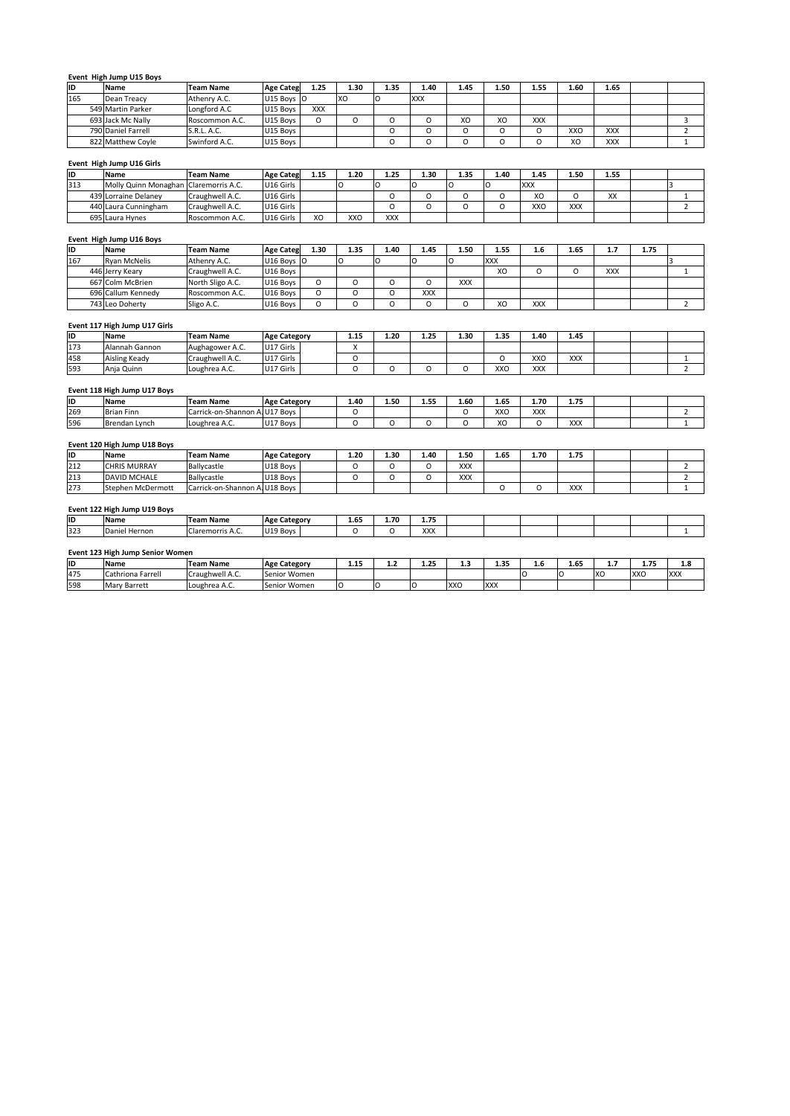# **High Jump U15 Boys** 790Hig

|     | Event High Jump U15 Boys              |                  |                  |            |      |          |            |          |      |            |      |            |   |
|-----|---------------------------------------|------------------|------------------|------------|------|----------|------------|----------|------|------------|------|------------|---|
| ID  | Name                                  | <b>Team Name</b> | <b>Age Categ</b> | 1.25       | 1.30 | 1.35     | 1.40       | 1.45     | 1.50 | 1.55       | 1.60 | 1.65       |   |
| 165 | Dean Treacy                           | Athenry A.C.     | U15 Boys O       |            | XO   | O        | <b>XXX</b> |          |      |            |      |            |   |
|     | 549 Martin Parker                     | Longford A.C     | U15 Boys         | <b>XXX</b> |      |          |            |          |      |            |      |            |   |
|     | 693 Jack Mc Nally                     | Roscommon A.C.   | U15 Boys         | $\circ$    | O    | $\Omega$ | O          | XO       | XO   | <b>XXX</b> |      |            | 3 |
|     | 790 Daniel Farrell                    | S.R.L. A.C.      | U15 Boys         |            |      | $\Omega$ | $\Omega$   | $\Omega$ | O    | O          | XXO  | <b>XXX</b> |   |
|     | 822 Matthew Coyle                     | Swinford A.C.    | U15 Boys         |            |      | $\Omega$ | O          | $\circ$  | O    | O          | XO   | XXX        |   |
|     |                                       |                  |                  |            |      |          |            |          |      |            |      |            |   |
|     | Event High Jump U16 Girls             |                  |                  |            |      |          |            |          |      |            |      |            |   |
| İID | Name                                  | <b>Team Name</b> | <b>Age Categ</b> | 1.15       | 1.20 | 1.25     | 1.30       | 1.35     | 1.40 | 1.45       | 1.50 | 1.55       |   |
| 313 | Molly Quinn Monaghan Claremorris A.C. |                  | U16 Girls        |            | n    |          |            |          | חו   | <b>XXX</b> |      |            |   |

|     | 790 Daniel Farrell                    | S.R.L. A.C.      | U15 Bovs                |      |      | O          | O        | O        | O          | O          | XXO        | <b>XXX</b> |      |  |
|-----|---------------------------------------|------------------|-------------------------|------|------|------------|----------|----------|------------|------------|------------|------------|------|--|
|     | 822 Matthew Coyle                     | Swinford A.C.    | U15 Boys                |      |      | Ω          | O        | O        | O          | O          | XO         | <b>XXX</b> |      |  |
|     |                                       |                  |                         |      |      |            |          |          |            |            |            |            |      |  |
|     | Event High Jump U16 Girls             |                  |                         |      |      |            |          |          |            |            |            |            |      |  |
| İID | <b>Name</b>                           | Team Name        | <b>Age Categ</b>        | 1.15 | 1.20 | 1.25       | 1.30     | 1.35     | 1.40       | 1.45       | 1.50       | 1.55       |      |  |
| 313 | Molly Quinn Monaghan Claremorris A.C. |                  | U16 Girls               |      |      |            |          |          |            | <b>XXX</b> |            |            |      |  |
|     | 439 Lorraine Delaney                  | Craughwell A.C.  | U16 Girls               |      |      | O          | $\Omega$ | $\Omega$ | O          | XO         | 0          | XX         |      |  |
|     | 440 Laura Cunningham                  | Craughwell A.C.  | U16 Girls               |      |      |            | $\Omega$ | $\Omega$ | O          | XXO        | <b>XXX</b> |            |      |  |
|     | 695 Laura Hynes                       | Roscommon A.C.   | U16 Girls               | XO   | XXO  | <b>XXX</b> |          |          |            |            |            |            |      |  |
|     |                                       |                  |                         |      |      |            |          |          |            |            |            |            |      |  |
|     | Event High Jump U16 Boys              |                  |                         |      |      |            |          |          |            |            |            |            |      |  |
| İID | Name                                  | <b>Team Name</b> | <b>Age Categ</b>        | 1.30 | 1.35 | 1.40       | 1.45     | 1.50     | 1.55       | 1.6        | 1.65       | 1.7        | 1.75 |  |
| 167 | <b>Ryan McNelis</b>                   | Athenry A.C.     | U <sub>16</sub> Boys 10 |      |      |            |          |          | <b>XXX</b> |            |            |            |      |  |

### Hig

|     | 440 Laura Cunningham          | Craughwell A.C.  | IU16 Girls          |          |            | Ο          | Ω          |            | o          | XXO        | XXX  |            |      |  |
|-----|-------------------------------|------------------|---------------------|----------|------------|------------|------------|------------|------------|------------|------|------------|------|--|
|     | 695 Laura Hynes               | Roscommon A.C.   | U16 Girls           | XO       | <b>XXO</b> | <b>XXX</b> |            |            |            |            |      |            |      |  |
|     | Event High Jump U16 Boys      |                  |                     |          |            |            |            |            |            |            |      |            |      |  |
| İID | Name                          | <b>Team Name</b> | <b>Age Categ</b>    | 1.30     | 1.35       | 1.40       | 1.45       | 1.50       | 1.55       | 1.6        | 1.65 | 1.7        | 1.75 |  |
| 167 | <b>Ryan McNelis</b>           | Athenry A.C.     | U16 Boys O          |          | O          |            |            |            | <b>XXX</b> |            |      |            |      |  |
|     | 446 Jerry Keary               | Craughwell A.C.  | U16 Boys            |          |            |            |            |            | XO         | O          | O    | <b>XXX</b> |      |  |
|     | 667 Colm McBrien              | North Sligo A.C. | U16 Bovs            | O        | O          | $\Omega$   | $\Omega$   | <b>XXX</b> |            |            |      |            |      |  |
|     | 696 Callum Kennedy            | Roscommon A.C.   | U16 Boys            | O        | O          | $\Omega$   | <b>XXX</b> |            |            |            |      |            |      |  |
|     | 743 Leo Doherty               | Sligo A.C.       | U16 Boys            | $\Omega$ | O          | $\Omega$   | O          | O          | XO         | <b>XXX</b> |      |            |      |  |
|     |                               |                  |                     |          |            |            |            |            |            |            |      |            |      |  |
|     | Event 117 High Jump U17 Girls |                  |                     |          |            |            |            |            |            |            |      |            |      |  |
| İID | Name                          | <b>Team Name</b> | <b>Age Category</b> |          | 1.15       | 1.20       | 1.25       | 1.30       | 1.35       | 1.40       | 1.45 |            |      |  |
| 173 | Alannah Gannon                | Aughagower A.C.  | U17 Girls           |          |            |            |            |            |            |            |      |            |      |  |

|            | 696 Callum Kennedy            | Roscommon A.C.                | U16 Boys            |          | Ω              |          | <b>XXX</b> |      |      |            |            |  |  |
|------------|-------------------------------|-------------------------------|---------------------|----------|----------------|----------|------------|------|------|------------|------------|--|--|
|            | 743 Leo Doherty               | Sligo A.C.                    | U16 Boys            | $\Omega$ | O              | $\Omega$ | O          | O    | XO   | <b>XXX</b> |            |  |  |
|            |                               |                               |                     |          |                |          |            |      |      |            |            |  |  |
|            | Event 117 High Jump U17 Girls |                               |                     |          |                |          |            |      |      |            |            |  |  |
| İID        | Name                          | <b>Team Name</b>              | <b>Age Category</b> |          | 1.15           | 1.20     | 1.25       | 1.30 | 1.35 | 1.40       | 1.45       |  |  |
| 173        | Alannah Gannon                | Aughagower A.C.               | U17 Girls           |          | $\lambda$<br>л |          |            |      |      |            |            |  |  |
| 458        | Aisling Keady                 | Craughwell A.C.               | U17 Girls           |          | O              |          |            |      | O    | XXO        | <b>XXX</b> |  |  |
| 593        | Anja Quinn                    | Loughrea A.C.                 | U17 Girls           |          | O              | $\Omega$ | O          | O    | XXO  | <b>XXX</b> |            |  |  |
|            |                               |                               |                     |          |                |          |            |      |      |            |            |  |  |
|            |                               |                               |                     |          |                |          |            |      |      |            |            |  |  |
|            | Event 118 High Jump U17 Boys  |                               |                     |          |                |          |            |      |      |            |            |  |  |
|            | Name                          | <b>Team Name</b>              | <b>Age Category</b> |          | 1.40           | 1.50     | 1.55       | 1.60 | 1.65 | 1.70       | 1.75       |  |  |
| IID<br>269 | Brian Finn                    | Carrick-on-Shannon A.U17 Boys |                     |          | O              |          |            | O    | XXO  | <b>XXX</b> |            |  |  |

### **ID**

| 458 | Aisling Keady                | Craughwell A.C.               | U17 Girls           | C    |      |      |            | O    | XXO        | <b>XXX</b> |  |  |
|-----|------------------------------|-------------------------------|---------------------|------|------|------|------------|------|------------|------------|--|--|
| 593 | Anja Quinn                   | Loughrea A.C.                 | U17 Girls           |      |      | Ω    | O          | XXO  | <b>XXX</b> |            |  |  |
|     | Event 118 High Jump U17 Boys |                               |                     |      |      |      |            |      |            |            |  |  |
| lıd | <b>Name</b>                  | <b>Team Name</b>              | <b>Age Category</b> | 1.40 | 1.50 | 1.55 | 1.60       | 1.65 | 1.70       | 1.75       |  |  |
| 269 | <b>Brian Finn</b>            | Carrick-on-Shannon A.U17 Bovs |                     |      |      |      | O          | XXO  | <b>XXX</b> |            |  |  |
| 596 | Brendan Lynch                | Loughrea A.C.                 | U17 Boys            |      |      | C    | O          | XO   | O          | XXX        |  |  |
|     | Event 120 High Jump U18 Boys |                               |                     |      |      |      |            |      |            |            |  |  |
| lıd | <b>Name</b>                  | <b>Team Name</b>              | <b>Age Category</b> | 1.20 | 1.30 | 1.40 | 1.50       | 1.65 | 1.70       | 1.75       |  |  |
| 212 | <b>CHRIS MURRAY</b>          | Ballycastle                   | U18 Boys            |      |      |      | <b>XXX</b> |      |            |            |  |  |

## **Event 120 High Jump U18 Boys**

| 269 | Brian Finn                   | Carrick-on-Shannon A.U17 Boys  |                     |      |      |            | $\Omega$   | XXO  | <b>XXX</b> |      |  |  |
|-----|------------------------------|--------------------------------|---------------------|------|------|------------|------------|------|------------|------|--|--|
| 596 | Brendan Lynch                | Loughrea A.C.                  | U17 Boys            |      |      | Ω          |            | XO   | O          | XXX  |  |  |
|     |                              |                                |                     |      |      |            |            |      |            |      |  |  |
|     | Event 120 High Jump U18 Boys |                                |                     |      |      |            |            |      |            |      |  |  |
| ID  | Name                         | <b>Team Name</b>               | <b>Age Category</b> | 1.20 | 1.30 | 1.40       | 1.50       | 1.65 | 1.70       | 1.75 |  |  |
| 212 | <b>CHRIS MURRAY</b>          | Ballycastle                    | U18 Boys            | U    | Ω    | O          | <b>XXX</b> |      |            |      |  |  |
| 213 | <b>DAVID MCHALE</b>          | Ballycastle                    | U18 Boys            |      |      | Ω          | XXX        |      |            |      |  |  |
| 273 | Stephen McDermott            | Carrick-on-Shannon A. U18 Boys |                     |      |      |            |            | O    | O          | XXX  |  |  |
|     |                              |                                |                     |      |      |            |            |      |            |      |  |  |
|     | Event 122 High Jump U19 Boys |                                |                     |      |      |            |            |      |            |      |  |  |
| İID | Name                         | <b>Team Name</b>               | <b>Age Category</b> | 1.65 | 1.70 | 1.75       |            |      |            |      |  |  |
| 323 | Daniel Hernon                | Claremorris A.C.               | U19 Boys            |      |      | <b>XXX</b> |            |      |            |      |  |  |

### Eve

|     | Event 122 High Jump U19 Boys     |                  |                     |      |      |            |     |      |     |      |            |            |            |
|-----|----------------------------------|------------------|---------------------|------|------|------------|-----|------|-----|------|------------|------------|------------|
| ID  | Name                             | Team Name        | <b>Age Category</b> | 1.65 | 1.70 | 1.75       |     |      |     |      |            |            |            |
| 323 | Daniel Hernon                    | Claremorris A.C. | U19 Boys            |      |      | <b>XXX</b> |     |      |     |      |            |            |            |
|     |                                  |                  |                     |      |      |            |     |      |     |      |            |            |            |
|     | Event 123 High Jump Senior Women |                  |                     |      |      |            |     |      |     |      |            |            |            |
| ID  | Name                             | Team Name        | <b>Age Category</b> | 1.15 | 1.2  | 1.25       | 1.3 | 1.35 | 1.6 | 1.65 | 1.7        | 1.75       | 1.8        |
| 475 | Cathriona Farrell                | Craughwell A.C.  | Senior Women        |      |      |            |     |      |     |      | <b>IXC</b> | <b>XXO</b> | <b>XXX</b> |

## **<sup>123</sup> High Jump Senior Women**

| ID  | Name                             | Team Name        | <b>Age Category</b> | 1.65 | 1.70 | 1.75 |            |            |     |      |            |            |            |
|-----|----------------------------------|------------------|---------------------|------|------|------|------------|------------|-----|------|------------|------------|------------|
| 323 | Daniel Hernon                    | Claremorris A.C. | U19 Bovs            |      |      | XXX  |            |            |     |      |            |            |            |
|     | Event 123 High Jump Senior Women |                  |                     |      |      |      |            |            |     |      |            |            |            |
| ID  | Name                             | <b>Team Name</b> | <b>Age Category</b> | 1.15 | 1.2  | 1.25 | 1.3        | 1.35       | 1.6 | 1.65 | 1.7        | 1.75       | 1.8        |
| 475 | Cathriona Farrell                | Craughwell A.C.  | Senior Women        |      |      |      |            |            |     |      | <b>IXC</b> | <b>XXO</b> | <b>XXX</b> |
| 598 | Mary Barrett                     | Loughrea A.C.    | Senior Women        |      | ١o   |      | <b>XXO</b> | <b>XXX</b> |     |      |            |            |            |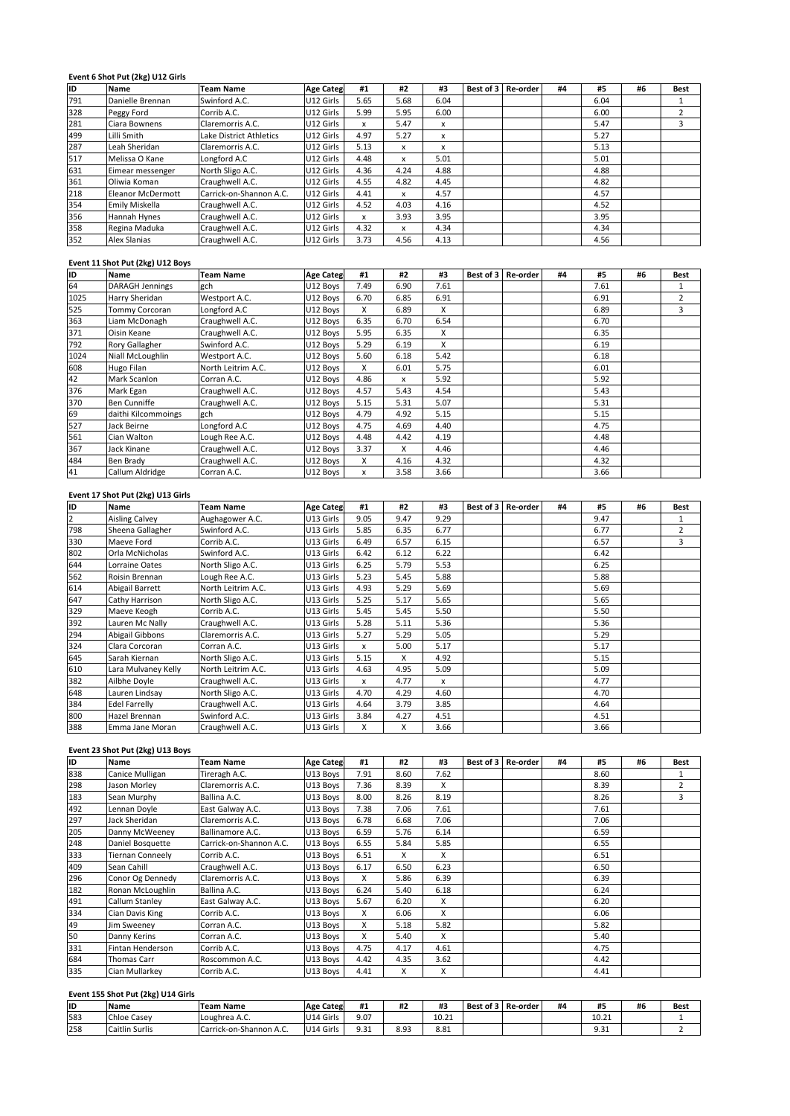# **<sup>6</sup> Shot Put (2kg) U12 Girls** 499<u>Eve</u>

| ID  | Event 6 Shot Put (2kg) U12 Girls<br><b>Name</b> | <b>Team Name</b>        | <b>Age Categ</b> | #1   | #2   | #3   | Best of 3 | Re-order | #4 | #5   | #6 | <b>Best</b>    |
|-----|-------------------------------------------------|-------------------------|------------------|------|------|------|-----------|----------|----|------|----|----------------|
| 791 | Danielle Brennan                                | Swinford A.C.           | U12 Girls        | 5.65 | 5.68 | 6.04 |           |          |    | 6.04 |    | 1              |
| 328 | Peggy Ford                                      | Corrib A.C.             | U12 Girls        | 5.99 | 5.95 | 6.00 |           |          |    | 6.00 |    | $\overline{2}$ |
| 281 | Ciara Bownens                                   | Claremorris A.C.        | U12 Girls        | x    | 5.47 | x    |           |          |    | 5.47 |    | 3              |
| 499 | Lilli Smith                                     | Lake District Athletics | U12 Girls        | 4.97 | 5.27 | x    |           |          |    | 5.27 |    |                |
| 287 | Leah Sheridan                                   | Claremorris A.C.        | U12 Girls        | 5.13 | x    | X    |           |          |    | 5.13 |    |                |
| 517 | Melissa O Kane                                  | Longford A.C            | U12 Girls        | 4.48 | x    | 5.01 |           |          |    | 5.01 |    |                |
| 631 | Eimear messenger                                | North Sligo A.C.        | U12 Girls        | 4.36 | 4.24 | 4.88 |           |          |    | 4.88 |    |                |
| 361 | Oliwia Koman                                    | Craughwell A.C.         | U12 Girls        | 4.55 | 4.82 | 4.45 |           |          |    | 4.82 |    |                |
| 218 | <b>Eleanor McDermott</b>                        | Carrick-on-Shannon A.C. | U12 Girls        | 4.41 | x    | 4.57 |           |          |    | 4.57 |    |                |
| 354 | Emily Miskella                                  | Craughwell A.C.         | U12 Girls        | 4.52 | 4.03 | 4.16 |           |          |    | 4.52 |    |                |
| 356 | Hannah Hynes                                    | Craughwell A.C.         | U12 Girls        | x    | 3.93 | 3.95 |           |          |    | 3.95 |    |                |
| 358 | Regina Maduka                                   | Craughwell A.C.         | U12 Girls        | 4.32 | x    | 4.34 |           |          |    | 4.34 |    |                |
| 352 | Alex Slanias                                    | Craughwell A.C.         | U12 Girls        | 3.73 | 4.56 | 4.13 |           |          |    | 4.56 |    |                |
|     | Event 11 Shot Put (2kg) U12 Boys                |                         |                  |      |      |      |           |          |    |      |    |                |
| ID  | <b>Name</b>                                     | <b>Team Name</b>        | <b>Age Categ</b> | #1   | #2   | #3   | Best of 3 | Re-order | #4 | #5   | #6 | <b>Best</b>    |
| 64  | DARAGH Jennings                                 | gch                     | U12 Boys         | 7.49 | 6.90 | 7.61 |           |          |    | 7.61 |    |                |

### Eve

| 358  | Regina Maduka                                   | Craughwell A.C.    | U12 Girls        | 4.32 | x    | 4.34 |           |          |    | 4.34 |    |                |
|------|-------------------------------------------------|--------------------|------------------|------|------|------|-----------|----------|----|------|----|----------------|
| 352  | <b>Alex Slanias</b>                             | Craughwell A.C.    | U12 Girls        | 3.73 | 4.56 | 4.13 |           |          |    | 4.56 |    |                |
|      |                                                 |                    |                  |      |      |      |           |          |    |      |    |                |
| ID   | Event 11 Shot Put (2kg) U12 Boys<br><b>Name</b> | <b>Team Name</b>   | <b>Age Categ</b> | #1   | #2   | #3   | Best of 3 | Re-order | #4 | #5   | #6 | <b>Best</b>    |
| 64   | <b>DARAGH Jennings</b>                          | gch                | U12 Boys         | 7.49 | 6.90 | 7.61 |           |          |    | 7.61 |    | -1             |
| 1025 | Harry Sheridan                                  | Westport A.C.      | U12 Bovs         | 6.70 | 6.85 | 6.91 |           |          |    | 6.91 |    | 2              |
| 525  | Tommy Corcoran                                  | Longford A.C       | U12 Boys         | X    | 6.89 | X    |           |          |    | 6.89 |    | $\overline{3}$ |
| 363  | Liam McDonagh                                   | Craughwell A.C.    | U12 Boys         | 6.35 | 6.70 | 6.54 |           |          |    | 6.70 |    |                |
| 371  | Oisin Keane                                     | Craughwell A.C.    | U12 Bovs         | 5.95 | 6.35 | X    |           |          |    | 6.35 |    |                |
| 792  | Rory Gallagher                                  | Swinford A.C.      | U12 Boys         | 5.29 | 6.19 | X    |           |          |    | 6.19 |    |                |
| 1024 | Niall McLoughlin                                | Westport A.C.      | U12 Boys         | 5.60 | 6.18 | 5.42 |           |          |    | 6.18 |    |                |
| 608  | Hugo Filan                                      | North Leitrim A.C. | U12 Boys         | X    | 6.01 | 5.75 |           |          |    | 6.01 |    |                |
| 42   | <b>Mark Scanlon</b>                             | Corran A.C.        | U12 Boys         | 4.86 | x    | 5.92 |           |          |    | 5.92 |    |                |
| 376  | Mark Egan                                       | Craughwell A.C.    | U12 Boys         | 4.57 | 5.43 | 4.54 |           |          |    | 5.43 |    |                |
| 370  | <b>Ben Cunniffe</b>                             | Craughwell A.C.    | U12 Boys         | 5.15 | 5.31 | 5.07 |           |          |    | 5.31 |    |                |
| 69   | daithi Kilcommoings                             | gch                | U12 Boys         | 4.79 | 4.92 | 5.15 |           |          |    | 5.15 |    |                |
| 527  | Jack Beirne                                     | Longford A.C       | U12 Boys         | 4.75 | 4.69 | 4.40 |           |          |    | 4.75 |    |                |
| 561  | Cian Walton                                     | Lough Ree A.C.     | U12 Boys         | 4.48 | 4.42 | 4.19 |           |          |    | 4.48 |    |                |
| 367  | Jack Kinane                                     | Craughwell A.C.    | U12 Boys         | 3.37 | x    | 4.46 |           |          |    | 4.46 |    |                |
| 484  | Ben Brady                                       | Craughwell A.C.    | U12 Boys         | X    | 4.16 | 4.32 |           |          |    | 4.32 |    |                |
| 41   | Callum Aldridge                                 | Corran A.C.        | U12 Boys         | x    | 3.58 | 3.66 |           |          |    | 3.66 |    |                |
|      |                                                 |                    |                  |      |      |      |           |          |    |      |    |                |
|      | Event 17 Shot Put (2kg) U13 Girls               |                    |                  |      |      |      |           |          |    |      |    |                |
| ID   | <b>Name</b>                                     | <b>Team Name</b>   | <b>Age Categ</b> | #1   | #2   | #3   | Best of 3 | Re-order | #4 | #5   | #6 | <b>Best</b>    |
| 12   | <b>Aisling Calvey</b>                           | Aughagower A.C.    | U13 Girls        | 9.05 | 9.47 | 9.29 |           |          |    | 9.47 |    |                |

### Eve

|                | Ben Brady                         | Craughwell A.C.    | U12 Boys         | X            | 4.16 | 4.32 |           |          |    | 4.32 |    |                |
|----------------|-----------------------------------|--------------------|------------------|--------------|------|------|-----------|----------|----|------|----|----------------|
| 484<br>41      | Callum Aldridge                   | Corran A.C.        | U12 Boys         | x            | 3.58 | 3.66 |           |          |    | 3.66 |    |                |
|                |                                   |                    |                  |              |      |      |           |          |    |      |    |                |
|                | Event 17 Shot Put (2kg) U13 Girls |                    |                  |              |      |      |           |          |    |      |    |                |
| ID             | <b>Name</b>                       | <b>Team Name</b>   | <b>Age Categ</b> | #1           | #2   | #3   | Best of 3 | Re-order | #4 | #5   | #6 | <b>Best</b>    |
| $\overline{2}$ | <b>Aisling Calvey</b>             | Aughagower A.C.    | U13 Girls        | 9.05         | 9.47 | 9.29 |           |          |    | 9.47 |    | $\mathbf{1}$   |
| 798            | Sheena Gallagher                  | Swinford A.C.      | U13 Girls        | 5.85         | 6.35 | 6.77 |           |          |    | 6.77 |    | $\overline{2}$ |
| 330            | Maeve Ford                        | Corrib A.C.        | U13 Girls        | 6.49         | 6.57 | 6.15 |           |          |    | 6.57 |    | 3              |
| 802            | Orla McNicholas                   | Swinford A.C.      | U13 Girls        | 6.42         | 6.12 | 6.22 |           |          |    | 6.42 |    |                |
| 644            | Lorraine Oates                    | North Sligo A.C.   | U13 Girls        | 6.25         | 5.79 | 5.53 |           |          |    | 6.25 |    |                |
| 562            | Roisin Brennan                    | Lough Ree A.C.     | U13 Girls        | 5.23         | 5.45 | 5.88 |           |          |    | 5.88 |    |                |
| 614            | Abigail Barrett                   | North Leitrim A.C. | U13 Girls        | 4.93         | 5.29 | 5.69 |           |          |    | 5.69 |    |                |
| 647            | Cathy Harrison                    | North Sligo A.C.   | U13 Girls        | 5.25         | 5.17 | 5.65 |           |          |    | 5.65 |    |                |
| 329            | Maeve Keogh                       | Corrib A.C.        | U13 Girls        | 5.45         | 5.45 | 5.50 |           |          |    | 5.50 |    |                |
| 392            | Lauren Mc Nally                   | Craughwell A.C.    | U13 Girls        | 5.28         | 5.11 | 5.36 |           |          |    | 5.36 |    |                |
| 294            | <b>Abigail Gibbons</b>            | Claremorris A.C.   | U13 Girls        | 5.27         | 5.29 | 5.05 |           |          |    | 5.29 |    |                |
| 324            | Clara Corcoran                    | Corran A.C.        | U13 Girls        | x            | 5.00 | 5.17 |           |          |    | 5.17 |    |                |
| 645            | Sarah Kiernan                     | North Sligo A.C.   | U13 Girls        | 5.15         | X    | 4.92 |           |          |    | 5.15 |    |                |
| 610            | Lara Mulvanev Kelly               | North Leitrim A.C. | U13 Girls        | 4.63         | 4.95 | 5.09 |           |          |    | 5.09 |    |                |
|                | Ailbhe Doyle                      | Craughwell A.C.    | U13 Girls        | $\mathsf{x}$ | 4.77 | x    |           |          |    | 4.77 |    |                |
| 382<br>648     | Lauren Lindsay                    | North Sligo A.C.   | U13 Girls        | 4.70         | 4.29 | 4.60 |           |          |    | 4.70 |    |                |
| 384            | <b>Edel Farrelly</b>              | Craughwell A.C.    | U13 Girls        | 4.64         | 3.79 | 3.85 |           |          |    | 4.64 |    |                |
| 800            | <b>Hazel Brennan</b>              | Swinford A.C.      | U13 Girls        | 3.84         | 4.27 | 4.51 |           |          |    | 4.51 |    |                |
| 388            | Emma Jane Moran                   | Craughwell A.C.    | U13 Girls        | X            | X    | 3.66 |           |          |    | 3.66 |    |                |
|                |                                   |                    |                  |              |      |      |           |          |    |      |    |                |
|                | Event 23 Shot Put (2kg) U13 Boys  |                    |                  |              |      |      |           |          |    |      |    |                |
| ID             | <b>Name</b>                       | <b>Team Name</b>   | <b>Age Categ</b> | #1           | #2   | #3   | Best of 3 | Re-order | #4 | #5   | #6 | Best           |
| 838            | Canice Mulligan                   | Tireragh A.C.      | U13 Boys         | 7.91         | 8.60 | 7.62 |           |          |    | 8.60 |    | -1             |

### Eve

| 800 | Hazel Brennan                      | Swinford A.C.           | U13 Girls        | 3.84 | 4.27 | 4.51  |           |          |    | 4.51  |    |                |
|-----|------------------------------------|-------------------------|------------------|------|------|-------|-----------|----------|----|-------|----|----------------|
| 388 | Emma Jane Moran                    | Craughwell A.C.         | U13 Girls        | X    | X    | 3.66  |           |          |    | 3.66  |    |                |
|     |                                    |                         |                  |      |      |       |           |          |    |       |    |                |
|     | Event 23 Shot Put (2kg) U13 Boys   |                         |                  |      |      |       |           |          |    |       |    |                |
| ID  | <b>Name</b>                        | <b>Team Name</b>        | <b>Age Categ</b> | #1   | #2   | #3    | Best of 3 | Re-order | #4 | #5    | #6 | <b>Best</b>    |
| 838 | Canice Mulligan                    | Tireragh A.C.           | U13 Boys         | 7.91 | 8.60 | 7.62  |           |          |    | 8.60  |    | 1              |
| 298 | Jason Morlev                       | Claremorris A.C.        | U13 Boys         | 7.36 | 8.39 | X     |           |          |    | 8.39  |    | $\overline{2}$ |
| 183 | Sean Murphy                        | Ballina A.C.            | U13 Boys         | 8.00 | 8.26 | 8.19  |           |          |    | 8.26  |    | 3              |
| 492 | Lennan Doyle                       | East Galway A.C.        | U13 Boys         | 7.38 | 7.06 | 7.61  |           |          |    | 7.61  |    |                |
| 297 | Jack Sheridan                      | Claremorris A.C.        | U13 Boys         | 6.78 | 6.68 | 7.06  |           |          |    | 7.06  |    |                |
| 205 | Danny McWeeney                     | Ballinamore A.C.        | U13 Boys         | 6.59 | 5.76 | 6.14  |           |          |    | 6.59  |    |                |
| 248 | Daniel Bosquette                   | Carrick-on-Shannon A.C. | U13 Boys         | 6.55 | 5.84 | 5.85  |           |          |    | 6.55  |    |                |
| 333 | <b>Tiernan Conneely</b>            | Corrib A.C.             | U13 Boys         | 6.51 | x    | X     |           |          |    | 6.51  |    |                |
| 409 | Sean Cahill                        | Craughwell A.C.         | U13 Boys         | 6.17 | 6.50 | 6.23  |           |          |    | 6.50  |    |                |
| 296 | Conor Og Dennedy                   | Claremorris A.C.        | U13 Boys         | X    | 5.86 | 6.39  |           |          |    | 6.39  |    |                |
| 182 | Ronan McLoughlin                   | Ballina A.C.            | U13 Boys         | 6.24 | 5.40 | 6.18  |           |          |    | 6.24  |    |                |
| 491 | Callum Stanley                     | East Galway A.C.        | U13 Boys         | 5.67 | 6.20 | X     |           |          |    | 6.20  |    |                |
| 334 | Cian Davis King                    | Corrib A.C.             | U13 Boys         | X    | 6.06 | X     |           |          |    | 6.06  |    |                |
| 49  | Jim Sweenev                        | Corran A.C.             | U13 Boys         | X    | 5.18 | 5.82  |           |          |    | 5.82  |    |                |
| 50  | Danny Kerins                       | Corran A.C.             | U13 Boys         | X    | 5.40 | X     |           |          |    | 5.40  |    |                |
| 331 | Fintan Henderson                   | Corrib A.C.             | U13 Boys         | 4.75 | 4.17 | 4.61  |           |          |    | 4.75  |    |                |
| 684 | <b>Thomas Carr</b>                 | Roscommon A.C.          | U13 Boys         | 4.42 | 4.35 | 3.62  |           |          |    | 4.42  |    |                |
| 335 | Cian Mullarkey                     | Corrib A.C.             | U13 Boys         | 4.41 | x    | X     |           |          |    | 4.41  |    |                |
|     |                                    |                         |                  |      |      |       |           |          |    |       |    |                |
|     | Event 155 Shot Put (2kg) U14 Girls |                         |                  |      |      |       |           |          |    |       |    |                |
| ID  | <b>Name</b>                        | <b>Team Name</b>        | <b>Age Categ</b> | #1   | #2   | #3    | Best of 3 | Re-order | #4 | #5    | #6 | <b>Best</b>    |
| 583 | Chloe Casey                        | Loughrea A.C.           | U14 Girls        | 9.07 |      | 10.21 |           |          |    | 10.21 |    |                |

# **<sup>155</sup> Shot Put (2kg) U14 Girls**

| 684 | Thomas Carr                        | Roscommon A.C.          | U13 Boys         | 4.42 | 4.35      | 3.62      |                      |    | 4.42  |    |             |
|-----|------------------------------------|-------------------------|------------------|------|-----------|-----------|----------------------|----|-------|----|-------------|
| 335 | Cian Mullarkev                     | Corrib A.C.             | U13 Boys         | 4.41 | $\lambda$ | $\lambda$ |                      |    | 4.41  |    |             |
|     | Event 155 Shot Put (2kg) U14 Girls |                         |                  |      |           |           |                      |    |       |    |             |
| lid | <b>Name</b>                        | <b>Team Name</b>        | <b>Age Categ</b> | #1   | #2        | #3        | Best of 3   Re-order | #4 | #5    | #6 | <b>Best</b> |
| 583 | Chloe Casev                        | Loughrea A.C.           | U14 Girls        | 9.07 |           | 10.21     |                      |    | 10.21 |    |             |
| 258 | <b>Caitlin Surlis</b>              | Carrick-on-Shannon A.C. | U14 Girls        | 9.31 | 8.93      | 8.81      |                      |    | 9.31  |    |             |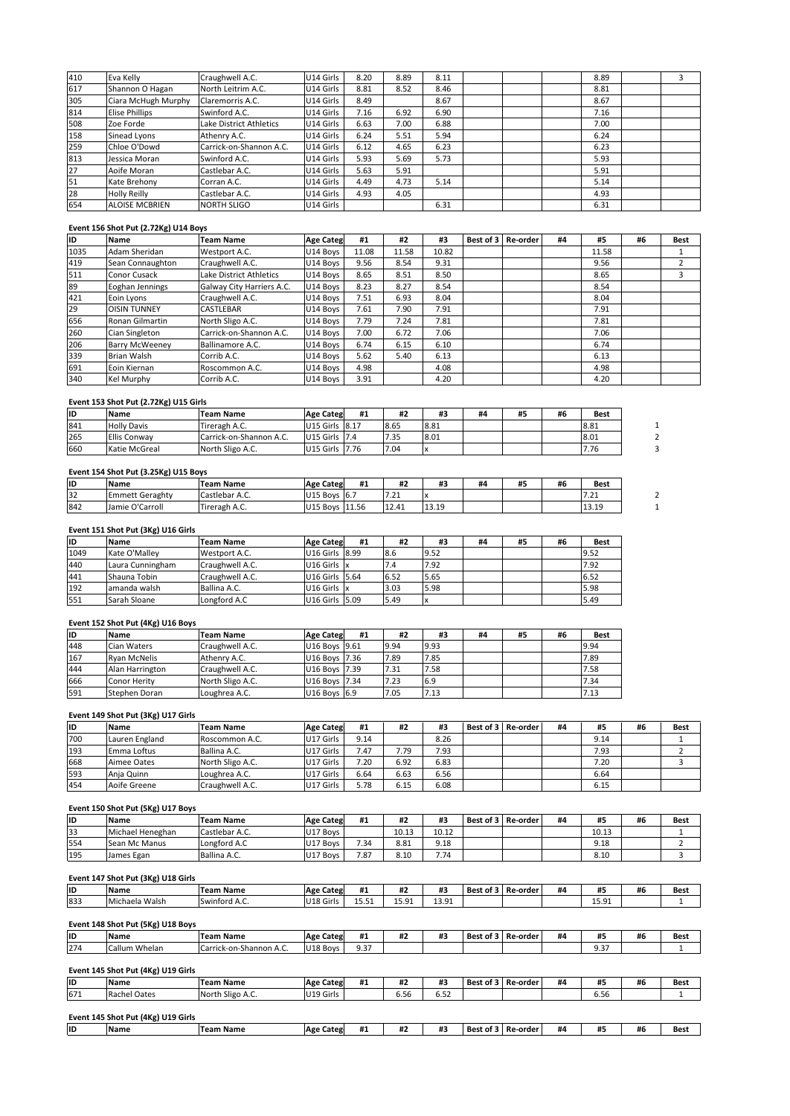| 1035 | Adam Sheridan                        | Westport A.C.           | U14 Boys         | 11.08 | 11.58 | 10.82 |           |          |    | 11.58 |    |      |
|------|--------------------------------------|-------------------------|------------------|-------|-------|-------|-----------|----------|----|-------|----|------|
| ID   | <b>Name</b>                          | Team Name               | <b>Age Categ</b> | #1    | #2    | #3    | Best of 3 | Re-order | #4 | #5    | #6 | Best |
|      | Event 156 Shot Put (2.72Kg) U14 Boys |                         |                  |       |       |       |           |          |    |       |    |      |
| 654  | <b>ALOISE MCBRIEN</b>                | <b>NORTH SLIGO</b>      | U14 Girls        |       |       | 6.31  |           |          |    | 6.31  |    |      |
| 28   | <b>Holly Reilly</b>                  | Castlebar A.C.          | U14 Girls        | 4.93  | 4.05  |       |           |          |    | 4.93  |    |      |
| 51   | Kate Brehony                         | Corran A.C.             | U14 Girls        | 4.49  | 4.73  | 5.14  |           |          |    | 5.14  |    |      |
| 27   | Aoife Moran                          | Castlebar A.C.          | U14 Girls        | 5.63  | 5.91  |       |           |          |    | 5.91  |    |      |
| 813  | Jessica Moran                        | Swinford A.C.           | U14 Girls        | 5.93  | 5.69  | 5.73  |           |          |    | 5.93  |    |      |
| 259  | Chloe O'Dowd                         | Carrick-on-Shannon A.C. | U14 Girls        | 6.12  | 4.65  | 6.23  |           |          |    | 6.23  |    |      |
| 158  | Sinead Lyons                         | Athenry A.C.            | U14 Girls        | 6.24  | 5.51  | 5.94  |           |          |    | 6.24  |    |      |
| 508  | Zoe Forde                            | Lake District Athletics | U14 Girls        | 6.63  | 7.00  | 6.88  |           |          |    | 7.00  |    |      |
| 814  | <b>Elise Phillips</b>                | Swinford A.C.           | U14 Girls        | 7.16  | 6.92  | 6.90  |           |          |    | 7.16  |    |      |
| 305  | Ciara McHugh Murphy                  | Claremorris A.C.        | U14 Girls        | 8.49  |       | 8.67  |           |          |    | 8.67  |    |      |
| 617  | Shannon O Hagan                      | North Leitrim A.C.      | U14 Girls        | 8.81  | 8.52  | 8.46  |           |          |    | 8.81  |    |      |
| 410  | Eva Kelly                            | Craughwell A.C.         | U14 Girls        | 8.20  | 8.89  | 8.11  |           |          |    | 8.89  |    | 3    |

### Eve

| 28   | <b>Holly Reilly</b>                   | Castlebar A.C.            | U14 Girls        | 4.93  | 4.05  |       |           |          |    | 4.93  |    |                |
|------|---------------------------------------|---------------------------|------------------|-------|-------|-------|-----------|----------|----|-------|----|----------------|
| 654  | <b>ALOISE MCBRIEN</b>                 | <b>NORTH SLIGO</b>        | U14 Girls        |       |       | 6.31  |           |          |    | 6.31  |    |                |
|      |                                       |                           |                  |       |       |       |           |          |    |       |    |                |
|      | Event 156 Shot Put (2.72Kg) U14 Boys  |                           |                  |       |       |       |           |          |    |       |    |                |
| ID   | <b>Name</b>                           | <b>Team Name</b>          | <b>Age Categ</b> | #1    | #2    | #3    | Best of 3 | Re-order | #4 | #5    | #6 | Best           |
| 1035 | Adam Sheridan                         | Westport A.C.             | U14 Boys         | 11.08 | 11.58 | 10.82 |           |          |    | 11.58 |    |                |
| 419  | Sean Connaughton                      | Craughwell A.C.           | U14 Boys         | 9.56  | 8.54  | 9.31  |           |          |    | 9.56  |    | $\overline{2}$ |
| 511  | Conor Cusack                          | Lake District Athletics   | U14 Boys         | 8.65  | 8.51  | 8.50  |           |          |    | 8.65  |    | 3              |
| 89   | Eoghan Jennings                       | Galway City Harriers A.C. | U14 Boys         | 8.23  | 8.27  | 8.54  |           |          |    | 8.54  |    |                |
| 421  | Eoin Lyons                            | Craughwell A.C.           | U14 Boys         | 7.51  | 6.93  | 8.04  |           |          |    | 8.04  |    |                |
| 29   | <b>OISIN TUNNEY</b>                   | CASTLEBAR                 | U14 Boys         | 7.61  | 7.90  | 7.91  |           |          |    | 7.91  |    |                |
| 656  | Ronan Gilmartin                       | North Sligo A.C.          | U14 Boys         | 7.79  | 7.24  | 7.81  |           |          |    | 7.81  |    |                |
| 260  | Cian Singleton                        | Carrick-on-Shannon A.C.   | U14 Boys         | 7.00  | 6.72  | 7.06  |           |          |    | 7.06  |    |                |
| 206  | <b>Barry McWeeney</b>                 | Ballinamore A.C.          | U14 Boys         | 6.74  | 6.15  | 6.10  |           |          |    | 6.74  |    |                |
| 339  | <b>Brian Walsh</b>                    | Corrib A.C.               | U14 Boys         | 5.62  | 5.40  | 6.13  |           |          |    | 6.13  |    |                |
| 691  | Eoin Kiernan                          | Roscommon A.C.            | U14 Boys         | 4.98  |       | 4.08  |           |          |    | 4.98  |    |                |
| 340  | Kel Murphy                            | Corrib A.C.               | U14 Boys         | 3.91  |       | 4.20  |           |          |    | 4.20  |    |                |
|      |                                       |                           |                  |       |       |       |           |          |    |       |    |                |
|      | Event 153 Shot Put (2.72Kg) U15 Girls |                           |                  |       |       |       |           |          |    |       |    |                |
| ID   | Name                                  | <b>Team Name</b>          | <b>Age Categ</b> | #1    | #2    | #3    | #4        | #5       | #6 | Best  |    |                |
| 841  | <b>Holly Davis</b>                    | Tireragh A.C.             | U15 Girls 8.17   |       | 8.65  | 8.81  |           |          |    | 8.81  |    |                |

| 691      | Eoin Kiernan                          | Roscommon A.C.          | U14 Boys         | 4.98 |      | 4.08 |    |    |    | 4.98 |   |
|----------|---------------------------------------|-------------------------|------------------|------|------|------|----|----|----|------|---|
| 340      | Kel Murphy                            | Corrib A.C.             | U14 Boys         | 3.91 |      | 4.20 |    |    |    | 4.20 |   |
|          |                                       |                         |                  |      |      |      |    |    |    |      |   |
|          | Event 153 Shot Put (2.72Kg) U15 Girls |                         |                  |      |      |      |    |    |    |      |   |
| ID       | <b>Name</b>                           | <b>Team Name</b>        | <b>Age Categ</b> | #1   | #2   | #3   | #4 | #5 | #6 | Best |   |
| 841      | <b>Holly Davis</b>                    | Tireragh A.C.           | U15 Girls 8.17   |      | 8.65 | 8.81 |    |    |    | 8.81 |   |
| 265      | <b>Ellis Conway</b>                   | Carrick-on-Shannon A.C. | U15 Girls 7.4    |      | 7.35 | 8.01 |    |    |    | 8.01 |   |
|          |                                       |                         |                  |      |      |      |    |    |    |      |   |
| 660      | Katie McGreal                         | North Sligo A.C.        | U15 Girls 7.76   |      | 7.04 |      |    |    |    | 7.76 | 3 |
|          |                                       |                         |                  |      |      |      |    |    |    |      |   |
|          | Event 154 Shot Put (3.25Kg) U15 Boys  |                         |                  |      |      |      |    |    |    |      |   |
|          | <b>Name</b>                           | <b>Team Name</b>        | <b>Age Categ</b> | #1   | #2   | #3   | #4 | #5 | #6 | Best |   |
| ID<br>32 | <b>Emmett Geraghty</b>                | Castlebar A.C.          | U15 Boys 6.7     |      | 7.21 |      |    |    |    | 7.21 |   |

### **ID**

| 265  | <b>Ellis Conway</b>                  | Carrick-on-Shannon A.C. | U15 Girls 7.4              |    | 7.35  | 8.01  |    |    |    | 8.01  |  |
|------|--------------------------------------|-------------------------|----------------------------|----|-------|-------|----|----|----|-------|--|
| 660  | Katie McGreal                        | North Sligo A.C.        | U15 Girls 7.76             |    | 7.04  |       |    |    |    | 7.76  |  |
|      |                                      |                         |                            |    |       |       |    |    |    |       |  |
|      | Event 154 Shot Put (3.25Kg) U15 Boys |                         |                            |    |       |       |    |    |    |       |  |
| ID   | <b>Name</b>                          | <b>Team Name</b>        | <b>Age Categ</b>           | #1 | #2    | #3    | #4 | #5 | #6 | Best  |  |
| 32   | <b>Emmett Geraghty</b>               | Castlebar A.C.          | U15 Boys 6.7               |    | 7.21  |       |    |    |    | 7.21  |  |
| 842  | Jamie O'Carroll                      | Tireragh A.C.           | U15 Boys 11.56             |    | 12.41 | 13.19 |    |    |    | 13.19 |  |
|      |                                      |                         |                            |    |       |       |    |    |    |       |  |
|      | Event 151 Shot Put (3Kg) U16 Girls   |                         |                            |    |       |       |    |    |    |       |  |
| ID   | <b>Name</b>                          | <b>Team Name</b>        | <b>Age Categ</b>           | #1 | #2    | #3    | #4 | #5 | #6 | Best  |  |
| 1049 | Kate O'Malley                        | Westport A.C.           | U <sub>16</sub> Girls 8.99 |    | 8.6   | 9.52  |    |    |    | 9.52  |  |

### Eve

| 32        | <b>Emmett Geraghty</b>             | Castlebar A.C.   | U15 Boys 6.7     |      | 7.21  | $\boldsymbol{\mathsf{x}}$ |    |    |    | 7.21        |
|-----------|------------------------------------|------------------|------------------|------|-------|---------------------------|----|----|----|-------------|
| 842       | Jamie O'Carroll                    | Tireragh A.C.    | U15 Boys 11.56   |      | 12.41 | 13.19                     |    |    |    | 13.19       |
|           | Event 151 Shot Put (3Kg) U16 Girls |                  |                  |      |       |                           |    |    |    |             |
| lıp.      | <b>Name</b>                        | <b>Team Name</b> | <b>Age Categ</b> | #1   | #2    | #3                        | #4 | #5 | #6 | <b>Best</b> |
| 1049      | Kate O'Mallev                      | Westport A.C.    | U16 Girls 8.99   |      | 8.6   | 9.52                      |    |    |    | 9.52        |
| 440       | Laura Cunningham                   | Craughwell A.C.  | U16 Girls        |      | 7.4   | 7.92                      |    |    |    | 7.92        |
| 441       | Shauna Tobin                       | Craughwell A.C.  | U16 Girls        | 5.64 | 6.52  | 5.65                      |    |    |    | 6.52        |
| 192       | amanda walsh                       | Ballina A.C.     | U16 Girls   x    |      | 3.03  | 5.98                      |    |    |    | 5.98        |
| 551       | Sarah Sloane                       | Longford A.C     | U16 Girls 5.09   |      | 5.49  | х                         |    |    |    | 5.49        |
|           |                                    |                  |                  |      |       |                           |    |    |    |             |
|           | Event 152 Shot Put (4Kg) U16 Boys  |                  |                  |      |       |                           |    |    |    |             |
| <b>ID</b> | <b>Name</b>                        | <b>Team Name</b> | <b>Age Categ</b> | #1   | #2    | #3                        | #4 | #5 | #6 | <b>Best</b> |
| 448       | Cian Waters                        | Craughwell A.C.  | U16 Boys 9.61    |      | 9.94  | 9.93                      |    |    |    | 9.94        |

### Eve

| 192 | amanda walsh                       | Ballina A.C.     | U16 Girls x      |      | 3.03 | 5.98 |           |          |    | 5.98 |    |      |
|-----|------------------------------------|------------------|------------------|------|------|------|-----------|----------|----|------|----|------|
| 551 | Sarah Sloane                       | Longford A.C     | U16 Girls 5.09   |      | 5.49 |      |           |          |    | 5.49 |    |      |
|     |                                    |                  |                  |      |      |      |           |          |    |      |    |      |
|     | Event 152 Shot Put (4Kg) U16 Boys  |                  |                  |      |      |      |           |          |    |      |    |      |
| ID  | <b>Name</b>                        | <b>Team Name</b> | <b>Age Categ</b> | #1   | #2   | #3   | #4        | #5       | #6 | Best |    |      |
| 448 | Cian Waters                        | Craughwell A.C.  | U16 Boys 9.61    |      | 9.94 | 9.93 |           |          |    | 9.94 |    |      |
| 167 | <b>Ryan McNelis</b>                | Athenry A.C.     | U16 Boys 7.36    |      | 7.89 | 7.85 |           |          |    | 7.89 |    |      |
| 444 | Alan Harrington                    | Craughwell A.C.  | U16 Boys 7.39    |      | 7.31 | 7.58 |           |          |    | 7.58 |    |      |
| 666 | <b>Conor Herity</b>                | North Sligo A.C. | U16 Boys 7.34    |      | 7.23 | 6.9  |           |          |    | 7.34 |    |      |
| 591 | Stephen Doran                      | Loughrea A.C.    | U16 Boys 6.9     |      | 7.05 | 7.13 |           |          |    | 7.13 |    |      |
|     |                                    |                  |                  |      |      |      |           |          |    |      |    |      |
|     | Event 149 Shot Put (3Kg) U17 Girls |                  |                  |      |      |      |           |          |    |      |    |      |
| ID  | <b>Name</b>                        | <b>Team Name</b> | <b>Age Categ</b> | #1   | #2   | #3   | Best of 3 | Re-order | #4 | #5   | #6 | Best |
| 700 | Lauren England                     | Roscommon A.C.   | U17 Girls        | 9.14 |      | 8.26 |           |          |    | 9.14 |    |      |

### Eve

| 666       | Conor Herity                       | North Sligo A.C. | U16 Boys 7.34    |      | 7.23  | 6.9   |           |          |    | 7.34  |    |      |
|-----------|------------------------------------|------------------|------------------|------|-------|-------|-----------|----------|----|-------|----|------|
| 591       | Stephen Doran                      | Loughrea A.C.    | U16 Boys 6.9     |      | 7.05  | 7.13  |           |          |    | 7.13  |    |      |
|           | Event 149 Shot Put (3Kg) U17 Girls |                  |                  |      |       |       |           |          |    |       |    |      |
| <b>ID</b> | <b>Name</b>                        | <b>Team Name</b> | <b>Age Categ</b> | #1   | #2    | #3    | Best of 3 | Re-order | #4 | #5    | #6 | Best |
| 700       | Lauren England                     | Roscommon A.C.   | U17 Girls        | 9.14 |       | 8.26  |           |          |    | 9.14  |    |      |
| 193       | Emma Loftus                        | Ballina A.C.     | U17 Girls        | 7.47 | 7.79  | 7.93  |           |          |    | 7.93  |    |      |
| 668       | Aimee Oates                        | North Sligo A.C. | U17 Girls        | 7.20 | 6.92  | 6.83  |           |          |    | 7.20  |    | 3    |
| 593       | Anja Quinn                         | Loughrea A.C.    | U17 Girls        | 6.64 | 6.63  | 6.56  |           |          |    | 6.64  |    |      |
| 454       | Aoife Greene                       | Craughwell A.C.  | U17 Girls        | 5.78 | 6.15  | 6.08  |           |          |    | 6.15  |    |      |
|           | Event 150 Shot Put (5Kg) U17 Boys  |                  |                  |      |       |       |           |          |    |       |    |      |
| <b>ID</b> | <b>Name</b>                        | <b>Team Name</b> | <b>Age Categ</b> | #1   | #2    | #3    | Best of 3 | Re-order | #4 | #5    | #6 | Best |
| 33        | Michael Heneghan                   | Castlebar A.C.   | U17 Boys         |      | 10.13 | 10.12 |           |          |    | 10.13 |    |      |

| 1593      | Anja Quinn                         | Loughrea A.C.    | U17 Girls        | 6.64  | 6.63  | 6.56  |                      |    | 6.64  |    |             |
|-----------|------------------------------------|------------------|------------------|-------|-------|-------|----------------------|----|-------|----|-------------|
| 454       | Aoife Greene                       | Craughwell A.C.  | U17 Girls        | 5.78  | 6.15  | 6.08  |                      |    | 6.15  |    |             |
|           |                                    |                  |                  |       |       |       |                      |    |       |    |             |
|           | Event 150 Shot Put (5Kg) U17 Boys  |                  |                  |       |       |       |                      |    |       |    |             |
| ID        | <b>Name</b>                        | <b>Team Name</b> | <b>Age Categ</b> | #1    | #2    | #3    | Best of 3   Re-order | #4 | #5    | #6 | <b>Best</b> |
| 33        | Michael Heneghan                   | Castlebar A.C.   | U17 Boys         |       | 10.13 | 10.12 |                      |    | 10.13 |    |             |
| 554       | Sean Mc Manus                      | Longford A.C     | U17 Boys         | 7.34  | 8.81  | 9.18  |                      |    | 9.18  |    |             |
| 195       | James Egan                         | Ballina A.C.     | U17 Boys         | 7.87  | 8.10  | 7.74  |                      |    | 8.10  |    |             |
|           |                                    |                  |                  |       |       |       |                      |    |       |    |             |
|           | Event 147 Shot Put (3Kg) U18 Girls |                  |                  |       |       |       |                      |    |       |    |             |
| <b>ID</b> | <b>Name</b>                        | <b>Team Name</b> | <b>Age Categ</b> | #1    | #2    | #3    | Best of 3   Re-order | #4 | #5    | #6 | Best        |
| 833       | Michaela Walsh                     | Swinford A.C.    | U18 Girls        | 15.51 | 15.91 | 13.91 |                      |    | 15.91 |    |             |

| 195 | James Egan                         | Ballina A.C.            | U17 Boys         | 7.87  | 8.10  | 7.74  |           |                      |    | 8.10  |    |             |
|-----|------------------------------------|-------------------------|------------------|-------|-------|-------|-----------|----------------------|----|-------|----|-------------|
|     | Event 147 Shot Put (3Kg) U18 Girls |                         |                  |       |       |       |           |                      |    |       |    |             |
| ID  | <b>Name</b>                        | <b>Team Name</b>        | <b>Age Categ</b> | #1    | #2    | #3    |           | Best of 3   Re-order | #4 | #5    | #6 | <b>Best</b> |
| 833 | Michaela Walsh                     | Swinford A.C.           | U18 Girls        | 15.51 | 15.91 | 13.91 |           |                      |    | 15.91 |    |             |
| lıd | <b>Name</b>                        | <b>Team Name</b>        | <b>Age Categ</b> | #1    | #2    | #3    | Best of 3 | Re-order             | #4 | #5    | #6 | <b>Best</b> |
| 274 | Callum Whelan                      | Carrick-on-Shannon A.C. | U18 Boys         | 9.37  |       |       |           |                      |    | 9.37  |    |             |
|     |                                    |                         |                  |       |       |       |           |                      |    |       |    |             |
|     | Event 145 Shot Put (4Kg) U19 Girls |                         |                  |       |       |       |           |                      |    |       |    |             |
| ID  | <b>Name</b>                        | <b>Team Name</b>        | Age Categ        | #1    | #2    | #3    |           | Best of 3 Re-order   | #4 | #5    | #6 | <b>Best</b> |

# Shot Put (SKg) U18 Boys<br>
Name Team Name Age Categ #1 #2 #3 Best of 3 Re-order #4 #5 #6 Best<br>
Callum Whelan Carrick-on-Shannon A.C. U18 Boys 9.37<br>
Shot Put (4Kg) U19 Girls<br>
Name Team Name Age Categ #1 #2 #3 Best of 3 Re-ord **145** Shot Put (4Kg) U19 Girls<br> **145** Shot Put (4Kg) U19 Girls<br> **145** Rachel Oates<br> **145** Shot Put (4Kg) U19 Girls **Name Team Name Age Category / 19 Girls**<br> **Name Agel Category / 19 Girls Ager Category 2019** Girls **Contained a to the Category of the Category of the Category of the Category of the Category of the Category of t**  $\overline{D}$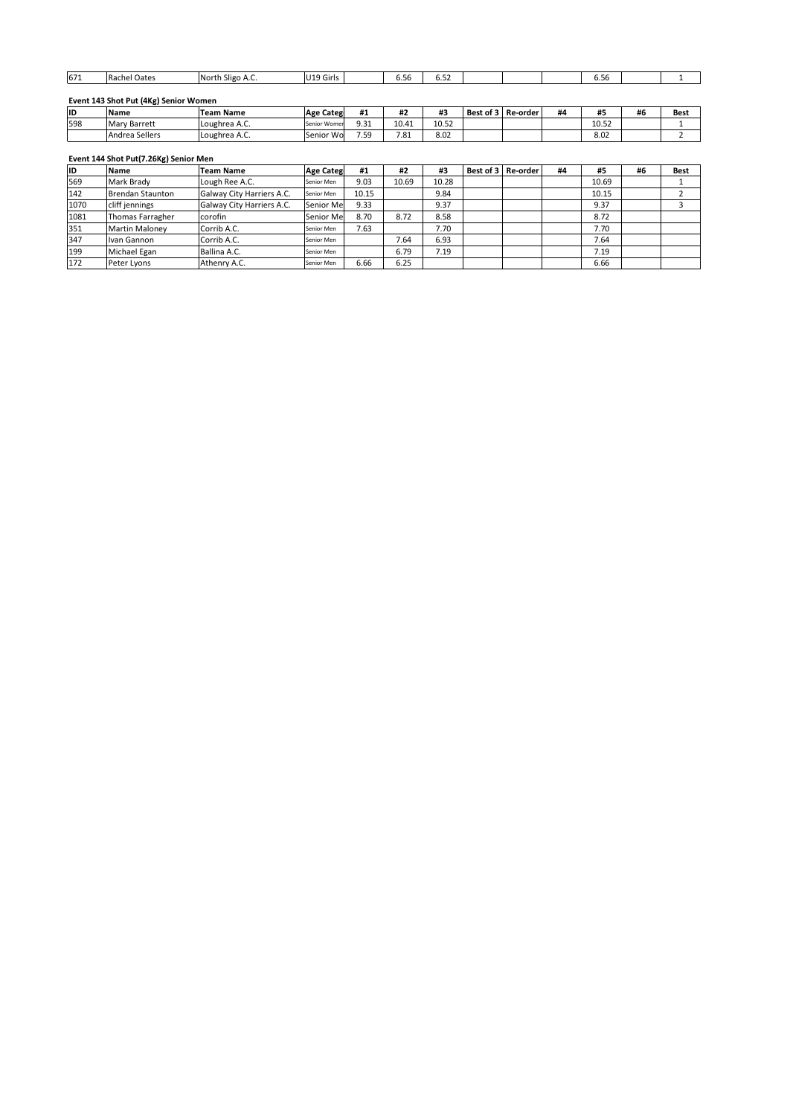### **ID**

| 671 | Rachel Oates                          | North Sligo A.C. | U19 Girls        |      | 6.56  | 6.52  |           |          |    | 6.56  |    |      |
|-----|---------------------------------------|------------------|------------------|------|-------|-------|-----------|----------|----|-------|----|------|
|     | Event 143 Shot Put (4Kg) Senior Women |                  |                  |      |       |       |           |          |    |       |    |      |
| ID  | <b>Name</b>                           | <b>Team Name</b> | <b>Age Categ</b> | #1   | #2    | #3    | Best of 3 | Re-order | #4 | #5    | #6 | Best |
| 598 | Mary Barrett                          | Loughrea A.C.    | Senior Womer     | 9.31 | 10.41 | 10.52 |           |          |    | 10.52 |    |      |
|     | Andrea Sellers                        | Loughrea A.C.    | Senior Wo        | 7.59 | 7.81  | 8.02  |           |          |    | 8.02  |    |      |
|     |                                       |                  |                  |      |       |       |           |          |    |       |    |      |
|     |                                       |                  |                  |      |       |       |           |          |    |       |    |      |
|     | Event 144 Shot Put(7.26Kg) Senior Men |                  |                  |      |       |       |           |          |    |       |    |      |
| ID  | <b>Name</b>                           | <b>Team Name</b> | <b>Age Categ</b> | #1   | #2    | #3    | Best of 3 | Re-order | #4 | #5    | #6 | Best |

### Eve

| 1598      | <b>Mary Barrett</b>                   | Loughrea A.C.             | Senior Womer     | 9.31  | 10.41 | 10.52 |                    |    | 10.52 |    |      |
|-----------|---------------------------------------|---------------------------|------------------|-------|-------|-------|--------------------|----|-------|----|------|
|           | Andrea Sellers                        | Loughrea A.C.             | Senior Wo        | 7.59  | 7.81  | 8.02  |                    |    | 8.02  |    | h    |
|           |                                       |                           |                  |       |       |       |                    |    |       |    |      |
|           | Event 144 Shot Put(7.26Kg) Senior Men |                           |                  |       |       |       |                    |    |       |    |      |
| <b>ID</b> | <b>Name</b>                           | <b>Team Name</b>          | <b>Age Categ</b> | #1    | #2    | #3    | Best of 3 Re-order | #4 | #5    | #6 | Best |
| 569       | Mark Brady                            | Lough Ree A.C.            | Senior Men       | 9.03  | 10.69 | 10.28 |                    |    | 10.69 |    |      |
| 142       | Brendan Staunton                      | Galway City Harriers A.C. | Senior Men       | 10.15 |       | 9.84  |                    |    | 10.15 |    |      |
| 1070      | cliff jennings                        | Galway City Harriers A.C. | Senior Me        | 9.33  |       | 9.37  |                    |    | 9.37  |    |      |
| 1081      | Thomas Farragher                      | corofin                   | Senior Me        | 8.70  | 8.72  | 8.58  |                    |    | 8.72  |    |      |
| 351       | <b>Martin Maloney</b>                 | Corrib A.C.               | Senior Men       | 7.63  |       | 7.70  |                    |    | 7.70  |    |      |
| 347       | Ivan Gannon                           | Corrib A.C.               | Senior Men       |       | 7.64  | 6.93  |                    |    | 7.64  |    |      |
| 199       | Michael Egan                          | Ballina A.C.              | Senior Men       |       | 6.79  | 7.19  |                    |    | 7.19  |    |      |
| 172       | Peter Lyons                           | Athenry A.C.              | Senior Men       | 6.66  | 6.25  |       |                    |    | 6.66  |    |      |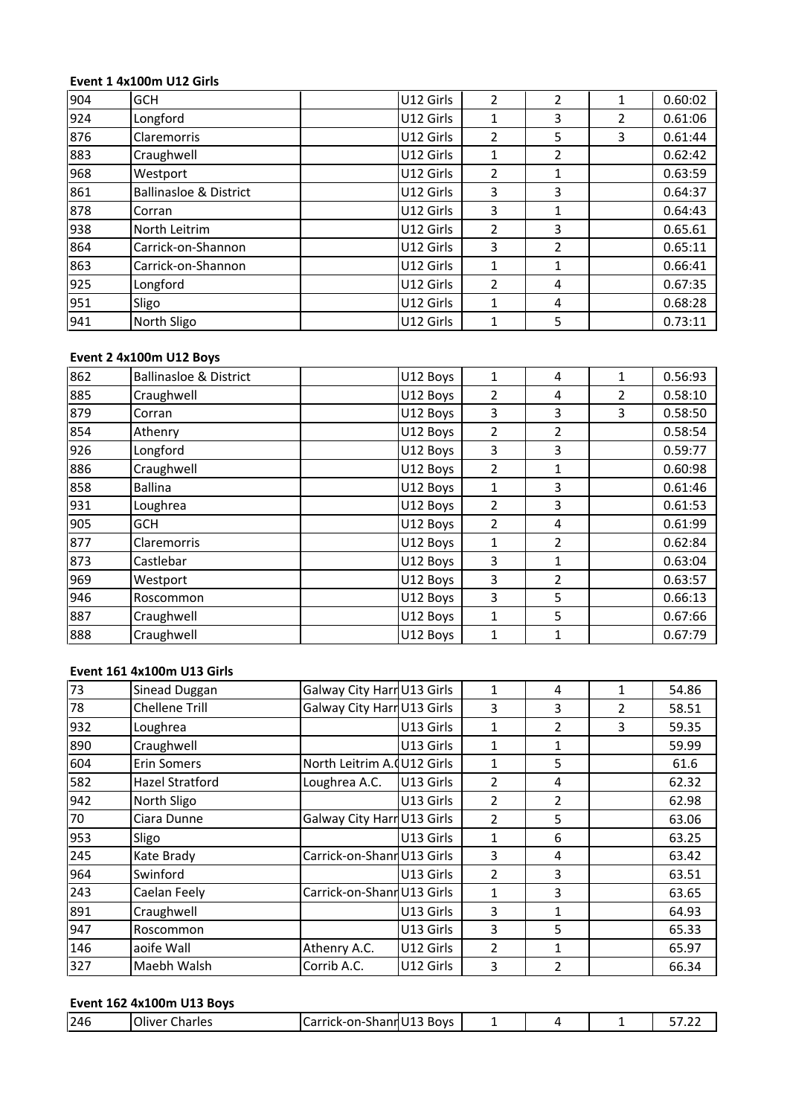# **<sup>1</sup> 4x100m U12 Girls** <u>Eve</u>

|     | Event 1 4x100m U12 Girls          |           |                |                |                |         |
|-----|-----------------------------------|-----------|----------------|----------------|----------------|---------|
| 904 | GCH                               | U12 Girls | $\overline{2}$ | 2              | $\mathbf 1$    | 0.60:02 |
| 924 | Longford                          | U12 Girls | 1              | 3              | $\overline{2}$ | 0.61:06 |
| 876 | Claremorris                       | U12 Girls | $\overline{2}$ | 5              | 3              | 0.61:44 |
| 883 | Craughwell                        | U12 Girls | 1              | 2              |                | 0.62:42 |
| 968 | Westport                          | U12 Girls | $\overline{2}$ | 1              |                | 0.63:59 |
| 861 | <b>Ballinasloe &amp; District</b> | U12 Girls | 3              | 3              |                | 0.64:37 |
| 878 | Corran                            | U12 Girls | 3              | 1              |                | 0.64:43 |
| 938 | North Leitrim                     | U12 Girls | 2              | 3              |                | 0.65.61 |
| 864 | Carrick-on-Shannon                | U12 Girls | 3              | $\overline{2}$ |                | 0.65:11 |
| 863 | Carrick-on-Shannon                | U12 Girls | 1              | $\mathbf{1}$   |                | 0.66:41 |
| 925 | Longford                          | U12 Girls | $\overline{2}$ | 4              |                | 0.67:35 |
| 951 | Sligo                             | U12 Girls | 1              | 4              |                | 0.68:28 |
| 941 | North Sligo                       | U12 Girls | 1              | 5              |                | 0.73:11 |
|     |                                   |           |                |                |                |         |
|     | Event 2 4x100m U12 Boys           |           |                |                |                |         |
| 862 | <b>Ballinasloe &amp; District</b> | U12 Boys  | 1              | 4              | 1              | 0.56:93 |
| 885 | Craughwell                        | U12 Bovs  | $\overline{2}$ | 4              | $\overline{2}$ | 0.58:10 |

# Event 2 4x100m U12 Boys

| 951 | Sligo                             |                            | U12 Girls | 1              | 4              |                | 0.68:28 |
|-----|-----------------------------------|----------------------------|-----------|----------------|----------------|----------------|---------|
| 941 | North Sligo                       |                            | U12 Girls | 1              | 5              |                | 0.73:11 |
|     | Event 2 4x100m U12 Boys           |                            |           |                |                |                |         |
| 862 | <b>Ballinasloe &amp; District</b> |                            | U12 Boys  | 1              | 4              | $\mathbf{1}$   | 0.56:93 |
| 885 | Craughwell                        |                            | U12 Boys  | 2              | 4              | 2              | 0.58:10 |
| 879 | Corran                            |                            | U12 Boys  | 3              | 3              | 3              | 0.58:50 |
| 854 | Athenry                           |                            | U12 Boys  | $\overline{2}$ | 2              |                | 0.58:54 |
| 926 | Longford                          |                            | U12 Boys  | 3              | 3              |                | 0.59:77 |
| 886 | Craughwell                        |                            | U12 Boys  | $\overline{2}$ | $\mathbf{1}$   |                | 0.60:98 |
| 858 | <b>Ballina</b>                    |                            | U12 Boys  | 1              | 3              |                | 0.61:46 |
| 931 | Loughrea                          |                            | U12 Boys  | 2              | 3              |                | 0.61:53 |
| 905 | GCH                               |                            | U12 Boys  | $\overline{2}$ | 4              |                | 0.61:99 |
| 877 | Claremorris                       |                            | U12 Boys  | 1              | $\overline{2}$ |                | 0.62:84 |
| 873 | Castlebar                         |                            | U12 Boys  | 3              | $\mathbf{1}$   |                | 0.63:04 |
| 969 | Westport                          |                            | U12 Boys  | 3              | $\overline{2}$ |                | 0.63:57 |
| 946 | Roscommon                         |                            | U12 Boys  | 3              | 5              |                | 0.66:13 |
| 887 | Craughwell                        |                            | U12 Boys  | $\mathbf 1$    | 5              |                | 0.67:66 |
| 888 | Craughwell                        |                            | U12 Boys  | 1              | 1              |                | 0.67:79 |
|     | Event 161 4x100m U13 Girls        |                            |           |                |                |                |         |
| 73  | Sinead Duggan                     | Galway City Harr U13 Girls |           | 1              | 4              | 1              | 54.86   |
| 78  | <b>Chellene Trill</b>             | Galway City Harr U13 Girls |           | 3              | 3              | $\overline{2}$ | 58.51   |

# Event 161 4x100m U13 Girls

|                       |                            | U12 Boys  |                                                                                                                                                                                                           | 5            |                | 0.67:66 |
|-----------------------|----------------------------|-----------|-----------------------------------------------------------------------------------------------------------------------------------------------------------------------------------------------------------|--------------|----------------|---------|
| Craughwell            |                            | U12 Boys  | 1                                                                                                                                                                                                         | $\mathbf{1}$ |                | 0.67:79 |
|                       |                            |           |                                                                                                                                                                                                           |              |                |         |
|                       |                            |           |                                                                                                                                                                                                           |              |                |         |
| Sinead Duggan         |                            |           | $\mathbf{1}$                                                                                                                                                                                              | 4            | 1              | 54.86   |
| <b>Chellene Trill</b> |                            |           | 3                                                                                                                                                                                                         | 3            | $\overline{2}$ | 58.51   |
| Loughrea              |                            | U13 Girls | $\mathbf{1}$                                                                                                                                                                                              | 2            | 3              | 59.35   |
| Craughwell            |                            | U13 Girls | $\mathbf{1}$                                                                                                                                                                                              | $\mathbf{1}$ |                | 59.99   |
| <b>Erin Somers</b>    |                            |           | $\mathbf{1}$                                                                                                                                                                                              | 5            |                | 61.6    |
| Hazel Stratford       | Loughrea A.C.              |           | $\overline{2}$                                                                                                                                                                                            | 4            |                | 62.32   |
| North Sligo           |                            | U13 Girls | 2                                                                                                                                                                                                         | 2            |                | 62.98   |
| Ciara Dunne           |                            |           | $\overline{2}$                                                                                                                                                                                            | 5            |                | 63.06   |
| Sligo                 |                            | U13 Girls | $\mathbf{1}$                                                                                                                                                                                              | 6            |                | 63.25   |
| Kate Brady            |                            |           | 3                                                                                                                                                                                                         | 4            |                | 63.42   |
| Swinford              |                            |           | $\overline{2}$                                                                                                                                                                                            | 3            |                | 63.51   |
| Caelan Feely          |                            |           | $\mathbf{1}$                                                                                                                                                                                              | 3            |                | 63.65   |
| Craughwell            |                            | U13 Girls | 3                                                                                                                                                                                                         | $\mathbf{1}$ |                | 64.93   |
| Roscommon             |                            | U13 Girls | 3                                                                                                                                                                                                         | 5            |                | 65.33   |
| aoife Wall            | Athenry A.C.               | U12 Girls | $\overline{2}$                                                                                                                                                                                            | 1            |                | 65.97   |
| Maebh Walsh           | Corrib A.C.                | U12 Girls | 3                                                                                                                                                                                                         | 2            |                | 66.34   |
|                       |                            |           |                                                                                                                                                                                                           |              |                |         |
|                       | Event 161 4x100m U13 Girls |           | Galway City Harr U13 Girls<br>Galway City Harr U13 Girls<br>North Leitrim A. U12 Girls<br>U13 Girls<br>Galway City Harr U13 Girls<br>Carrick-on-ShannU13 Girls<br>U13 Girls<br>Carrick-on-Shann U13 Girls |              |                |         |

| 246<br>$-1$<br>-<br>--<br><b>SAMPLE</b><br>Jliver<br>:harles<br>$n \cdot n$<br>Boys<br>k-∩n-'<br>31141111<br>. I I d<br>-<br>. |
|--------------------------------------------------------------------------------------------------------------------------------|
|--------------------------------------------------------------------------------------------------------------------------------|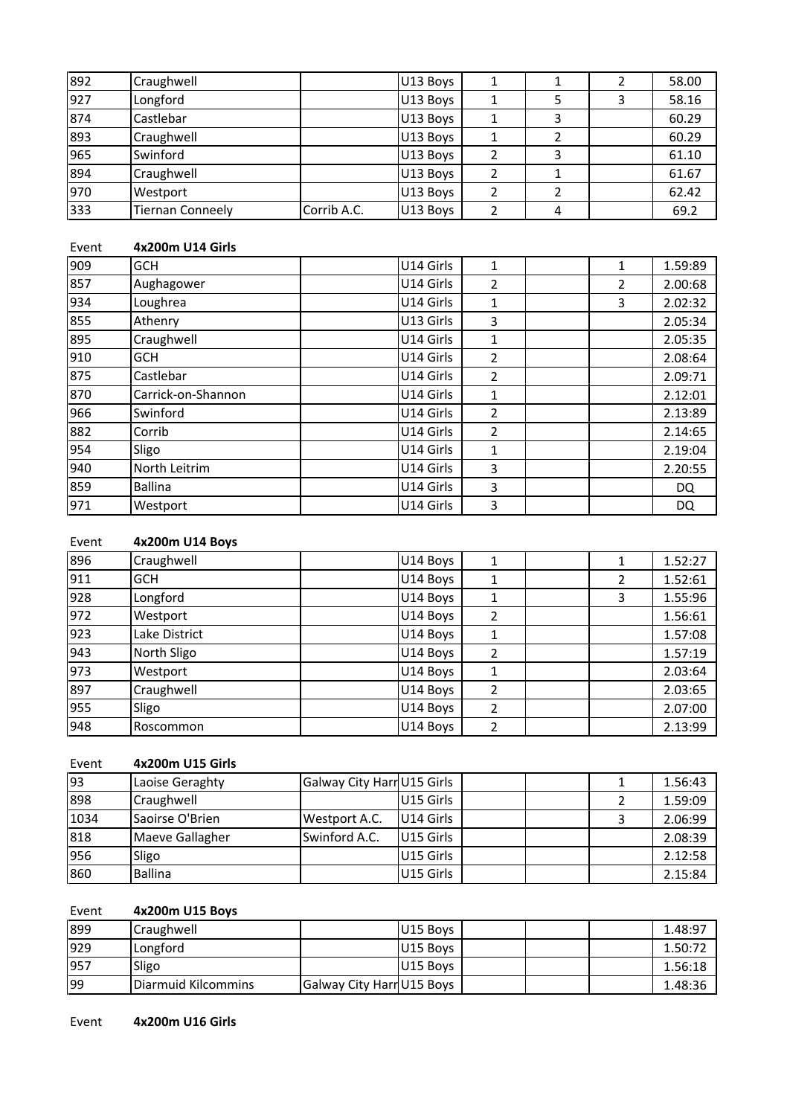| 892   | Craughwell              |             | U13 Boys  | 1              | 1 | $\overline{2}$ | 58.00   |
|-------|-------------------------|-------------|-----------|----------------|---|----------------|---------|
| 927   | Longford                |             | U13 Boys  | $\mathbf{1}$   | 5 | 3              | 58.16   |
| 874   | Castlebar               |             | U13 Boys  | 1              | 3 |                | 60.29   |
| 893   | Craughwell              |             | U13 Boys  | 1              | 2 |                | 60.29   |
| 965   | Swinford                |             | U13 Boys  | 2              | 3 |                | 61.10   |
| 894   | Craughwell              |             | U13 Boys  | $\overline{2}$ | 1 |                | 61.67   |
| 970   | Westport                |             | U13 Boys  | 2              | 2 |                | 62.42   |
| 333   | <b>Tiernan Conneely</b> | Corrib A.C. | U13 Boys  | $\overline{2}$ | 4 |                | 69.2    |
|       |                         |             |           |                |   |                |         |
| Event | 4x200m U14 Girls        |             |           |                |   |                |         |
| 909   | <b>GCH</b>              |             | U14 Girls | 1              |   | 1              | 1.59:89 |
| 857   | Aughagower              |             | U14 Girls | $\overline{2}$ |   | $\overline{2}$ | 2.00:68 |

| 970   | Westport                |             | U13 Boys  | 2              | 2 |                | 62.42   |
|-------|-------------------------|-------------|-----------|----------------|---|----------------|---------|
| 333   | <b>Tiernan Conneely</b> | Corrib A.C. | U13 Boys  | $\overline{2}$ | 4 |                | 69.2    |
| Event | 4x200m U14 Girls        |             |           |                |   |                |         |
| 909   | <b>GCH</b>              |             | U14 Girls | 1              |   | 1              | 1.59:89 |
| 857   | Aughagower              |             | U14 Girls | 2              |   | 2              | 2.00:68 |
| 934   | Loughrea                |             | U14 Girls | 1              |   | 3              | 2.02:32 |
| 855   | Athenry                 |             | U13 Girls | 3              |   |                | 2.05:34 |
| 895   | Craughwell              |             | U14 Girls | 1              |   |                | 2.05:35 |
| 910   | <b>GCH</b>              |             | U14 Girls | $\overline{2}$ |   |                | 2.08:64 |
| 875   | Castlebar               |             | U14 Girls | 2              |   |                | 2.09:71 |
| 870   | Carrick-on-Shannon      |             | U14 Girls | 1              |   |                | 2.12:01 |
| 966   | Swinford                |             | U14 Girls | $\overline{2}$ |   |                | 2.13:89 |
| 882   | Corrib                  |             | U14 Girls | $\overline{2}$ |   |                | 2.14:65 |
| 954   | Sligo                   |             | U14 Girls | 1              |   |                | 2.19:04 |
| 940   | North Leitrim           |             | U14 Girls | 3              |   |                | 2.20:55 |
| 859   | <b>Ballina</b>          |             | U14 Girls | $\overline{3}$ |   |                | DQ.     |
| 971   | Westport                |             | U14 Girls | 3              |   |                | DQ      |
|       |                         |             |           |                |   |                |         |
| Event | 4x200m U14 Boys         |             |           |                |   |                |         |
| 896   | Craughwell              |             | U14 Boys  | 1              |   | 1              | 1.52:27 |
| 911   | <b>GCH</b>              |             | U14 Boys  | 1              |   | $\overline{2}$ | 1.52:61 |

| 859   | <b>Ballina</b>   |                            | U14 Girls | 3              |                | DQ        |
|-------|------------------|----------------------------|-----------|----------------|----------------|-----------|
| 971   | Westport         |                            | U14 Girls | 3              |                | <b>DQ</b> |
|       |                  |                            |           |                |                |           |
| Event | 4x200m U14 Boys  |                            |           |                |                |           |
| 896   | Craughwell       |                            | U14 Boys  | $\mathbf{1}$   | 1              | 1.52:27   |
| 911   | <b>GCH</b>       |                            | U14 Boys  | 1              | $\overline{2}$ | 1.52:61   |
| 928   | Longford         |                            | U14 Boys  | 1              | 3              | 1.55:96   |
| 972   | Westport         |                            | U14 Boys  | $\overline{2}$ |                | 1.56:61   |
| 923   | Lake District    |                            | U14 Boys  | 1              |                | 1.57:08   |
| 943   | North Sligo      |                            | U14 Boys  | 2              |                | 1.57:19   |
| 973   | Westport         |                            | U14 Boys  | 1              |                | 2.03:64   |
| 897   | Craughwell       |                            | U14 Boys  | $\overline{2}$ |                | 2.03:65   |
| 955   | Sligo            |                            | U14 Boys  | 2              |                | 2.07:00   |
| 948   | Roscommon        |                            | U14 Boys  | 2              |                | 2.13:99   |
|       |                  |                            |           |                |                |           |
| Event | 4x200m U15 Girls |                            |           |                |                |           |
| 93    | Laoise Geraghty  | Galway City Harr U15 Girls |           |                | 1              | 1.56:43   |
| 898   | Craughwell       |                            | U15 Girls |                | 2              | 1.59:09   |

| 1955  | Sligo            |                            | IU14 Boys | 2 |   | 2.07:00 |
|-------|------------------|----------------------------|-----------|---|---|---------|
| 948   | Roscommon        |                            | U14 Boys  | 2 |   | 2.13:99 |
| Event | 4x200m U15 Girls |                            |           |   |   |         |
| 93    | Laoise Geraghty  | Galway City Harr U15 Girls |           |   | 1 | 1.56:43 |
| 898   | Craughwell       |                            | U15 Girls |   | 2 | 1.59:09 |
| 1034  | Saoirse O'Brien  | Westport A.C.              | U14 Girls |   | 3 | 2.06:99 |
| 818   | Maeve Gallagher  | Swinford A.C.              | U15 Girls |   |   | 2.08:39 |
| 956   | Sligo            |                            | U15 Girls |   |   | 2.12:58 |
| 860   | <b>Ballina</b>   |                            | U15 Girls |   |   | 2.15:84 |
|       |                  |                            |           |   |   |         |
| Event | 4x200m U15 Boys  |                            |           |   |   |         |
| 899   | Craughwell       |                            | U15 Boys  |   |   | 1.48:97 |
| 929   | Longford         |                            | U15 Boys  |   |   | 1.50:72 |

# **4x200m U15 Boys**

| 1956            | Sligo               |                           | IU15 Girls | 2.12:58 |
|-----------------|---------------------|---------------------------|------------|---------|
| 860             | <b>Ballina</b>      |                           | U15 Girls  | 2.15:84 |
|                 |                     |                           |            |         |
| Event           | 4x200m U15 Boys     |                           |            |         |
| 899             | Craughwell          |                           | U15 Boys   | 1.48:97 |
| 929             | Longford            |                           | U15 Boys   | 1.50:72 |
| 957             | Sligo               |                           | U15 Boys   | 1.56:18 |
| $\overline{99}$ | Diarmuid Kilcommins | Galway City Harr U15 Boys |            | 1.48:36 |

Event